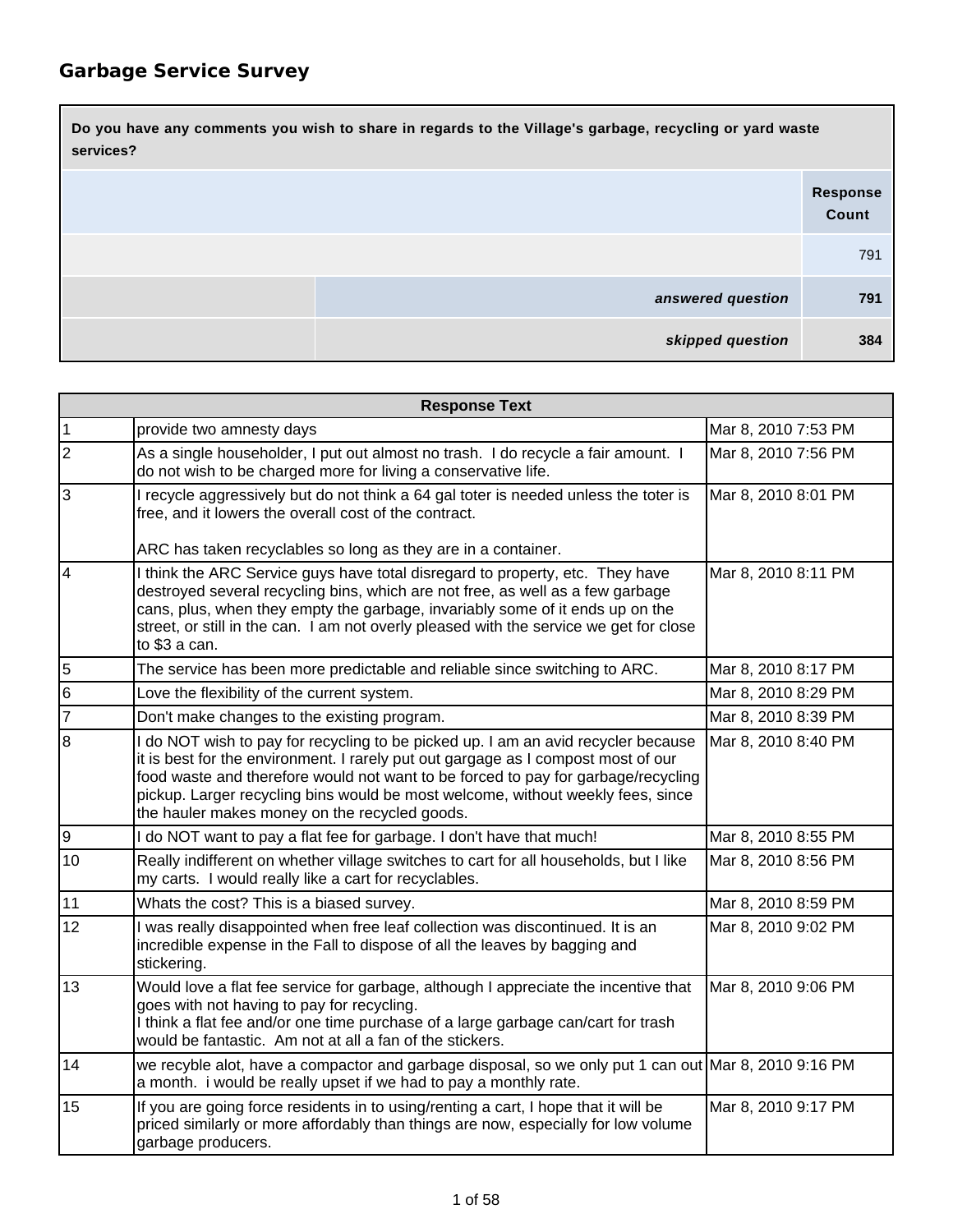| Do you have any comments you wish to share in regards to the Village's garbage, recycling or yard waste<br>services? |                          |  |
|----------------------------------------------------------------------------------------------------------------------|--------------------------|--|
|                                                                                                                      | <b>Response</b><br>Count |  |
|                                                                                                                      | 791                      |  |
| answered question                                                                                                    | 791                      |  |
| skipped question                                                                                                     | 384                      |  |

| <b>Response Text</b> |                                                                                                                                                                                                                                                                                                                                                                                                 |                     |
|----------------------|-------------------------------------------------------------------------------------------------------------------------------------------------------------------------------------------------------------------------------------------------------------------------------------------------------------------------------------------------------------------------------------------------|---------------------|
| $\overline{1}$       | provide two amnesty days                                                                                                                                                                                                                                                                                                                                                                        | Mar 8, 2010 7:53 PM |
| $\overline{2}$       | As a single householder, I put out almost no trash. I do recycle a fair amount. I<br>do not wish to be charged more for living a conservative life.                                                                                                                                                                                                                                             | Mar 8, 2010 7:56 PM |
| $\overline{3}$       | I recycle aggressively but do not think a 64 gal toter is needed unless the toter is<br>free, and it lowers the overall cost of the contract.<br>ARC has taken recyclables so long as they are in a container.                                                                                                                                                                                  | Mar 8, 2010 8:01 PM |
| $\overline{4}$       | I think the ARC Service guys have total disregard to property, etc. They have<br>destroyed several recycling bins, which are not free, as well as a few garbage<br>cans, plus, when they empty the garbage, invariably some of it ends up on the<br>street, or still in the can. I am not overly pleased with the service we get for close<br>to \$3 a can.                                     | Mar 8, 2010 8:11 PM |
| $\frac{5}{6}$        | The service has been more predictable and reliable since switching to ARC.                                                                                                                                                                                                                                                                                                                      | Mar 8, 2010 8:17 PM |
|                      | Love the flexibility of the current system.                                                                                                                                                                                                                                                                                                                                                     | Mar 8, 2010 8:29 PM |
| $\overline{7}$       | Don't make changes to the existing program.                                                                                                                                                                                                                                                                                                                                                     | Mar 8, 2010 8:39 PM |
| $\overline{8}$       | I do NOT wish to pay for recycling to be picked up. I am an avid recycler because<br>it is best for the environment. I rarely put out gargage as I compost most of our<br>food waste and therefore would not want to be forced to pay for garbage/recycling<br>pickup. Larger recycling bins would be most welcome, without weekly fees, since<br>the hauler makes money on the recycled goods. | Mar 8, 2010 8:40 PM |
| $\overline{9}$       | I do NOT want to pay a flat fee for garbage. I don't have that much!                                                                                                                                                                                                                                                                                                                            | Mar 8, 2010 8:55 PM |
| 10                   | Really indifferent on whether village switches to cart for all households, but I like<br>my carts. I would really like a cart for recyclables.                                                                                                                                                                                                                                                  | Mar 8, 2010 8:56 PM |
| 11                   | Whats the cost? This is a biased survey.                                                                                                                                                                                                                                                                                                                                                        | Mar 8, 2010 8:59 PM |
| 12                   | I was really disappointed when free leaf collection was discontinued. It is an<br>incredible expense in the Fall to dispose of all the leaves by bagging and<br>stickering.                                                                                                                                                                                                                     | Mar 8, 2010 9:02 PM |
| 13                   | Would love a flat fee service for garbage, although I appreciate the incentive that<br>goes with not having to pay for recycling.<br>I think a flat fee and/or one time purchase of a large garbage can/cart for trash<br>would be fantastic. Am not at all a fan of the stickers.                                                                                                              | Mar 8, 2010 9:06 PM |
| 14                   | we recyble alot, have a compactor and garbage disposal, so we only put 1 can out Mar 8, 2010 9:16 PM<br>a month. i would be really upset if we had to pay a monthly rate.                                                                                                                                                                                                                       |                     |
| 15                   | If you are going force residents in to using/renting a cart, I hope that it will be<br>priced similarly or more affordably than things are now, especially for low volume<br>garbage producers.                                                                                                                                                                                                 | Mar 8, 2010 9:17 PM |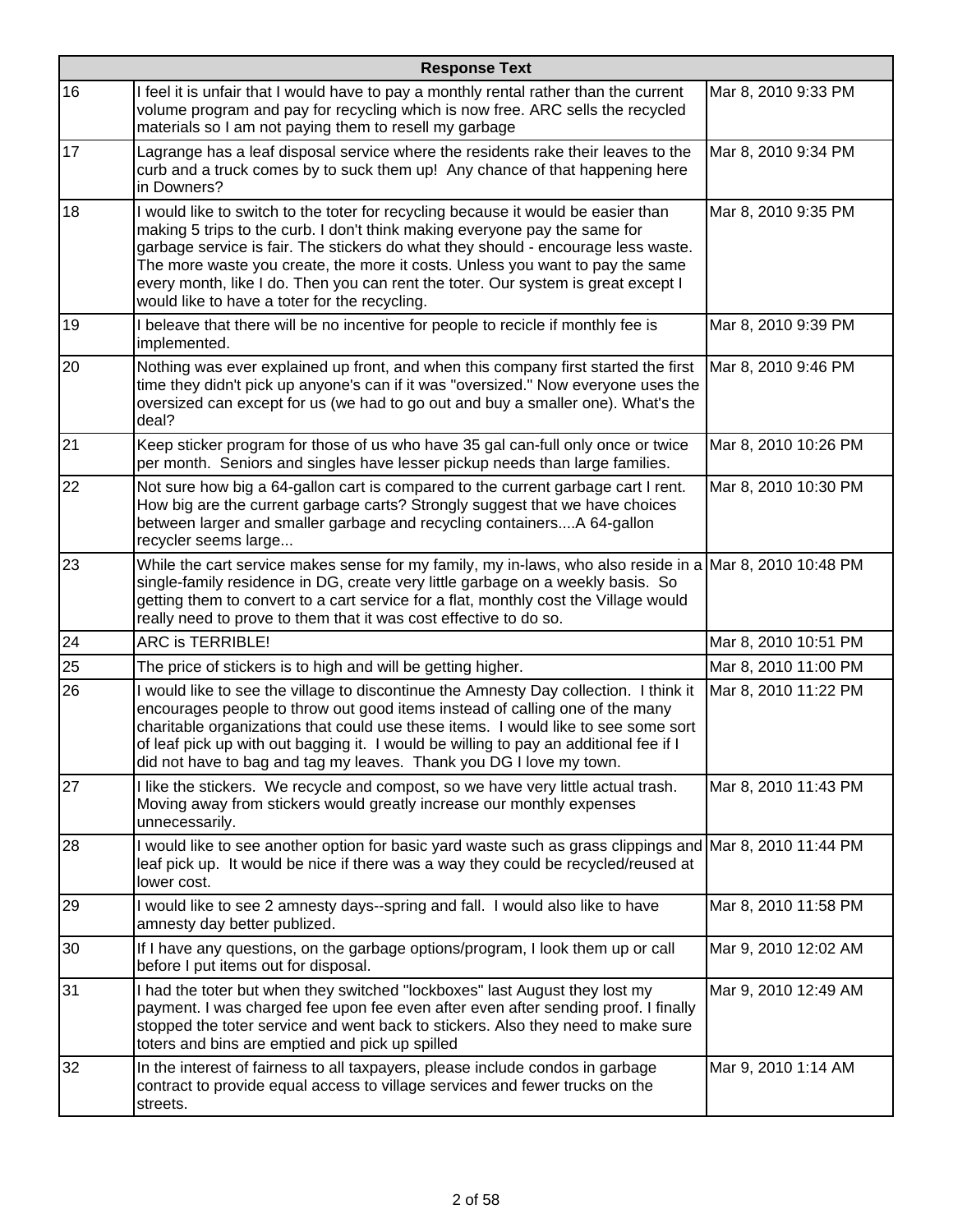|    | <b>Response Text</b>                                                                                                                                                                                                                                                                                                                                                                                                                                                        |                      |  |
|----|-----------------------------------------------------------------------------------------------------------------------------------------------------------------------------------------------------------------------------------------------------------------------------------------------------------------------------------------------------------------------------------------------------------------------------------------------------------------------------|----------------------|--|
| 16 | I feel it is unfair that I would have to pay a monthly rental rather than the current<br>volume program and pay for recycling which is now free. ARC sells the recycled<br>materials so I am not paying them to resell my garbage                                                                                                                                                                                                                                           | Mar 8, 2010 9:33 PM  |  |
| 17 | Lagrange has a leaf disposal service where the residents rake their leaves to the<br>curb and a truck comes by to suck them up! Any chance of that happening here<br>in Downers?                                                                                                                                                                                                                                                                                            | Mar 8, 2010 9:34 PM  |  |
| 18 | I would like to switch to the toter for recycling because it would be easier than<br>making 5 trips to the curb. I don't think making everyone pay the same for<br>garbage service is fair. The stickers do what they should - encourage less waste.<br>The more waste you create, the more it costs. Unless you want to pay the same<br>every month, like I do. Then you can rent the toter. Our system is great except I<br>would like to have a toter for the recycling. | Mar 8, 2010 9:35 PM  |  |
| 19 | I beleave that there will be no incentive for people to recicle if monthly fee is<br>implemented.                                                                                                                                                                                                                                                                                                                                                                           | Mar 8, 2010 9:39 PM  |  |
| 20 | Nothing was ever explained up front, and when this company first started the first<br>time they didn't pick up anyone's can if it was "oversized." Now everyone uses the<br>oversized can except for us (we had to go out and buy a smaller one). What's the<br>deal?                                                                                                                                                                                                       | Mar 8, 2010 9:46 PM  |  |
| 21 | Keep sticker program for those of us who have 35 gal can-full only once or twice<br>per month. Seniors and singles have lesser pickup needs than large families.                                                                                                                                                                                                                                                                                                            | Mar 8, 2010 10:26 PM |  |
| 22 | Not sure how big a 64-gallon cart is compared to the current garbage cart I rent.<br>How big are the current garbage carts? Strongly suggest that we have choices<br>between larger and smaller garbage and recycling containersA 64-gallon<br>recycler seems large                                                                                                                                                                                                         | Mar 8, 2010 10:30 PM |  |
| 23 | While the cart service makes sense for my family, my in-laws, who also reside in a Mar 8, 2010 10:48 PM<br>single-family residence in DG, create very little garbage on a weekly basis. So<br>getting them to convert to a cart service for a flat, monthly cost the Village would<br>really need to prove to them that it was cost effective to do so.                                                                                                                     |                      |  |
| 24 | ARC is TERRIBLE!                                                                                                                                                                                                                                                                                                                                                                                                                                                            | Mar 8, 2010 10:51 PM |  |
| 25 | The price of stickers is to high and will be getting higher.                                                                                                                                                                                                                                                                                                                                                                                                                | Mar 8, 2010 11:00 PM |  |
| 26 | I would like to see the village to discontinue the Amnesty Day collection. I think it<br>encourages people to throw out good items instead of calling one of the many<br>charitable organizations that could use these items. I would like to see some sort<br>of leaf pick up with out bagging it. I would be willing to pay an additional fee if I<br>did not have to bag and tag my leaves. Thank you DG I love my town.                                                 | Mar 8, 2010 11:22 PM |  |
| 27 | I like the stickers. We recycle and compost, so we have very little actual trash.<br>Moving away from stickers would greatly increase our monthly expenses<br>unnecessarily.                                                                                                                                                                                                                                                                                                | Mar 8, 2010 11:43 PM |  |
| 28 | I would like to see another option for basic yard waste such as grass clippings and Mar 8, 2010 11:44 PM<br>leaf pick up. It would be nice if there was a way they could be recycled/reused at<br>lower cost.                                                                                                                                                                                                                                                               |                      |  |
| 29 | I would like to see 2 amnesty days--spring and fall. I would also like to have<br>amnesty day better publized.                                                                                                                                                                                                                                                                                                                                                              | Mar 8, 2010 11:58 PM |  |
| 30 | If I have any questions, on the garbage options/program, I look them up or call<br>before I put items out for disposal.                                                                                                                                                                                                                                                                                                                                                     | Mar 9, 2010 12:02 AM |  |
| 31 | I had the toter but when they switched "lockboxes" last August they lost my<br>payment. I was charged fee upon fee even after even after sending proof. I finally<br>stopped the toter service and went back to stickers. Also they need to make sure<br>toters and bins are emptied and pick up spilled                                                                                                                                                                    | Mar 9, 2010 12:49 AM |  |
| 32 | In the interest of fairness to all taxpayers, please include condos in garbage<br>contract to provide equal access to village services and fewer trucks on the<br>streets.                                                                                                                                                                                                                                                                                                  | Mar 9, 2010 1:14 AM  |  |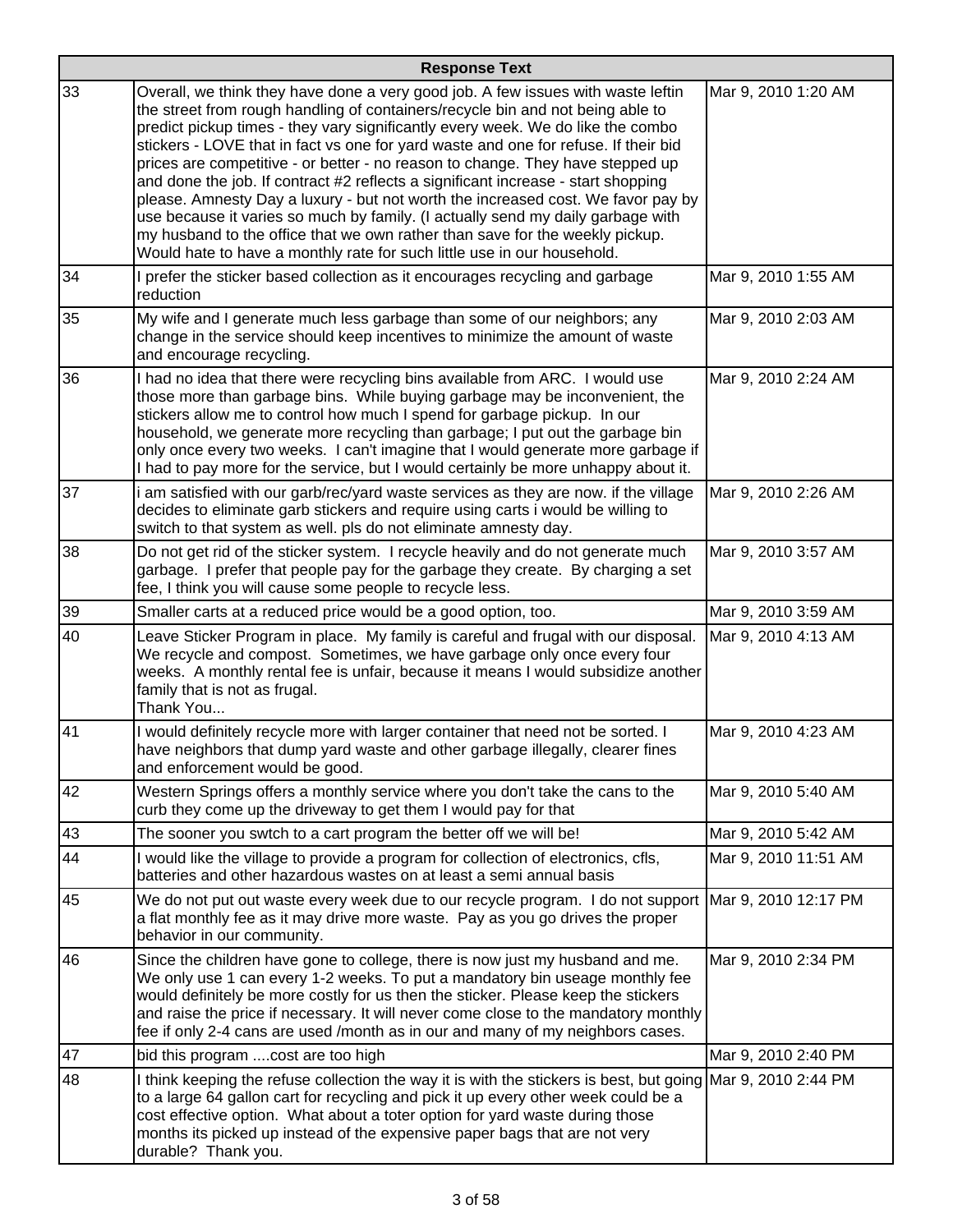|    | <b>Response Text</b>                                                                                                                                                                                                                                                                                                                                                                                                                                                                                                                                                                                                                                                                                                                                                                                                                                  |                      |  |
|----|-------------------------------------------------------------------------------------------------------------------------------------------------------------------------------------------------------------------------------------------------------------------------------------------------------------------------------------------------------------------------------------------------------------------------------------------------------------------------------------------------------------------------------------------------------------------------------------------------------------------------------------------------------------------------------------------------------------------------------------------------------------------------------------------------------------------------------------------------------|----------------------|--|
| 33 | Overall, we think they have done a very good job. A few issues with waste leftin<br>the street from rough handling of containers/recycle bin and not being able to<br>predict pickup times - they vary significantly every week. We do like the combo<br>stickers - LOVE that in fact vs one for yard waste and one for refuse. If their bid<br>prices are competitive - or better - no reason to change. They have stepped up<br>and done the job. If contract #2 reflects a significant increase - start shopping<br>please. Amnesty Day a luxury - but not worth the increased cost. We favor pay by<br>use because it varies so much by family. (I actually send my daily garbage with<br>my husband to the office that we own rather than save for the weekly pickup.<br>Would hate to have a monthly rate for such little use in our household. | Mar 9, 2010 1:20 AM  |  |
| 34 | I prefer the sticker based collection as it encourages recycling and garbage<br>reduction                                                                                                                                                                                                                                                                                                                                                                                                                                                                                                                                                                                                                                                                                                                                                             | Mar 9, 2010 1:55 AM  |  |
| 35 | My wife and I generate much less garbage than some of our neighbors; any<br>change in the service should keep incentives to minimize the amount of waste<br>and encourage recycling.                                                                                                                                                                                                                                                                                                                                                                                                                                                                                                                                                                                                                                                                  | Mar 9, 2010 2:03 AM  |  |
| 36 | I had no idea that there were recycling bins available from ARC. I would use<br>those more than garbage bins. While buying garbage may be inconvenient, the<br>stickers allow me to control how much I spend for garbage pickup. In our<br>household, we generate more recycling than garbage; I put out the garbage bin<br>only once every two weeks. I can't imagine that I would generate more garbage if<br>I had to pay more for the service, but I would certainly be more unhappy about it.                                                                                                                                                                                                                                                                                                                                                    | Mar 9, 2010 2:24 AM  |  |
| 37 | i am satisfied with our garb/rec/yard waste services as they are now. if the village<br>decides to eliminate garb stickers and require using carts i would be willing to<br>switch to that system as well. pls do not eliminate amnesty day.                                                                                                                                                                                                                                                                                                                                                                                                                                                                                                                                                                                                          | Mar 9, 2010 2:26 AM  |  |
| 38 | Do not get rid of the sticker system. I recycle heavily and do not generate much<br>garbage. I prefer that people pay for the garbage they create. By charging a set<br>fee, I think you will cause some people to recycle less.                                                                                                                                                                                                                                                                                                                                                                                                                                                                                                                                                                                                                      | Mar 9, 2010 3:57 AM  |  |
| 39 | Smaller carts at a reduced price would be a good option, too.                                                                                                                                                                                                                                                                                                                                                                                                                                                                                                                                                                                                                                                                                                                                                                                         | Mar 9, 2010 3:59 AM  |  |
| 40 | Leave Sticker Program in place. My family is careful and frugal with our disposal.<br>We recycle and compost. Sometimes, we have garbage only once every four<br>weeks. A monthly rental fee is unfair, because it means I would subsidize another<br>family that is not as frugal.<br>Thank You                                                                                                                                                                                                                                                                                                                                                                                                                                                                                                                                                      | Mar 9, 2010 4:13 AM  |  |
| 41 | I would definitely recycle more with larger container that need not be sorted. I<br>have neighbors that dump yard waste and other garbage illegally, clearer fines<br>and enforcement would be good.                                                                                                                                                                                                                                                                                                                                                                                                                                                                                                                                                                                                                                                  | Mar 9, 2010 4:23 AM  |  |
| 42 | Western Springs offers a monthly service where you don't take the cans to the<br>curb they come up the driveway to get them I would pay for that                                                                                                                                                                                                                                                                                                                                                                                                                                                                                                                                                                                                                                                                                                      | Mar 9, 2010 5:40 AM  |  |
| 43 | The sooner you swtch to a cart program the better off we will be!                                                                                                                                                                                                                                                                                                                                                                                                                                                                                                                                                                                                                                                                                                                                                                                     | Mar 9, 2010 5:42 AM  |  |
| 44 | I would like the village to provide a program for collection of electronics, cfls,<br>batteries and other hazardous wastes on at least a semi annual basis                                                                                                                                                                                                                                                                                                                                                                                                                                                                                                                                                                                                                                                                                            | Mar 9, 2010 11:51 AM |  |
| 45 | We do not put out waste every week due to our recycle program. I do not support   Mar 9, 2010 12:17 PM<br>a flat monthly fee as it may drive more waste. Pay as you go drives the proper<br>behavior in our community.                                                                                                                                                                                                                                                                                                                                                                                                                                                                                                                                                                                                                                |                      |  |
| 46 | Since the children have gone to college, there is now just my husband and me.<br>We only use 1 can every 1-2 weeks. To put a mandatory bin useage monthly fee<br>would definitely be more costly for us then the sticker. Please keep the stickers<br>and raise the price if necessary. It will never come close to the mandatory monthly<br>fee if only 2-4 cans are used /month as in our and many of my neighbors cases.                                                                                                                                                                                                                                                                                                                                                                                                                           | Mar 9, 2010 2:34 PM  |  |
| 47 | bid this program cost are too high                                                                                                                                                                                                                                                                                                                                                                                                                                                                                                                                                                                                                                                                                                                                                                                                                    | Mar 9, 2010 2:40 PM  |  |
| 48 | I think keeping the refuse collection the way it is with the stickers is best, but going Mar 9, 2010 2:44 PM<br>to a large 64 gallon cart for recycling and pick it up every other week could be a<br>cost effective option. What about a toter option for yard waste during those<br>months its picked up instead of the expensive paper bags that are not very<br>durable? Thank you.                                                                                                                                                                                                                                                                                                                                                                                                                                                               |                      |  |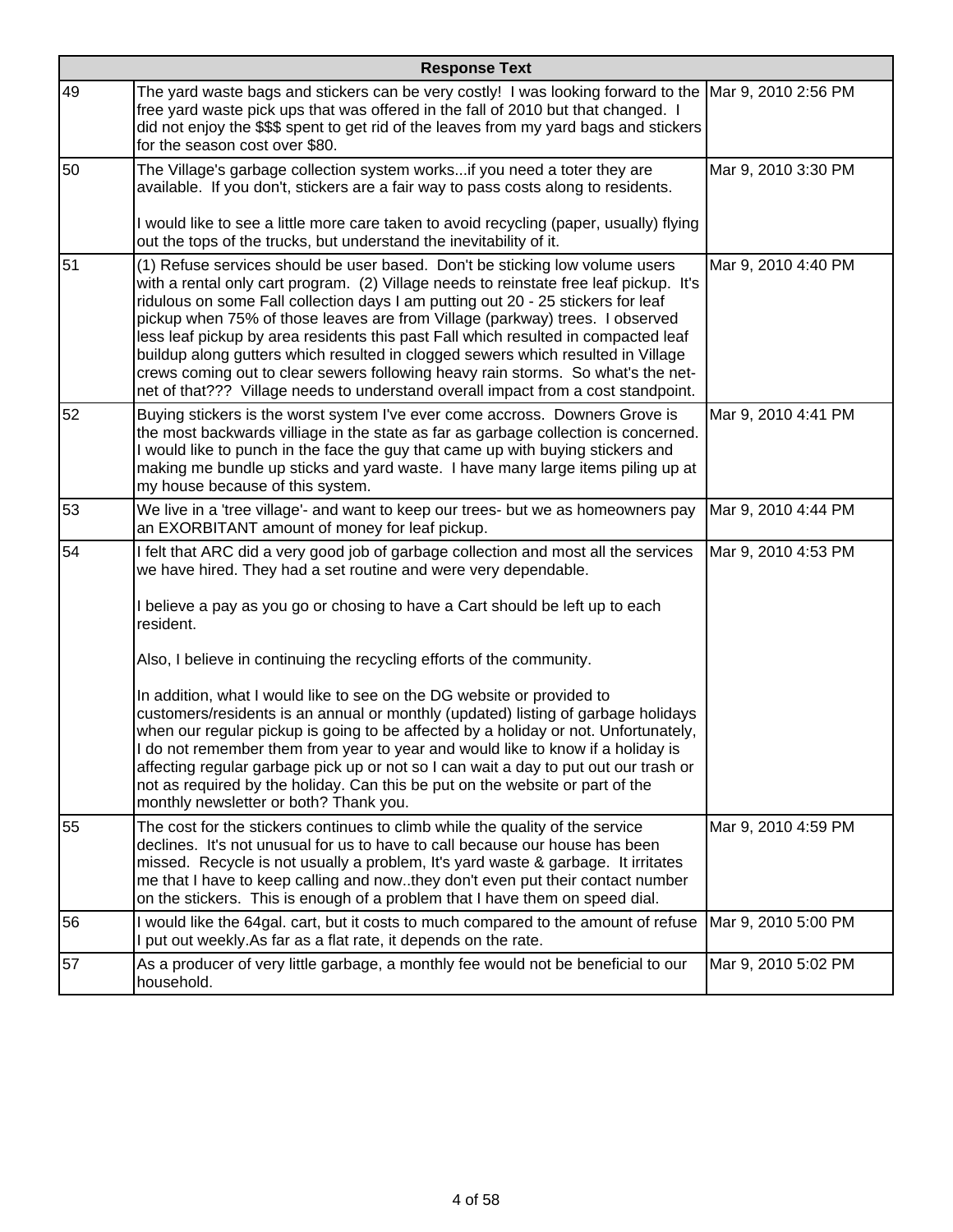|    | <b>Response Text</b>                                                                                                                                                                                                                                                                                                                                                                                                                                                                                                                                                                                                                                                                                                                                                                                                                                                                      |                     |  |
|----|-------------------------------------------------------------------------------------------------------------------------------------------------------------------------------------------------------------------------------------------------------------------------------------------------------------------------------------------------------------------------------------------------------------------------------------------------------------------------------------------------------------------------------------------------------------------------------------------------------------------------------------------------------------------------------------------------------------------------------------------------------------------------------------------------------------------------------------------------------------------------------------------|---------------------|--|
| 49 | The yard waste bags and stickers can be very costly! I was looking forward to the Mar 9, 2010 2:56 PM<br>free yard waste pick ups that was offered in the fall of 2010 but that changed. I<br>did not enjoy the \$\$\$ spent to get rid of the leaves from my yard bags and stickers<br>for the season cost over \$80.                                                                                                                                                                                                                                                                                                                                                                                                                                                                                                                                                                    |                     |  |
| 50 | The Village's garbage collection system works if you need a toter they are<br>available. If you don't, stickers are a fair way to pass costs along to residents.<br>I would like to see a little more care taken to avoid recycling (paper, usually) flying<br>out the tops of the trucks, but understand the inevitability of it.                                                                                                                                                                                                                                                                                                                                                                                                                                                                                                                                                        | Mar 9, 2010 3:30 PM |  |
| 51 | (1) Refuse services should be user based. Don't be sticking low volume users<br>with a rental only cart program. (2) Village needs to reinstate free leaf pickup. It's<br>ridulous on some Fall collection days I am putting out 20 - 25 stickers for leaf<br>pickup when 75% of those leaves are from Village (parkway) trees. I observed<br>less leaf pickup by area residents this past Fall which resulted in compacted leaf<br>buildup along gutters which resulted in clogged sewers which resulted in Village<br>crews coming out to clear sewers following heavy rain storms. So what's the net-<br>net of that??? Village needs to understand overall impact from a cost standpoint.                                                                                                                                                                                             | Mar 9, 2010 4:40 PM |  |
| 52 | Buying stickers is the worst system I've ever come accross. Downers Grove is<br>the most backwards villiage in the state as far as garbage collection is concerned.<br>I would like to punch in the face the guy that came up with buying stickers and<br>making me bundle up sticks and yard waste. I have many large items piling up at<br>my house because of this system.                                                                                                                                                                                                                                                                                                                                                                                                                                                                                                             | Mar 9, 2010 4:41 PM |  |
| 53 | We live in a 'tree village'- and want to keep our trees- but we as homeowners pay<br>an EXORBITANT amount of money for leaf pickup.                                                                                                                                                                                                                                                                                                                                                                                                                                                                                                                                                                                                                                                                                                                                                       | Mar 9, 2010 4:44 PM |  |
| 54 | I felt that ARC did a very good job of garbage collection and most all the services<br>we have hired. They had a set routine and were very dependable.<br>I believe a pay as you go or chosing to have a Cart should be left up to each<br>resident.<br>Also, I believe in continuing the recycling efforts of the community.<br>In addition, what I would like to see on the DG website or provided to<br>customers/residents is an annual or monthly (updated) listing of garbage holidays<br>when our regular pickup is going to be affected by a holiday or not. Unfortunately,<br>I do not remember them from year to year and would like to know if a holiday is<br>affecting regular garbage pick up or not so I can wait a day to put out our trash or<br>not as required by the holiday. Can this be put on the website or part of the<br>monthly newsletter or both? Thank you. | Mar 9, 2010 4:53 PM |  |
| 55 | The cost for the stickers continues to climb while the quality of the service<br>declines. It's not unusual for us to have to call because our house has been<br>missed. Recycle is not usually a problem, It's yard waste & garbage. It irritates<br>me that I have to keep calling and nowthey don't even put their contact number<br>on the stickers. This is enough of a problem that I have them on speed dial.                                                                                                                                                                                                                                                                                                                                                                                                                                                                      | Mar 9, 2010 4:59 PM |  |
| 56 | I would like the 64gal. cart, but it costs to much compared to the amount of refuse<br>I put out weekly. As far as a flat rate, it depends on the rate.                                                                                                                                                                                                                                                                                                                                                                                                                                                                                                                                                                                                                                                                                                                                   | Mar 9, 2010 5:00 PM |  |
| 57 | As a producer of very little garbage, a monthly fee would not be beneficial to our<br>household.                                                                                                                                                                                                                                                                                                                                                                                                                                                                                                                                                                                                                                                                                                                                                                                          | Mar 9, 2010 5:02 PM |  |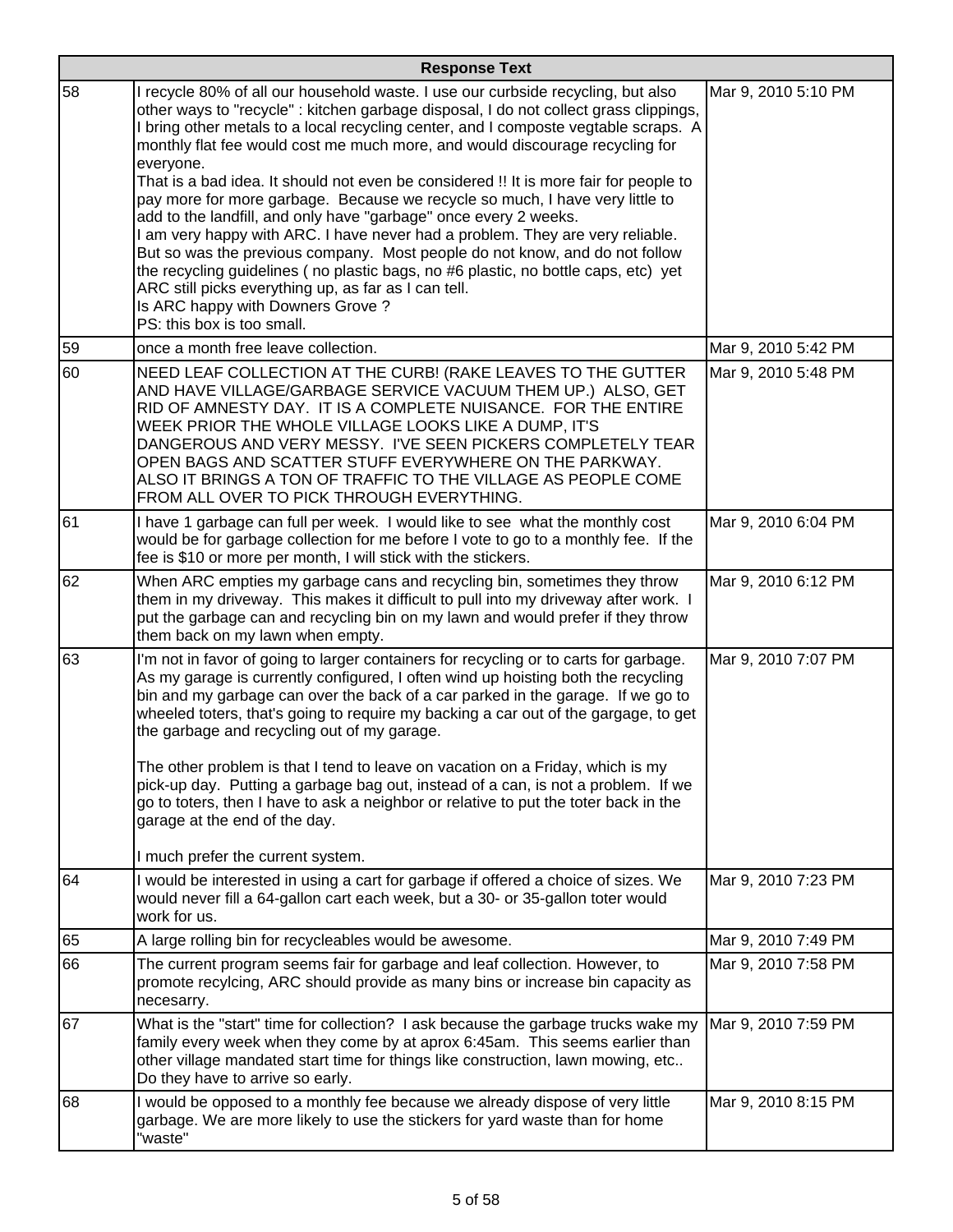|    | <b>Response Text</b>                                                                                                                                                                                                                                                                                                                                                                                                                                                                                                                                                                                                                                                                                                                                                                                                                                                                                                                                                                       |                     |  |
|----|--------------------------------------------------------------------------------------------------------------------------------------------------------------------------------------------------------------------------------------------------------------------------------------------------------------------------------------------------------------------------------------------------------------------------------------------------------------------------------------------------------------------------------------------------------------------------------------------------------------------------------------------------------------------------------------------------------------------------------------------------------------------------------------------------------------------------------------------------------------------------------------------------------------------------------------------------------------------------------------------|---------------------|--|
| 58 | I recycle 80% of all our household waste. I use our curbside recycling, but also<br>other ways to "recycle" : kitchen garbage disposal, I do not collect grass clippings,<br>I bring other metals to a local recycling center, and I composte vegtable scraps. A<br>monthly flat fee would cost me much more, and would discourage recycling for<br>everyone.<br>That is a bad idea. It should not even be considered !! It is more fair for people to<br>pay more for more garbage. Because we recycle so much, I have very little to<br>add to the landfill, and only have "garbage" once every 2 weeks.<br>I am very happy with ARC. I have never had a problem. They are very reliable.<br>But so was the previous company. Most people do not know, and do not follow<br>the recycling guidelines (no plastic bags, no #6 plastic, no bottle caps, etc) yet<br>ARC still picks everything up, as far as I can tell.<br>Is ARC happy with Downers Grove?<br>PS: this box is too small. | Mar 9, 2010 5:10 PM |  |
| 59 | once a month free leave collection.                                                                                                                                                                                                                                                                                                                                                                                                                                                                                                                                                                                                                                                                                                                                                                                                                                                                                                                                                        | Mar 9, 2010 5:42 PM |  |
| 60 | NEED LEAF COLLECTION AT THE CURB! (RAKE LEAVES TO THE GUTTER<br>AND HAVE VILLAGE/GARBAGE SERVICE VACUUM THEM UP.) ALSO, GET<br>RID OF AMNESTY DAY. IT IS A COMPLETE NUISANCE. FOR THE ENTIRE<br>WEEK PRIOR THE WHOLE VILLAGE LOOKS LIKE A DUMP, IT'S<br>DANGEROUS AND VERY MESSY. I'VE SEEN PICKERS COMPLETELY TEAR<br>OPEN BAGS AND SCATTER STUFF EVERYWHERE ON THE PARKWAY.<br>ALSO IT BRINGS A TON OF TRAFFIC TO THE VILLAGE AS PEOPLE COME<br>FROM ALL OVER TO PICK THROUGH EVERYTHING.                                                                                                                                                                                                                                                                                                                                                                                                                                                                                                | Mar 9, 2010 5:48 PM |  |
| 61 | I have 1 garbage can full per week. I would like to see what the monthly cost<br>would be for garbage collection for me before I vote to go to a monthly fee. If the<br>fee is \$10 or more per month, I will stick with the stickers.                                                                                                                                                                                                                                                                                                                                                                                                                                                                                                                                                                                                                                                                                                                                                     | Mar 9, 2010 6:04 PM |  |
| 62 | When ARC empties my garbage cans and recycling bin, sometimes they throw<br>them in my driveway. This makes it difficult to pull into my driveway after work. I<br>put the garbage can and recycling bin on my lawn and would prefer if they throw<br>them back on my lawn when empty.                                                                                                                                                                                                                                                                                                                                                                                                                                                                                                                                                                                                                                                                                                     | Mar 9, 2010 6:12 PM |  |
| 63 | I'm not in favor of going to larger containers for recycling or to carts for garbage.<br>As my garage is currently configured, I often wind up hoisting both the recycling<br>bin and my garbage can over the back of a car parked in the garage. If we go to<br>wheeled toters, that's going to require my backing a car out of the gargage, to get<br>the garbage and recycling out of my garage.<br>The other problem is that I tend to leave on vacation on a Friday, which is my<br>pick-up day. Putting a garbage bag out, instead of a can, is not a problem. If we<br>go to toters, then I have to ask a neighbor or relative to put the toter back in the<br>garage at the end of the day.<br>I much prefer the current system.                                                                                                                                                                                                                                                   | Mar 9, 2010 7:07 PM |  |
| 64 | I would be interested in using a cart for garbage if offered a choice of sizes. We                                                                                                                                                                                                                                                                                                                                                                                                                                                                                                                                                                                                                                                                                                                                                                                                                                                                                                         | Mar 9, 2010 7:23 PM |  |
|    | would never fill a 64-gallon cart each week, but a 30- or 35-gallon toter would<br>work for us.                                                                                                                                                                                                                                                                                                                                                                                                                                                                                                                                                                                                                                                                                                                                                                                                                                                                                            |                     |  |
| 65 | A large rolling bin for recycleables would be awesome.                                                                                                                                                                                                                                                                                                                                                                                                                                                                                                                                                                                                                                                                                                                                                                                                                                                                                                                                     | Mar 9, 2010 7:49 PM |  |
| 66 | The current program seems fair for garbage and leaf collection. However, to<br>promote recylcing, ARC should provide as many bins or increase bin capacity as<br>necesarry.                                                                                                                                                                                                                                                                                                                                                                                                                                                                                                                                                                                                                                                                                                                                                                                                                | Mar 9, 2010 7:58 PM |  |
| 67 | What is the "start" time for collection? I ask because the garbage trucks wake my<br>family every week when they come by at aprox 6:45am. This seems earlier than<br>other village mandated start time for things like construction, lawn mowing, etc<br>Do they have to arrive so early.                                                                                                                                                                                                                                                                                                                                                                                                                                                                                                                                                                                                                                                                                                  | Mar 9, 2010 7:59 PM |  |
| 68 | I would be opposed to a monthly fee because we already dispose of very little<br>garbage. We are more likely to use the stickers for yard waste than for home<br>"waste"                                                                                                                                                                                                                                                                                                                                                                                                                                                                                                                                                                                                                                                                                                                                                                                                                   | Mar 9, 2010 8:15 PM |  |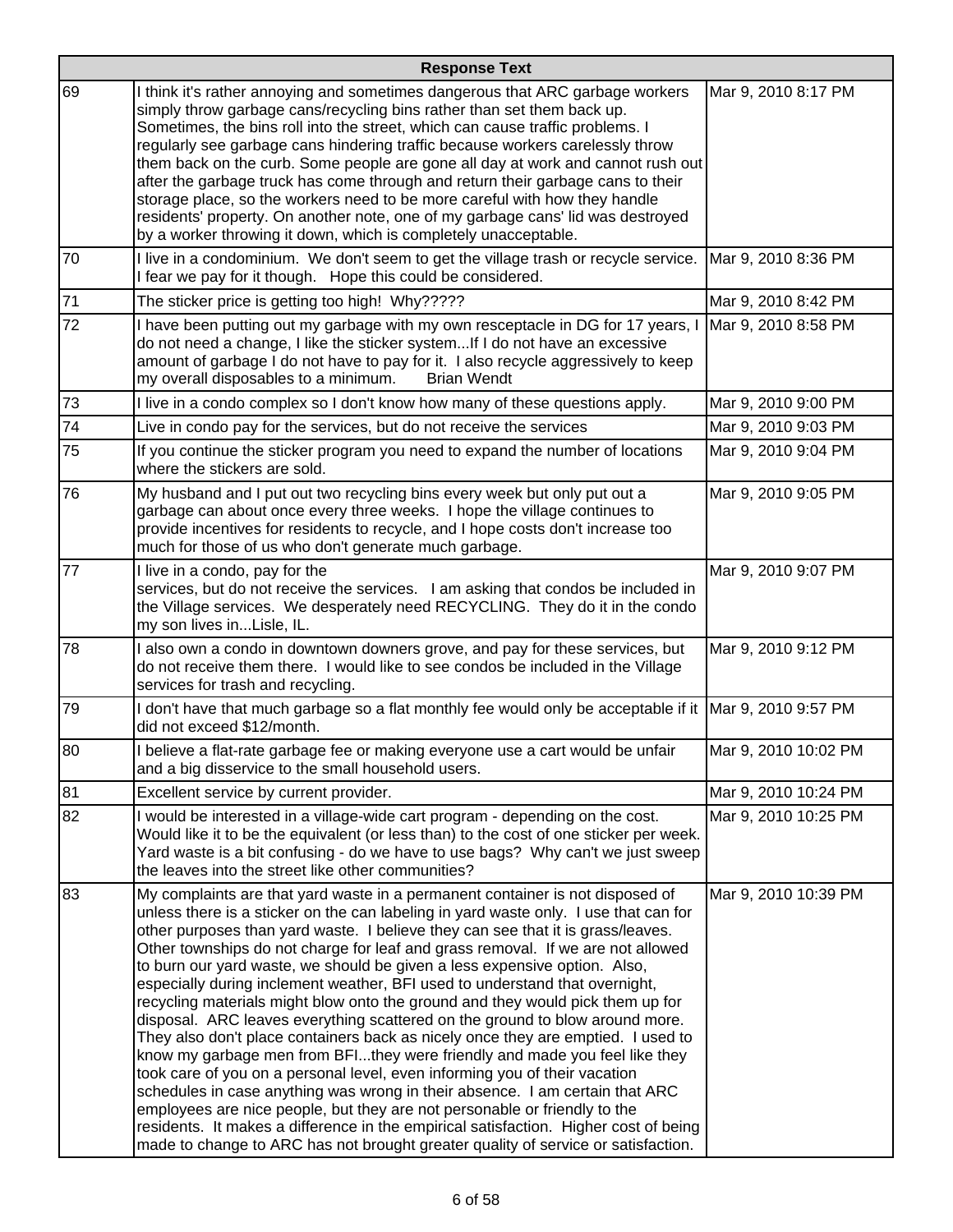| <b>Response Text</b> |                                                                                                                                                                                                                                                                                                                                                                                                                                                                                                                                                                                                                                                                                                                                                                                                                                                                                                                                                                                                                                                                                                                                                                                                                                                                     |                      |
|----------------------|---------------------------------------------------------------------------------------------------------------------------------------------------------------------------------------------------------------------------------------------------------------------------------------------------------------------------------------------------------------------------------------------------------------------------------------------------------------------------------------------------------------------------------------------------------------------------------------------------------------------------------------------------------------------------------------------------------------------------------------------------------------------------------------------------------------------------------------------------------------------------------------------------------------------------------------------------------------------------------------------------------------------------------------------------------------------------------------------------------------------------------------------------------------------------------------------------------------------------------------------------------------------|----------------------|
| 69                   | I think it's rather annoying and sometimes dangerous that ARC garbage workers<br>simply throw garbage cans/recycling bins rather than set them back up.<br>Sometimes, the bins roll into the street, which can cause traffic problems. I<br>regularly see garbage cans hindering traffic because workers carelessly throw<br>them back on the curb. Some people are gone all day at work and cannot rush out<br>after the garbage truck has come through and return their garbage cans to their<br>storage place, so the workers need to be more careful with how they handle<br>residents' property. On another note, one of my garbage cans' lid was destroyed<br>by a worker throwing it down, which is completely unacceptable.                                                                                                                                                                                                                                                                                                                                                                                                                                                                                                                                 | Mar 9, 2010 8:17 PM  |
| 70                   | I live in a condominium. We don't seem to get the village trash or recycle service.<br>I fear we pay for it though. Hope this could be considered.                                                                                                                                                                                                                                                                                                                                                                                                                                                                                                                                                                                                                                                                                                                                                                                                                                                                                                                                                                                                                                                                                                                  | Mar 9, 2010 8:36 PM  |
| 71                   | The sticker price is getting too high! Why?????                                                                                                                                                                                                                                                                                                                                                                                                                                                                                                                                                                                                                                                                                                                                                                                                                                                                                                                                                                                                                                                                                                                                                                                                                     | Mar 9, 2010 8:42 PM  |
| 72                   | I have been putting out my garbage with my own resceptacle in DG for 17 years, I<br>do not need a change, I like the sticker system If I do not have an excessive<br>amount of garbage I do not have to pay for it. I also recycle aggressively to keep<br>my overall disposables to a minimum.<br><b>Brian Wendt</b>                                                                                                                                                                                                                                                                                                                                                                                                                                                                                                                                                                                                                                                                                                                                                                                                                                                                                                                                               | Mar 9, 2010 8:58 PM  |
| 73                   | I live in a condo complex so I don't know how many of these questions apply.                                                                                                                                                                                                                                                                                                                                                                                                                                                                                                                                                                                                                                                                                                                                                                                                                                                                                                                                                                                                                                                                                                                                                                                        | Mar 9, 2010 9:00 PM  |
| 74                   | Live in condo pay for the services, but do not receive the services                                                                                                                                                                                                                                                                                                                                                                                                                                                                                                                                                                                                                                                                                                                                                                                                                                                                                                                                                                                                                                                                                                                                                                                                 | Mar 9, 2010 9:03 PM  |
| 75                   | If you continue the sticker program you need to expand the number of locations<br>where the stickers are sold.                                                                                                                                                                                                                                                                                                                                                                                                                                                                                                                                                                                                                                                                                                                                                                                                                                                                                                                                                                                                                                                                                                                                                      | Mar 9, 2010 9:04 PM  |
| 76                   | My husband and I put out two recycling bins every week but only put out a<br>garbage can about once every three weeks. I hope the village continues to<br>provide incentives for residents to recycle, and I hope costs don't increase too<br>much for those of us who don't generate much garbage.                                                                                                                                                                                                                                                                                                                                                                                                                                                                                                                                                                                                                                                                                                                                                                                                                                                                                                                                                                 | Mar 9, 2010 9:05 PM  |
| 77                   | I live in a condo, pay for the<br>services, but do not receive the services. I am asking that condos be included in<br>the Village services. We desperately need RECYCLING. They do it in the condo<br>my son lives inLisle, IL.                                                                                                                                                                                                                                                                                                                                                                                                                                                                                                                                                                                                                                                                                                                                                                                                                                                                                                                                                                                                                                    | Mar 9, 2010 9:07 PM  |
| 78                   | I also own a condo in downtown downers grove, and pay for these services, but<br>do not receive them there. I would like to see condos be included in the Village<br>services for trash and recycling.                                                                                                                                                                                                                                                                                                                                                                                                                                                                                                                                                                                                                                                                                                                                                                                                                                                                                                                                                                                                                                                              | Mar 9, 2010 9:12 PM  |
| 79                   | I don't have that much garbage so a flat monthly fee would only be acceptable if it   Mar 9, 2010 9:57 PM<br>did not exceed \$12/month.                                                                                                                                                                                                                                                                                                                                                                                                                                                                                                                                                                                                                                                                                                                                                                                                                                                                                                                                                                                                                                                                                                                             |                      |
| 80                   | I believe a flat-rate garbage fee or making everyone use a cart would be unfair<br>and a big disservice to the small household users.                                                                                                                                                                                                                                                                                                                                                                                                                                                                                                                                                                                                                                                                                                                                                                                                                                                                                                                                                                                                                                                                                                                               | Mar 9, 2010 10:02 PM |
| 81                   | Excellent service by current provider.                                                                                                                                                                                                                                                                                                                                                                                                                                                                                                                                                                                                                                                                                                                                                                                                                                                                                                                                                                                                                                                                                                                                                                                                                              | Mar 9, 2010 10:24 PM |
| 82                   | I would be interested in a village-wide cart program - depending on the cost.<br>Would like it to be the equivalent (or less than) to the cost of one sticker per week.<br>Yard waste is a bit confusing - do we have to use bags? Why can't we just sweep<br>the leaves into the street like other communities?                                                                                                                                                                                                                                                                                                                                                                                                                                                                                                                                                                                                                                                                                                                                                                                                                                                                                                                                                    | Mar 9, 2010 10:25 PM |
| 83                   | My complaints are that yard waste in a permanent container is not disposed of<br>unless there is a sticker on the can labeling in yard waste only. I use that can for<br>other purposes than yard waste. I believe they can see that it is grass/leaves.<br>Other townships do not charge for leaf and grass removal. If we are not allowed<br>to burn our yard waste, we should be given a less expensive option. Also,<br>especially during inclement weather, BFI used to understand that overnight,<br>recycling materials might blow onto the ground and they would pick them up for<br>disposal. ARC leaves everything scattered on the ground to blow around more.<br>They also don't place containers back as nicely once they are emptied. I used to<br>know my garbage men from BFIthey were friendly and made you feel like they<br>took care of you on a personal level, even informing you of their vacation<br>schedules in case anything was wrong in their absence. I am certain that ARC<br>employees are nice people, but they are not personable or friendly to the<br>residents. It makes a difference in the empirical satisfaction. Higher cost of being<br>made to change to ARC has not brought greater quality of service or satisfaction. | Mar 9, 2010 10:39 PM |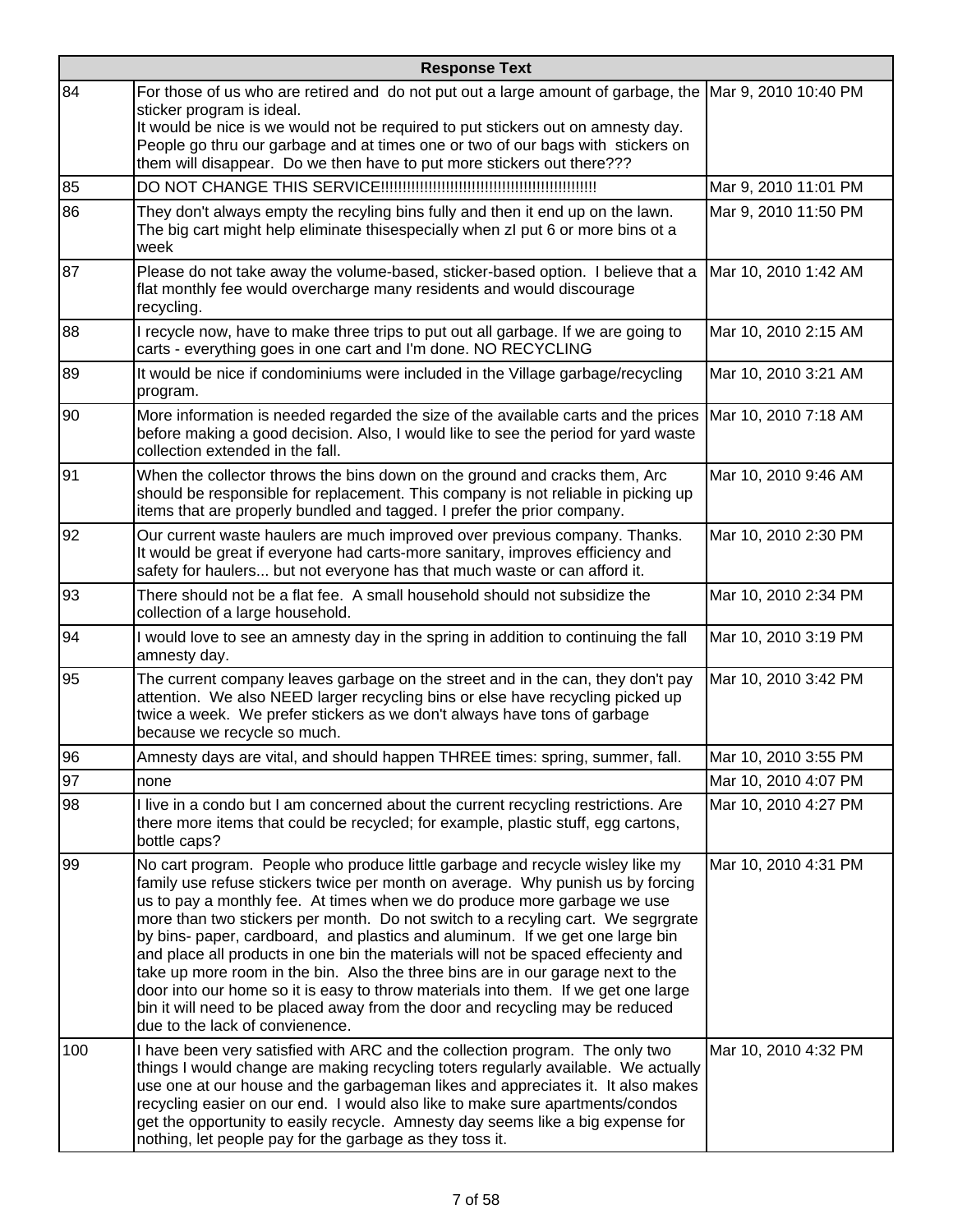|     | <b>Response Text</b>                                                                                                                                                                                                                                                                                                                                                                                                                                                                                                                                                                                                                                                                                                                                                                                |                      |  |
|-----|-----------------------------------------------------------------------------------------------------------------------------------------------------------------------------------------------------------------------------------------------------------------------------------------------------------------------------------------------------------------------------------------------------------------------------------------------------------------------------------------------------------------------------------------------------------------------------------------------------------------------------------------------------------------------------------------------------------------------------------------------------------------------------------------------------|----------------------|--|
| 84  | For those of us who are retired and do not put out a large amount of garbage, the Mar 9, 2010 10:40 PM<br>sticker program is ideal.<br>It would be nice is we would not be required to put stickers out on amnesty day.<br>People go thru our garbage and at times one or two of our bags with stickers on<br>them will disappear. Do we then have to put more stickers out there???                                                                                                                                                                                                                                                                                                                                                                                                                |                      |  |
| 85  |                                                                                                                                                                                                                                                                                                                                                                                                                                                                                                                                                                                                                                                                                                                                                                                                     | Mar 9, 2010 11:01 PM |  |
| 86  | They don't always empty the recyling bins fully and then it end up on the lawn.<br>The big cart might help eliminate thisespecially when zl put 6 or more bins ot a<br>week                                                                                                                                                                                                                                                                                                                                                                                                                                                                                                                                                                                                                         | Mar 9, 2010 11:50 PM |  |
| 87  | Please do not take away the volume-based, sticker-based option. I believe that a<br>flat monthly fee would overcharge many residents and would discourage<br>recycling.                                                                                                                                                                                                                                                                                                                                                                                                                                                                                                                                                                                                                             | Mar 10, 2010 1:42 AM |  |
| 88  | I recycle now, have to make three trips to put out all garbage. If we are going to<br>carts - everything goes in one cart and I'm done. NO RECYCLING                                                                                                                                                                                                                                                                                                                                                                                                                                                                                                                                                                                                                                                | Mar 10, 2010 2:15 AM |  |
| 89  | It would be nice if condominiums were included in the Village garbage/recycling<br>program.                                                                                                                                                                                                                                                                                                                                                                                                                                                                                                                                                                                                                                                                                                         | Mar 10, 2010 3:21 AM |  |
| 90  | More information is needed regarded the size of the available carts and the prices   Mar 10, 2010 7:18 AM<br>before making a good decision. Also, I would like to see the period for yard waste<br>collection extended in the fall.                                                                                                                                                                                                                                                                                                                                                                                                                                                                                                                                                                 |                      |  |
| 91  | When the collector throws the bins down on the ground and cracks them, Arc<br>should be responsible for replacement. This company is not reliable in picking up<br>items that are properly bundled and tagged. I prefer the prior company.                                                                                                                                                                                                                                                                                                                                                                                                                                                                                                                                                          | Mar 10, 2010 9:46 AM |  |
| 92  | Our current waste haulers are much improved over previous company. Thanks.<br>It would be great if everyone had carts-more sanitary, improves efficiency and<br>safety for haulers but not everyone has that much waste or can afford it.                                                                                                                                                                                                                                                                                                                                                                                                                                                                                                                                                           | Mar 10, 2010 2:30 PM |  |
| 93  | There should not be a flat fee. A small household should not subsidize the<br>collection of a large household.                                                                                                                                                                                                                                                                                                                                                                                                                                                                                                                                                                                                                                                                                      | Mar 10, 2010 2:34 PM |  |
| 94  | I would love to see an amnesty day in the spring in addition to continuing the fall<br>amnesty day.                                                                                                                                                                                                                                                                                                                                                                                                                                                                                                                                                                                                                                                                                                 | Mar 10, 2010 3:19 PM |  |
| 95  | The current company leaves garbage on the street and in the can, they don't pay<br>attention. We also NEED larger recycling bins or else have recycling picked up<br>twice a week. We prefer stickers as we don't always have tons of garbage<br>because we recycle so much.                                                                                                                                                                                                                                                                                                                                                                                                                                                                                                                        | Mar 10, 2010 3:42 PM |  |
| 96  | Amnesty days are vital, and should happen THREE times: spring, summer, fall.                                                                                                                                                                                                                                                                                                                                                                                                                                                                                                                                                                                                                                                                                                                        | Mar 10, 2010 3:55 PM |  |
| 97  | none                                                                                                                                                                                                                                                                                                                                                                                                                                                                                                                                                                                                                                                                                                                                                                                                | Mar 10, 2010 4:07 PM |  |
| 98  | I live in a condo but I am concerned about the current recycling restrictions. Are<br>there more items that could be recycled; for example, plastic stuff, egg cartons,<br>bottle caps?                                                                                                                                                                                                                                                                                                                                                                                                                                                                                                                                                                                                             | Mar 10, 2010 4:27 PM |  |
| 99  | No cart program. People who produce little garbage and recycle wisley like my<br>family use refuse stickers twice per month on average. Why punish us by forcing<br>us to pay a monthly fee. At times when we do produce more garbage we use<br>more than two stickers per month. Do not switch to a recyling cart. We segrgrate<br>by bins- paper, cardboard, and plastics and aluminum. If we get one large bin<br>and place all products in one bin the materials will not be spaced effecienty and<br>take up more room in the bin. Also the three bins are in our garage next to the<br>door into our home so it is easy to throw materials into them. If we get one large<br>bin it will need to be placed away from the door and recycling may be reduced<br>due to the lack of convienence. | Mar 10, 2010 4:31 PM |  |
| 100 | I have been very satisfied with ARC and the collection program. The only two<br>things I would change are making recycling toters regularly available. We actually<br>use one at our house and the garbageman likes and appreciates it. It also makes<br>recycling easier on our end. I would also like to make sure apartments/condos<br>get the opportunity to easily recycle. Amnesty day seems like a big expense for<br>nothing, let people pay for the garbage as they toss it.                                                                                                                                                                                                                                                                                                               | Mar 10, 2010 4:32 PM |  |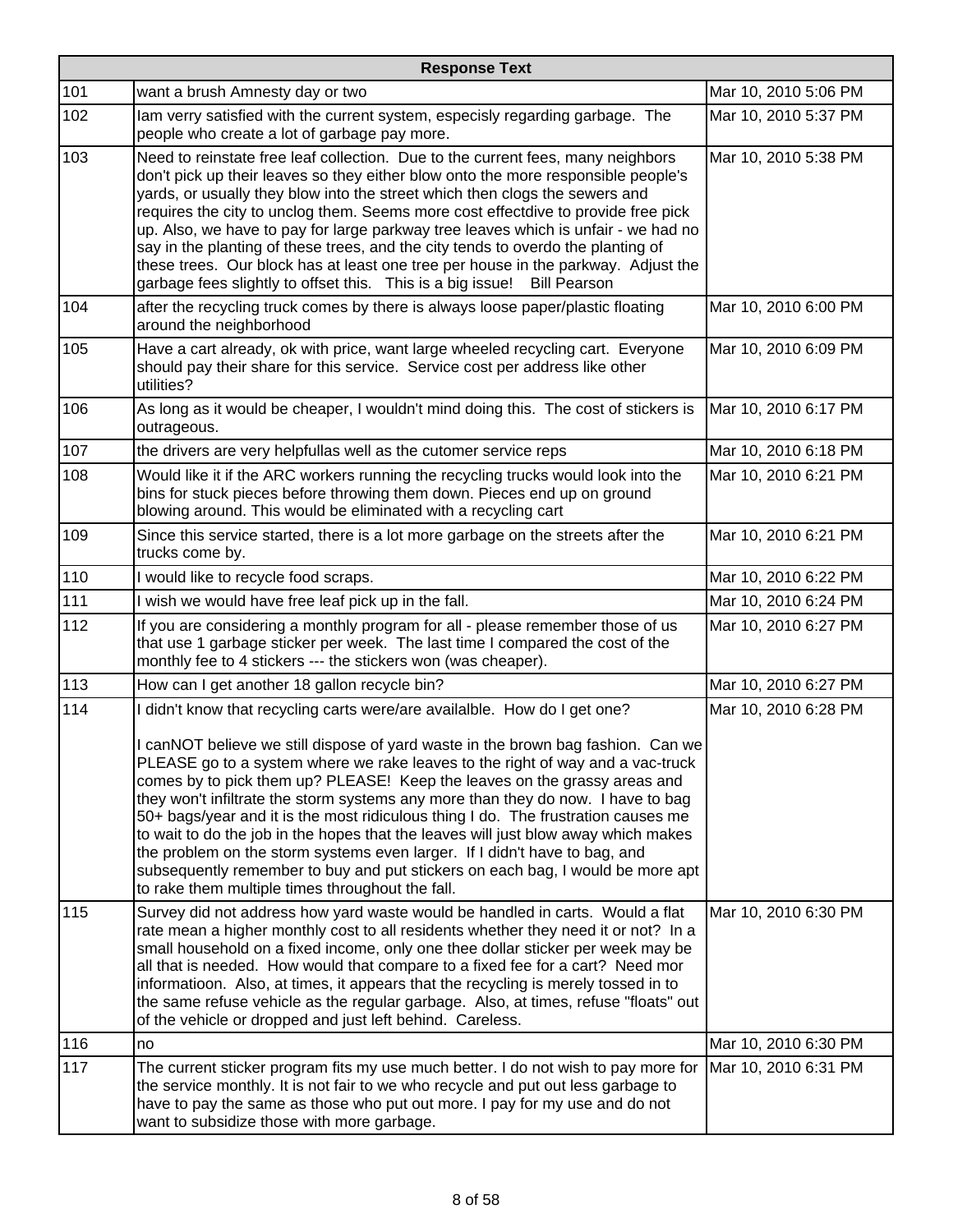| <b>Response Text</b> |                                                                                                                                                                                                                                                                                                                                                                                                                                                                                                                                                                                                                                                                                                                                                                                                                 |                      |
|----------------------|-----------------------------------------------------------------------------------------------------------------------------------------------------------------------------------------------------------------------------------------------------------------------------------------------------------------------------------------------------------------------------------------------------------------------------------------------------------------------------------------------------------------------------------------------------------------------------------------------------------------------------------------------------------------------------------------------------------------------------------------------------------------------------------------------------------------|----------------------|
| 101                  | want a brush Amnesty day or two                                                                                                                                                                                                                                                                                                                                                                                                                                                                                                                                                                                                                                                                                                                                                                                 | Mar 10, 2010 5:06 PM |
| 102                  | lam verry satisfied with the current system, especisly regarding garbage. The<br>people who create a lot of garbage pay more.                                                                                                                                                                                                                                                                                                                                                                                                                                                                                                                                                                                                                                                                                   | Mar 10, 2010 5:37 PM |
| 103                  | Need to reinstate free leaf collection. Due to the current fees, many neighbors<br>don't pick up their leaves so they either blow onto the more responsible people's<br>yards, or usually they blow into the street which then clogs the sewers and<br>requires the city to unclog them. Seems more cost effectdive to provide free pick<br>up. Also, we have to pay for large parkway tree leaves which is unfair - we had no<br>say in the planting of these trees, and the city tends to overdo the planting of<br>these trees. Our block has at least one tree per house in the parkway. Adjust the<br>garbage fees slightly to offset this. This is a big issue!<br><b>Bill Pearson</b>                                                                                                                    | Mar 10, 2010 5:38 PM |
| 104                  | after the recycling truck comes by there is always loose paper/plastic floating<br>around the neighborhood                                                                                                                                                                                                                                                                                                                                                                                                                                                                                                                                                                                                                                                                                                      | Mar 10, 2010 6:00 PM |
| 105                  | Have a cart already, ok with price, want large wheeled recycling cart. Everyone<br>should pay their share for this service. Service cost per address like other<br>utilities?                                                                                                                                                                                                                                                                                                                                                                                                                                                                                                                                                                                                                                   | Mar 10, 2010 6:09 PM |
| 106                  | As long as it would be cheaper, I wouldn't mind doing this. The cost of stickers is<br>outrageous.                                                                                                                                                                                                                                                                                                                                                                                                                                                                                                                                                                                                                                                                                                              | Mar 10, 2010 6:17 PM |
| 107                  | the drivers are very helpfullas well as the cutomer service reps                                                                                                                                                                                                                                                                                                                                                                                                                                                                                                                                                                                                                                                                                                                                                | Mar 10, 2010 6:18 PM |
| 108                  | Would like it if the ARC workers running the recycling trucks would look into the<br>bins for stuck pieces before throwing them down. Pieces end up on ground<br>blowing around. This would be eliminated with a recycling cart                                                                                                                                                                                                                                                                                                                                                                                                                                                                                                                                                                                 | Mar 10, 2010 6:21 PM |
| 109                  | Since this service started, there is a lot more garbage on the streets after the<br>trucks come by.                                                                                                                                                                                                                                                                                                                                                                                                                                                                                                                                                                                                                                                                                                             | Mar 10, 2010 6:21 PM |
| 110                  | I would like to recycle food scraps.                                                                                                                                                                                                                                                                                                                                                                                                                                                                                                                                                                                                                                                                                                                                                                            | Mar 10, 2010 6:22 PM |
| 111                  | I wish we would have free leaf pick up in the fall.                                                                                                                                                                                                                                                                                                                                                                                                                                                                                                                                                                                                                                                                                                                                                             | Mar 10, 2010 6:24 PM |
| 112                  | If you are considering a monthly program for all - please remember those of us<br>that use 1 garbage sticker per week. The last time I compared the cost of the<br>monthly fee to 4 stickers --- the stickers won (was cheaper).                                                                                                                                                                                                                                                                                                                                                                                                                                                                                                                                                                                | Mar 10, 2010 6:27 PM |
| 113                  | How can I get another 18 gallon recycle bin?                                                                                                                                                                                                                                                                                                                                                                                                                                                                                                                                                                                                                                                                                                                                                                    | Mar 10, 2010 6:27 PM |
| 114                  | I didn't know that recycling carts were/are availalble. How do I get one?<br>I canNOT believe we still dispose of yard waste in the brown bag fashion. Can we<br>PLEASE go to a system where we rake leaves to the right of way and a vac-truck<br>comes by to pick them up? PLEASE! Keep the leaves on the grassy areas and<br>they won't infiltrate the storm systems any more than they do now. I have to bag<br>50+ bags/year and it is the most ridiculous thing I do. The frustration causes me<br>to wait to do the job in the hopes that the leaves will just blow away which makes<br>the problem on the storm systems even larger. If I didn't have to bag, and<br>subsequently remember to buy and put stickers on each bag, I would be more apt<br>to rake them multiple times throughout the fall. | Mar 10, 2010 6:28 PM |
| 115                  | Survey did not address how yard waste would be handled in carts. Would a flat<br>rate mean a higher monthly cost to all residents whether they need it or not? In a<br>small household on a fixed income, only one thee dollar sticker per week may be<br>all that is needed. How would that compare to a fixed fee for a cart? Need mor<br>informatioon. Also, at times, it appears that the recycling is merely tossed in to<br>the same refuse vehicle as the regular garbage. Also, at times, refuse "floats" out<br>of the vehicle or dropped and just left behind. Careless.                                                                                                                                                                                                                              | Mar 10, 2010 6:30 PM |
| 116                  | no                                                                                                                                                                                                                                                                                                                                                                                                                                                                                                                                                                                                                                                                                                                                                                                                              | Mar 10, 2010 6:30 PM |
| 117                  | The current sticker program fits my use much better. I do not wish to pay more for<br>the service monthly. It is not fair to we who recycle and put out less garbage to<br>have to pay the same as those who put out more. I pay for my use and do not<br>want to subsidize those with more garbage.                                                                                                                                                                                                                                                                                                                                                                                                                                                                                                            | Mar 10, 2010 6:31 PM |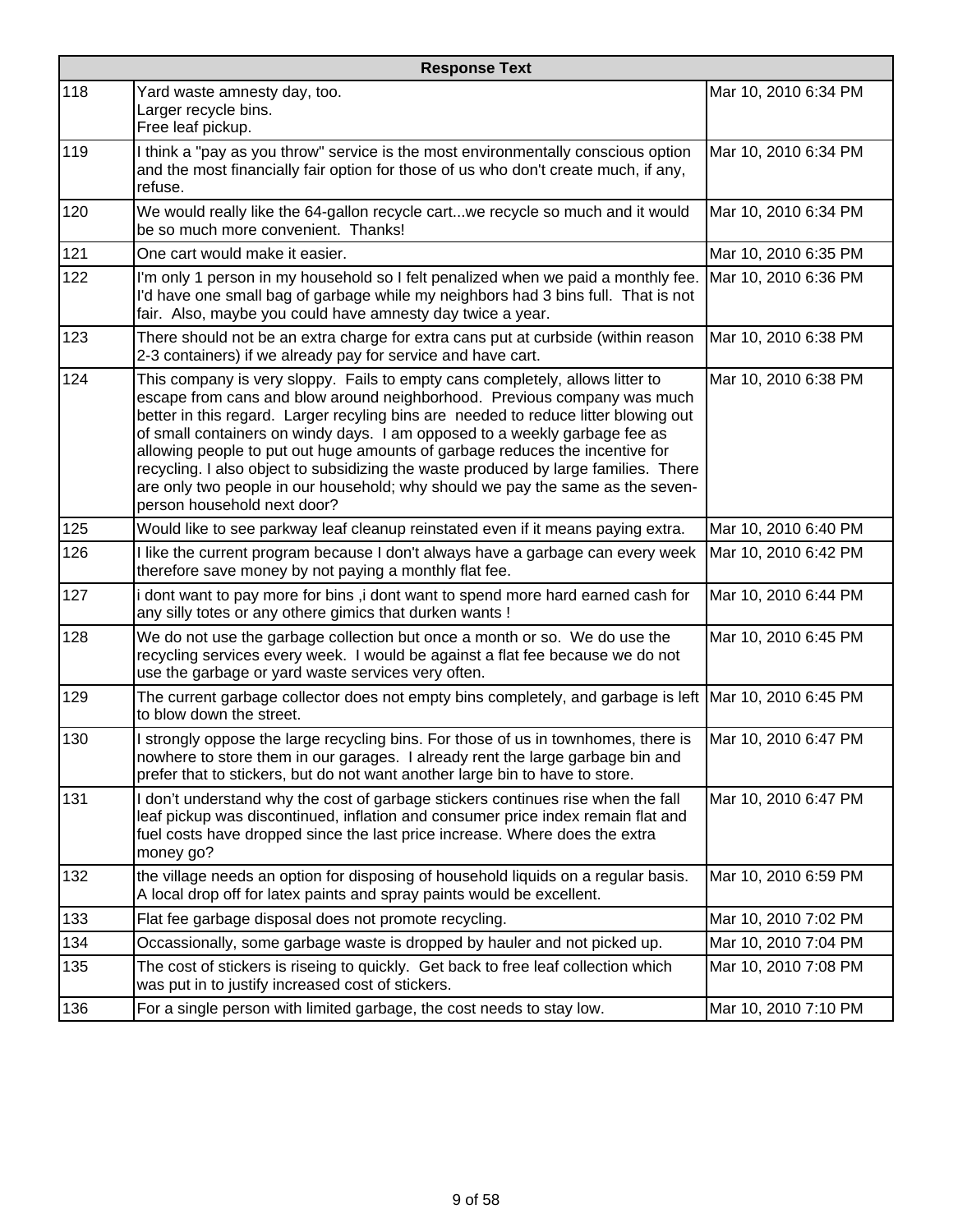|     | <b>Response Text</b>                                                                                                                                                                                                                                                                                                                                                                                                                                                                                                                                                                                                   |                      |  |
|-----|------------------------------------------------------------------------------------------------------------------------------------------------------------------------------------------------------------------------------------------------------------------------------------------------------------------------------------------------------------------------------------------------------------------------------------------------------------------------------------------------------------------------------------------------------------------------------------------------------------------------|----------------------|--|
| 118 | Yard waste amnesty day, too.<br>Larger recycle bins.<br>Free leaf pickup.                                                                                                                                                                                                                                                                                                                                                                                                                                                                                                                                              | Mar 10, 2010 6:34 PM |  |
| 119 | I think a "pay as you throw" service is the most environmentally conscious option<br>and the most financially fair option for those of us who don't create much, if any,<br>refuse.                                                                                                                                                                                                                                                                                                                                                                                                                                    | Mar 10, 2010 6:34 PM |  |
| 120 | We would really like the 64-gallon recycle cartwe recycle so much and it would<br>be so much more convenient. Thanks!                                                                                                                                                                                                                                                                                                                                                                                                                                                                                                  | Mar 10, 2010 6:34 PM |  |
| 121 | One cart would make it easier.                                                                                                                                                                                                                                                                                                                                                                                                                                                                                                                                                                                         | Mar 10, 2010 6:35 PM |  |
| 122 | I'm only 1 person in my household so I felt penalized when we paid a monthly fee.<br>I'd have one small bag of garbage while my neighbors had 3 bins full. That is not<br>fair. Also, maybe you could have amnesty day twice a year.                                                                                                                                                                                                                                                                                                                                                                                   | Mar 10, 2010 6:36 PM |  |
| 123 | There should not be an extra charge for extra cans put at curbside (within reason<br>2-3 containers) if we already pay for service and have cart.                                                                                                                                                                                                                                                                                                                                                                                                                                                                      | Mar 10, 2010 6:38 PM |  |
| 124 | This company is very sloppy. Fails to empty cans completely, allows litter to<br>escape from cans and blow around neighborhood. Previous company was much<br>better in this regard. Larger recyling bins are needed to reduce litter blowing out<br>of small containers on windy days. I am opposed to a weekly garbage fee as<br>allowing people to put out huge amounts of garbage reduces the incentive for<br>recycling. I also object to subsidizing the waste produced by large families. There<br>are only two people in our household; why should we pay the same as the seven-<br>person household next door? | Mar 10, 2010 6:38 PM |  |
| 125 | Would like to see parkway leaf cleanup reinstated even if it means paying extra.                                                                                                                                                                                                                                                                                                                                                                                                                                                                                                                                       | Mar 10, 2010 6:40 PM |  |
| 126 | I like the current program because I don't always have a garbage can every week<br>therefore save money by not paying a monthly flat fee.                                                                                                                                                                                                                                                                                                                                                                                                                                                                              | Mar 10, 2010 6:42 PM |  |
| 127 | i dont want to pay more for bins, i dont want to spend more hard earned cash for<br>any silly totes or any othere gimics that durken wants !                                                                                                                                                                                                                                                                                                                                                                                                                                                                           | Mar 10, 2010 6:44 PM |  |
| 128 | We do not use the garbage collection but once a month or so. We do use the<br>recycling services every week. I would be against a flat fee because we do not<br>use the garbage or yard waste services very often.                                                                                                                                                                                                                                                                                                                                                                                                     | Mar 10, 2010 6:45 PM |  |
| 129 | The current garbage collector does not empty bins completely, and garbage is left   Mar 10, 2010 6:45 PM<br>to blow down the street.                                                                                                                                                                                                                                                                                                                                                                                                                                                                                   |                      |  |
| 130 | I strongly oppose the large recycling bins. For those of us in townhomes, there is<br>nowhere to store them in our garages. I already rent the large garbage bin and<br>prefer that to stickers, but do not want another large bin to have to store.                                                                                                                                                                                                                                                                                                                                                                   | Mar 10, 2010 6:47 PM |  |
| 131 | I don't understand why the cost of garbage stickers continues rise when the fall<br>leaf pickup was discontinued, inflation and consumer price index remain flat and<br>fuel costs have dropped since the last price increase. Where does the extra<br>money go?                                                                                                                                                                                                                                                                                                                                                       | Mar 10, 2010 6:47 PM |  |
| 132 | the village needs an option for disposing of household liquids on a regular basis.<br>A local drop off for latex paints and spray paints would be excellent.                                                                                                                                                                                                                                                                                                                                                                                                                                                           | Mar 10, 2010 6:59 PM |  |
| 133 | Flat fee garbage disposal does not promote recycling.                                                                                                                                                                                                                                                                                                                                                                                                                                                                                                                                                                  | Mar 10, 2010 7:02 PM |  |
| 134 | Occassionally, some garbage waste is dropped by hauler and not picked up.                                                                                                                                                                                                                                                                                                                                                                                                                                                                                                                                              | Mar 10, 2010 7:04 PM |  |
| 135 | The cost of stickers is riseing to quickly. Get back to free leaf collection which<br>was put in to justify increased cost of stickers.                                                                                                                                                                                                                                                                                                                                                                                                                                                                                | Mar 10, 2010 7:08 PM |  |
| 136 | For a single person with limited garbage, the cost needs to stay low.                                                                                                                                                                                                                                                                                                                                                                                                                                                                                                                                                  | Mar 10, 2010 7:10 PM |  |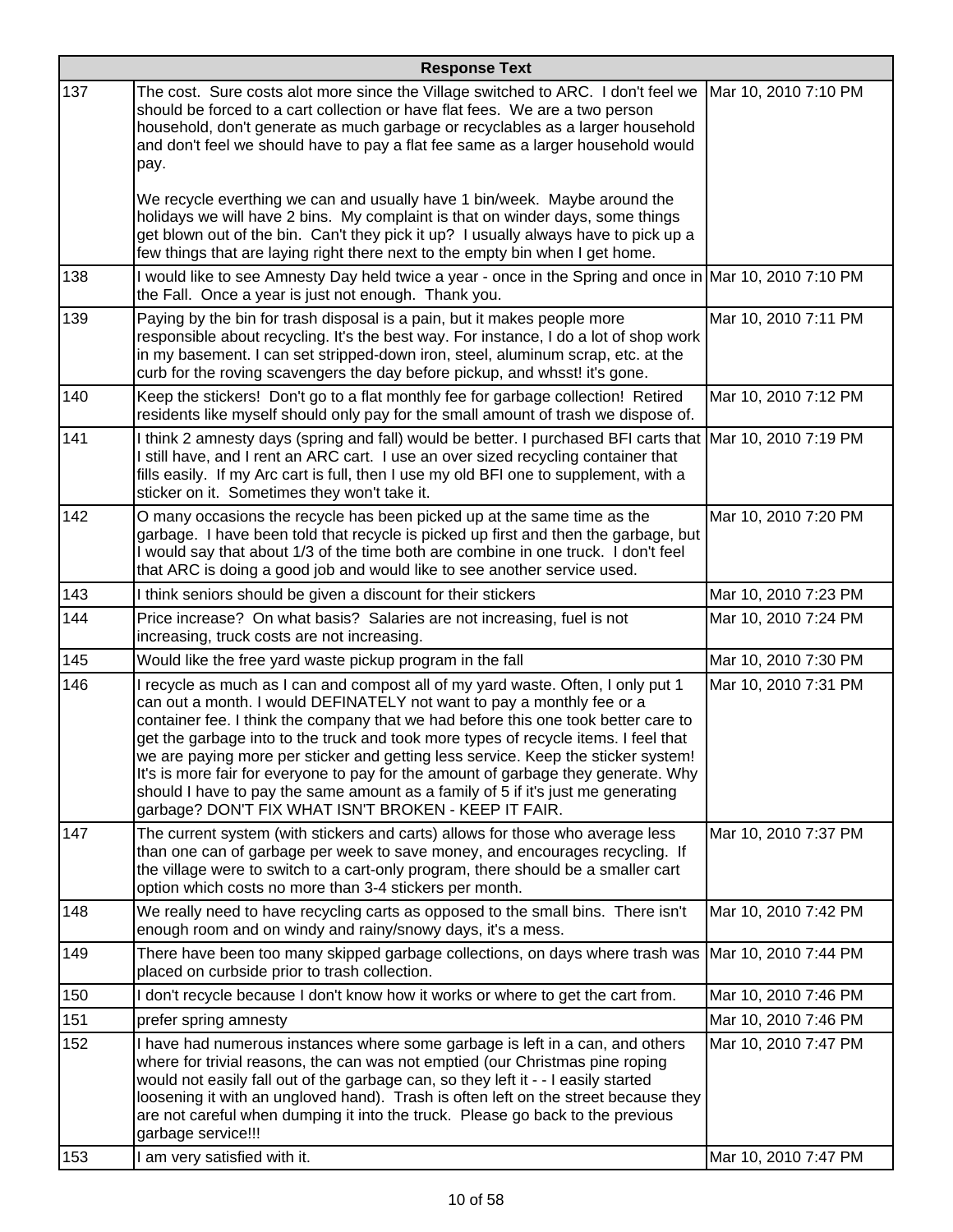| <b>Response Text</b> |                                                                                                                                                                                                                                                                                                                                                                                                                                                                                                                                                                                                                                                                |                      |
|----------------------|----------------------------------------------------------------------------------------------------------------------------------------------------------------------------------------------------------------------------------------------------------------------------------------------------------------------------------------------------------------------------------------------------------------------------------------------------------------------------------------------------------------------------------------------------------------------------------------------------------------------------------------------------------------|----------------------|
| 137                  | The cost. Sure costs alot more since the Village switched to ARC. I don't feel we<br>should be forced to a cart collection or have flat fees. We are a two person<br>household, don't generate as much garbage or recyclables as a larger household<br>and don't feel we should have to pay a flat fee same as a larger household would<br>pay.                                                                                                                                                                                                                                                                                                                | Mar 10, 2010 7:10 PM |
|                      | We recycle everthing we can and usually have 1 bin/week. Maybe around the<br>holidays we will have 2 bins. My complaint is that on winder days, some things<br>get blown out of the bin. Can't they pick it up? I usually always have to pick up a<br>few things that are laying right there next to the empty bin when I get home.                                                                                                                                                                                                                                                                                                                            |                      |
| 138                  | I would like to see Amnesty Day held twice a year - once in the Spring and once in Mar 10, 2010 7:10 PM<br>the Fall. Once a year is just not enough. Thank you.                                                                                                                                                                                                                                                                                                                                                                                                                                                                                                |                      |
| 139                  | Paying by the bin for trash disposal is a pain, but it makes people more<br>responsible about recycling. It's the best way. For instance, I do a lot of shop work<br>in my basement. I can set stripped-down iron, steel, aluminum scrap, etc. at the<br>curb for the roving scavengers the day before pickup, and whsst! it's gone.                                                                                                                                                                                                                                                                                                                           | Mar 10, 2010 7:11 PM |
| 140                  | Keep the stickers! Don't go to a flat monthly fee for garbage collection! Retired<br>residents like myself should only pay for the small amount of trash we dispose of.                                                                                                                                                                                                                                                                                                                                                                                                                                                                                        | Mar 10, 2010 7:12 PM |
| 141                  | I think 2 amnesty days (spring and fall) would be better. I purchased BFI carts that Mar 10, 2010 7:19 PM<br>I still have, and I rent an ARC cart. I use an over sized recycling container that<br>fills easily. If my Arc cart is full, then I use my old BFI one to supplement, with a<br>sticker on it. Sometimes they won't take it.                                                                                                                                                                                                                                                                                                                       |                      |
| 142                  | O many occasions the recycle has been picked up at the same time as the<br>garbage. I have been told that recycle is picked up first and then the garbage, but<br>I would say that about 1/3 of the time both are combine in one truck. I don't feel<br>that ARC is doing a good job and would like to see another service used.                                                                                                                                                                                                                                                                                                                               | Mar 10, 2010 7:20 PM |
| 143                  | I think seniors should be given a discount for their stickers                                                                                                                                                                                                                                                                                                                                                                                                                                                                                                                                                                                                  | Mar 10, 2010 7:23 PM |
| 144                  | Price increase? On what basis? Salaries are not increasing, fuel is not<br>increasing, truck costs are not increasing.                                                                                                                                                                                                                                                                                                                                                                                                                                                                                                                                         | Mar 10, 2010 7:24 PM |
| 145                  | Would like the free yard waste pickup program in the fall                                                                                                                                                                                                                                                                                                                                                                                                                                                                                                                                                                                                      | Mar 10, 2010 7:30 PM |
| 146                  | I recycle as much as I can and compost all of my yard waste. Often, I only put 1<br>can out a month. I would DEFINATELY not want to pay a monthly fee or a<br>container fee. I think the company that we had before this one took better care to<br>get the garbage into to the truck and took more types of recycle items. I feel that<br>we are paying more per sticker and getting less service. Keep the sticker system!<br>It's is more fair for everyone to pay for the amount of garbage they generate. Why<br>should I have to pay the same amount as a family of 5 if it's just me generating<br>garbage? DON'T FIX WHAT ISN'T BROKEN - KEEP IT FAIR. | Mar 10, 2010 7:31 PM |
| 147                  | The current system (with stickers and carts) allows for those who average less<br>than one can of garbage per week to save money, and encourages recycling. If<br>the village were to switch to a cart-only program, there should be a smaller cart<br>option which costs no more than 3-4 stickers per month.                                                                                                                                                                                                                                                                                                                                                 | Mar 10, 2010 7:37 PM |
| 148                  | We really need to have recycling carts as opposed to the small bins. There isn't<br>enough room and on windy and rainy/snowy days, it's a mess.                                                                                                                                                                                                                                                                                                                                                                                                                                                                                                                | Mar 10, 2010 7:42 PM |
| 149                  | There have been too many skipped garbage collections, on days where trash was  Mar 10, 2010 7:44 PM<br>placed on curbside prior to trash collection.                                                                                                                                                                                                                                                                                                                                                                                                                                                                                                           |                      |
| 150                  | I don't recycle because I don't know how it works or where to get the cart from.                                                                                                                                                                                                                                                                                                                                                                                                                                                                                                                                                                               | Mar 10, 2010 7:46 PM |
| 151                  | prefer spring amnesty                                                                                                                                                                                                                                                                                                                                                                                                                                                                                                                                                                                                                                          | Mar 10, 2010 7:46 PM |
| 152                  | I have had numerous instances where some garbage is left in a can, and others<br>where for trivial reasons, the can was not emptied (our Christmas pine roping<br>would not easily fall out of the garbage can, so they left it - - I easily started<br>loosening it with an ungloved hand). Trash is often left on the street because they<br>are not careful when dumping it into the truck. Please go back to the previous<br>garbage service!!!                                                                                                                                                                                                            | Mar 10, 2010 7:47 PM |
| 153                  | I am very satisfied with it.                                                                                                                                                                                                                                                                                                                                                                                                                                                                                                                                                                                                                                   | Mar 10, 2010 7:47 PM |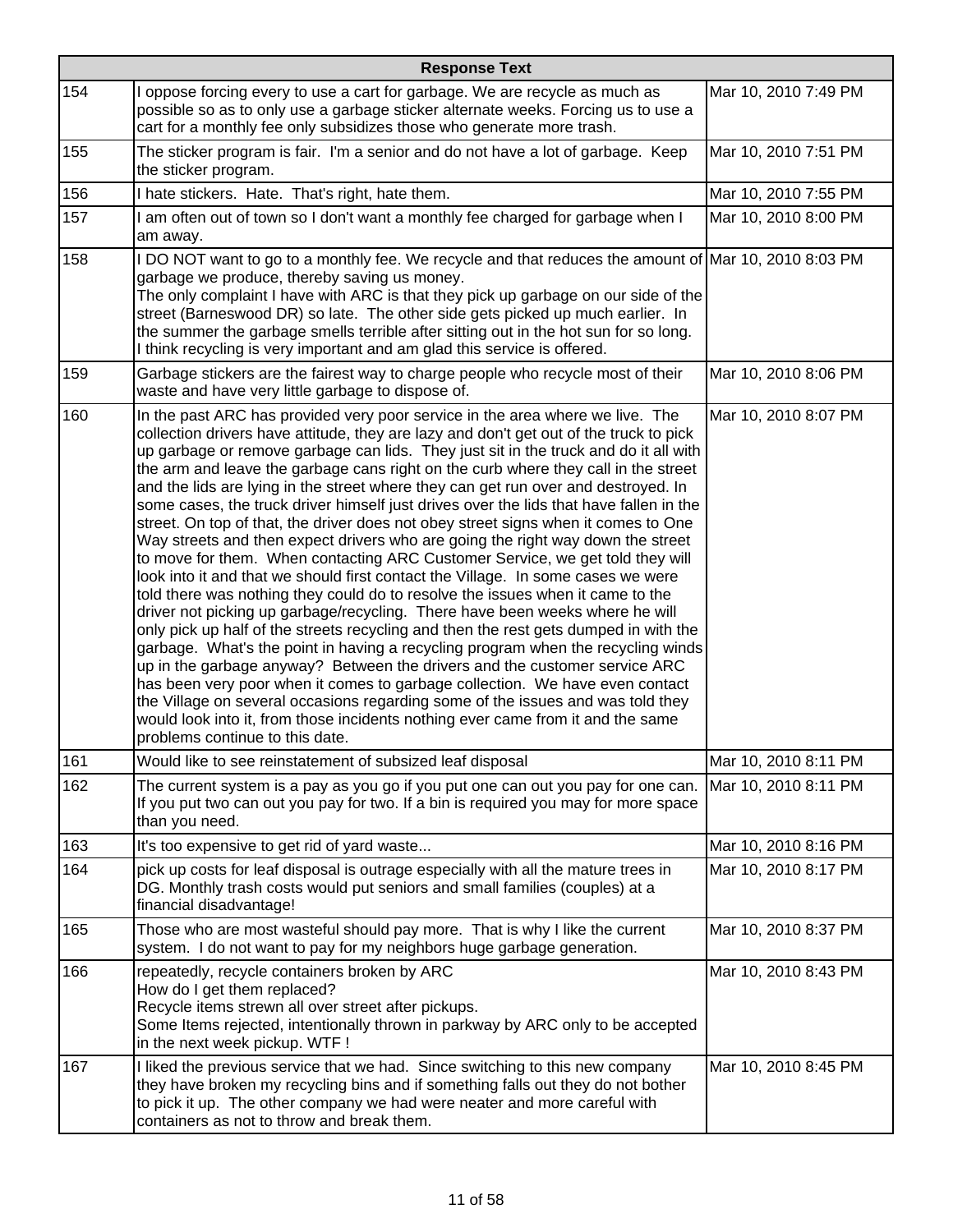|     | <b>Response Text</b>                                                                                                                                                                                                                                                                                                                                                                                                                                                                                                                                                                                                                                                                                                                                                                                                                                                                                                                                                                                                                                                                                                                                                                                                                                                                                                                                                                                                                                                                                                                                                                                     |                      |  |
|-----|----------------------------------------------------------------------------------------------------------------------------------------------------------------------------------------------------------------------------------------------------------------------------------------------------------------------------------------------------------------------------------------------------------------------------------------------------------------------------------------------------------------------------------------------------------------------------------------------------------------------------------------------------------------------------------------------------------------------------------------------------------------------------------------------------------------------------------------------------------------------------------------------------------------------------------------------------------------------------------------------------------------------------------------------------------------------------------------------------------------------------------------------------------------------------------------------------------------------------------------------------------------------------------------------------------------------------------------------------------------------------------------------------------------------------------------------------------------------------------------------------------------------------------------------------------------------------------------------------------|----------------------|--|
| 154 | I oppose forcing every to use a cart for garbage. We are recycle as much as<br>possible so as to only use a garbage sticker alternate weeks. Forcing us to use a<br>cart for a monthly fee only subsidizes those who generate more trash.                                                                                                                                                                                                                                                                                                                                                                                                                                                                                                                                                                                                                                                                                                                                                                                                                                                                                                                                                                                                                                                                                                                                                                                                                                                                                                                                                                | Mar 10, 2010 7:49 PM |  |
| 155 | The sticker program is fair. I'm a senior and do not have a lot of garbage. Keep<br>the sticker program.                                                                                                                                                                                                                                                                                                                                                                                                                                                                                                                                                                                                                                                                                                                                                                                                                                                                                                                                                                                                                                                                                                                                                                                                                                                                                                                                                                                                                                                                                                 | Mar 10, 2010 7:51 PM |  |
| 156 | I hate stickers. Hate. That's right, hate them.                                                                                                                                                                                                                                                                                                                                                                                                                                                                                                                                                                                                                                                                                                                                                                                                                                                                                                                                                                                                                                                                                                                                                                                                                                                                                                                                                                                                                                                                                                                                                          | Mar 10, 2010 7:55 PM |  |
| 157 | I am often out of town so I don't want a monthly fee charged for garbage when I<br>am away.                                                                                                                                                                                                                                                                                                                                                                                                                                                                                                                                                                                                                                                                                                                                                                                                                                                                                                                                                                                                                                                                                                                                                                                                                                                                                                                                                                                                                                                                                                              | Mar 10, 2010 8:00 PM |  |
| 158 | I DO NOT want to go to a monthly fee. We recycle and that reduces the amount of Mar 10, 2010 8:03 PM<br>garbage we produce, thereby saving us money.<br>The only complaint I have with ARC is that they pick up garbage on our side of the<br>street (Barneswood DR) so late. The other side gets picked up much earlier. In<br>the summer the garbage smells terrible after sitting out in the hot sun for so long.<br>I think recycling is very important and am glad this service is offered.                                                                                                                                                                                                                                                                                                                                                                                                                                                                                                                                                                                                                                                                                                                                                                                                                                                                                                                                                                                                                                                                                                         |                      |  |
| 159 | Garbage stickers are the fairest way to charge people who recycle most of their<br>waste and have very little garbage to dispose of.                                                                                                                                                                                                                                                                                                                                                                                                                                                                                                                                                                                                                                                                                                                                                                                                                                                                                                                                                                                                                                                                                                                                                                                                                                                                                                                                                                                                                                                                     | Mar 10, 2010 8:06 PM |  |
| 160 | In the past ARC has provided very poor service in the area where we live. The<br>collection drivers have attitude, they are lazy and don't get out of the truck to pick<br>up garbage or remove garbage can lids. They just sit in the truck and do it all with<br>the arm and leave the garbage cans right on the curb where they call in the street<br>and the lids are lying in the street where they can get run over and destroyed. In<br>some cases, the truck driver himself just drives over the lids that have fallen in the<br>street. On top of that, the driver does not obey street signs when it comes to One<br>Way streets and then expect drivers who are going the right way down the street<br>to move for them. When contacting ARC Customer Service, we get told they will<br>look into it and that we should first contact the Village. In some cases we were<br>told there was nothing they could do to resolve the issues when it came to the<br>driver not picking up garbage/recycling. There have been weeks where he will<br>only pick up half of the streets recycling and then the rest gets dumped in with the<br>garbage. What's the point in having a recycling program when the recycling winds<br>up in the garbage anyway? Between the drivers and the customer service ARC<br>has been very poor when it comes to garbage collection. We have even contact<br>the Village on several occasions regarding some of the issues and was told they<br>would look into it, from those incidents nothing ever came from it and the same<br>problems continue to this date. | Mar 10, 2010 8:07 PM |  |
| 161 | Would like to see reinstatement of subsized leaf disposal                                                                                                                                                                                                                                                                                                                                                                                                                                                                                                                                                                                                                                                                                                                                                                                                                                                                                                                                                                                                                                                                                                                                                                                                                                                                                                                                                                                                                                                                                                                                                | Mar 10, 2010 8:11 PM |  |
| 162 | The current system is a pay as you go if you put one can out you pay for one can.<br>If you put two can out you pay for two. If a bin is required you may for more space<br>than you need.                                                                                                                                                                                                                                                                                                                                                                                                                                                                                                                                                                                                                                                                                                                                                                                                                                                                                                                                                                                                                                                                                                                                                                                                                                                                                                                                                                                                               | Mar 10, 2010 8:11 PM |  |
| 163 | It's too expensive to get rid of yard waste                                                                                                                                                                                                                                                                                                                                                                                                                                                                                                                                                                                                                                                                                                                                                                                                                                                                                                                                                                                                                                                                                                                                                                                                                                                                                                                                                                                                                                                                                                                                                              | Mar 10, 2010 8:16 PM |  |
| 164 | pick up costs for leaf disposal is outrage especially with all the mature trees in<br>DG. Monthly trash costs would put seniors and small families (couples) at a<br>financial disadvantage!                                                                                                                                                                                                                                                                                                                                                                                                                                                                                                                                                                                                                                                                                                                                                                                                                                                                                                                                                                                                                                                                                                                                                                                                                                                                                                                                                                                                             | Mar 10, 2010 8:17 PM |  |
| 165 | Those who are most wasteful should pay more. That is why I like the current<br>system. I do not want to pay for my neighbors huge garbage generation.                                                                                                                                                                                                                                                                                                                                                                                                                                                                                                                                                                                                                                                                                                                                                                                                                                                                                                                                                                                                                                                                                                                                                                                                                                                                                                                                                                                                                                                    | Mar 10, 2010 8:37 PM |  |
| 166 | repeatedly, recycle containers broken by ARC<br>How do I get them replaced?<br>Recycle items strewn all over street after pickups.<br>Some Items rejected, intentionally thrown in parkway by ARC only to be accepted<br>in the next week pickup. WTF !                                                                                                                                                                                                                                                                                                                                                                                                                                                                                                                                                                                                                                                                                                                                                                                                                                                                                                                                                                                                                                                                                                                                                                                                                                                                                                                                                  | Mar 10, 2010 8:43 PM |  |
| 167 | I liked the previous service that we had. Since switching to this new company<br>they have broken my recycling bins and if something falls out they do not bother<br>to pick it up. The other company we had were neater and more careful with<br>containers as not to throw and break them.                                                                                                                                                                                                                                                                                                                                                                                                                                                                                                                                                                                                                                                                                                                                                                                                                                                                                                                                                                                                                                                                                                                                                                                                                                                                                                             | Mar 10, 2010 8:45 PM |  |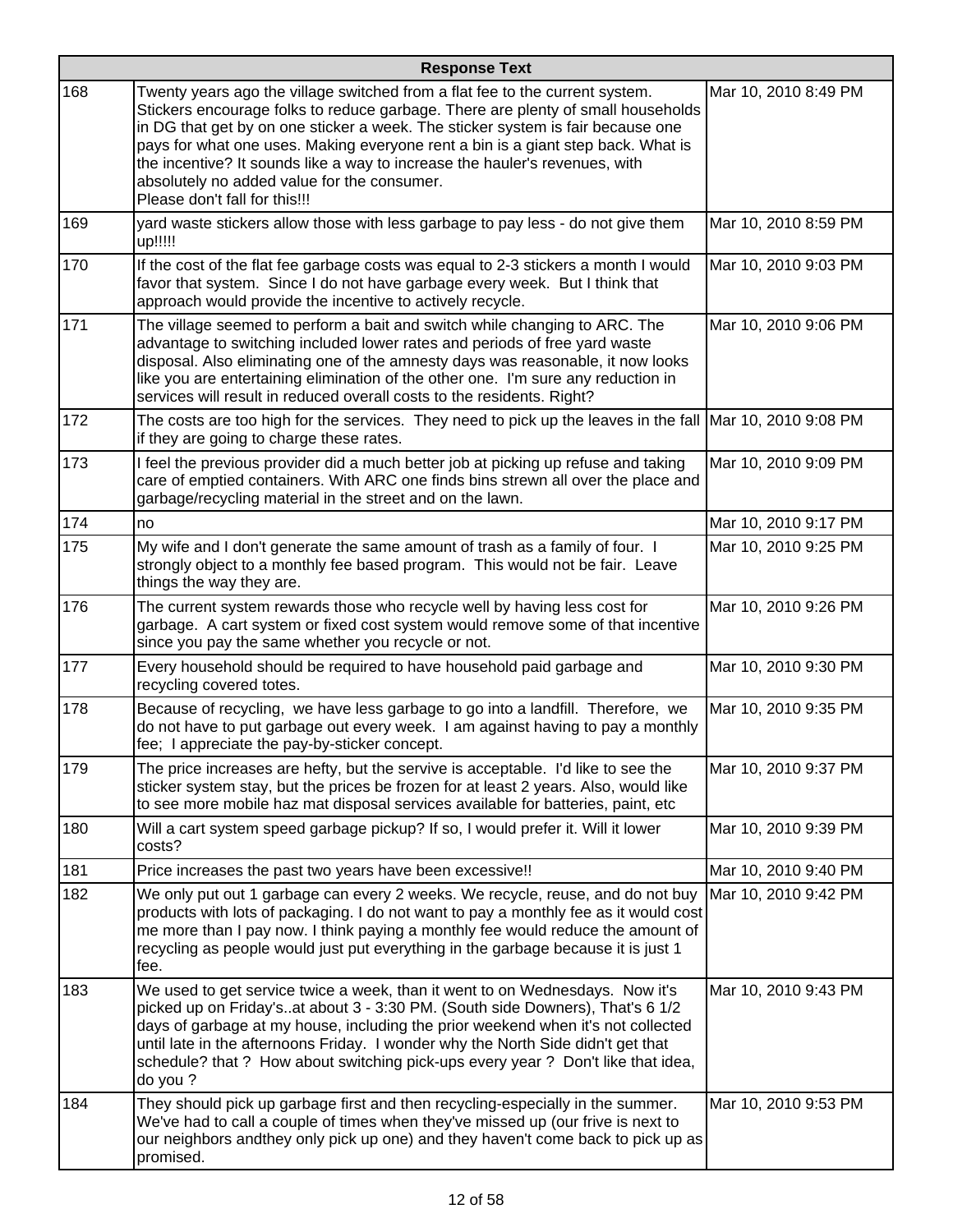|     | <b>Response Text</b>                                                                                                                                                                                                                                                                                                                                                                                                                                                                                   |                      |  |
|-----|--------------------------------------------------------------------------------------------------------------------------------------------------------------------------------------------------------------------------------------------------------------------------------------------------------------------------------------------------------------------------------------------------------------------------------------------------------------------------------------------------------|----------------------|--|
| 168 | Twenty years ago the village switched from a flat fee to the current system.<br>Stickers encourage folks to reduce garbage. There are plenty of small households<br>in DG that get by on one sticker a week. The sticker system is fair because one<br>pays for what one uses. Making everyone rent a bin is a giant step back. What is<br>the incentive? It sounds like a way to increase the hauler's revenues, with<br>absolutely no added value for the consumer.<br>Please don't fall for this!!! | Mar 10, 2010 8:49 PM |  |
| 169 | yard waste stickers allow those with less garbage to pay less - do not give them<br>up!!!!!                                                                                                                                                                                                                                                                                                                                                                                                            | Mar 10, 2010 8:59 PM |  |
| 170 | If the cost of the flat fee garbage costs was equal to 2-3 stickers a month I would<br>favor that system. Since I do not have garbage every week. But I think that<br>approach would provide the incentive to actively recycle.                                                                                                                                                                                                                                                                        | Mar 10, 2010 9:03 PM |  |
| 171 | The village seemed to perform a bait and switch while changing to ARC. The<br>advantage to switching included lower rates and periods of free yard waste<br>disposal. Also eliminating one of the amnesty days was reasonable, it now looks<br>like you are entertaining elimination of the other one. I'm sure any reduction in<br>services will result in reduced overall costs to the residents. Right?                                                                                             | Mar 10, 2010 9:06 PM |  |
| 172 | The costs are too high for the services. They need to pick up the leaves in the fall Mar 10, 2010 9:08 PM<br>if they are going to charge these rates.                                                                                                                                                                                                                                                                                                                                                  |                      |  |
| 173 | I feel the previous provider did a much better job at picking up refuse and taking<br>care of emptied containers. With ARC one finds bins strewn all over the place and<br>garbage/recycling material in the street and on the lawn.                                                                                                                                                                                                                                                                   | Mar 10, 2010 9:09 PM |  |
| 174 | no                                                                                                                                                                                                                                                                                                                                                                                                                                                                                                     | Mar 10, 2010 9:17 PM |  |
| 175 | My wife and I don't generate the same amount of trash as a family of four. I<br>strongly object to a monthly fee based program. This would not be fair. Leave<br>things the way they are.                                                                                                                                                                                                                                                                                                              | Mar 10, 2010 9:25 PM |  |
| 176 | The current system rewards those who recycle well by having less cost for<br>garbage. A cart system or fixed cost system would remove some of that incentive<br>since you pay the same whether you recycle or not.                                                                                                                                                                                                                                                                                     | Mar 10, 2010 9:26 PM |  |
| 177 | Every household should be required to have household paid garbage and<br>recycling covered totes.                                                                                                                                                                                                                                                                                                                                                                                                      | Mar 10, 2010 9:30 PM |  |
| 178 | Because of recycling, we have less garbage to go into a landfill. Therefore, we<br>do not have to put garbage out every week. I am against having to pay a monthly<br>fee; I appreciate the pay-by-sticker concept.                                                                                                                                                                                                                                                                                    | Mar 10, 2010 9:35 PM |  |
| 179 | The price increases are hefty, but the servive is acceptable. I'd like to see the<br>sticker system stay, but the prices be frozen for at least 2 years. Also, would like<br>to see more mobile haz mat disposal services available for batteries, paint, etc                                                                                                                                                                                                                                          | Mar 10, 2010 9:37 PM |  |
| 180 | Will a cart system speed garbage pickup? If so, I would prefer it. Will it lower<br>costs?                                                                                                                                                                                                                                                                                                                                                                                                             | Mar 10, 2010 9:39 PM |  |
| 181 | Price increases the past two years have been excessive!!                                                                                                                                                                                                                                                                                                                                                                                                                                               | Mar 10, 2010 9:40 PM |  |
| 182 | We only put out 1 garbage can every 2 weeks. We recycle, reuse, and do not buy<br>products with lots of packaging. I do not want to pay a monthly fee as it would cost<br>me more than I pay now. I think paying a monthly fee would reduce the amount of<br>recycling as people would just put everything in the garbage because it is just 1<br>fee.                                                                                                                                                 | Mar 10, 2010 9:42 PM |  |
| 183 | We used to get service twice a week, than it went to on Wednesdays. Now it's<br>picked up on Friday'sat about 3 - 3:30 PM. (South side Downers), That's 6 1/2<br>days of garbage at my house, including the prior weekend when it's not collected<br>until late in the afternoons Friday. I wonder why the North Side didn't get that<br>schedule? that ? How about switching pick-ups every year ? Don't like that idea,<br>do you?                                                                   | Mar 10, 2010 9:43 PM |  |
| 184 | They should pick up garbage first and then recycling-especially in the summer.<br>We've had to call a couple of times when they've missed up (our frive is next to<br>our neighbors andthey only pick up one) and they haven't come back to pick up as<br>promised.                                                                                                                                                                                                                                    | Mar 10, 2010 9:53 PM |  |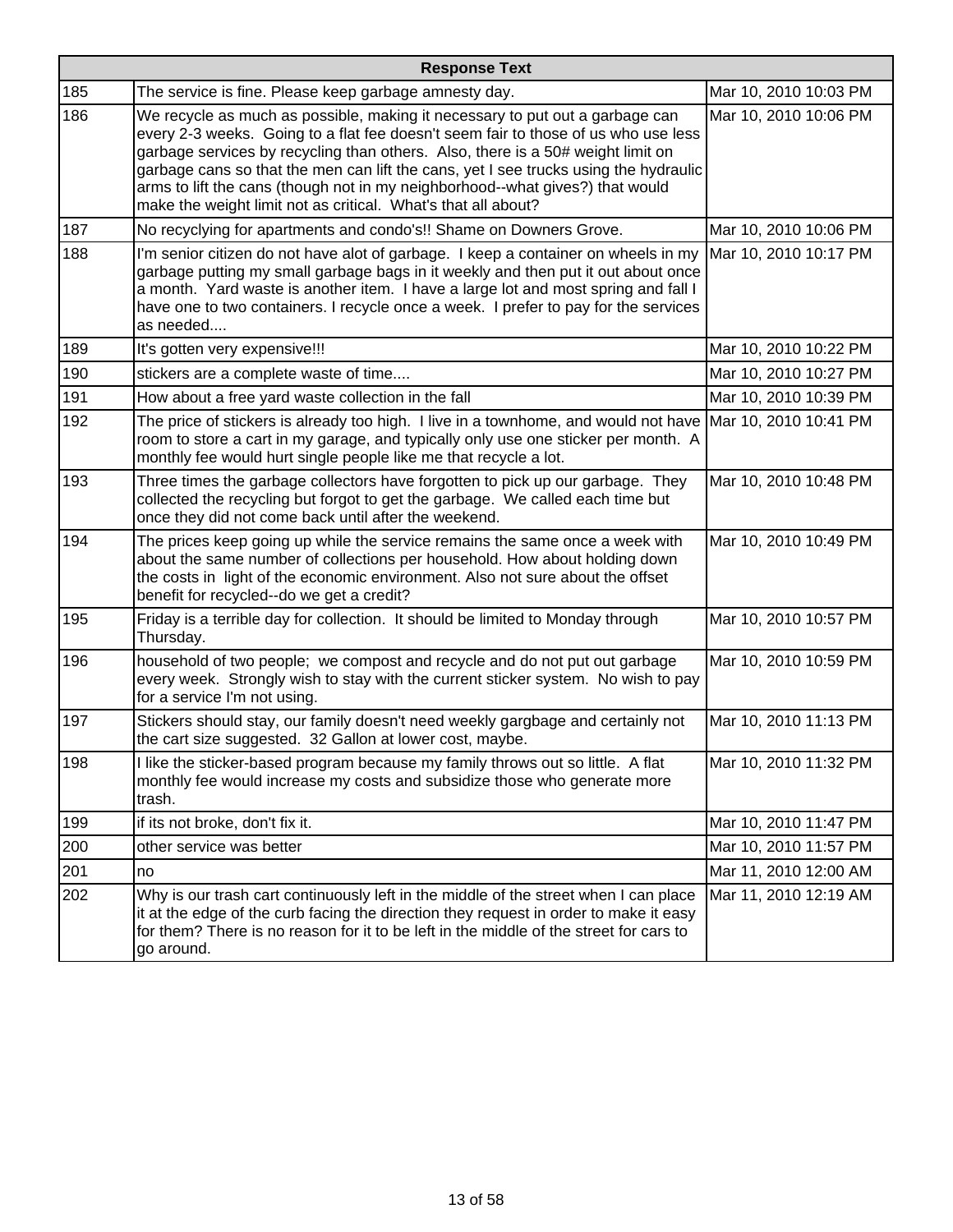| <b>Response Text</b> |                                                                                                                                                                                                                                                                                                                                                                                                                                                                                                 |                       |
|----------------------|-------------------------------------------------------------------------------------------------------------------------------------------------------------------------------------------------------------------------------------------------------------------------------------------------------------------------------------------------------------------------------------------------------------------------------------------------------------------------------------------------|-----------------------|
| 185                  | The service is fine. Please keep garbage amnesty day.                                                                                                                                                                                                                                                                                                                                                                                                                                           | Mar 10, 2010 10:03 PM |
| 186                  | We recycle as much as possible, making it necessary to put out a garbage can<br>every 2-3 weeks. Going to a flat fee doesn't seem fair to those of us who use less<br>garbage services by recycling than others. Also, there is a 50# weight limit on<br>garbage cans so that the men can lift the cans, yet I see trucks using the hydraulic<br>arms to lift the cans (though not in my neighborhood--what gives?) that would<br>make the weight limit not as critical. What's that all about? | Mar 10, 2010 10:06 PM |
| 187                  | No recyclying for apartments and condo's!! Shame on Downers Grove.                                                                                                                                                                                                                                                                                                                                                                                                                              | Mar 10, 2010 10:06 PM |
| 188                  | I'm senior citizen do not have alot of garbage. I keep a container on wheels in my<br>garbage putting my small garbage bags in it weekly and then put it out about once<br>a month. Yard waste is another item. I have a large lot and most spring and fall I<br>have one to two containers. I recycle once a week. I prefer to pay for the services<br>as needed                                                                                                                               | Mar 10, 2010 10:17 PM |
| 189                  | It's gotten very expensive!!!                                                                                                                                                                                                                                                                                                                                                                                                                                                                   | Mar 10, 2010 10:22 PM |
| 190                  | stickers are a complete waste of time                                                                                                                                                                                                                                                                                                                                                                                                                                                           | Mar 10, 2010 10:27 PM |
| 191                  | How about a free yard waste collection in the fall                                                                                                                                                                                                                                                                                                                                                                                                                                              | Mar 10, 2010 10:39 PM |
| 192                  | The price of stickers is already too high. I live in a townhome, and would not have Mar 10, 2010 10:41 PM<br>room to store a cart in my garage, and typically only use one sticker per month. A<br>monthly fee would hurt single people like me that recycle a lot.                                                                                                                                                                                                                             |                       |
| 193                  | Three times the garbage collectors have forgotten to pick up our garbage. They<br>collected the recycling but forgot to get the garbage. We called each time but<br>once they did not come back until after the weekend.                                                                                                                                                                                                                                                                        | Mar 10, 2010 10:48 PM |
| 194                  | The prices keep going up while the service remains the same once a week with<br>about the same number of collections per household. How about holding down<br>the costs in light of the economic environment. Also not sure about the offset<br>benefit for recycled--do we get a credit?                                                                                                                                                                                                       | Mar 10, 2010 10:49 PM |
| 195                  | Friday is a terrible day for collection. It should be limited to Monday through<br>Thursday.                                                                                                                                                                                                                                                                                                                                                                                                    | Mar 10, 2010 10:57 PM |
| 196                  | household of two people; we compost and recycle and do not put out garbage<br>every week. Strongly wish to stay with the current sticker system. No wish to pay<br>for a service I'm not using.                                                                                                                                                                                                                                                                                                 | Mar 10, 2010 10:59 PM |
| 197                  | Stickers should stay, our family doesn't need weekly gargbage and certainly not<br>the cart size suggested. 32 Gallon at lower cost, maybe.                                                                                                                                                                                                                                                                                                                                                     | Mar 10, 2010 11:13 PM |
| 198                  | I like the sticker-based program because my family throws out so little. A flat<br>monthly fee would increase my costs and subsidize those who generate more<br>trash.                                                                                                                                                                                                                                                                                                                          | Mar 10, 2010 11:32 PM |
| 199                  | if its not broke, don't fix it.                                                                                                                                                                                                                                                                                                                                                                                                                                                                 | Mar 10, 2010 11:47 PM |
| 200                  | other service was better                                                                                                                                                                                                                                                                                                                                                                                                                                                                        | Mar 10, 2010 11:57 PM |
| 201                  | no                                                                                                                                                                                                                                                                                                                                                                                                                                                                                              | Mar 11, 2010 12:00 AM |
| 202                  | Why is our trash cart continuously left in the middle of the street when I can place<br>it at the edge of the curb facing the direction they request in order to make it easy<br>for them? There is no reason for it to be left in the middle of the street for cars to<br>go around.                                                                                                                                                                                                           | Mar 11, 2010 12:19 AM |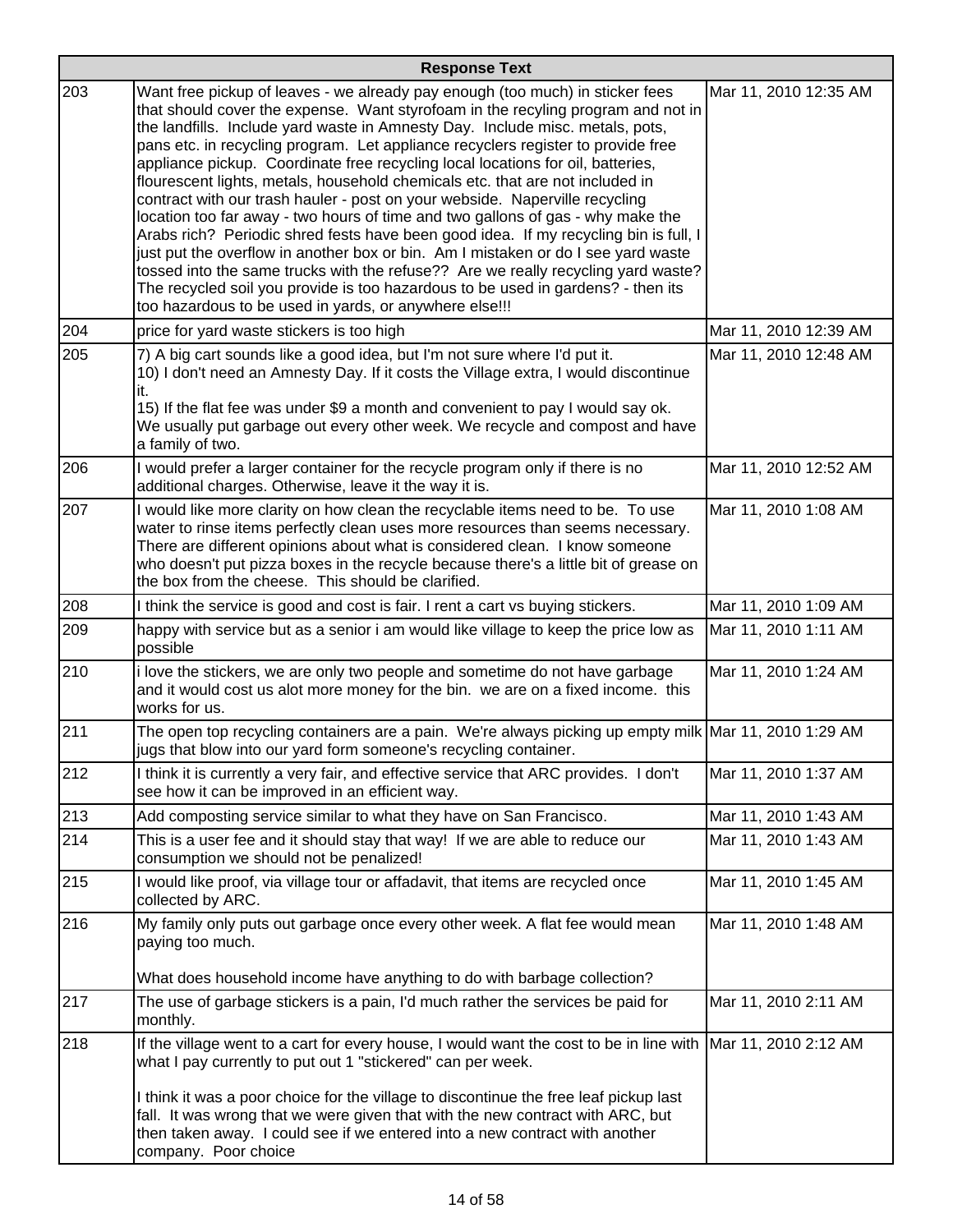|     | <b>Response Text</b>                                                                                                                                                                                                                                                                                                                                                                                                                                                                                                                                                                                                                                                                                                                                                                                                                                                                                                                                                                                                                                                                         |                       |
|-----|----------------------------------------------------------------------------------------------------------------------------------------------------------------------------------------------------------------------------------------------------------------------------------------------------------------------------------------------------------------------------------------------------------------------------------------------------------------------------------------------------------------------------------------------------------------------------------------------------------------------------------------------------------------------------------------------------------------------------------------------------------------------------------------------------------------------------------------------------------------------------------------------------------------------------------------------------------------------------------------------------------------------------------------------------------------------------------------------|-----------------------|
| 203 | Want free pickup of leaves - we already pay enough (too much) in sticker fees<br>that should cover the expense. Want styrofoam in the recyling program and not in<br>the landfills. Include yard waste in Amnesty Day. Include misc. metals, pots,<br>pans etc. in recycling program. Let appliance recyclers register to provide free<br>appliance pickup. Coordinate free recycling local locations for oil, batteries,<br>flourescent lights, metals, household chemicals etc. that are not included in<br>contract with our trash hauler - post on your webside. Naperville recycling<br>location too far away - two hours of time and two gallons of gas - why make the<br>Arabs rich? Periodic shred fests have been good idea. If my recycling bin is full, I<br>just put the overflow in another box or bin. Am I mistaken or do I see yard waste<br>tossed into the same trucks with the refuse?? Are we really recycling yard waste?<br>The recycled soil you provide is too hazardous to be used in gardens? - then its<br>too hazardous to be used in yards, or anywhere else!!! | Mar 11, 2010 12:35 AM |
| 204 | price for yard waste stickers is too high                                                                                                                                                                                                                                                                                                                                                                                                                                                                                                                                                                                                                                                                                                                                                                                                                                                                                                                                                                                                                                                    | Mar 11, 2010 12:39 AM |
| 205 | 7) A big cart sounds like a good idea, but I'm not sure where I'd put it.<br>10) I don't need an Amnesty Day. If it costs the Village extra, I would discontinue<br>it.<br>15) If the flat fee was under \$9 a month and convenient to pay I would say ok.<br>We usually put garbage out every other week. We recycle and compost and have<br>a family of two.                                                                                                                                                                                                                                                                                                                                                                                                                                                                                                                                                                                                                                                                                                                               | Mar 11, 2010 12:48 AM |
| 206 | I would prefer a larger container for the recycle program only if there is no<br>additional charges. Otherwise, leave it the way it is.                                                                                                                                                                                                                                                                                                                                                                                                                                                                                                                                                                                                                                                                                                                                                                                                                                                                                                                                                      | Mar 11, 2010 12:52 AM |
| 207 | I would like more clarity on how clean the recyclable items need to be. To use<br>water to rinse items perfectly clean uses more resources than seems necessary.<br>There are different opinions about what is considered clean. I know someone<br>who doesn't put pizza boxes in the recycle because there's a little bit of grease on<br>the box from the cheese. This should be clarified.                                                                                                                                                                                                                                                                                                                                                                                                                                                                                                                                                                                                                                                                                                | Mar 11, 2010 1:08 AM  |
| 208 | I think the service is good and cost is fair. I rent a cart vs buying stickers.                                                                                                                                                                                                                                                                                                                                                                                                                                                                                                                                                                                                                                                                                                                                                                                                                                                                                                                                                                                                              | Mar 11, 2010 1:09 AM  |
| 209 | happy with service but as a senior i am would like village to keep the price low as<br>possible                                                                                                                                                                                                                                                                                                                                                                                                                                                                                                                                                                                                                                                                                                                                                                                                                                                                                                                                                                                              | Mar 11, 2010 1:11 AM  |
| 210 | i love the stickers, we are only two people and sometime do not have garbage<br>and it would cost us alot more money for the bin. we are on a fixed income. this<br>works for us.                                                                                                                                                                                                                                                                                                                                                                                                                                                                                                                                                                                                                                                                                                                                                                                                                                                                                                            | Mar 11, 2010 1:24 AM  |
| 211 | The open top recycling containers are a pain. We're always picking up empty milk Mar 11, 2010 1:29 AM<br>jugs that blow into our yard form someone's recycling container.                                                                                                                                                                                                                                                                                                                                                                                                                                                                                                                                                                                                                                                                                                                                                                                                                                                                                                                    |                       |
| 212 | I think it is currently a very fair, and effective service that ARC provides. I don't<br>see how it can be improved in an efficient way.                                                                                                                                                                                                                                                                                                                                                                                                                                                                                                                                                                                                                                                                                                                                                                                                                                                                                                                                                     | Mar 11, 2010 1:37 AM  |
| 213 | Add composting service similar to what they have on San Francisco.                                                                                                                                                                                                                                                                                                                                                                                                                                                                                                                                                                                                                                                                                                                                                                                                                                                                                                                                                                                                                           | Mar 11, 2010 1:43 AM  |
| 214 | This is a user fee and it should stay that way! If we are able to reduce our<br>consumption we should not be penalized!                                                                                                                                                                                                                                                                                                                                                                                                                                                                                                                                                                                                                                                                                                                                                                                                                                                                                                                                                                      | Mar 11, 2010 1:43 AM  |
| 215 | I would like proof, via village tour or affadavit, that items are recycled once<br>collected by ARC.                                                                                                                                                                                                                                                                                                                                                                                                                                                                                                                                                                                                                                                                                                                                                                                                                                                                                                                                                                                         | Mar 11, 2010 1:45 AM  |
| 216 | My family only puts out garbage once every other week. A flat fee would mean<br>paying too much.<br>What does household income have anything to do with barbage collection?                                                                                                                                                                                                                                                                                                                                                                                                                                                                                                                                                                                                                                                                                                                                                                                                                                                                                                                  | Mar 11, 2010 1:48 AM  |
| 217 | The use of garbage stickers is a pain, I'd much rather the services be paid for<br>monthly.                                                                                                                                                                                                                                                                                                                                                                                                                                                                                                                                                                                                                                                                                                                                                                                                                                                                                                                                                                                                  | Mar 11, 2010 2:11 AM  |
| 218 | If the village went to a cart for every house, I would want the cost to be in line with Mar 11, 2010 2:12 AM<br>what I pay currently to put out 1 "stickered" can per week.<br>I think it was a poor choice for the village to discontinue the free leaf pickup last<br>fall. It was wrong that we were given that with the new contract with ARC, but                                                                                                                                                                                                                                                                                                                                                                                                                                                                                                                                                                                                                                                                                                                                       |                       |
|     | then taken away. I could see if we entered into a new contract with another<br>company. Poor choice                                                                                                                                                                                                                                                                                                                                                                                                                                                                                                                                                                                                                                                                                                                                                                                                                                                                                                                                                                                          |                       |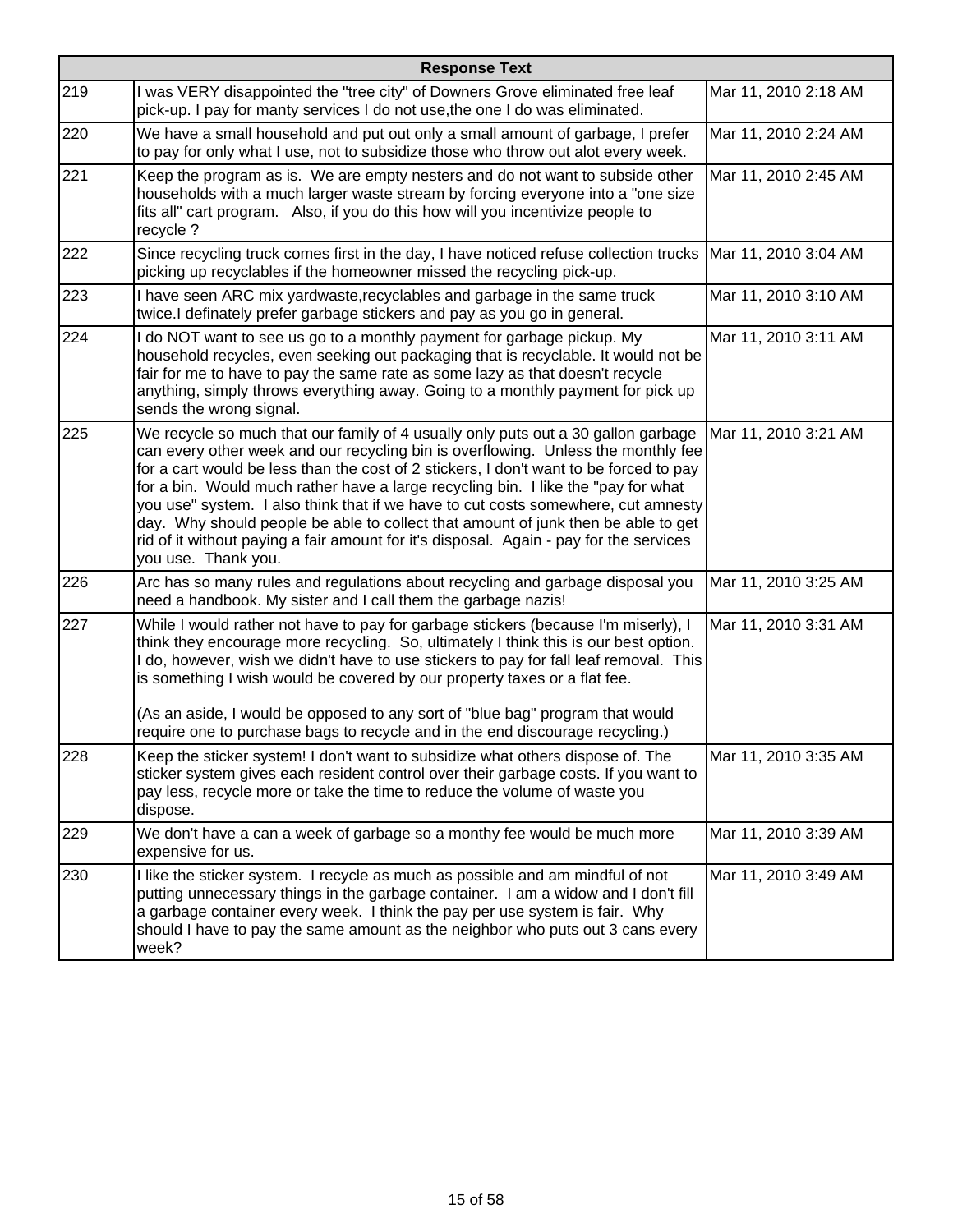|     | <b>Response Text</b>                                                                                                                                                                                                                                                                                                                                                                                                                                                                                                                                                                                                                             |                      |
|-----|--------------------------------------------------------------------------------------------------------------------------------------------------------------------------------------------------------------------------------------------------------------------------------------------------------------------------------------------------------------------------------------------------------------------------------------------------------------------------------------------------------------------------------------------------------------------------------------------------------------------------------------------------|----------------------|
| 219 | I was VERY disappointed the "tree city" of Downers Grove eliminated free leaf<br>pick-up. I pay for manty services I do not use, the one I do was eliminated.                                                                                                                                                                                                                                                                                                                                                                                                                                                                                    | Mar 11, 2010 2:18 AM |
| 220 | We have a small household and put out only a small amount of garbage, I prefer<br>to pay for only what I use, not to subsidize those who throw out alot every week.                                                                                                                                                                                                                                                                                                                                                                                                                                                                              | Mar 11, 2010 2:24 AM |
| 221 | Keep the program as is. We are empty nesters and do not want to subside other<br>households with a much larger waste stream by forcing everyone into a "one size<br>fits all" cart program. Also, if you do this how will you incentivize people to<br>recycle ?                                                                                                                                                                                                                                                                                                                                                                                 | Mar 11, 2010 2:45 AM |
| 222 | Since recycling truck comes first in the day, I have noticed refuse collection trucks   Mar 11, 2010 3:04 AM<br>picking up recyclables if the homeowner missed the recycling pick-up.                                                                                                                                                                                                                                                                                                                                                                                                                                                            |                      |
| 223 | I have seen ARC mix yardwaste, recyclables and garbage in the same truck<br>twice.I definately prefer garbage stickers and pay as you go in general.                                                                                                                                                                                                                                                                                                                                                                                                                                                                                             | Mar 11, 2010 3:10 AM |
| 224 | I do NOT want to see us go to a monthly payment for garbage pickup. My<br>household recycles, even seeking out packaging that is recyclable. It would not be<br>fair for me to have to pay the same rate as some lazy as that doesn't recycle<br>anything, simply throws everything away. Going to a monthly payment for pick up<br>sends the wrong signal.                                                                                                                                                                                                                                                                                      | Mar 11, 2010 3:11 AM |
| 225 | We recycle so much that our family of 4 usually only puts out a 30 gallon garbage<br>can every other week and our recycling bin is overflowing. Unless the monthly fee<br>for a cart would be less than the cost of 2 stickers, I don't want to be forced to pay<br>for a bin. Would much rather have a large recycling bin. I like the "pay for what<br>you use" system. I also think that if we have to cut costs somewhere, cut amnesty<br>day. Why should people be able to collect that amount of junk then be able to get<br>rid of it without paying a fair amount for it's disposal. Again - pay for the services<br>you use. Thank you. | Mar 11, 2010 3:21 AM |
| 226 | Arc has so many rules and regulations about recycling and garbage disposal you<br>need a handbook. My sister and I call them the garbage nazis!                                                                                                                                                                                                                                                                                                                                                                                                                                                                                                  | Mar 11, 2010 3:25 AM |
| 227 | While I would rather not have to pay for garbage stickers (because I'm miserly), I<br>think they encourage more recycling. So, ultimately I think this is our best option.<br>I do, however, wish we didn't have to use stickers to pay for fall leaf removal. This<br>is something I wish would be covered by our property taxes or a flat fee.<br>(As an aside, I would be opposed to any sort of "blue bag" program that would<br>require one to purchase bags to recycle and in the end discourage recycling.)                                                                                                                               | Mar 11, 2010 3:31 AM |
| 228 | Keep the sticker system! I don't want to subsidize what others dispose of. The<br>sticker system gives each resident control over their garbage costs. If you want to<br>pay less, recycle more or take the time to reduce the volume of waste you<br>dispose.                                                                                                                                                                                                                                                                                                                                                                                   | Mar 11, 2010 3:35 AM |
| 229 | We don't have a can a week of garbage so a monthy fee would be much more<br>expensive for us.                                                                                                                                                                                                                                                                                                                                                                                                                                                                                                                                                    | Mar 11, 2010 3:39 AM |
| 230 | I like the sticker system. I recycle as much as possible and am mindful of not<br>putting unnecessary things in the garbage container. I am a widow and I don't fill<br>a garbage container every week. I think the pay per use system is fair. Why<br>should I have to pay the same amount as the neighbor who puts out 3 cans every<br>week?                                                                                                                                                                                                                                                                                                   | Mar 11, 2010 3:49 AM |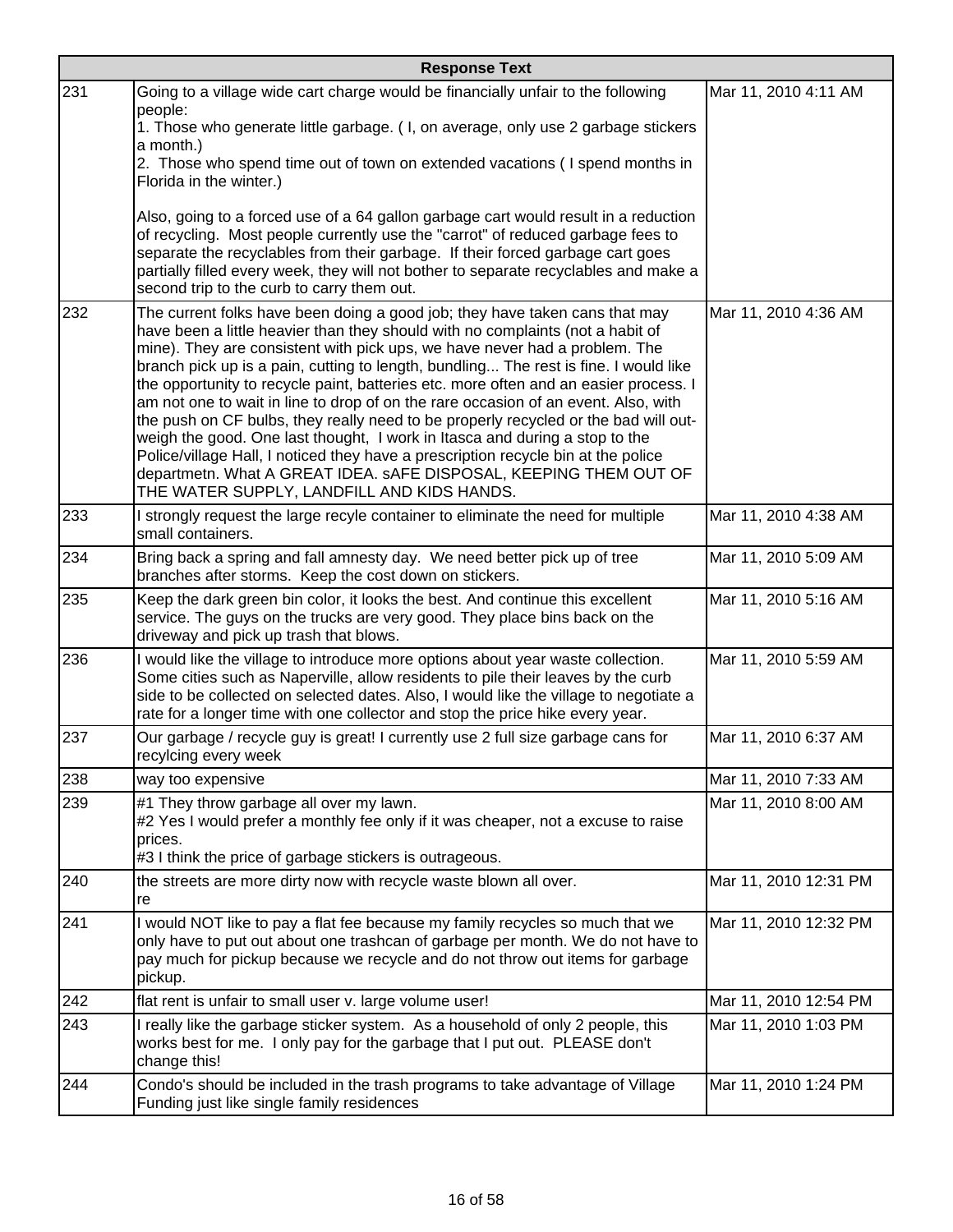|     | <b>Response Text</b>                                                                                                                                                                                                                                                                                                                                                                                                                                                                                                                                                                                                                                                                                                                                                                                                                                                                            |                       |  |
|-----|-------------------------------------------------------------------------------------------------------------------------------------------------------------------------------------------------------------------------------------------------------------------------------------------------------------------------------------------------------------------------------------------------------------------------------------------------------------------------------------------------------------------------------------------------------------------------------------------------------------------------------------------------------------------------------------------------------------------------------------------------------------------------------------------------------------------------------------------------------------------------------------------------|-----------------------|--|
| 231 | Going to a village wide cart charge would be financially unfair to the following<br>people:                                                                                                                                                                                                                                                                                                                                                                                                                                                                                                                                                                                                                                                                                                                                                                                                     | Mar 11, 2010 4:11 AM  |  |
|     | 1. Those who generate little garbage. (I, on average, only use 2 garbage stickers<br>a month.)                                                                                                                                                                                                                                                                                                                                                                                                                                                                                                                                                                                                                                                                                                                                                                                                  |                       |  |
|     | 2. Those who spend time out of town on extended vacations (I spend months in<br>Florida in the winter.)                                                                                                                                                                                                                                                                                                                                                                                                                                                                                                                                                                                                                                                                                                                                                                                         |                       |  |
|     | Also, going to a forced use of a 64 gallon garbage cart would result in a reduction<br>of recycling. Most people currently use the "carrot" of reduced garbage fees to<br>separate the recyclables from their garbage. If their forced garbage cart goes<br>partially filled every week, they will not bother to separate recyclables and make a<br>second trip to the curb to carry them out.                                                                                                                                                                                                                                                                                                                                                                                                                                                                                                  |                       |  |
| 232 | The current folks have been doing a good job; they have taken cans that may<br>have been a little heavier than they should with no complaints (not a habit of<br>mine). They are consistent with pick ups, we have never had a problem. The<br>branch pick up is a pain, cutting to length, bundling The rest is fine. I would like<br>the opportunity to recycle paint, batteries etc. more often and an easier process. I<br>am not one to wait in line to drop of on the rare occasion of an event. Also, with<br>the push on CF bulbs, they really need to be properly recycled or the bad will out-<br>weigh the good. One last thought, I work in Itasca and during a stop to the<br>Police/village Hall, I noticed they have a prescription recycle bin at the police<br>departmetn. What A GREAT IDEA. sAFE DISPOSAL, KEEPING THEM OUT OF<br>THE WATER SUPPLY, LANDFILL AND KIDS HANDS. | Mar 11, 2010 4:36 AM  |  |
| 233 | I strongly request the large recyle container to eliminate the need for multiple<br>small containers.                                                                                                                                                                                                                                                                                                                                                                                                                                                                                                                                                                                                                                                                                                                                                                                           | Mar 11, 2010 4:38 AM  |  |
| 234 | Bring back a spring and fall amnesty day. We need better pick up of tree<br>branches after storms. Keep the cost down on stickers.                                                                                                                                                                                                                                                                                                                                                                                                                                                                                                                                                                                                                                                                                                                                                              | Mar 11, 2010 5:09 AM  |  |
| 235 | Keep the dark green bin color, it looks the best. And continue this excellent<br>service. The guys on the trucks are very good. They place bins back on the<br>driveway and pick up trash that blows.                                                                                                                                                                                                                                                                                                                                                                                                                                                                                                                                                                                                                                                                                           | Mar 11, 2010 5:16 AM  |  |
| 236 | I would like the village to introduce more options about year waste collection.<br>Some cities such as Naperville, allow residents to pile their leaves by the curb<br>side to be collected on selected dates. Also, I would like the village to negotiate a<br>rate for a longer time with one collector and stop the price hike every year.                                                                                                                                                                                                                                                                                                                                                                                                                                                                                                                                                   | Mar 11, 2010 5:59 AM  |  |
| 237 | Our garbage / recycle guy is great! I currently use 2 full size garbage cans for<br>recylcing every week                                                                                                                                                                                                                                                                                                                                                                                                                                                                                                                                                                                                                                                                                                                                                                                        | Mar 11, 2010 6:37 AM  |  |
| 238 | way too expensive                                                                                                                                                                                                                                                                                                                                                                                                                                                                                                                                                                                                                                                                                                                                                                                                                                                                               | Mar 11, 2010 7:33 AM  |  |
| 239 | #1 They throw garbage all over my lawn.<br>#2 Yes I would prefer a monthly fee only if it was cheaper, not a excuse to raise<br>prices.<br>#3 I think the price of garbage stickers is outrageous.                                                                                                                                                                                                                                                                                                                                                                                                                                                                                                                                                                                                                                                                                              | Mar 11, 2010 8:00 AM  |  |
| 240 | the streets are more dirty now with recycle waste blown all over.<br>re                                                                                                                                                                                                                                                                                                                                                                                                                                                                                                                                                                                                                                                                                                                                                                                                                         | Mar 11, 2010 12:31 PM |  |
| 241 | I would NOT like to pay a flat fee because my family recycles so much that we<br>only have to put out about one trashcan of garbage per month. We do not have to<br>pay much for pickup because we recycle and do not throw out items for garbage<br>pickup.                                                                                                                                                                                                                                                                                                                                                                                                                                                                                                                                                                                                                                    | Mar 11, 2010 12:32 PM |  |
| 242 | flat rent is unfair to small user v. large volume user!                                                                                                                                                                                                                                                                                                                                                                                                                                                                                                                                                                                                                                                                                                                                                                                                                                         | Mar 11, 2010 12:54 PM |  |
| 243 | I really like the garbage sticker system. As a household of only 2 people, this<br>works best for me. I only pay for the garbage that I put out. PLEASE don't<br>change this!                                                                                                                                                                                                                                                                                                                                                                                                                                                                                                                                                                                                                                                                                                                   | Mar 11, 2010 1:03 PM  |  |
| 244 | Condo's should be included in the trash programs to take advantage of Village<br>Funding just like single family residences                                                                                                                                                                                                                                                                                                                                                                                                                                                                                                                                                                                                                                                                                                                                                                     | Mar 11, 2010 1:24 PM  |  |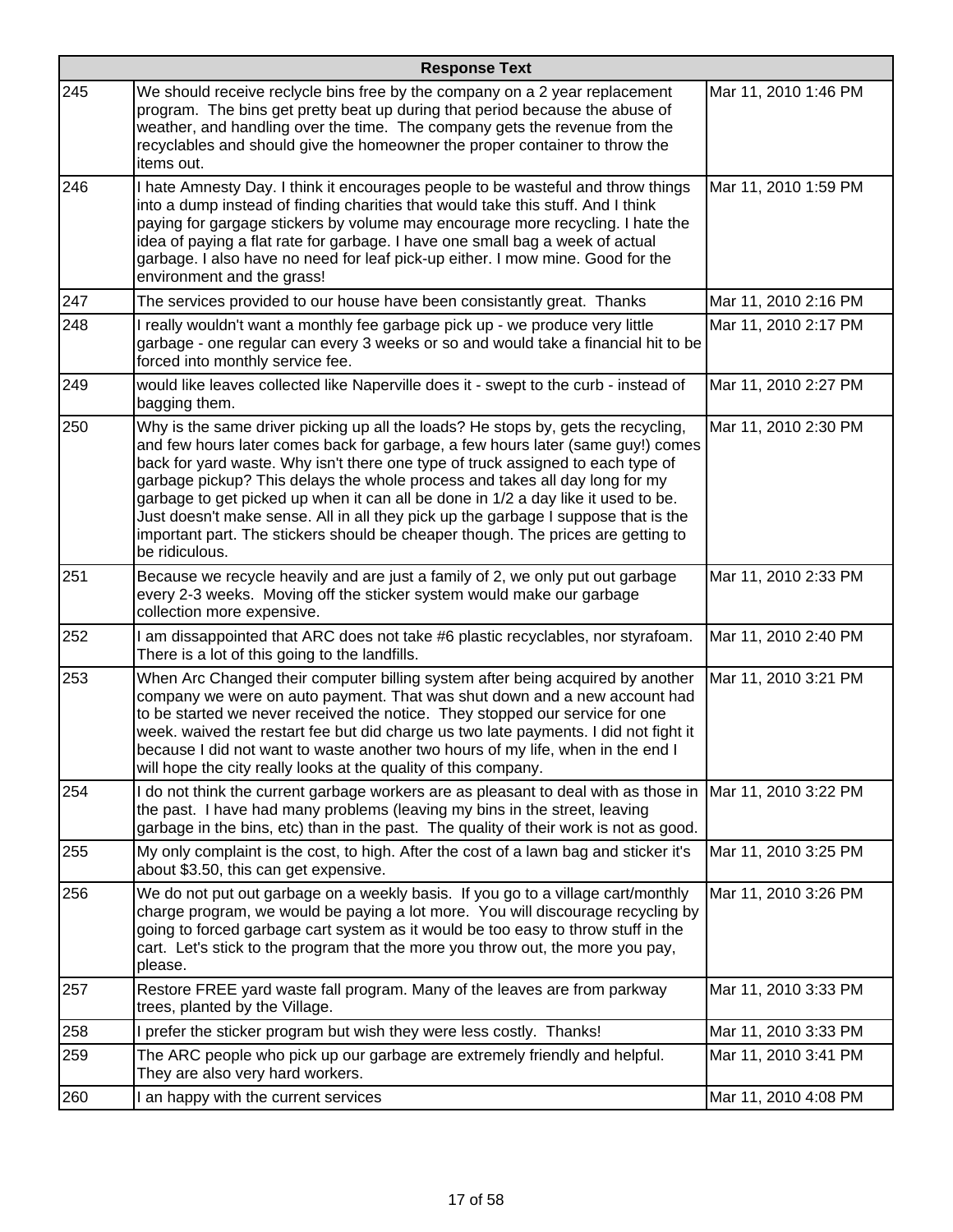|     | <b>Response Text</b>                                                                                                                                                                                                                                                                                                                                                                                                                                                                                                                                                                                                    |                      |  |
|-----|-------------------------------------------------------------------------------------------------------------------------------------------------------------------------------------------------------------------------------------------------------------------------------------------------------------------------------------------------------------------------------------------------------------------------------------------------------------------------------------------------------------------------------------------------------------------------------------------------------------------------|----------------------|--|
| 245 | We should receive reclycle bins free by the company on a 2 year replacement<br>program. The bins get pretty beat up during that period because the abuse of<br>weather, and handling over the time. The company gets the revenue from the<br>recyclables and should give the homeowner the proper container to throw the<br>items out.                                                                                                                                                                                                                                                                                  | Mar 11, 2010 1:46 PM |  |
| 246 | I hate Amnesty Day. I think it encourages people to be wasteful and throw things<br>into a dump instead of finding charities that would take this stuff. And I think<br>paying for gargage stickers by volume may encourage more recycling. I hate the<br>idea of paying a flat rate for garbage. I have one small bag a week of actual<br>garbage. I also have no need for leaf pick-up either. I mow mine. Good for the<br>environment and the grass!                                                                                                                                                                 | Mar 11, 2010 1:59 PM |  |
| 247 | The services provided to our house have been consistantly great. Thanks                                                                                                                                                                                                                                                                                                                                                                                                                                                                                                                                                 | Mar 11, 2010 2:16 PM |  |
| 248 | I really wouldn't want a monthly fee garbage pick up - we produce very little<br>garbage - one regular can every 3 weeks or so and would take a financial hit to be<br>forced into monthly service fee.                                                                                                                                                                                                                                                                                                                                                                                                                 | Mar 11, 2010 2:17 PM |  |
| 249 | would like leaves collected like Naperville does it - swept to the curb - instead of<br>bagging them.                                                                                                                                                                                                                                                                                                                                                                                                                                                                                                                   | Mar 11, 2010 2:27 PM |  |
| 250 | Why is the same driver picking up all the loads? He stops by, gets the recycling,<br>and few hours later comes back for garbage, a few hours later (same guy!) comes<br>back for yard waste. Why isn't there one type of truck assigned to each type of<br>garbage pickup? This delays the whole process and takes all day long for my<br>garbage to get picked up when it can all be done in 1/2 a day like it used to be.<br>Just doesn't make sense. All in all they pick up the garbage I suppose that is the<br>important part. The stickers should be cheaper though. The prices are getting to<br>be ridiculous. | Mar 11, 2010 2:30 PM |  |
| 251 | Because we recycle heavily and are just a family of 2, we only put out garbage<br>every 2-3 weeks. Moving off the sticker system would make our garbage<br>collection more expensive.                                                                                                                                                                                                                                                                                                                                                                                                                                   | Mar 11, 2010 2:33 PM |  |
| 252 | I am dissappointed that ARC does not take #6 plastic recyclables, nor styrafoam.<br>There is a lot of this going to the landfills.                                                                                                                                                                                                                                                                                                                                                                                                                                                                                      | Mar 11, 2010 2:40 PM |  |
| 253 | When Arc Changed their computer billing system after being acquired by another<br>company we were on auto payment. That was shut down and a new account had<br>to be started we never received the notice. They stopped our service for one<br>week. waived the restart fee but did charge us two late payments. I did not fight it<br>because I did not want to waste another two hours of my life, when in the end I<br>will hope the city really looks at the quality of this company.                                                                                                                               | Mar 11, 2010 3:21 PM |  |
| 254 | I do not think the current garbage workers are as pleasant to deal with as those in<br>the past. I have had many problems (leaving my bins in the street, leaving<br>garbage in the bins, etc) than in the past. The quality of their work is not as good.                                                                                                                                                                                                                                                                                                                                                              | Mar 11, 2010 3:22 PM |  |
| 255 | My only complaint is the cost, to high. After the cost of a lawn bag and sticker it's<br>about \$3.50, this can get expensive.                                                                                                                                                                                                                                                                                                                                                                                                                                                                                          | Mar 11, 2010 3:25 PM |  |
| 256 | We do not put out garbage on a weekly basis. If you go to a village cart/monthly<br>charge program, we would be paying a lot more. You will discourage recycling by<br>going to forced garbage cart system as it would be too easy to throw stuff in the<br>cart. Let's stick to the program that the more you throw out, the more you pay,<br>please.                                                                                                                                                                                                                                                                  | Mar 11, 2010 3:26 PM |  |
| 257 | Restore FREE yard waste fall program. Many of the leaves are from parkway<br>trees, planted by the Village.                                                                                                                                                                                                                                                                                                                                                                                                                                                                                                             | Mar 11, 2010 3:33 PM |  |
| 258 | I prefer the sticker program but wish they were less costly. Thanks!                                                                                                                                                                                                                                                                                                                                                                                                                                                                                                                                                    | Mar 11, 2010 3:33 PM |  |
| 259 | The ARC people who pick up our garbage are extremely friendly and helpful.<br>They are also very hard workers.                                                                                                                                                                                                                                                                                                                                                                                                                                                                                                          | Mar 11, 2010 3:41 PM |  |
| 260 | I an happy with the current services                                                                                                                                                                                                                                                                                                                                                                                                                                                                                                                                                                                    | Mar 11, 2010 4:08 PM |  |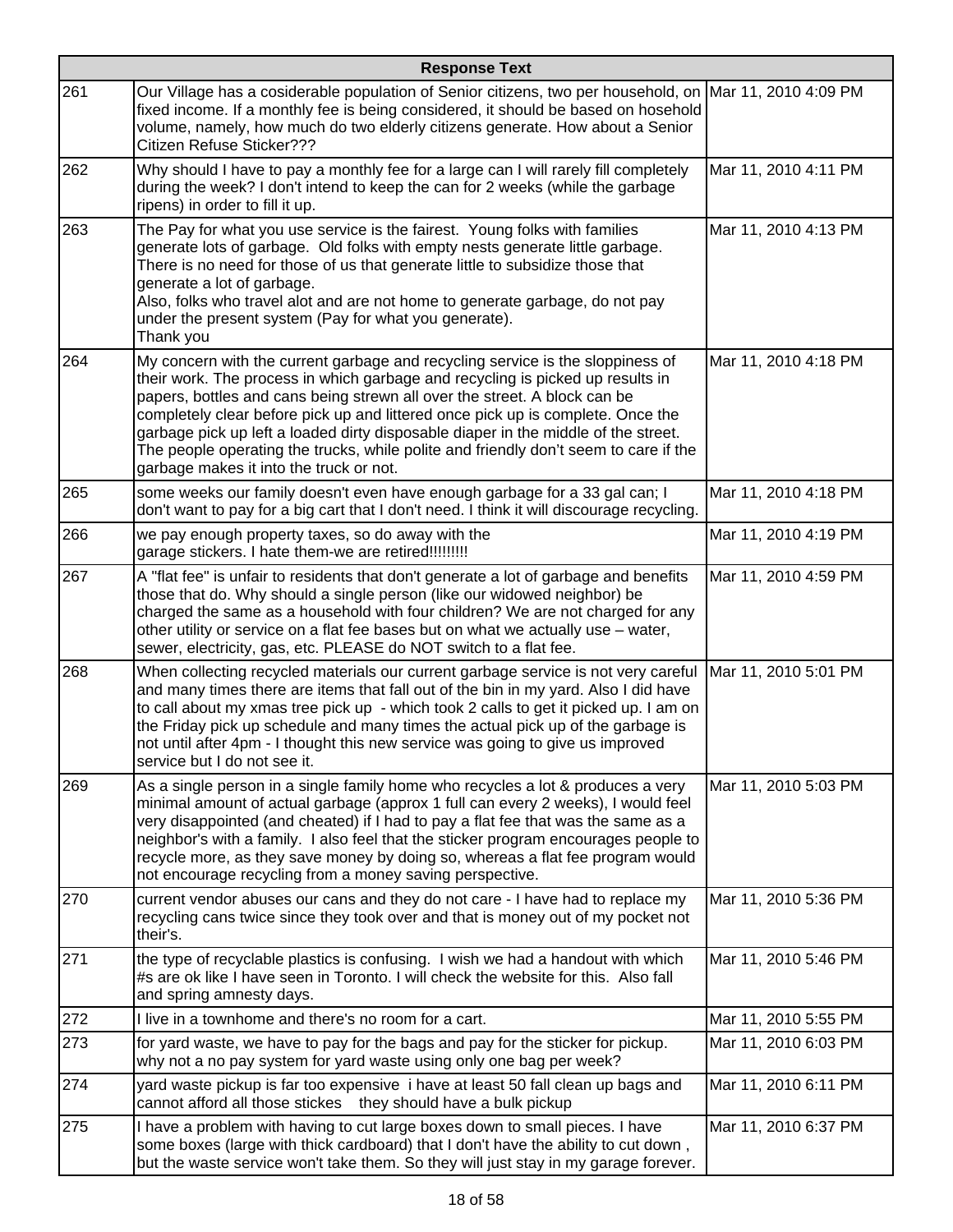|     | <b>Response Text</b>                                                                                                                                                                                                                                                                                                                                                                                                                                                                                                                                      |                      |  |
|-----|-----------------------------------------------------------------------------------------------------------------------------------------------------------------------------------------------------------------------------------------------------------------------------------------------------------------------------------------------------------------------------------------------------------------------------------------------------------------------------------------------------------------------------------------------------------|----------------------|--|
| 261 | Our Village has a cosiderable population of Senior citizens, two per household, on Mar 11, 2010 4:09 PM<br>fixed income. If a monthly fee is being considered, it should be based on hosehold<br>volume, namely, how much do two elderly citizens generate. How about a Senior<br>Citizen Refuse Sticker???                                                                                                                                                                                                                                               |                      |  |
| 262 | Why should I have to pay a monthly fee for a large can I will rarely fill completely<br>during the week? I don't intend to keep the can for 2 weeks (while the garbage<br>ripens) in order to fill it up.                                                                                                                                                                                                                                                                                                                                                 | Mar 11, 2010 4:11 PM |  |
| 263 | The Pay for what you use service is the fairest. Young folks with families<br>generate lots of garbage. Old folks with empty nests generate little garbage.<br>There is no need for those of us that generate little to subsidize those that<br>generate a lot of garbage.<br>Also, folks who travel alot and are not home to generate garbage, do not pay<br>under the present system (Pay for what you generate).<br>Thank you                                                                                                                          | Mar 11, 2010 4:13 PM |  |
| 264 | My concern with the current garbage and recycling service is the sloppiness of<br>their work. The process in which garbage and recycling is picked up results in<br>papers, bottles and cans being strewn all over the street. A block can be<br>completely clear before pick up and littered once pick up is complete. Once the<br>garbage pick up left a loaded dirty disposable diaper in the middle of the street.<br>The people operating the trucks, while polite and friendly don't seem to care if the<br>garbage makes it into the truck or not. | Mar 11, 2010 4:18 PM |  |
| 265 | some weeks our family doesn't even have enough garbage for a 33 gal can; I<br>don't want to pay for a big cart that I don't need. I think it will discourage recycling.                                                                                                                                                                                                                                                                                                                                                                                   | Mar 11, 2010 4:18 PM |  |
| 266 | we pay enough property taxes, so do away with the<br>garage stickers. I hate them-we are retired!!!!!!!!!                                                                                                                                                                                                                                                                                                                                                                                                                                                 | Mar 11, 2010 4:19 PM |  |
| 267 | A "flat fee" is unfair to residents that don't generate a lot of garbage and benefits<br>those that do. Why should a single person (like our widowed neighbor) be<br>charged the same as a household with four children? We are not charged for any<br>other utility or service on a flat fee bases but on what we actually use - water,<br>sewer, electricity, gas, etc. PLEASE do NOT switch to a flat fee.                                                                                                                                             | Mar 11, 2010 4:59 PM |  |
| 268 | When collecting recycled materials our current garbage service is not very careful<br>and many times there are items that fall out of the bin in my yard. Also I did have<br>to call about my xmas tree pick up - which took 2 calls to get it picked up. I am on<br>the Friday pick up schedule and many times the actual pick up of the garbage is<br>not until after 4pm - I thought this new service was going to give us improved<br>service but I do not see it.                                                                                    | Mar 11, 2010 5:01 PM |  |
| 269 | As a single person in a single family home who recycles a lot & produces a very<br>minimal amount of actual garbage (approx 1 full can every 2 weeks), I would feel<br>very disappointed (and cheated) if I had to pay a flat fee that was the same as a<br>neighbor's with a family. I also feel that the sticker program encourages people to<br>recycle more, as they save money by doing so, whereas a flat fee program would<br>not encourage recycling from a money saving perspective.                                                             | Mar 11, 2010 5:03 PM |  |
| 270 | current vendor abuses our cans and they do not care - I have had to replace my<br>recycling cans twice since they took over and that is money out of my pocket not<br>their's.                                                                                                                                                                                                                                                                                                                                                                            | Mar 11, 2010 5:36 PM |  |
| 271 | the type of recyclable plastics is confusing. I wish we had a handout with which<br>#s are ok like I have seen in Toronto. I will check the website for this. Also fall<br>and spring amnesty days.                                                                                                                                                                                                                                                                                                                                                       | Mar 11, 2010 5:46 PM |  |
| 272 | I live in a townhome and there's no room for a cart.                                                                                                                                                                                                                                                                                                                                                                                                                                                                                                      | Mar 11, 2010 5:55 PM |  |
| 273 | for yard waste, we have to pay for the bags and pay for the sticker for pickup.<br>why not a no pay system for yard waste using only one bag per week?                                                                                                                                                                                                                                                                                                                                                                                                    | Mar 11, 2010 6:03 PM |  |
| 274 | yard waste pickup is far too expensive i have at least 50 fall clean up bags and<br>cannot afford all those stickes they should have a bulk pickup                                                                                                                                                                                                                                                                                                                                                                                                        | Mar 11, 2010 6:11 PM |  |
| 275 | I have a problem with having to cut large boxes down to small pieces. I have<br>some boxes (large with thick cardboard) that I don't have the ability to cut down,<br>but the waste service won't take them. So they will just stay in my garage forever.                                                                                                                                                                                                                                                                                                 | Mar 11, 2010 6:37 PM |  |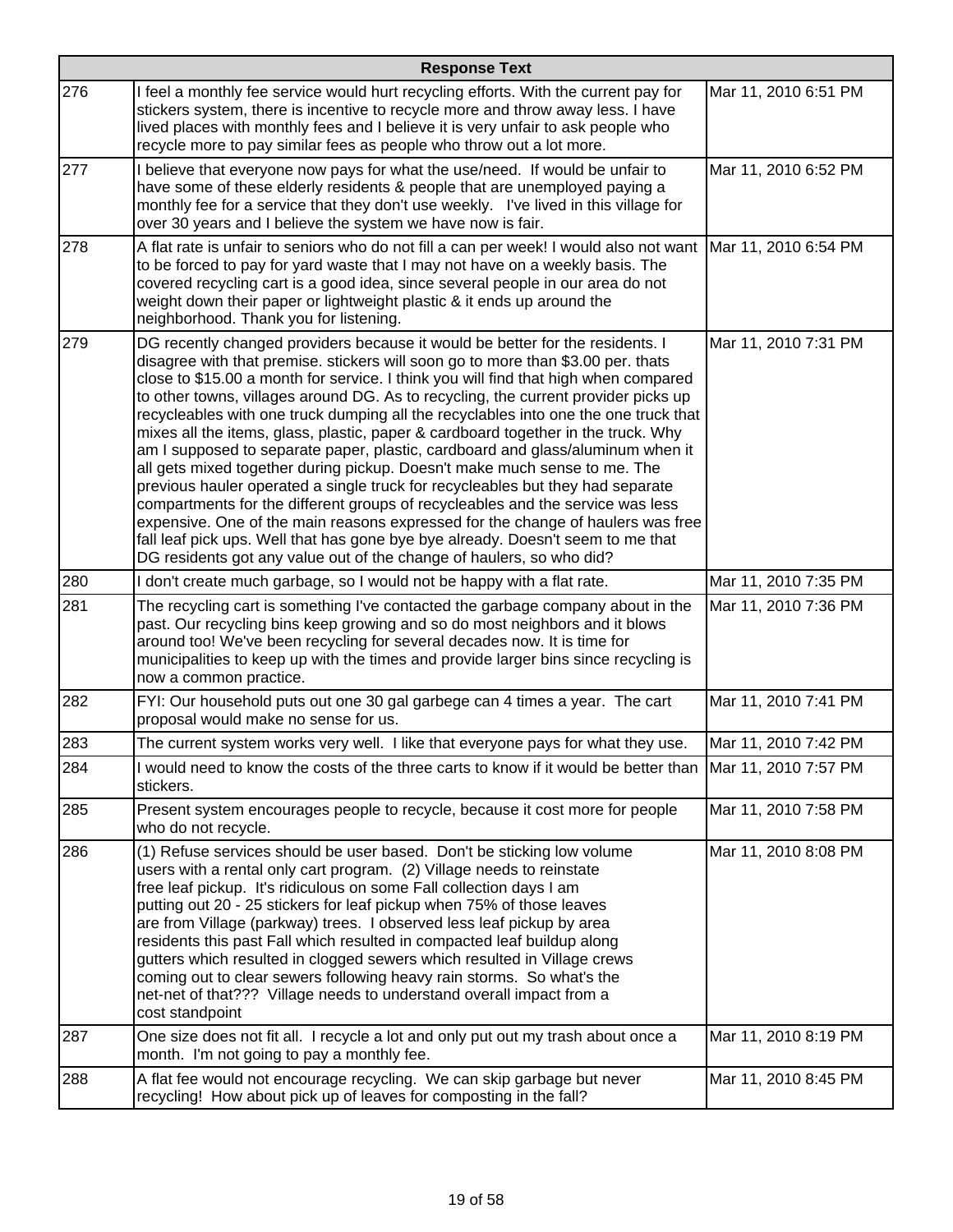|     | <b>Response Text</b>                                                                                                                                                                                                                                                                                                                                                                                                                                                                                                                                                                                                                                                                                                                                                                                                                                                                                                                                                                                                                                                                                        |                      |  |
|-----|-------------------------------------------------------------------------------------------------------------------------------------------------------------------------------------------------------------------------------------------------------------------------------------------------------------------------------------------------------------------------------------------------------------------------------------------------------------------------------------------------------------------------------------------------------------------------------------------------------------------------------------------------------------------------------------------------------------------------------------------------------------------------------------------------------------------------------------------------------------------------------------------------------------------------------------------------------------------------------------------------------------------------------------------------------------------------------------------------------------|----------------------|--|
| 276 | I feel a monthly fee service would hurt recycling efforts. With the current pay for<br>stickers system, there is incentive to recycle more and throw away less. I have<br>lived places with monthly fees and I believe it is very unfair to ask people who<br>recycle more to pay similar fees as people who throw out a lot more.                                                                                                                                                                                                                                                                                                                                                                                                                                                                                                                                                                                                                                                                                                                                                                          | Mar 11, 2010 6:51 PM |  |
| 277 | I believe that everyone now pays for what the use/need. If would be unfair to<br>have some of these elderly residents & people that are unemployed paying a<br>monthly fee for a service that they don't use weekly. I've lived in this village for<br>over 30 years and I believe the system we have now is fair.                                                                                                                                                                                                                                                                                                                                                                                                                                                                                                                                                                                                                                                                                                                                                                                          | Mar 11, 2010 6:52 PM |  |
| 278 | A flat rate is unfair to seniors who do not fill a can per week! I would also not want  Mar 11, 2010 6:54 PM<br>to be forced to pay for yard waste that I may not have on a weekly basis. The<br>covered recycling cart is a good idea, since several people in our area do not<br>weight down their paper or lightweight plastic & it ends up around the<br>neighborhood. Thank you for listening.                                                                                                                                                                                                                                                                                                                                                                                                                                                                                                                                                                                                                                                                                                         |                      |  |
| 279 | DG recently changed providers because it would be better for the residents. I<br>disagree with that premise. stickers will soon go to more than \$3.00 per. thats<br>close to \$15.00 a month for service. I think you will find that high when compared<br>to other towns, villages around DG. As to recycling, the current provider picks up<br>recycleables with one truck dumping all the recyclables into one the one truck that<br>mixes all the items, glass, plastic, paper & cardboard together in the truck. Why<br>am I supposed to separate paper, plastic, cardboard and glass/aluminum when it<br>all gets mixed together during pickup. Doesn't make much sense to me. The<br>previous hauler operated a single truck for recycleables but they had separate<br>compartments for the different groups of recycleables and the service was less<br>expensive. One of the main reasons expressed for the change of haulers was free<br>fall leaf pick ups. Well that has gone bye bye already. Doesn't seem to me that<br>DG residents got any value out of the change of haulers, so who did? | Mar 11, 2010 7:31 PM |  |
| 280 | I don't create much garbage, so I would not be happy with a flat rate.                                                                                                                                                                                                                                                                                                                                                                                                                                                                                                                                                                                                                                                                                                                                                                                                                                                                                                                                                                                                                                      | Mar 11, 2010 7:35 PM |  |
| 281 | The recycling cart is something I've contacted the garbage company about in the<br>past. Our recycling bins keep growing and so do most neighbors and it blows<br>around too! We've been recycling for several decades now. It is time for<br>municipalities to keep up with the times and provide larger bins since recycling is<br>now a common practice.                                                                                                                                                                                                                                                                                                                                                                                                                                                                                                                                                                                                                                                                                                                                                 | Mar 11, 2010 7:36 PM |  |
| 282 | FYI: Our household puts out one 30 gal garbege can 4 times a year. The cart<br>proposal would make no sense for us.                                                                                                                                                                                                                                                                                                                                                                                                                                                                                                                                                                                                                                                                                                                                                                                                                                                                                                                                                                                         | Mar 11, 2010 7:41 PM |  |
| 283 | The current system works very well. I like that everyone pays for what they use.                                                                                                                                                                                                                                                                                                                                                                                                                                                                                                                                                                                                                                                                                                                                                                                                                                                                                                                                                                                                                            | Mar 11, 2010 7:42 PM |  |
| 284 | I would need to know the costs of the three carts to know if it would be better than  Mar 11, 2010 7:57 PM<br>stickers.                                                                                                                                                                                                                                                                                                                                                                                                                                                                                                                                                                                                                                                                                                                                                                                                                                                                                                                                                                                     |                      |  |
| 285 | Present system encourages people to recycle, because it cost more for people<br>who do not recycle.                                                                                                                                                                                                                                                                                                                                                                                                                                                                                                                                                                                                                                                                                                                                                                                                                                                                                                                                                                                                         | Mar 11, 2010 7:58 PM |  |
| 286 | (1) Refuse services should be user based. Don't be sticking low volume<br>users with a rental only cart program. (2) Village needs to reinstate<br>free leaf pickup. It's ridiculous on some Fall collection days I am<br>putting out 20 - 25 stickers for leaf pickup when 75% of those leaves<br>are from Village (parkway) trees. I observed less leaf pickup by area<br>residents this past Fall which resulted in compacted leaf buildup along<br>gutters which resulted in clogged sewers which resulted in Village crews<br>coming out to clear sewers following heavy rain storms. So what's the<br>net-net of that??? Village needs to understand overall impact from a<br>cost standpoint                                                                                                                                                                                                                                                                                                                                                                                                         | Mar 11, 2010 8:08 PM |  |
| 287 | One size does not fit all. I recycle a lot and only put out my trash about once a<br>month. I'm not going to pay a monthly fee.                                                                                                                                                                                                                                                                                                                                                                                                                                                                                                                                                                                                                                                                                                                                                                                                                                                                                                                                                                             | Mar 11, 2010 8:19 PM |  |
| 288 | A flat fee would not encourage recycling. We can skip garbage but never<br>recycling! How about pick up of leaves for composting in the fall?                                                                                                                                                                                                                                                                                                                                                                                                                                                                                                                                                                                                                                                                                                                                                                                                                                                                                                                                                               | Mar 11, 2010 8:45 PM |  |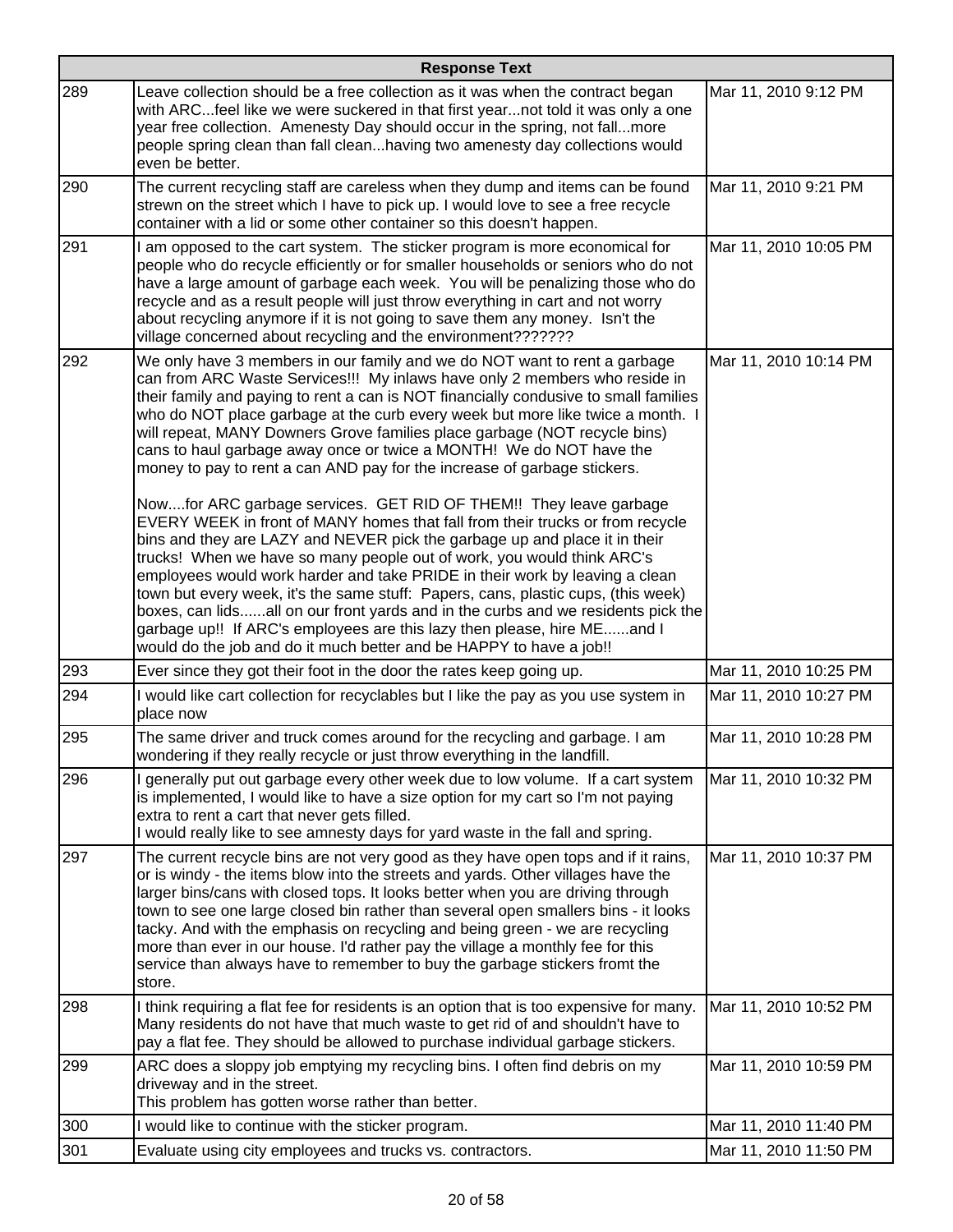|     | <b>Response Text</b>                                                                                                                                                                                                                                                                                                                                                                                                                                                                                                                                                                                                                                                                                                                                                                                                                                                                                                                                                                                                                                                                                                                                                                                                                                                                      |                       |
|-----|-------------------------------------------------------------------------------------------------------------------------------------------------------------------------------------------------------------------------------------------------------------------------------------------------------------------------------------------------------------------------------------------------------------------------------------------------------------------------------------------------------------------------------------------------------------------------------------------------------------------------------------------------------------------------------------------------------------------------------------------------------------------------------------------------------------------------------------------------------------------------------------------------------------------------------------------------------------------------------------------------------------------------------------------------------------------------------------------------------------------------------------------------------------------------------------------------------------------------------------------------------------------------------------------|-----------------------|
| 289 | Leave collection should be a free collection as it was when the contract began<br>with ARCfeel like we were suckered in that first yearnot told it was only a one<br>year free collection. Amenesty Day should occur in the spring, not fallmore<br>people spring clean than fall cleanhaving two amenesty day collections would<br>even be better.                                                                                                                                                                                                                                                                                                                                                                                                                                                                                                                                                                                                                                                                                                                                                                                                                                                                                                                                       | Mar 11, 2010 9:12 PM  |
| 290 | The current recycling staff are careless when they dump and items can be found<br>strewn on the street which I have to pick up. I would love to see a free recycle<br>container with a lid or some other container so this doesn't happen.                                                                                                                                                                                                                                                                                                                                                                                                                                                                                                                                                                                                                                                                                                                                                                                                                                                                                                                                                                                                                                                | Mar 11, 2010 9:21 PM  |
| 291 | I am opposed to the cart system. The sticker program is more economical for<br>people who do recycle efficiently or for smaller households or seniors who do not<br>have a large amount of garbage each week. You will be penalizing those who do<br>recycle and as a result people will just throw everything in cart and not worry<br>about recycling anymore if it is not going to save them any money. Isn't the<br>village concerned about recycling and the environment???????                                                                                                                                                                                                                                                                                                                                                                                                                                                                                                                                                                                                                                                                                                                                                                                                      | Mar 11, 2010 10:05 PM |
| 292 | We only have 3 members in our family and we do NOT want to rent a garbage<br>can from ARC Waste Services!!! My inlaws have only 2 members who reside in<br>their family and paying to rent a can is NOT financially condusive to small families<br>who do NOT place garbage at the curb every week but more like twice a month. I<br>will repeat, MANY Downers Grove families place garbage (NOT recycle bins)<br>cans to haul garbage away once or twice a MONTH! We do NOT have the<br>money to pay to rent a can AND pay for the increase of garbage stickers.<br>Nowfor ARC garbage services. GET RID OF THEM!! They leave garbage<br>EVERY WEEK in front of MANY homes that fall from their trucks or from recycle<br>bins and they are LAZY and NEVER pick the garbage up and place it in their<br>trucks! When we have so many people out of work, you would think ARC's<br>employees would work harder and take PRIDE in their work by leaving a clean<br>town but every week, it's the same stuff: Papers, cans, plastic cups, (this week)<br>boxes, can lidsall on our front yards and in the curbs and we residents pick the<br>garbage up!! If ARC's employees are this lazy then please, hire MEand I<br>would do the job and do it much better and be HAPPY to have a job!! | Mar 11, 2010 10:14 PM |
| 293 | Ever since they got their foot in the door the rates keep going up.                                                                                                                                                                                                                                                                                                                                                                                                                                                                                                                                                                                                                                                                                                                                                                                                                                                                                                                                                                                                                                                                                                                                                                                                                       | Mar 11, 2010 10:25 PM |
| 294 | I would like cart collection for recyclables but I like the pay as you use system in<br>place now                                                                                                                                                                                                                                                                                                                                                                                                                                                                                                                                                                                                                                                                                                                                                                                                                                                                                                                                                                                                                                                                                                                                                                                         | Mar 11, 2010 10:27 PM |
| 295 | The same driver and truck comes around for the recycling and garbage. I am<br>wondering if they really recycle or just throw everything in the landfill.                                                                                                                                                                                                                                                                                                                                                                                                                                                                                                                                                                                                                                                                                                                                                                                                                                                                                                                                                                                                                                                                                                                                  | Mar 11, 2010 10:28 PM |
| 296 | I generally put out garbage every other week due to low volume. If a cart system<br>is implemented, I would like to have a size option for my cart so I'm not paying<br>extra to rent a cart that never gets filled.<br>I would really like to see amnesty days for yard waste in the fall and spring.                                                                                                                                                                                                                                                                                                                                                                                                                                                                                                                                                                                                                                                                                                                                                                                                                                                                                                                                                                                    | Mar 11, 2010 10:32 PM |
| 297 | The current recycle bins are not very good as they have open tops and if it rains,<br>or is windy - the items blow into the streets and yards. Other villages have the<br>larger bins/cans with closed tops. It looks better when you are driving through<br>town to see one large closed bin rather than several open smallers bins - it looks<br>tacky. And with the emphasis on recycling and being green - we are recycling<br>more than ever in our house. I'd rather pay the village a monthly fee for this<br>service than always have to remember to buy the garbage stickers fromt the<br>store.                                                                                                                                                                                                                                                                                                                                                                                                                                                                                                                                                                                                                                                                                 | Mar 11, 2010 10:37 PM |
| 298 | I think requiring a flat fee for residents is an option that is too expensive for many.<br>Many residents do not have that much waste to get rid of and shouldn't have to<br>pay a flat fee. They should be allowed to purchase individual garbage stickers.                                                                                                                                                                                                                                                                                                                                                                                                                                                                                                                                                                                                                                                                                                                                                                                                                                                                                                                                                                                                                              | Mar 11, 2010 10:52 PM |
| 299 | ARC does a sloppy job emptying my recycling bins. I often find debris on my<br>driveway and in the street.<br>This problem has gotten worse rather than better.                                                                                                                                                                                                                                                                                                                                                                                                                                                                                                                                                                                                                                                                                                                                                                                                                                                                                                                                                                                                                                                                                                                           | Mar 11, 2010 10:59 PM |
| 300 | I would like to continue with the sticker program.                                                                                                                                                                                                                                                                                                                                                                                                                                                                                                                                                                                                                                                                                                                                                                                                                                                                                                                                                                                                                                                                                                                                                                                                                                        | Mar 11, 2010 11:40 PM |
| 301 | Evaluate using city employees and trucks vs. contractors.                                                                                                                                                                                                                                                                                                                                                                                                                                                                                                                                                                                                                                                                                                                                                                                                                                                                                                                                                                                                                                                                                                                                                                                                                                 | Mar 11, 2010 11:50 PM |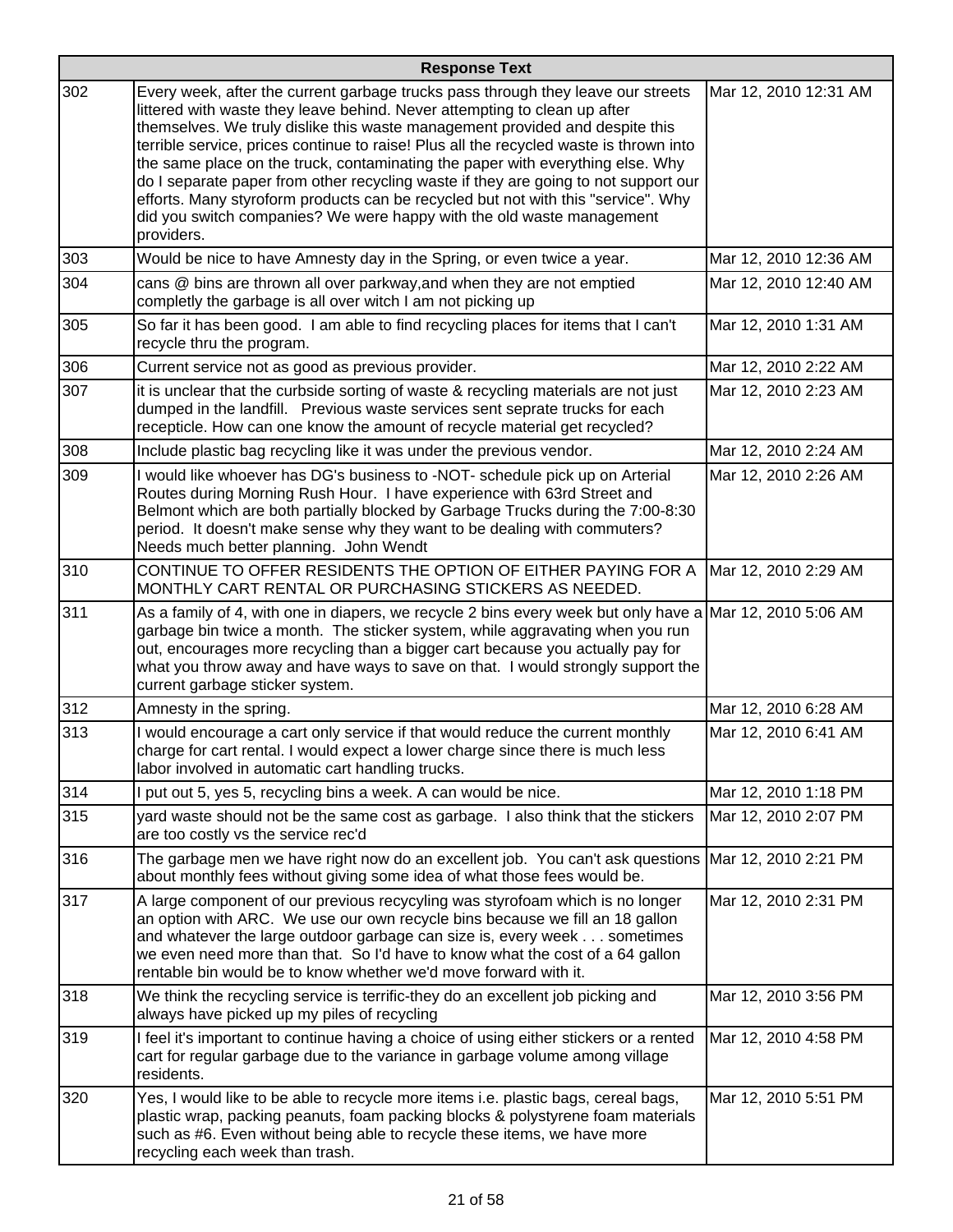|     | <b>Response Text</b>                                                                                                                                                                                                                                                                                                                                                                                                                                                                                                                                                                                                                                                                         |                       |  |
|-----|----------------------------------------------------------------------------------------------------------------------------------------------------------------------------------------------------------------------------------------------------------------------------------------------------------------------------------------------------------------------------------------------------------------------------------------------------------------------------------------------------------------------------------------------------------------------------------------------------------------------------------------------------------------------------------------------|-----------------------|--|
| 302 | Every week, after the current garbage trucks pass through they leave our streets<br>littered with waste they leave behind. Never attempting to clean up after<br>themselves. We truly dislike this waste management provided and despite this<br>terrible service, prices continue to raise! Plus all the recycled waste is thrown into<br>the same place on the truck, contaminating the paper with everything else. Why<br>do I separate paper from other recycling waste if they are going to not support our<br>efforts. Many styroform products can be recycled but not with this "service". Why<br>did you switch companies? We were happy with the old waste management<br>providers. | Mar 12, 2010 12:31 AM |  |
| 303 | Would be nice to have Amnesty day in the Spring, or even twice a year.                                                                                                                                                                                                                                                                                                                                                                                                                                                                                                                                                                                                                       | Mar 12, 2010 12:36 AM |  |
| 304 | cans @ bins are thrown all over parkway, and when they are not emptied<br>completly the garbage is all over witch I am not picking up                                                                                                                                                                                                                                                                                                                                                                                                                                                                                                                                                        | Mar 12, 2010 12:40 AM |  |
| 305 | So far it has been good. I am able to find recycling places for items that I can't<br>recycle thru the program.                                                                                                                                                                                                                                                                                                                                                                                                                                                                                                                                                                              | Mar 12, 2010 1:31 AM  |  |
| 306 | Current service not as good as previous provider.                                                                                                                                                                                                                                                                                                                                                                                                                                                                                                                                                                                                                                            | Mar 12, 2010 2:22 AM  |  |
| 307 | it is unclear that the curbside sorting of waste & recycling materials are not just<br>dumped in the landfill. Previous waste services sent seprate trucks for each<br>recepticle. How can one know the amount of recycle material get recycled?                                                                                                                                                                                                                                                                                                                                                                                                                                             | Mar 12, 2010 2:23 AM  |  |
| 308 | Include plastic bag recycling like it was under the previous vendor.                                                                                                                                                                                                                                                                                                                                                                                                                                                                                                                                                                                                                         | Mar 12, 2010 2:24 AM  |  |
| 309 | I would like whoever has DG's business to -NOT- schedule pick up on Arterial<br>Routes during Morning Rush Hour. I have experience with 63rd Street and<br>Belmont which are both partially blocked by Garbage Trucks during the 7:00-8:30<br>period. It doesn't make sense why they want to be dealing with commuters?<br>Needs much better planning. John Wendt                                                                                                                                                                                                                                                                                                                            | Mar 12, 2010 2:26 AM  |  |
| 310 | CONTINUE TO OFFER RESIDENTS THE OPTION OF EITHER PAYING FOR A<br>MONTHLY CART RENTAL OR PURCHASING STICKERS AS NEEDED.                                                                                                                                                                                                                                                                                                                                                                                                                                                                                                                                                                       | Mar 12, 2010 2:29 AM  |  |
| 311 | As a family of 4, with one in diapers, we recycle 2 bins every week but only have a Mar 12, 2010 5:06 AM<br>garbage bin twice a month. The sticker system, while aggravating when you run<br>out, encourages more recycling than a bigger cart because you actually pay for<br>what you throw away and have ways to save on that. I would strongly support the<br>current garbage sticker system.                                                                                                                                                                                                                                                                                            |                       |  |
| 312 | Amnesty in the spring.                                                                                                                                                                                                                                                                                                                                                                                                                                                                                                                                                                                                                                                                       | Mar 12, 2010 6:28 AM  |  |
| 313 | I would encourage a cart only service if that would reduce the current monthly<br>charge for cart rental. I would expect a lower charge since there is much less<br>labor involved in automatic cart handling trucks.                                                                                                                                                                                                                                                                                                                                                                                                                                                                        | Mar 12, 2010 6:41 AM  |  |
| 314 | I put out 5, yes 5, recycling bins a week. A can would be nice.                                                                                                                                                                                                                                                                                                                                                                                                                                                                                                                                                                                                                              | Mar 12, 2010 1:18 PM  |  |
| 315 | yard waste should not be the same cost as garbage. I also think that the stickers<br>are too costly vs the service rec'd                                                                                                                                                                                                                                                                                                                                                                                                                                                                                                                                                                     | Mar 12, 2010 2:07 PM  |  |
| 316 | The garbage men we have right now do an excellent job. You can't ask questions Mar 12, 2010 2:21 PM<br>about monthly fees without giving some idea of what those fees would be.                                                                                                                                                                                                                                                                                                                                                                                                                                                                                                              |                       |  |
| 317 | A large component of our previous recycyling was styrofoam which is no longer<br>an option with ARC. We use our own recycle bins because we fill an 18 gallon<br>and whatever the large outdoor garbage can size is, every week sometimes<br>we even need more than that. So I'd have to know what the cost of a 64 gallon<br>rentable bin would be to know whether we'd move forward with it.                                                                                                                                                                                                                                                                                               | Mar 12, 2010 2:31 PM  |  |
| 318 | We think the recycling service is terrific-they do an excellent job picking and<br>always have picked up my piles of recycling                                                                                                                                                                                                                                                                                                                                                                                                                                                                                                                                                               | Mar 12, 2010 3:56 PM  |  |
| 319 | I feel it's important to continue having a choice of using either stickers or a rented<br>cart for regular garbage due to the variance in garbage volume among village<br>residents.                                                                                                                                                                                                                                                                                                                                                                                                                                                                                                         | Mar 12, 2010 4:58 PM  |  |
| 320 | Yes, I would like to be able to recycle more items i.e. plastic bags, cereal bags,<br>plastic wrap, packing peanuts, foam packing blocks & polystyrene foam materials<br>such as #6. Even without being able to recycle these items, we have more<br>recycling each week than trash.                                                                                                                                                                                                                                                                                                                                                                                                         | Mar 12, 2010 5:51 PM  |  |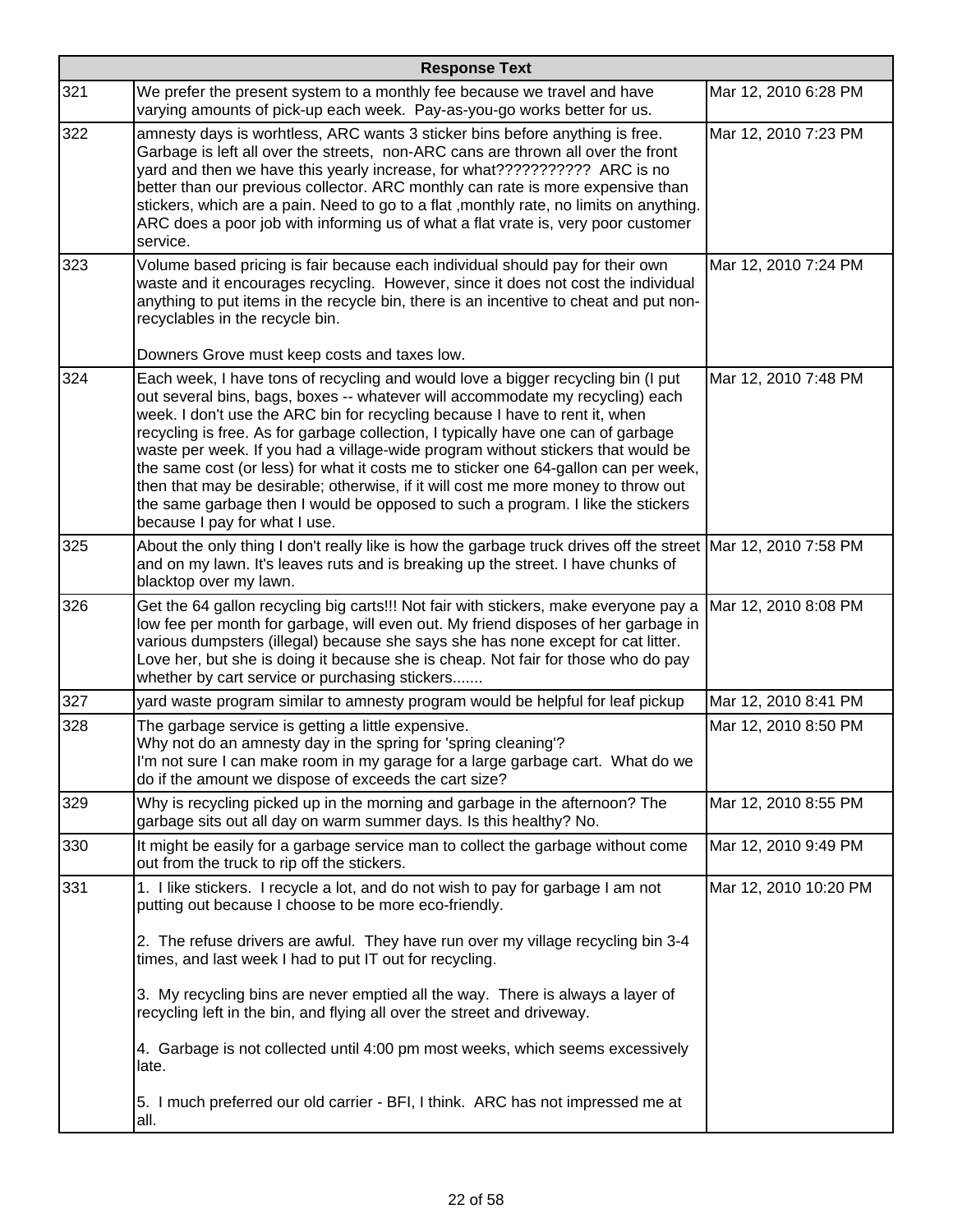|     | <b>Response Text</b>                                                                                                                                                                                                                                                                                                                                                                                                                                                                                                                                                                                                                                                                                                      |                       |
|-----|---------------------------------------------------------------------------------------------------------------------------------------------------------------------------------------------------------------------------------------------------------------------------------------------------------------------------------------------------------------------------------------------------------------------------------------------------------------------------------------------------------------------------------------------------------------------------------------------------------------------------------------------------------------------------------------------------------------------------|-----------------------|
| 321 | We prefer the present system to a monthly fee because we travel and have<br>varying amounts of pick-up each week. Pay-as-you-go works better for us.                                                                                                                                                                                                                                                                                                                                                                                                                                                                                                                                                                      | Mar 12, 2010 6:28 PM  |
| 322 | amnesty days is worhtless, ARC wants 3 sticker bins before anything is free.<br>Garbage is left all over the streets, non-ARC cans are thrown all over the front<br>yard and then we have this yearly increase, for what???????????? ARC is no<br>better than our previous collector. ARC monthly can rate is more expensive than<br>stickers, which are a pain. Need to go to a flat , monthly rate, no limits on anything.<br>ARC does a poor job with informing us of what a flat vrate is, very poor customer<br>service.                                                                                                                                                                                             | Mar 12, 2010 7:23 PM  |
| 323 | Volume based pricing is fair because each individual should pay for their own<br>waste and it encourages recycling. However, since it does not cost the individual<br>anything to put items in the recycle bin, there is an incentive to cheat and put non-<br>recyclables in the recycle bin.<br>Downers Grove must keep costs and taxes low.                                                                                                                                                                                                                                                                                                                                                                            | Mar 12, 2010 7:24 PM  |
| 324 | Each week, I have tons of recycling and would love a bigger recycling bin (I put<br>out several bins, bags, boxes -- whatever will accommodate my recycling) each<br>week. I don't use the ARC bin for recycling because I have to rent it, when<br>recycling is free. As for garbage collection, I typically have one can of garbage<br>waste per week. If you had a village-wide program without stickers that would be<br>the same cost (or less) for what it costs me to sticker one 64-gallon can per week,<br>then that may be desirable; otherwise, if it will cost me more money to throw out<br>the same garbage then I would be opposed to such a program. I like the stickers<br>because I pay for what I use. | Mar 12, 2010 7:48 PM  |
| 325 | About the only thing I don't really like is how the garbage truck drives off the street Mar 12, 2010 7:58 PM<br>and on my lawn. It's leaves ruts and is breaking up the street. I have chunks of<br>blacktop over my lawn.                                                                                                                                                                                                                                                                                                                                                                                                                                                                                                |                       |
| 326 | Get the 64 gallon recycling big carts!!! Not fair with stickers, make everyone pay a<br>low fee per month for garbage, will even out. My friend disposes of her garbage in<br>various dumpsters (illegal) because she says she has none except for cat litter.<br>Love her, but she is doing it because she is cheap. Not fair for those who do pay<br>whether by cart service or purchasing stickers                                                                                                                                                                                                                                                                                                                     | Mar 12, 2010 8:08 PM  |
| 327 | yard waste program similar to amnesty program would be helpful for leaf pickup                                                                                                                                                                                                                                                                                                                                                                                                                                                                                                                                                                                                                                            | Mar 12, 2010 8:41 PM  |
| 328 | The garbage service is getting a little expensive.<br>Why not do an amnesty day in the spring for 'spring cleaning'?<br>I'm not sure I can make room in my garage for a large garbage cart. What do we<br>do if the amount we dispose of exceeds the cart size?                                                                                                                                                                                                                                                                                                                                                                                                                                                           | Mar 12, 2010 8:50 PM  |
| 329 | Why is recycling picked up in the morning and garbage in the afternoon? The<br>garbage sits out all day on warm summer days. Is this healthy? No.                                                                                                                                                                                                                                                                                                                                                                                                                                                                                                                                                                         | Mar 12, 2010 8:55 PM  |
| 330 | It might be easily for a garbage service man to collect the garbage without come<br>out from the truck to rip off the stickers.                                                                                                                                                                                                                                                                                                                                                                                                                                                                                                                                                                                           | Mar 12, 2010 9:49 PM  |
| 331 | 1. I like stickers. I recycle a lot, and do not wish to pay for garbage I am not<br>putting out because I choose to be more eco-friendly.                                                                                                                                                                                                                                                                                                                                                                                                                                                                                                                                                                                 | Mar 12, 2010 10:20 PM |
|     | 2. The refuse drivers are awful. They have run over my village recycling bin 3-4<br>times, and last week I had to put IT out for recycling.                                                                                                                                                                                                                                                                                                                                                                                                                                                                                                                                                                               |                       |
|     | 3. My recycling bins are never emptied all the way. There is always a layer of<br>recycling left in the bin, and flying all over the street and driveway.                                                                                                                                                                                                                                                                                                                                                                                                                                                                                                                                                                 |                       |
|     | 4. Garbage is not collected until 4:00 pm most weeks, which seems excessively<br>late.                                                                                                                                                                                                                                                                                                                                                                                                                                                                                                                                                                                                                                    |                       |
|     | 5. I much preferred our old carrier - BFI, I think. ARC has not impressed me at<br>all.                                                                                                                                                                                                                                                                                                                                                                                                                                                                                                                                                                                                                                   |                       |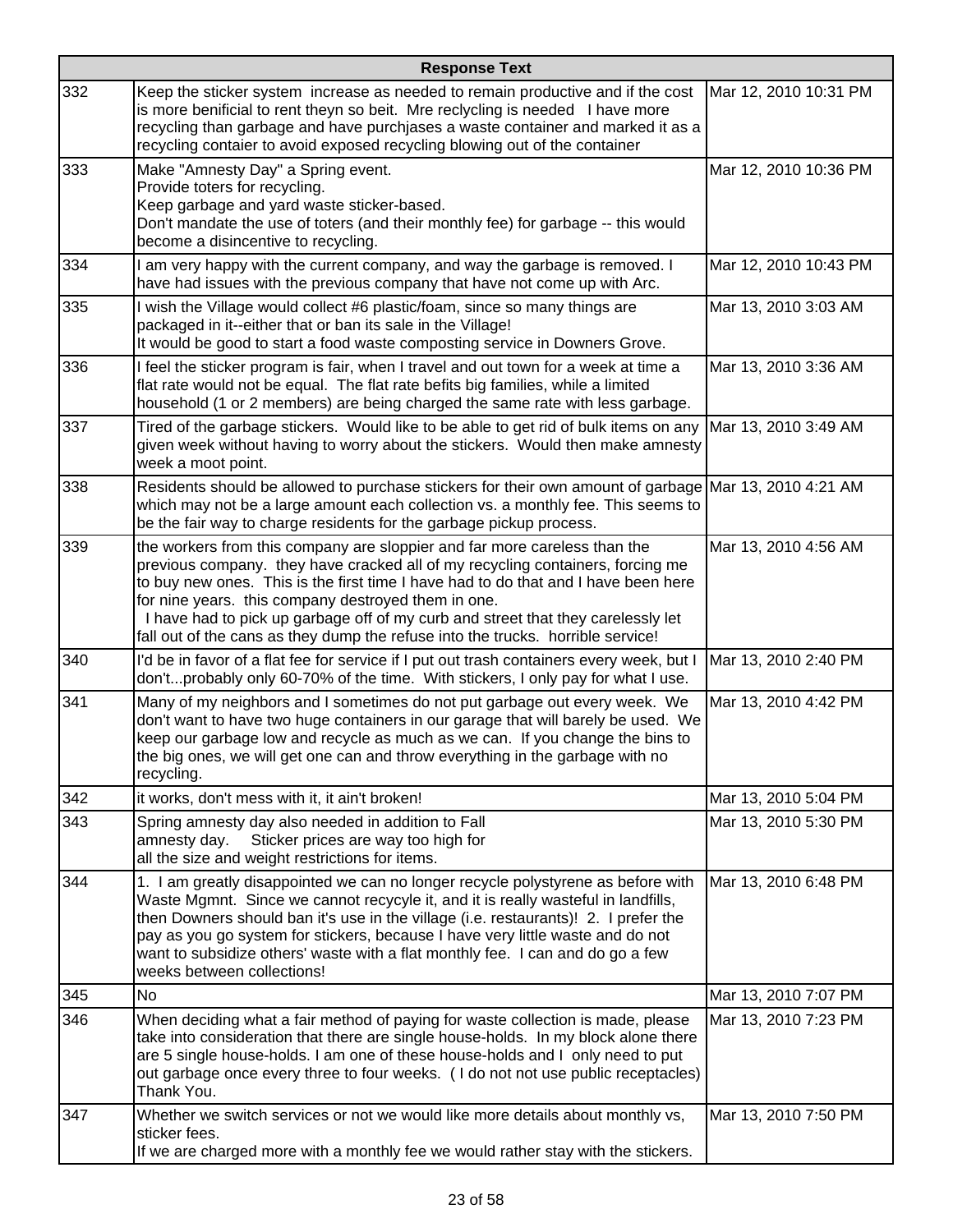|     | <b>Response Text</b>                                                                                                                                                                                                                                                                                                                                                                                                                                                            |                       |
|-----|---------------------------------------------------------------------------------------------------------------------------------------------------------------------------------------------------------------------------------------------------------------------------------------------------------------------------------------------------------------------------------------------------------------------------------------------------------------------------------|-----------------------|
| 332 | Keep the sticker system increase as needed to remain productive and if the cost<br>is more benificial to rent theyn so beit. Mre reclycling is needed I have more<br>recycling than garbage and have purchjases a waste container and marked it as a<br>recycling contaier to avoid exposed recycling blowing out of the container                                                                                                                                              | Mar 12, 2010 10:31 PM |
| 333 | Make "Amnesty Day" a Spring event.<br>Provide toters for recycling.<br>Keep garbage and yard waste sticker-based.<br>Don't mandate the use of toters (and their monthly fee) for garbage -- this would<br>become a disincentive to recycling.                                                                                                                                                                                                                                   | Mar 12, 2010 10:36 PM |
| 334 | I am very happy with the current company, and way the garbage is removed. I<br>have had issues with the previous company that have not come up with Arc.                                                                                                                                                                                                                                                                                                                        | Mar 12, 2010 10:43 PM |
| 335 | I wish the Village would collect #6 plastic/foam, since so many things are<br>packaged in it--either that or ban its sale in the Village!<br>It would be good to start a food waste composting service in Downers Grove.                                                                                                                                                                                                                                                        | Mar 13, 2010 3:03 AM  |
| 336 | I feel the sticker program is fair, when I travel and out town for a week at time a<br>flat rate would not be equal. The flat rate befits big families, while a limited<br>household (1 or 2 members) are being charged the same rate with less garbage.                                                                                                                                                                                                                        | Mar 13, 2010 3:36 AM  |
| 337 | Tired of the garbage stickers. Would like to be able to get rid of bulk items on any  Mar 13, 2010 3:49 AM<br>given week without having to worry about the stickers. Would then make amnesty<br>week a moot point.                                                                                                                                                                                                                                                              |                       |
| 338 | Residents should be allowed to purchase stickers for their own amount of garbage Mar 13, 2010 4:21 AM<br>which may not be a large amount each collection vs. a monthly fee. This seems to<br>be the fair way to charge residents for the garbage pickup process.                                                                                                                                                                                                                |                       |
| 339 | the workers from this company are sloppier and far more careless than the<br>previous company. they have cracked all of my recycling containers, forcing me<br>to buy new ones. This is the first time I have had to do that and I have been here<br>for nine years. this company destroyed them in one.<br>I have had to pick up garbage off of my curb and street that they carelessly let<br>fall out of the cans as they dump the refuse into the trucks. horrible service! | Mar 13, 2010 4:56 AM  |
| 340 | I'd be in favor of a flat fee for service if I put out trash containers every week, but I<br>don'tprobably only 60-70% of the time. With stickers, I only pay for what I use.                                                                                                                                                                                                                                                                                                   | Mar 13, 2010 2:40 PM  |
| 341 | Many of my neighbors and I sometimes do not put garbage out every week. We<br>don't want to have two huge containers in our garage that will barely be used. We<br>keep our garbage low and recycle as much as we can. If you change the bins to<br>the big ones, we will get one can and throw everything in the garbage with no<br>recycling.                                                                                                                                 | Mar 13, 2010 4:42 PM  |
| 342 | it works, don't mess with it, it ain't broken!                                                                                                                                                                                                                                                                                                                                                                                                                                  | Mar 13, 2010 5:04 PM  |
| 343 | Spring amnesty day also needed in addition to Fall<br>Sticker prices are way too high for<br>amnesty day.<br>all the size and weight restrictions for items.                                                                                                                                                                                                                                                                                                                    | Mar 13, 2010 5:30 PM  |
| 344 | 1. I am greatly disappointed we can no longer recycle polystyrene as before with<br>Waste Mgmnt. Since we cannot recycyle it, and it is really wasteful in landfills,<br>then Downers should ban it's use in the village (i.e. restaurants)! 2. I prefer the<br>pay as you go system for stickers, because I have very little waste and do not<br>want to subsidize others' waste with a flat monthly fee. I can and do go a few<br>weeks between collections!                  | Mar 13, 2010 6:48 PM  |
| 345 | <b>No</b>                                                                                                                                                                                                                                                                                                                                                                                                                                                                       | Mar 13, 2010 7:07 PM  |
| 346 | When deciding what a fair method of paying for waste collection is made, please<br>take into consideration that there are single house-holds. In my block alone there<br>are 5 single house-holds. I am one of these house-holds and I only need to put<br>out garbage once every three to four weeks. (I do not not use public receptacles)<br>Thank You.                                                                                                                      | Mar 13, 2010 7:23 PM  |
| 347 | Whether we switch services or not we would like more details about monthly vs,<br>sticker fees.<br>If we are charged more with a monthly fee we would rather stay with the stickers.                                                                                                                                                                                                                                                                                            | Mar 13, 2010 7:50 PM  |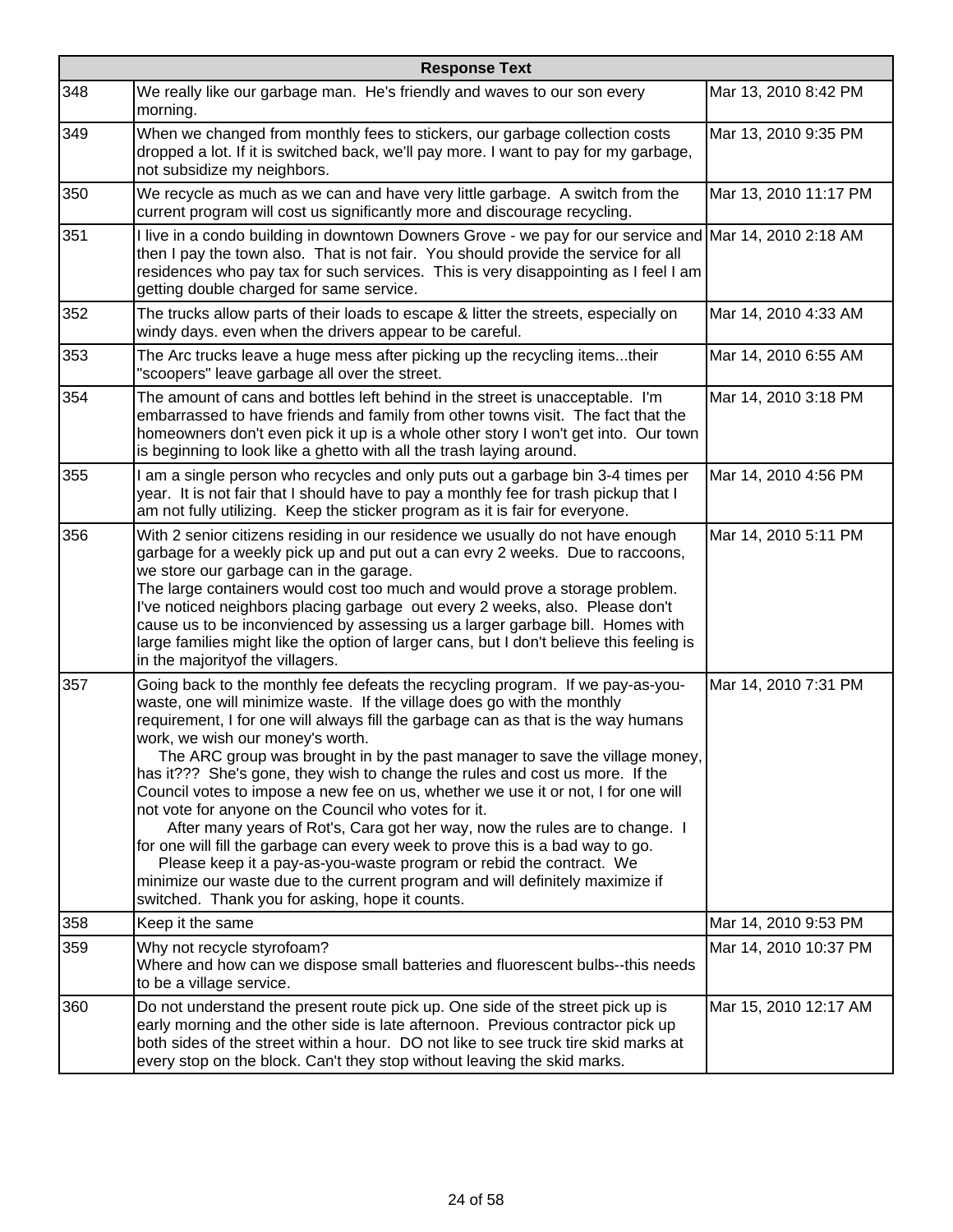|     | <b>Response Text</b>                                                                                                                                                                                                                                                                                                                                                                                                                                                                                                                                                                                                                                                                                                                                                                                                                                                                                                                                                       |                       |  |
|-----|----------------------------------------------------------------------------------------------------------------------------------------------------------------------------------------------------------------------------------------------------------------------------------------------------------------------------------------------------------------------------------------------------------------------------------------------------------------------------------------------------------------------------------------------------------------------------------------------------------------------------------------------------------------------------------------------------------------------------------------------------------------------------------------------------------------------------------------------------------------------------------------------------------------------------------------------------------------------------|-----------------------|--|
| 348 | We really like our garbage man. He's friendly and waves to our son every<br>morning.                                                                                                                                                                                                                                                                                                                                                                                                                                                                                                                                                                                                                                                                                                                                                                                                                                                                                       | Mar 13, 2010 8:42 PM  |  |
| 349 | When we changed from monthly fees to stickers, our garbage collection costs<br>dropped a lot. If it is switched back, we'll pay more. I want to pay for my garbage,<br>not subsidize my neighbors.                                                                                                                                                                                                                                                                                                                                                                                                                                                                                                                                                                                                                                                                                                                                                                         | Mar 13, 2010 9:35 PM  |  |
| 350 | We recycle as much as we can and have very little garbage. A switch from the<br>current program will cost us significantly more and discourage recycling.                                                                                                                                                                                                                                                                                                                                                                                                                                                                                                                                                                                                                                                                                                                                                                                                                  | Mar 13, 2010 11:17 PM |  |
| 351 | I live in a condo building in downtown Downers Grove - we pay for our service and Mar 14, 2010 2:18 AM<br>then I pay the town also. That is not fair. You should provide the service for all<br>residences who pay tax for such services. This is very disappointing as I feel I am<br>getting double charged for same service.                                                                                                                                                                                                                                                                                                                                                                                                                                                                                                                                                                                                                                            |                       |  |
| 352 | The trucks allow parts of their loads to escape & litter the streets, especially on<br>windy days. even when the drivers appear to be careful.                                                                                                                                                                                                                                                                                                                                                                                                                                                                                                                                                                                                                                                                                                                                                                                                                             | Mar 14, 2010 4:33 AM  |  |
| 353 | The Arc trucks leave a huge mess after picking up the recycling itemstheir<br>"scoopers" leave garbage all over the street.                                                                                                                                                                                                                                                                                                                                                                                                                                                                                                                                                                                                                                                                                                                                                                                                                                                | Mar 14, 2010 6:55 AM  |  |
| 354 | The amount of cans and bottles left behind in the street is unacceptable. I'm<br>embarrassed to have friends and family from other towns visit. The fact that the<br>homeowners don't even pick it up is a whole other story I won't get into. Our town<br>is beginning to look like a ghetto with all the trash laying around.                                                                                                                                                                                                                                                                                                                                                                                                                                                                                                                                                                                                                                            | Mar 14, 2010 3:18 PM  |  |
| 355 | I am a single person who recycles and only puts out a garbage bin 3-4 times per<br>year. It is not fair that I should have to pay a monthly fee for trash pickup that I<br>am not fully utilizing. Keep the sticker program as it is fair for everyone.                                                                                                                                                                                                                                                                                                                                                                                                                                                                                                                                                                                                                                                                                                                    | Mar 14, 2010 4:56 PM  |  |
| 356 | With 2 senior citizens residing in our residence we usually do not have enough<br>garbage for a weekly pick up and put out a can evry 2 weeks. Due to raccoons,<br>we store our garbage can in the garage.<br>The large containers would cost too much and would prove a storage problem.<br>I've noticed neighbors placing garbage out every 2 weeks, also. Please don't<br>cause us to be inconvienced by assessing us a larger garbage bill. Homes with<br>large families might like the option of larger cans, but I don't believe this feeling is<br>in the majority of the villagers.                                                                                                                                                                                                                                                                                                                                                                                | Mar 14, 2010 5:11 PM  |  |
| 357 | Going back to the monthly fee defeats the recycling program. If we pay-as-you-<br>waste, one will minimize waste. If the village does go with the monthly<br>requirement, I for one will always fill the garbage can as that is the way humans<br>work, we wish our money's worth.<br>The ARC group was brought in by the past manager to save the village money,<br>has it??? She's gone, they wish to change the rules and cost us more. If the<br>Council votes to impose a new fee on us, whether we use it or not, I for one will<br>not vote for anyone on the Council who votes for it.<br>After many years of Rot's, Cara got her way, now the rules are to change. I<br>for one will fill the garbage can every week to prove this is a bad way to go.<br>Please keep it a pay-as-you-waste program or rebid the contract. We<br>minimize our waste due to the current program and will definitely maximize if<br>switched. Thank you for asking, hope it counts. | Mar 14, 2010 7:31 PM  |  |
| 358 | Keep it the same                                                                                                                                                                                                                                                                                                                                                                                                                                                                                                                                                                                                                                                                                                                                                                                                                                                                                                                                                           | Mar 14, 2010 9:53 PM  |  |
| 359 | Why not recycle styrofoam?<br>Where and how can we dispose small batteries and fluorescent bulbs--this needs<br>to be a village service.                                                                                                                                                                                                                                                                                                                                                                                                                                                                                                                                                                                                                                                                                                                                                                                                                                   | Mar 14, 2010 10:37 PM |  |
| 360 | Do not understand the present route pick up. One side of the street pick up is<br>early morning and the other side is late afternoon. Previous contractor pick up<br>both sides of the street within a hour. DO not like to see truck tire skid marks at<br>every stop on the block. Can't they stop without leaving the skid marks.                                                                                                                                                                                                                                                                                                                                                                                                                                                                                                                                                                                                                                       | Mar 15, 2010 12:17 AM |  |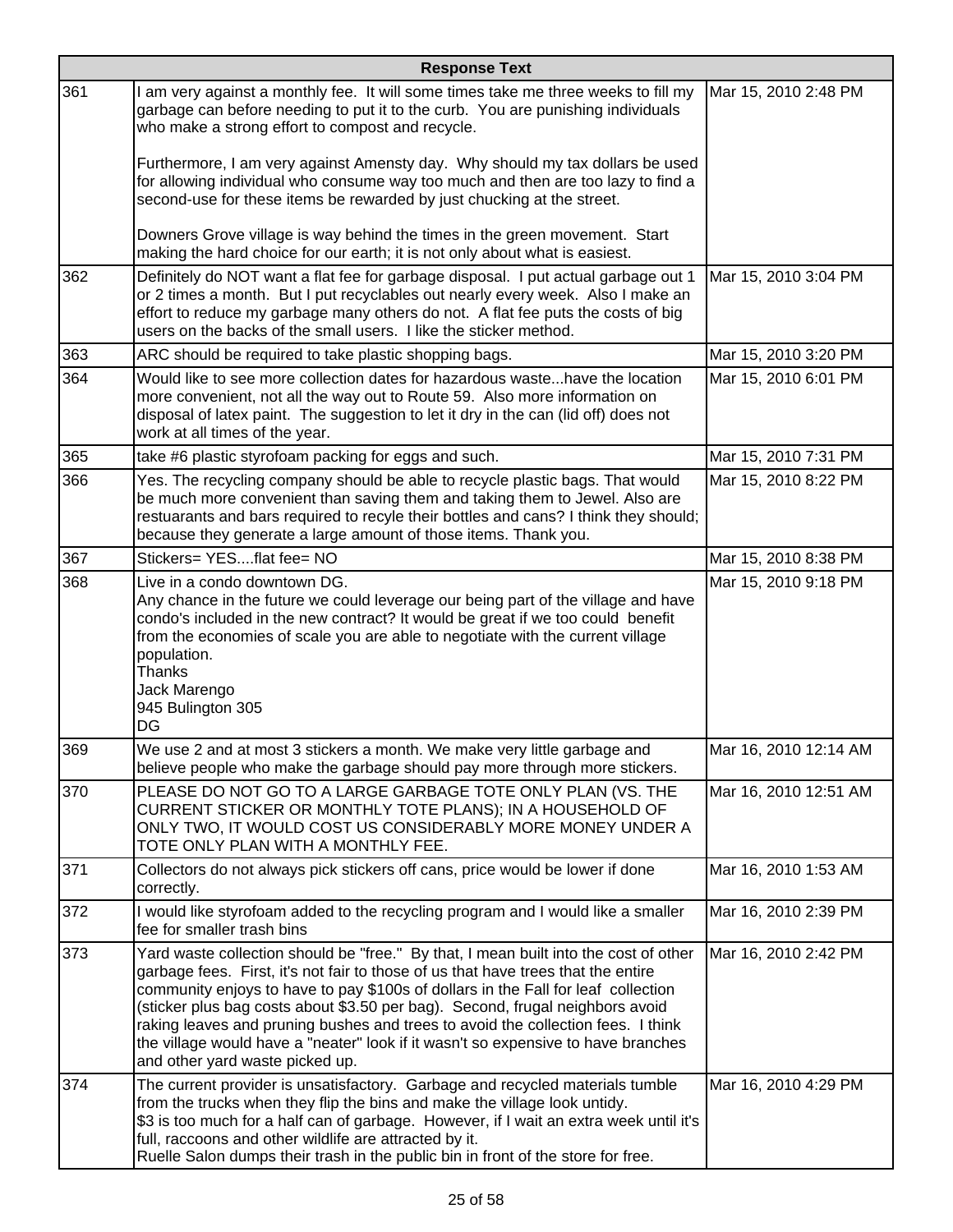|     | <b>Response Text</b>                                                                                                                                                                                                                                                                                                                                                                                                                                                                                                                                        |                       |  |
|-----|-------------------------------------------------------------------------------------------------------------------------------------------------------------------------------------------------------------------------------------------------------------------------------------------------------------------------------------------------------------------------------------------------------------------------------------------------------------------------------------------------------------------------------------------------------------|-----------------------|--|
| 361 | I am very against a monthly fee. It will some times take me three weeks to fill my<br>garbage can before needing to put it to the curb. You are punishing individuals<br>who make a strong effort to compost and recycle.                                                                                                                                                                                                                                                                                                                                   | Mar 15, 2010 2:48 PM  |  |
|     | Furthermore, I am very against Amensty day. Why should my tax dollars be used<br>for allowing individual who consume way too much and then are too lazy to find a<br>second-use for these items be rewarded by just chucking at the street.                                                                                                                                                                                                                                                                                                                 |                       |  |
|     | Downers Grove village is way behind the times in the green movement. Start<br>making the hard choice for our earth; it is not only about what is easiest.                                                                                                                                                                                                                                                                                                                                                                                                   |                       |  |
| 362 | Definitely do NOT want a flat fee for garbage disposal. I put actual garbage out 1<br>or 2 times a month. But I put recyclables out nearly every week. Also I make an<br>effort to reduce my garbage many others do not. A flat fee puts the costs of big<br>users on the backs of the small users. I like the sticker method.                                                                                                                                                                                                                              | Mar 15, 2010 3:04 PM  |  |
| 363 | ARC should be required to take plastic shopping bags.                                                                                                                                                                                                                                                                                                                                                                                                                                                                                                       | Mar 15, 2010 3:20 PM  |  |
| 364 | Would like to see more collection dates for hazardous wastehave the location<br>more convenient, not all the way out to Route 59. Also more information on<br>disposal of latex paint. The suggestion to let it dry in the can (lid off) does not<br>work at all times of the year.                                                                                                                                                                                                                                                                         | Mar 15, 2010 6:01 PM  |  |
| 365 | take #6 plastic styrofoam packing for eggs and such.                                                                                                                                                                                                                                                                                                                                                                                                                                                                                                        | Mar 15, 2010 7:31 PM  |  |
| 366 | Yes. The recycling company should be able to recycle plastic bags. That would<br>be much more convenient than saving them and taking them to Jewel. Also are<br>restuarants and bars required to recyle their bottles and cans? I think they should;<br>because they generate a large amount of those items. Thank you.                                                                                                                                                                                                                                     | Mar 15, 2010 8:22 PM  |  |
| 367 | Stickers= YESflat fee= NO                                                                                                                                                                                                                                                                                                                                                                                                                                                                                                                                   | Mar 15, 2010 8:38 PM  |  |
| 368 | Live in a condo downtown DG.<br>Any chance in the future we could leverage our being part of the village and have<br>condo's included in the new contract? It would be great if we too could benefit<br>from the economies of scale you are able to negotiate with the current village<br>population.<br>Thanks<br>Jack Marengo<br>945 Bulington 305<br>DG                                                                                                                                                                                                  | Mar 15, 2010 9:18 PM  |  |
| 369 | We use 2 and at most 3 stickers a month. We make very little garbage and<br>believe people who make the garbage should pay more through more stickers.                                                                                                                                                                                                                                                                                                                                                                                                      | Mar 16, 2010 12:14 AM |  |
| 370 | PLEASE DO NOT GO TO A LARGE GARBAGE TOTE ONLY PLAN (VS. THE<br>CURRENT STICKER OR MONTHLY TOTE PLANS); IN A HOUSEHOLD OF<br>ONLY TWO, IT WOULD COST US CONSIDERABLY MORE MONEY UNDER A<br>TOTE ONLY PLAN WITH A MONTHLY FEE.                                                                                                                                                                                                                                                                                                                                | Mar 16, 2010 12:51 AM |  |
| 371 | Collectors do not always pick stickers off cans, price would be lower if done<br>correctly.                                                                                                                                                                                                                                                                                                                                                                                                                                                                 | Mar 16, 2010 1:53 AM  |  |
| 372 | I would like styrofoam added to the recycling program and I would like a smaller<br>fee for smaller trash bins                                                                                                                                                                                                                                                                                                                                                                                                                                              | Mar 16, 2010 2:39 PM  |  |
| 373 | Yard waste collection should be "free." By that, I mean built into the cost of other<br>garbage fees. First, it's not fair to those of us that have trees that the entire<br>community enjoys to have to pay \$100s of dollars in the Fall for leaf collection<br>(sticker plus bag costs about \$3.50 per bag). Second, frugal neighbors avoid<br>raking leaves and pruning bushes and trees to avoid the collection fees. I think<br>the village would have a "neater" look if it wasn't so expensive to have branches<br>and other yard waste picked up. | Mar 16, 2010 2:42 PM  |  |
| 374 | The current provider is unsatisfactory. Garbage and recycled materials tumble<br>from the trucks when they flip the bins and make the village look untidy.<br>\$3 is too much for a half can of garbage. However, if I wait an extra week until it's<br>full, raccoons and other wildlife are attracted by it.<br>Ruelle Salon dumps their trash in the public bin in front of the store for free.                                                                                                                                                          | Mar 16, 2010 4:29 PM  |  |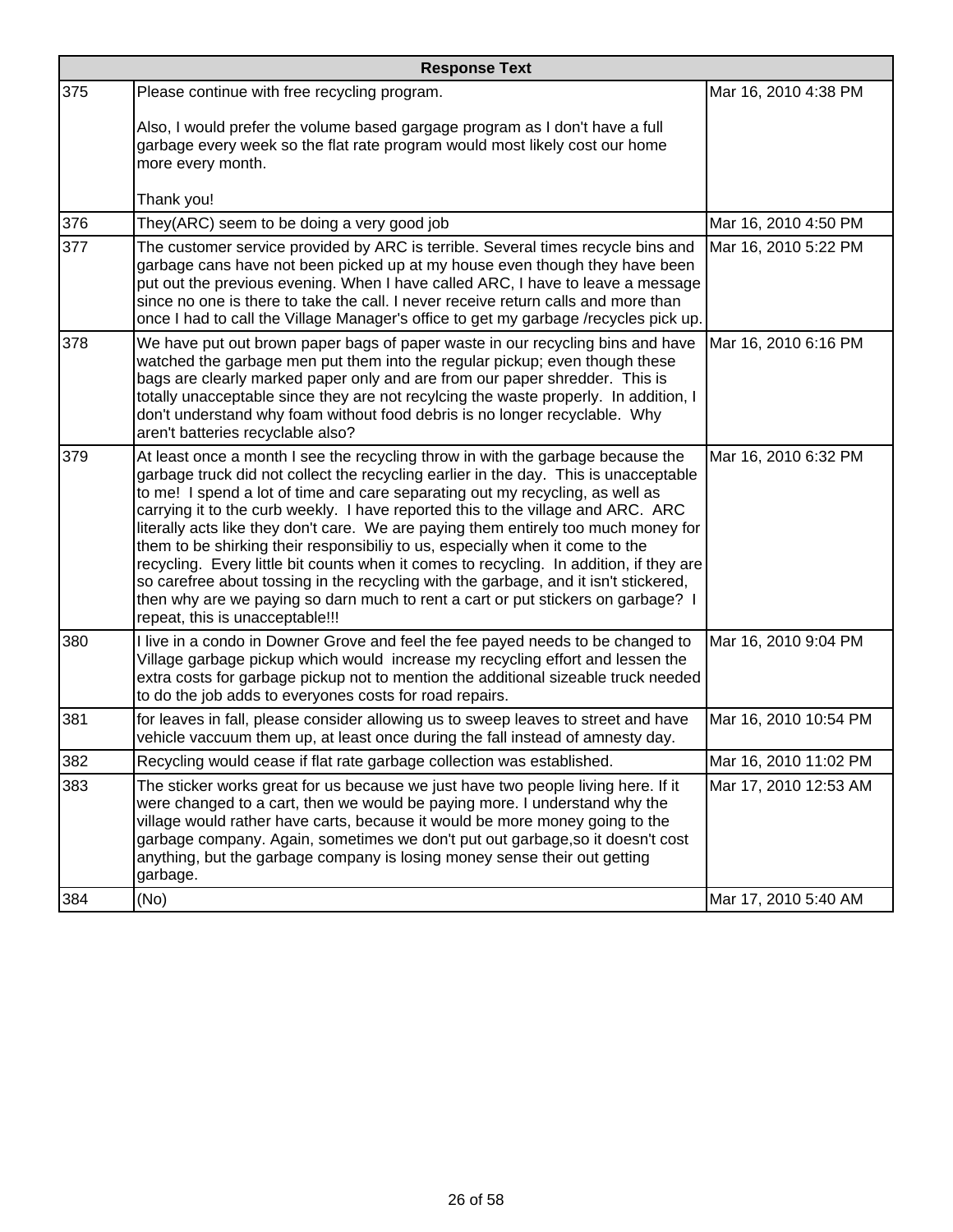|     | <b>Response Text</b>                                                                                                                                                                                                                                                                                                                                                                                                                                                                                                                                                                                                                                                                                                                                                                                                           |                       |  |
|-----|--------------------------------------------------------------------------------------------------------------------------------------------------------------------------------------------------------------------------------------------------------------------------------------------------------------------------------------------------------------------------------------------------------------------------------------------------------------------------------------------------------------------------------------------------------------------------------------------------------------------------------------------------------------------------------------------------------------------------------------------------------------------------------------------------------------------------------|-----------------------|--|
| 375 | Please continue with free recycling program.                                                                                                                                                                                                                                                                                                                                                                                                                                                                                                                                                                                                                                                                                                                                                                                   | Mar 16, 2010 4:38 PM  |  |
|     | Also, I would prefer the volume based gargage program as I don't have a full<br>garbage every week so the flat rate program would most likely cost our home<br>more every month.                                                                                                                                                                                                                                                                                                                                                                                                                                                                                                                                                                                                                                               |                       |  |
|     | Thank you!                                                                                                                                                                                                                                                                                                                                                                                                                                                                                                                                                                                                                                                                                                                                                                                                                     |                       |  |
| 376 | They(ARC) seem to be doing a very good job                                                                                                                                                                                                                                                                                                                                                                                                                                                                                                                                                                                                                                                                                                                                                                                     | Mar 16, 2010 4:50 PM  |  |
| 377 | The customer service provided by ARC is terrible. Several times recycle bins and<br>garbage cans have not been picked up at my house even though they have been<br>put out the previous evening. When I have called ARC, I have to leave a message<br>since no one is there to take the call. I never receive return calls and more than<br>once I had to call the Village Manager's office to get my garbage /recycles pick up.                                                                                                                                                                                                                                                                                                                                                                                               | Mar 16, 2010 5:22 PM  |  |
| 378 | We have put out brown paper bags of paper waste in our recycling bins and have<br>watched the garbage men put them into the regular pickup; even though these<br>bags are clearly marked paper only and are from our paper shredder. This is<br>totally unacceptable since they are not recylcing the waste properly. In addition, I<br>don't understand why foam without food debris is no longer recyclable. Why<br>aren't batteries recyclable also?                                                                                                                                                                                                                                                                                                                                                                        | Mar 16, 2010 6:16 PM  |  |
| 379 | At least once a month I see the recycling throw in with the garbage because the<br>garbage truck did not collect the recycling earlier in the day. This is unacceptable<br>to me! I spend a lot of time and care separating out my recycling, as well as<br>carrying it to the curb weekly. I have reported this to the village and ARC. ARC<br>literally acts like they don't care. We are paying them entirely too much money for<br>them to be shirking their responsibiliy to us, especially when it come to the<br>recycling. Every little bit counts when it comes to recycling. In addition, if they are<br>so carefree about tossing in the recycling with the garbage, and it isn't stickered,<br>then why are we paying so darn much to rent a cart or put stickers on garbage? I<br>repeat, this is unacceptable!!! | Mar 16, 2010 6:32 PM  |  |
| 380 | I live in a condo in Downer Grove and feel the fee payed needs to be changed to<br>Village garbage pickup which would increase my recycling effort and lessen the<br>extra costs for garbage pickup not to mention the additional sizeable truck needed<br>to do the job adds to everyones costs for road repairs.                                                                                                                                                                                                                                                                                                                                                                                                                                                                                                             | Mar 16, 2010 9:04 PM  |  |
| 381 | for leaves in fall, please consider allowing us to sweep leaves to street and have<br>vehicle vaccuum them up, at least once during the fall instead of amnesty day.                                                                                                                                                                                                                                                                                                                                                                                                                                                                                                                                                                                                                                                           | Mar 16, 2010 10:54 PM |  |
| 382 | Recycling would cease if flat rate garbage collection was established.                                                                                                                                                                                                                                                                                                                                                                                                                                                                                                                                                                                                                                                                                                                                                         | Mar 16, 2010 11:02 PM |  |
| 383 | The sticker works great for us because we just have two people living here. If it<br>were changed to a cart, then we would be paying more. I understand why the<br>village would rather have carts, because it would be more money going to the<br>garbage company. Again, sometimes we don't put out garbage, so it doesn't cost<br>anything, but the garbage company is losing money sense their out getting<br>garbage.                                                                                                                                                                                                                                                                                                                                                                                                     | Mar 17, 2010 12:53 AM |  |
| 384 | (No)                                                                                                                                                                                                                                                                                                                                                                                                                                                                                                                                                                                                                                                                                                                                                                                                                           | Mar 17, 2010 5:40 AM  |  |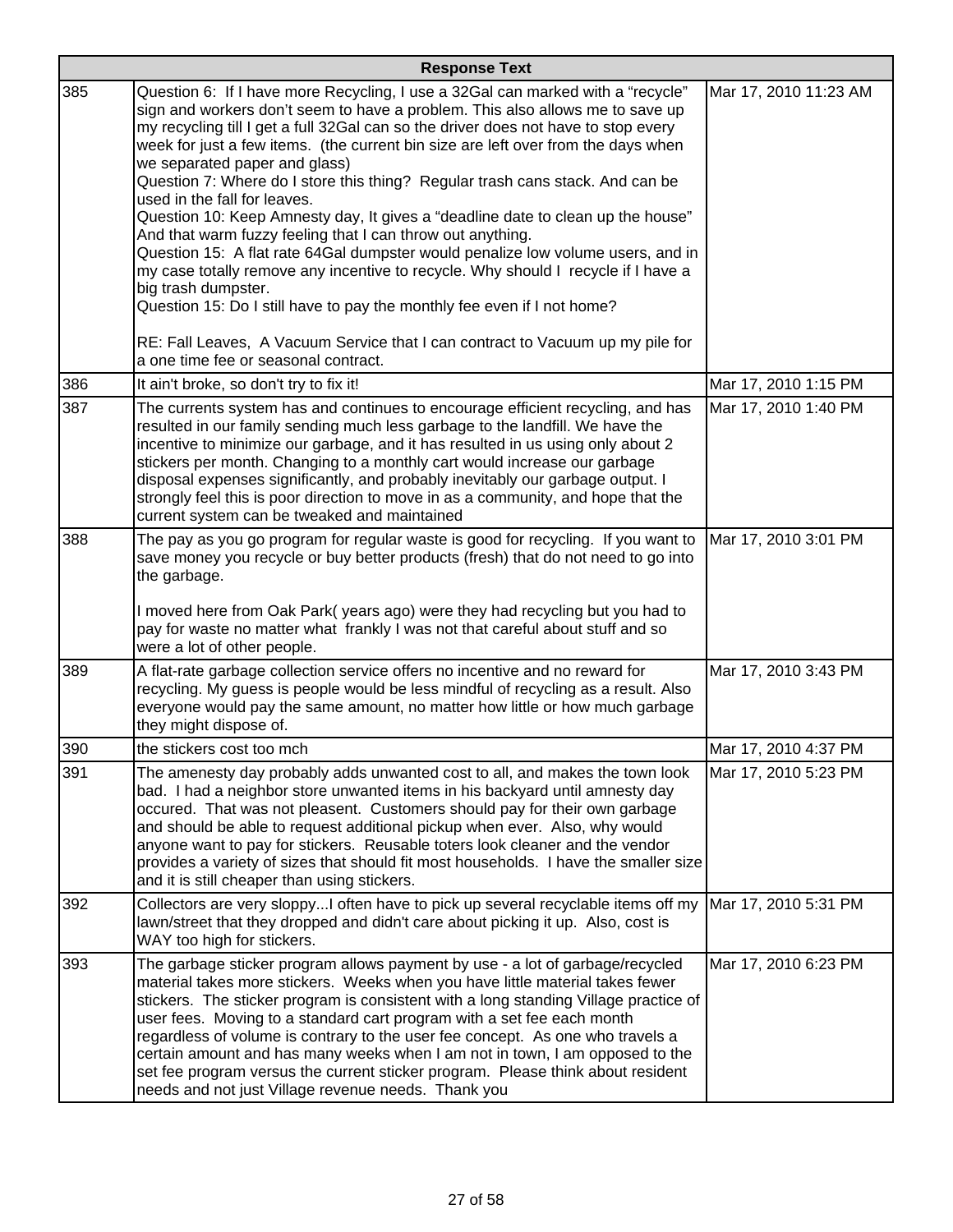|     | <b>Response Text</b>                                                                                                                                                                                                                                                                                                                                                                                                                                                                                                                                                                                                                                                                                                                                                                                                                                                                                                                                                                                                                               |                       |  |
|-----|----------------------------------------------------------------------------------------------------------------------------------------------------------------------------------------------------------------------------------------------------------------------------------------------------------------------------------------------------------------------------------------------------------------------------------------------------------------------------------------------------------------------------------------------------------------------------------------------------------------------------------------------------------------------------------------------------------------------------------------------------------------------------------------------------------------------------------------------------------------------------------------------------------------------------------------------------------------------------------------------------------------------------------------------------|-----------------------|--|
| 385 | Question 6: If I have more Recycling, I use a 32Gal can marked with a "recycle"<br>sign and workers don't seem to have a problem. This also allows me to save up<br>my recycling till I get a full 32Gal can so the driver does not have to stop every<br>week for just a few items. (the current bin size are left over from the days when<br>we separated paper and glass)<br>Question 7: Where do I store this thing? Regular trash cans stack. And can be<br>used in the fall for leaves.<br>Question 10: Keep Amnesty day, It gives a "deadline date to clean up the house"<br>And that warm fuzzy feeling that I can throw out anything.<br>Question 15: A flat rate 64Gal dumpster would penalize low volume users, and in<br>my case totally remove any incentive to recycle. Why should I recycle if I have a<br>big trash dumpster.<br>Question 15: Do I still have to pay the monthly fee even if I not home?<br>RE: Fall Leaves, A Vacuum Service that I can contract to Vacuum up my pile for<br>a one time fee or seasonal contract. | Mar 17, 2010 11:23 AM |  |
| 386 | It ain't broke, so don't try to fix it!                                                                                                                                                                                                                                                                                                                                                                                                                                                                                                                                                                                                                                                                                                                                                                                                                                                                                                                                                                                                            | Mar 17, 2010 1:15 PM  |  |
| 387 | The currents system has and continues to encourage efficient recycling, and has<br>resulted in our family sending much less garbage to the landfill. We have the<br>incentive to minimize our garbage, and it has resulted in us using only about 2<br>stickers per month. Changing to a monthly cart would increase our garbage<br>disposal expenses significantly, and probably inevitably our garbage output. I<br>strongly feel this is poor direction to move in as a community, and hope that the<br>current system can be tweaked and maintained                                                                                                                                                                                                                                                                                                                                                                                                                                                                                            | Mar 17, 2010 1:40 PM  |  |
| 388 | The pay as you go program for regular waste is good for recycling. If you want to<br>save money you recycle or buy better products (fresh) that do not need to go into<br>the garbage.<br>I moved here from Oak Park(years ago) were they had recycling but you had to<br>pay for waste no matter what frankly I was not that careful about stuff and so<br>were a lot of other people.                                                                                                                                                                                                                                                                                                                                                                                                                                                                                                                                                                                                                                                            | Mar 17, 2010 3:01 PM  |  |
| 389 | A flat-rate garbage collection service offers no incentive and no reward for<br>recycling. My guess is people would be less mindful of recycling as a result. Also<br>everyone would pay the same amount, no matter how little or how much garbage<br>they might dispose of.                                                                                                                                                                                                                                                                                                                                                                                                                                                                                                                                                                                                                                                                                                                                                                       | Mar 17, 2010 3:43 PM  |  |
| 390 | the stickers cost too mch                                                                                                                                                                                                                                                                                                                                                                                                                                                                                                                                                                                                                                                                                                                                                                                                                                                                                                                                                                                                                          | Mar 17, 2010 4:37 PM  |  |
| 391 | The amenesty day probably adds unwanted cost to all, and makes the town look<br>bad. I had a neighbor store unwanted items in his backyard until amnesty day<br>occured. That was not pleasent. Customers should pay for their own garbage<br>and should be able to request additional pickup when ever. Also, why would<br>anyone want to pay for stickers. Reusable toters look cleaner and the vendor<br>provides a variety of sizes that should fit most households. I have the smaller size<br>and it is still cheaper than using stickers.                                                                                                                                                                                                                                                                                                                                                                                                                                                                                                   | Mar 17, 2010 5:23 PM  |  |
| 392 | Collectors are very sloppy often have to pick up several recyclable items off my  Mar 17, 2010 5:31 PM<br>lawn/street that they dropped and didn't care about picking it up. Also, cost is<br>WAY too high for stickers.                                                                                                                                                                                                                                                                                                                                                                                                                                                                                                                                                                                                                                                                                                                                                                                                                           |                       |  |
| 393 | The garbage sticker program allows payment by use - a lot of garbage/recycled<br>material takes more stickers. Weeks when you have little material takes fewer<br>stickers. The sticker program is consistent with a long standing Village practice of<br>user fees. Moving to a standard cart program with a set fee each month<br>regardless of volume is contrary to the user fee concept. As one who travels a<br>certain amount and has many weeks when I am not in town, I am opposed to the<br>set fee program versus the current sticker program. Please think about resident<br>needs and not just Village revenue needs. Thank you                                                                                                                                                                                                                                                                                                                                                                                                       | Mar 17, 2010 6:23 PM  |  |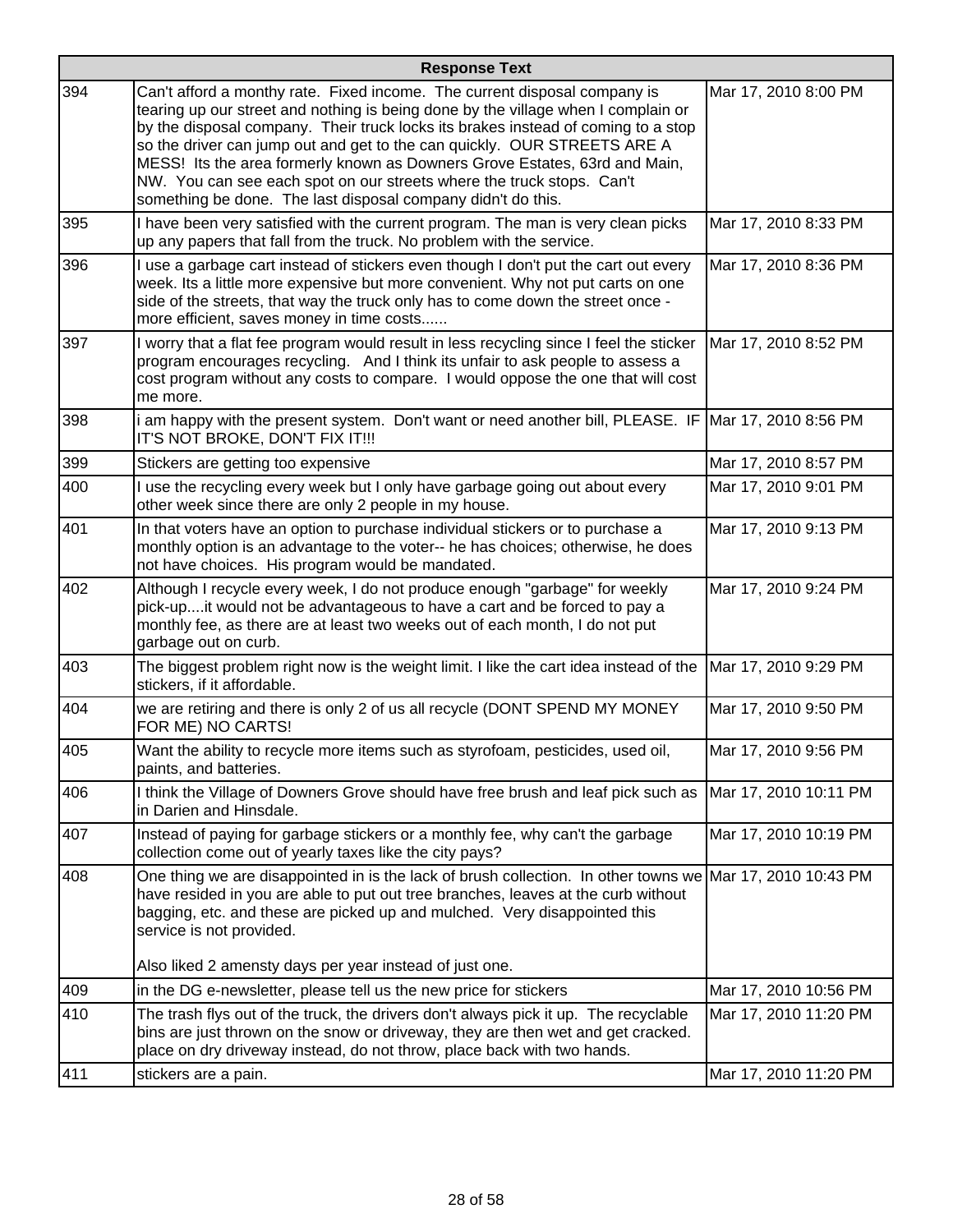|            | <b>Response Text</b>                                                                                                                                                                                                                                                                                                                                                                                                                                                                                                                                   |                       |  |
|------------|--------------------------------------------------------------------------------------------------------------------------------------------------------------------------------------------------------------------------------------------------------------------------------------------------------------------------------------------------------------------------------------------------------------------------------------------------------------------------------------------------------------------------------------------------------|-----------------------|--|
| 394        | Can't afford a monthy rate. Fixed income. The current disposal company is<br>tearing up our street and nothing is being done by the village when I complain or<br>by the disposal company. Their truck locks its brakes instead of coming to a stop<br>so the driver can jump out and get to the can quickly. OUR STREETS ARE A<br>MESS! Its the area formerly known as Downers Grove Estates, 63rd and Main,<br>NW. You can see each spot on our streets where the truck stops. Can't<br>something be done. The last disposal company didn't do this. | Mar 17, 2010 8:00 PM  |  |
| 395        | I have been very satisfied with the current program. The man is very clean picks<br>up any papers that fall from the truck. No problem with the service.                                                                                                                                                                                                                                                                                                                                                                                               | Mar 17, 2010 8:33 PM  |  |
| 396        | I use a garbage cart instead of stickers even though I don't put the cart out every<br>week. Its a little more expensive but more convenient. Why not put carts on one<br>side of the streets, that way the truck only has to come down the street once -<br>more efficient, saves money in time costs                                                                                                                                                                                                                                                 | Mar 17, 2010 8:36 PM  |  |
| 397        | I worry that a flat fee program would result in less recycling since I feel the sticker<br>program encourages recycling. And I think its unfair to ask people to assess a<br>cost program without any costs to compare. I would oppose the one that will cost<br>me more.                                                                                                                                                                                                                                                                              | Mar 17, 2010 8:52 PM  |  |
| 398        | i am happy with the present system. Don't want or need another bill, PLEASE. IF Mar 17, 2010 8:56 PM<br>IT'S NOT BROKE, DON'T FIX IT!!!                                                                                                                                                                                                                                                                                                                                                                                                                |                       |  |
| 399        | Stickers are getting too expensive                                                                                                                                                                                                                                                                                                                                                                                                                                                                                                                     | Mar 17, 2010 8:57 PM  |  |
| 400        | I use the recycling every week but I only have garbage going out about every<br>other week since there are only 2 people in my house.                                                                                                                                                                                                                                                                                                                                                                                                                  | Mar 17, 2010 9:01 PM  |  |
| 401        | In that voters have an option to purchase individual stickers or to purchase a<br>monthly option is an advantage to the voter-- he has choices; otherwise, he does<br>not have choices. His program would be mandated.                                                                                                                                                                                                                                                                                                                                 | Mar 17, 2010 9:13 PM  |  |
| 402        | Although I recycle every week, I do not produce enough "garbage" for weekly<br>pick-upit would not be advantageous to have a cart and be forced to pay a<br>monthly fee, as there are at least two weeks out of each month, I do not put<br>garbage out on curb.                                                                                                                                                                                                                                                                                       | Mar 17, 2010 9:24 PM  |  |
| 403        | The biggest problem right now is the weight limit. I like the cart idea instead of the Mar 17, 2010 9:29 PM<br>stickers, if it affordable.                                                                                                                                                                                                                                                                                                                                                                                                             |                       |  |
| 404        | we are retiring and there is only 2 of us all recycle (DONT SPEND MY MONEY<br>FOR ME) NO CARTS!                                                                                                                                                                                                                                                                                                                                                                                                                                                        | Mar 17, 2010 9:50 PM  |  |
| 405        | Want the ability to recycle more items such as styrofoam, pesticides, used oil,<br>paints, and batteries.                                                                                                                                                                                                                                                                                                                                                                                                                                              | Mar 17, 2010 9:56 PM  |  |
| 406        | I think the Village of Downers Grove should have free brush and leaf pick such as<br>in Darien and Hinsdale.                                                                                                                                                                                                                                                                                                                                                                                                                                           | Mar 17, 2010 10:11 PM |  |
| 407        | Instead of paying for garbage stickers or a monthly fee, why can't the garbage<br>collection come out of yearly taxes like the city pays?                                                                                                                                                                                                                                                                                                                                                                                                              | Mar 17, 2010 10:19 PM |  |
| 408        | One thing we are disappointed in is the lack of brush collection. In other towns we Mar 17, 2010 10:43 PM<br>have resided in you are able to put out tree branches, leaves at the curb without<br>bagging, etc. and these are picked up and mulched. Very disappointed this<br>service is not provided.                                                                                                                                                                                                                                                |                       |  |
|            | Also liked 2 amensty days per year instead of just one.                                                                                                                                                                                                                                                                                                                                                                                                                                                                                                |                       |  |
| 409<br>410 | in the DG e-newsletter, please tell us the new price for stickers                                                                                                                                                                                                                                                                                                                                                                                                                                                                                      | Mar 17, 2010 10:56 PM |  |
|            | The trash flys out of the truck, the drivers don't always pick it up. The recyclable<br>bins are just thrown on the snow or driveway, they are then wet and get cracked.<br>place on dry driveway instead, do not throw, place back with two hands.                                                                                                                                                                                                                                                                                                    | Mar 17, 2010 11:20 PM |  |
| 411        | stickers are a pain.                                                                                                                                                                                                                                                                                                                                                                                                                                                                                                                                   | Mar 17, 2010 11:20 PM |  |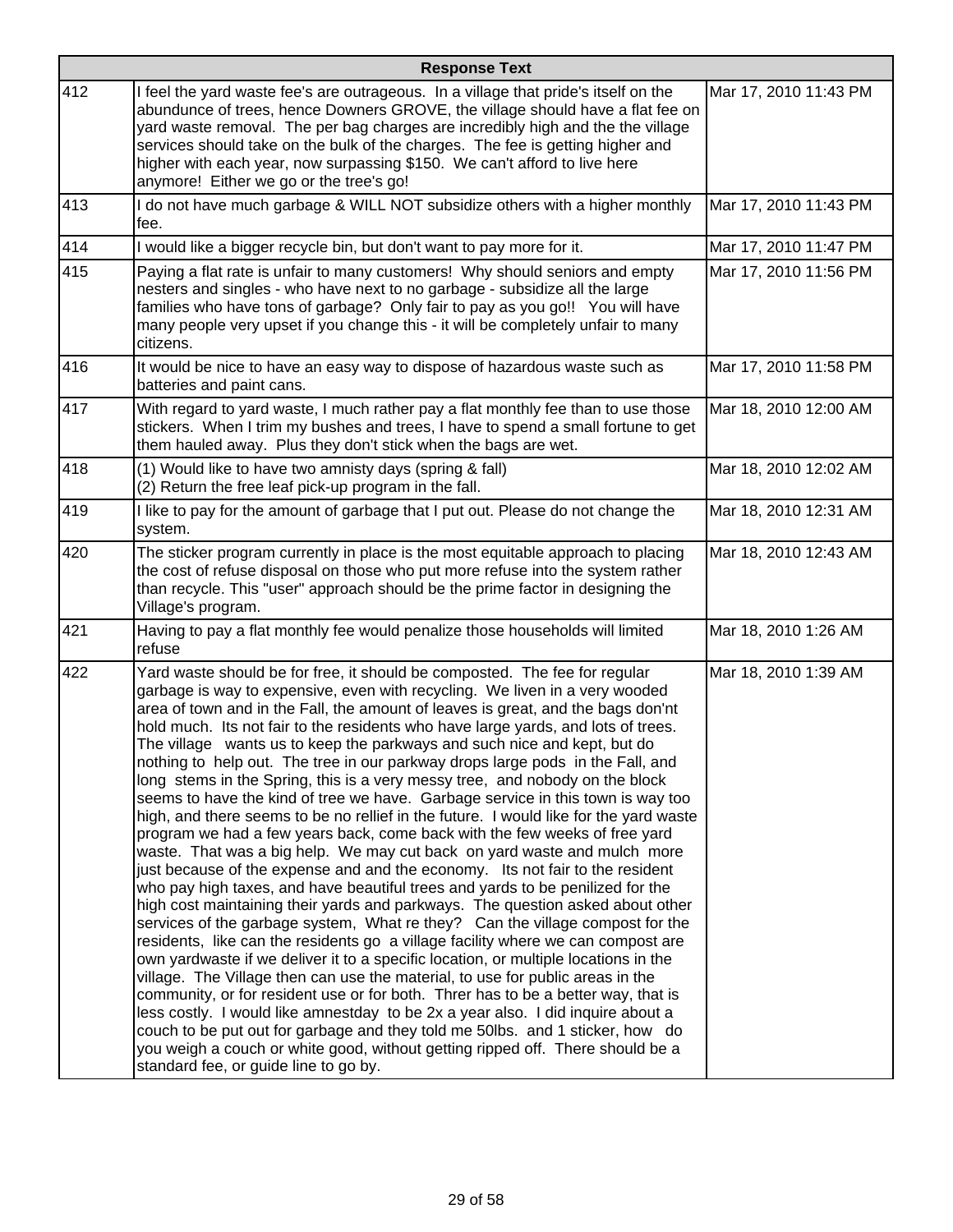|     | <b>Response Text</b>                                                                                                                                                                                                                                                                                                                                                                                                                                                                                                                                                                                                                                                                                                                                                                                                                                                                                                                                                                                                                                                                                                                                                                                                                                                                                                                                                                                                                                                                                                                                                                                                                                                                                                                                                                                                                                                                                          |                       |  |
|-----|---------------------------------------------------------------------------------------------------------------------------------------------------------------------------------------------------------------------------------------------------------------------------------------------------------------------------------------------------------------------------------------------------------------------------------------------------------------------------------------------------------------------------------------------------------------------------------------------------------------------------------------------------------------------------------------------------------------------------------------------------------------------------------------------------------------------------------------------------------------------------------------------------------------------------------------------------------------------------------------------------------------------------------------------------------------------------------------------------------------------------------------------------------------------------------------------------------------------------------------------------------------------------------------------------------------------------------------------------------------------------------------------------------------------------------------------------------------------------------------------------------------------------------------------------------------------------------------------------------------------------------------------------------------------------------------------------------------------------------------------------------------------------------------------------------------------------------------------------------------------------------------------------------------|-----------------------|--|
| 412 | I feel the yard waste fee's are outrageous. In a village that pride's itself on the<br>abundunce of trees, hence Downers GROVE, the village should have a flat fee on<br>yard waste removal. The per bag charges are incredibly high and the the village<br>services should take on the bulk of the charges. The fee is getting higher and<br>higher with each year, now surpassing \$150. We can't afford to live here<br>anymore! Either we go or the tree's go!                                                                                                                                                                                                                                                                                                                                                                                                                                                                                                                                                                                                                                                                                                                                                                                                                                                                                                                                                                                                                                                                                                                                                                                                                                                                                                                                                                                                                                            | Mar 17, 2010 11:43 PM |  |
| 413 | I do not have much garbage & WILL NOT subsidize others with a higher monthly<br>fee.                                                                                                                                                                                                                                                                                                                                                                                                                                                                                                                                                                                                                                                                                                                                                                                                                                                                                                                                                                                                                                                                                                                                                                                                                                                                                                                                                                                                                                                                                                                                                                                                                                                                                                                                                                                                                          | Mar 17, 2010 11:43 PM |  |
| 414 | I would like a bigger recycle bin, but don't want to pay more for it.                                                                                                                                                                                                                                                                                                                                                                                                                                                                                                                                                                                                                                                                                                                                                                                                                                                                                                                                                                                                                                                                                                                                                                                                                                                                                                                                                                                                                                                                                                                                                                                                                                                                                                                                                                                                                                         | Mar 17, 2010 11:47 PM |  |
| 415 | Paying a flat rate is unfair to many customers! Why should seniors and empty<br>nesters and singles - who have next to no garbage - subsidize all the large<br>families who have tons of garbage? Only fair to pay as you go!! You will have<br>many people very upset if you change this - it will be completely unfair to many<br>citizens.                                                                                                                                                                                                                                                                                                                                                                                                                                                                                                                                                                                                                                                                                                                                                                                                                                                                                                                                                                                                                                                                                                                                                                                                                                                                                                                                                                                                                                                                                                                                                                 | Mar 17, 2010 11:56 PM |  |
| 416 | It would be nice to have an easy way to dispose of hazardous waste such as<br>batteries and paint cans.                                                                                                                                                                                                                                                                                                                                                                                                                                                                                                                                                                                                                                                                                                                                                                                                                                                                                                                                                                                                                                                                                                                                                                                                                                                                                                                                                                                                                                                                                                                                                                                                                                                                                                                                                                                                       | Mar 17, 2010 11:58 PM |  |
| 417 | With regard to yard waste, I much rather pay a flat monthly fee than to use those<br>stickers. When I trim my bushes and trees, I have to spend a small fortune to get<br>them hauled away. Plus they don't stick when the bags are wet.                                                                                                                                                                                                                                                                                                                                                                                                                                                                                                                                                                                                                                                                                                                                                                                                                                                                                                                                                                                                                                                                                                                                                                                                                                                                                                                                                                                                                                                                                                                                                                                                                                                                      | Mar 18, 2010 12:00 AM |  |
| 418 | (1) Would like to have two amnisty days (spring & fall)<br>(2) Return the free leaf pick-up program in the fall.                                                                                                                                                                                                                                                                                                                                                                                                                                                                                                                                                                                                                                                                                                                                                                                                                                                                                                                                                                                                                                                                                                                                                                                                                                                                                                                                                                                                                                                                                                                                                                                                                                                                                                                                                                                              | Mar 18, 2010 12:02 AM |  |
| 419 | I like to pay for the amount of garbage that I put out. Please do not change the<br>system.                                                                                                                                                                                                                                                                                                                                                                                                                                                                                                                                                                                                                                                                                                                                                                                                                                                                                                                                                                                                                                                                                                                                                                                                                                                                                                                                                                                                                                                                                                                                                                                                                                                                                                                                                                                                                   | Mar 18, 2010 12:31 AM |  |
| 420 | The sticker program currently in place is the most equitable approach to placing<br>the cost of refuse disposal on those who put more refuse into the system rather<br>than recycle. This "user" approach should be the prime factor in designing the<br>Village's program.                                                                                                                                                                                                                                                                                                                                                                                                                                                                                                                                                                                                                                                                                                                                                                                                                                                                                                                                                                                                                                                                                                                                                                                                                                                                                                                                                                                                                                                                                                                                                                                                                                   | Mar 18, 2010 12:43 AM |  |
| 421 | Having to pay a flat monthly fee would penalize those households will limited<br>refuse                                                                                                                                                                                                                                                                                                                                                                                                                                                                                                                                                                                                                                                                                                                                                                                                                                                                                                                                                                                                                                                                                                                                                                                                                                                                                                                                                                                                                                                                                                                                                                                                                                                                                                                                                                                                                       | Mar 18, 2010 1:26 AM  |  |
| 422 | Yard waste should be for free, it should be composted. The fee for regular<br>garbage is way to expensive, even with recycling. We liven in a very wooded<br>area of town and in the Fall, the amount of leaves is great, and the bags don'nt<br>hold much. Its not fair to the residents who have large yards, and lots of trees.<br>The village wants us to keep the parkways and such nice and kept, but do<br>nothing to help out. The tree in our parkway drops large pods in the Fall, and<br>long stems in the Spring, this is a very messy tree, and nobody on the block<br>seems to have the kind of tree we have. Garbage service in this town is way too<br>high, and there seems to be no rellief in the future. I would like for the yard waste<br>program we had a few years back, come back with the few weeks of free yard<br>waste. That was a big help. We may cut back on yard waste and mulch more<br>just because of the expense and and the economy. Its not fair to the resident<br>who pay high taxes, and have beautiful trees and yards to be penilized for the<br>high cost maintaining their yards and parkways. The question asked about other<br>services of the garbage system, What re they? Can the village compost for the<br>residents, like can the residents go a village facility where we can compost are<br>own yardwaste if we deliver it to a specific location, or multiple locations in the<br>village. The Village then can use the material, to use for public areas in the<br>community, or for resident use or for both. Threr has to be a better way, that is<br>less costly. I would like amnestday to be 2x a year also. I did inquire about a<br>couch to be put out for garbage and they told me 50lbs. and 1 sticker, how do<br>you weigh a couch or white good, without getting ripped off. There should be a<br>standard fee, or guide line to go by. | Mar 18, 2010 1:39 AM  |  |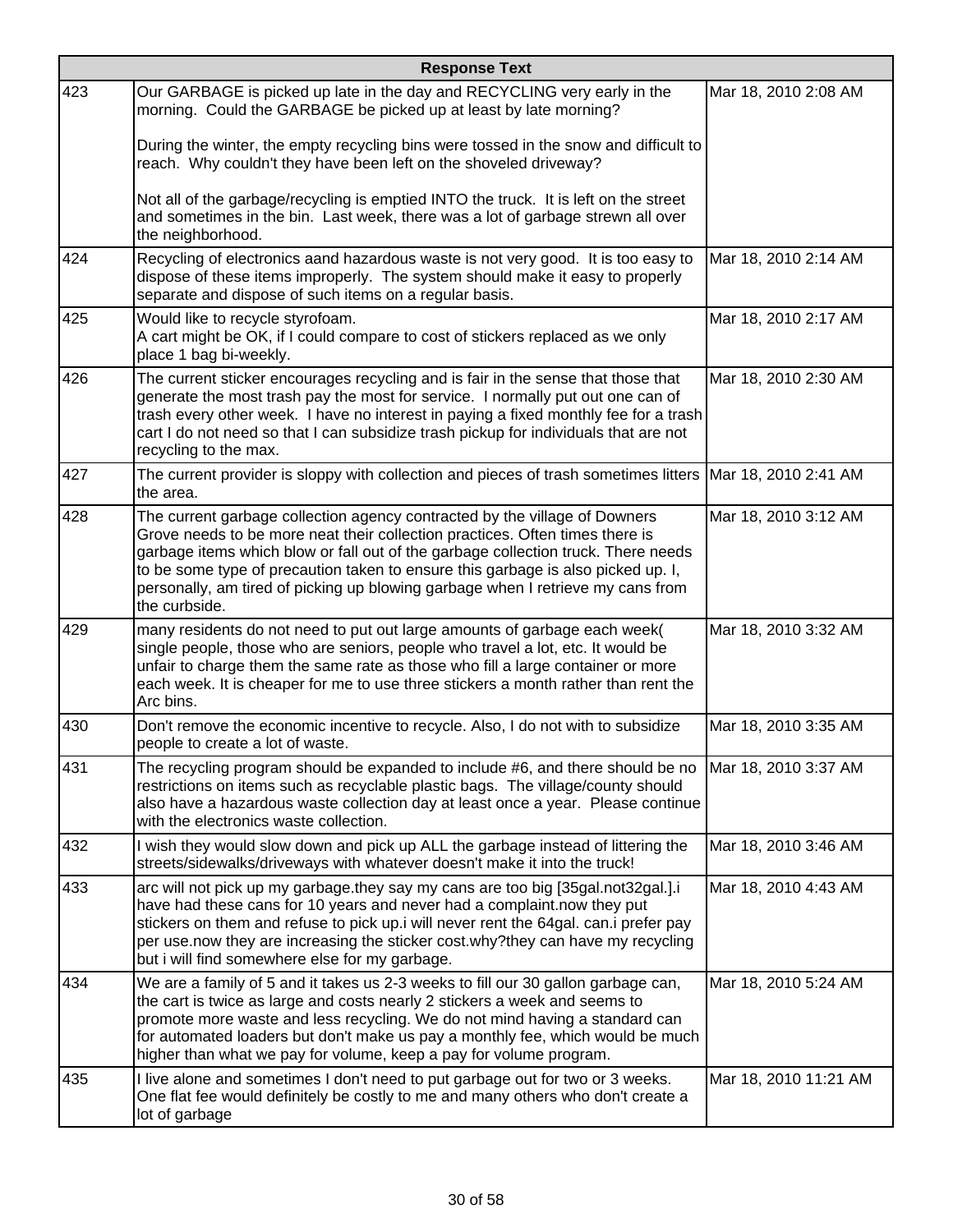|     | <b>Response Text</b>                                                                                                                                                                                                                                                                                                                                                                                                                    |                       |  |
|-----|-----------------------------------------------------------------------------------------------------------------------------------------------------------------------------------------------------------------------------------------------------------------------------------------------------------------------------------------------------------------------------------------------------------------------------------------|-----------------------|--|
| 423 | Our GARBAGE is picked up late in the day and RECYCLING very early in the<br>morning. Could the GARBAGE be picked up at least by late morning?                                                                                                                                                                                                                                                                                           | Mar 18, 2010 2:08 AM  |  |
|     | During the winter, the empty recycling bins were tossed in the snow and difficult to<br>reach. Why couldn't they have been left on the shoveled driveway?                                                                                                                                                                                                                                                                               |                       |  |
|     | Not all of the garbage/recycling is emptied INTO the truck. It is left on the street<br>and sometimes in the bin. Last week, there was a lot of garbage strewn all over<br>the neighborhood.                                                                                                                                                                                                                                            |                       |  |
| 424 | Recycling of electronics aand hazardous waste is not very good. It is too easy to<br>dispose of these items improperly. The system should make it easy to properly<br>separate and dispose of such items on a regular basis.                                                                                                                                                                                                            | Mar 18, 2010 2:14 AM  |  |
| 425 | Would like to recycle styrofoam.<br>A cart might be OK, if I could compare to cost of stickers replaced as we only<br>place 1 bag bi-weekly.                                                                                                                                                                                                                                                                                            | Mar 18, 2010 2:17 AM  |  |
| 426 | The current sticker encourages recycling and is fair in the sense that those that<br>generate the most trash pay the most for service. I normally put out one can of<br>trash every other week. I have no interest in paying a fixed monthly fee for a trash<br>cart I do not need so that I can subsidize trash pickup for individuals that are not<br>recycling to the max.                                                           | Mar 18, 2010 2:30 AM  |  |
| 427 | The current provider is sloppy with collection and pieces of trash sometimes litters   Mar 18, 2010 2:41 AM<br>the area.                                                                                                                                                                                                                                                                                                                |                       |  |
| 428 | The current garbage collection agency contracted by the village of Downers<br>Grove needs to be more neat their collection practices. Often times there is<br>garbage items which blow or fall out of the garbage collection truck. There needs<br>to be some type of precaution taken to ensure this garbage is also picked up. I,<br>personally, am tired of picking up blowing garbage when I retrieve my cans from<br>the curbside. | Mar 18, 2010 3:12 AM  |  |
| 429 | many residents do not need to put out large amounts of garbage each week(<br>single people, those who are seniors, people who travel a lot, etc. It would be<br>unfair to charge them the same rate as those who fill a large container or more<br>each week. It is cheaper for me to use three stickers a month rather than rent the<br>Arc bins.                                                                                      | Mar 18, 2010 3:32 AM  |  |
| 430 | Don't remove the economic incentive to recycle. Also, I do not with to subsidize<br>people to create a lot of waste.                                                                                                                                                                                                                                                                                                                    | Mar 18, 2010 3:35 AM  |  |
| 431 | The recycling program should be expanded to include #6, and there should be no<br>restrictions on items such as recyclable plastic bags. The village/county should<br>also have a hazardous waste collection day at least once a year. Please continue<br>with the electronics waste collection.                                                                                                                                        | Mar 18, 2010 3:37 AM  |  |
| 432 | I wish they would slow down and pick up ALL the garbage instead of littering the<br>streets/sidewalks/driveways with whatever doesn't make it into the truck!                                                                                                                                                                                                                                                                           | Mar 18, 2010 3:46 AM  |  |
| 433 | arc will not pick up my garbage.they say my cans are too big [35gal.not32gal.].i<br>have had these cans for 10 years and never had a complaint.now they put<br>stickers on them and refuse to pick up.i will never rent the 64gal. can.i prefer pay<br>per use.now they are increasing the sticker cost.why?they can have my recycling<br>but i will find somewhere else for my garbage.                                                | Mar 18, 2010 4:43 AM  |  |
| 434 | We are a family of 5 and it takes us 2-3 weeks to fill our 30 gallon garbage can,<br>the cart is twice as large and costs nearly 2 stickers a week and seems to<br>promote more waste and less recycling. We do not mind having a standard can<br>for automated loaders but don't make us pay a monthly fee, which would be much<br>higher than what we pay for volume, keep a pay for volume program.                                  | Mar 18, 2010 5:24 AM  |  |
| 435 | I live alone and sometimes I don't need to put garbage out for two or 3 weeks.<br>One flat fee would definitely be costly to me and many others who don't create a<br>lot of garbage                                                                                                                                                                                                                                                    | Mar 18, 2010 11:21 AM |  |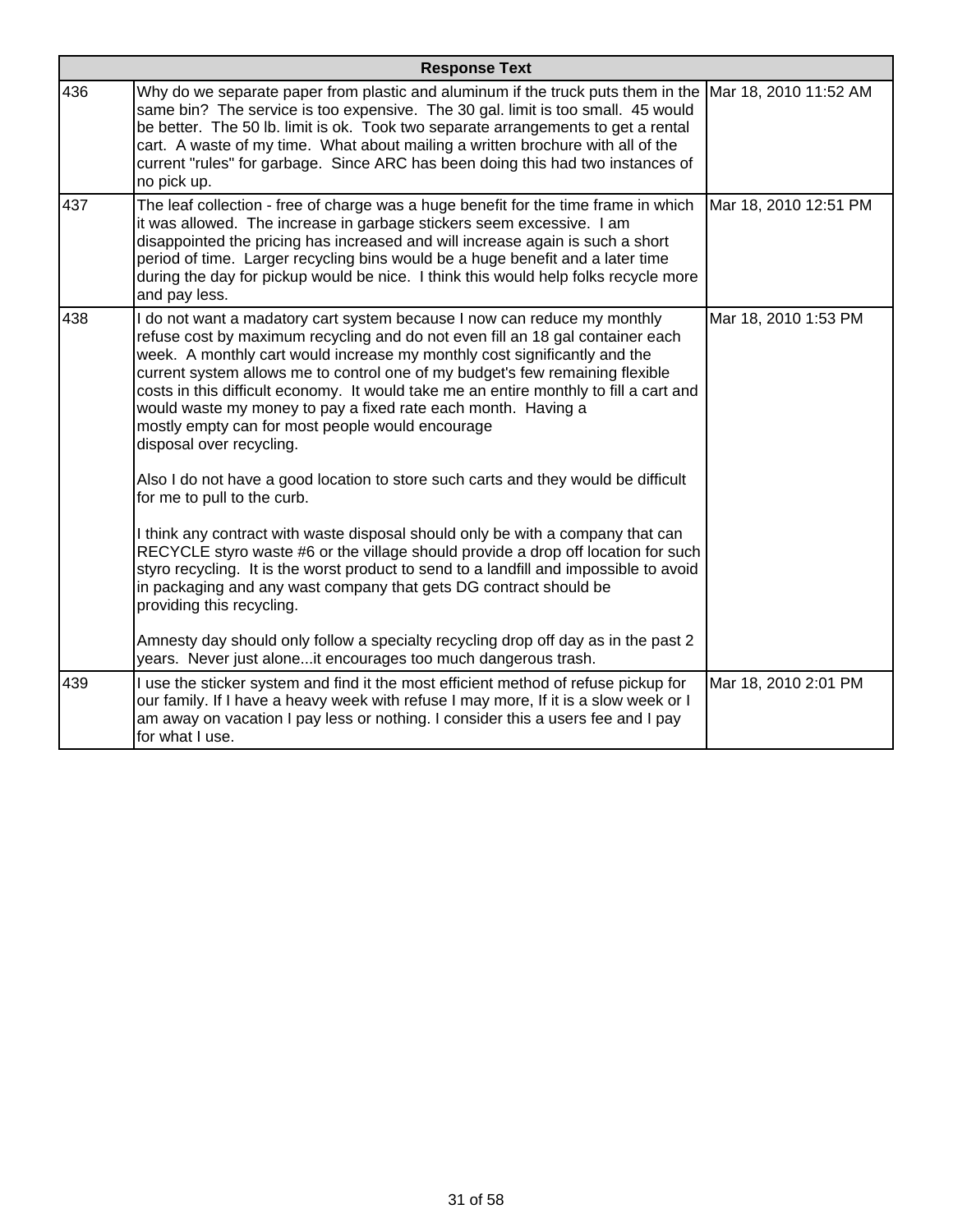| <b>Response Text</b> |                                                                                                                                                                                                                                                                                                                                                                                                                                                                                                                                                                     |                       |
|----------------------|---------------------------------------------------------------------------------------------------------------------------------------------------------------------------------------------------------------------------------------------------------------------------------------------------------------------------------------------------------------------------------------------------------------------------------------------------------------------------------------------------------------------------------------------------------------------|-----------------------|
| 436                  | Why do we separate paper from plastic and aluminum if the truck puts them in the<br>same bin? The service is too expensive. The 30 gal. limit is too small. 45 would<br>be better. The 50 lb. limit is ok. Took two separate arrangements to get a rental<br>cart. A waste of my time. What about mailing a written brochure with all of the<br>current "rules" for garbage. Since ARC has been doing this had two instances of<br>no pick up.                                                                                                                      | Mar 18, 2010 11:52 AM |
| 437                  | The leaf collection - free of charge was a huge benefit for the time frame in which<br>it was allowed. The increase in garbage stickers seem excessive. I am<br>disappointed the pricing has increased and will increase again is such a short<br>period of time. Larger recycling bins would be a huge benefit and a later time<br>during the day for pickup would be nice. I think this would help folks recycle more<br>and pay less.                                                                                                                            | Mar 18, 2010 12:51 PM |
| 438                  | I do not want a madatory cart system because I now can reduce my monthly<br>refuse cost by maximum recycling and do not even fill an 18 gal container each<br>week. A monthly cart would increase my monthly cost significantly and the<br>current system allows me to control one of my budget's few remaining flexible<br>costs in this difficult economy. It would take me an entire monthly to fill a cart and<br>would waste my money to pay a fixed rate each month. Having a<br>mostly empty can for most people would encourage<br>disposal over recycling. | Mar 18, 2010 1:53 PM  |
|                      | Also I do not have a good location to store such carts and they would be difficult<br>for me to pull to the curb.                                                                                                                                                                                                                                                                                                                                                                                                                                                   |                       |
|                      | I think any contract with waste disposal should only be with a company that can<br>RECYCLE styro waste #6 or the village should provide a drop off location for such<br>styro recycling. It is the worst product to send to a landfill and impossible to avoid<br>in packaging and any wast company that gets DG contract should be<br>providing this recycling.                                                                                                                                                                                                    |                       |
|                      | Amnesty day should only follow a specialty recycling drop off day as in the past 2<br>years. Never just alone it encourages too much dangerous trash.                                                                                                                                                                                                                                                                                                                                                                                                               |                       |
| 439                  | I use the sticker system and find it the most efficient method of refuse pickup for<br>our family. If I have a heavy week with refuse I may more, If it is a slow week or I<br>am away on vacation I pay less or nothing. I consider this a users fee and I pay<br>for what I use.                                                                                                                                                                                                                                                                                  | Mar 18, 2010 2:01 PM  |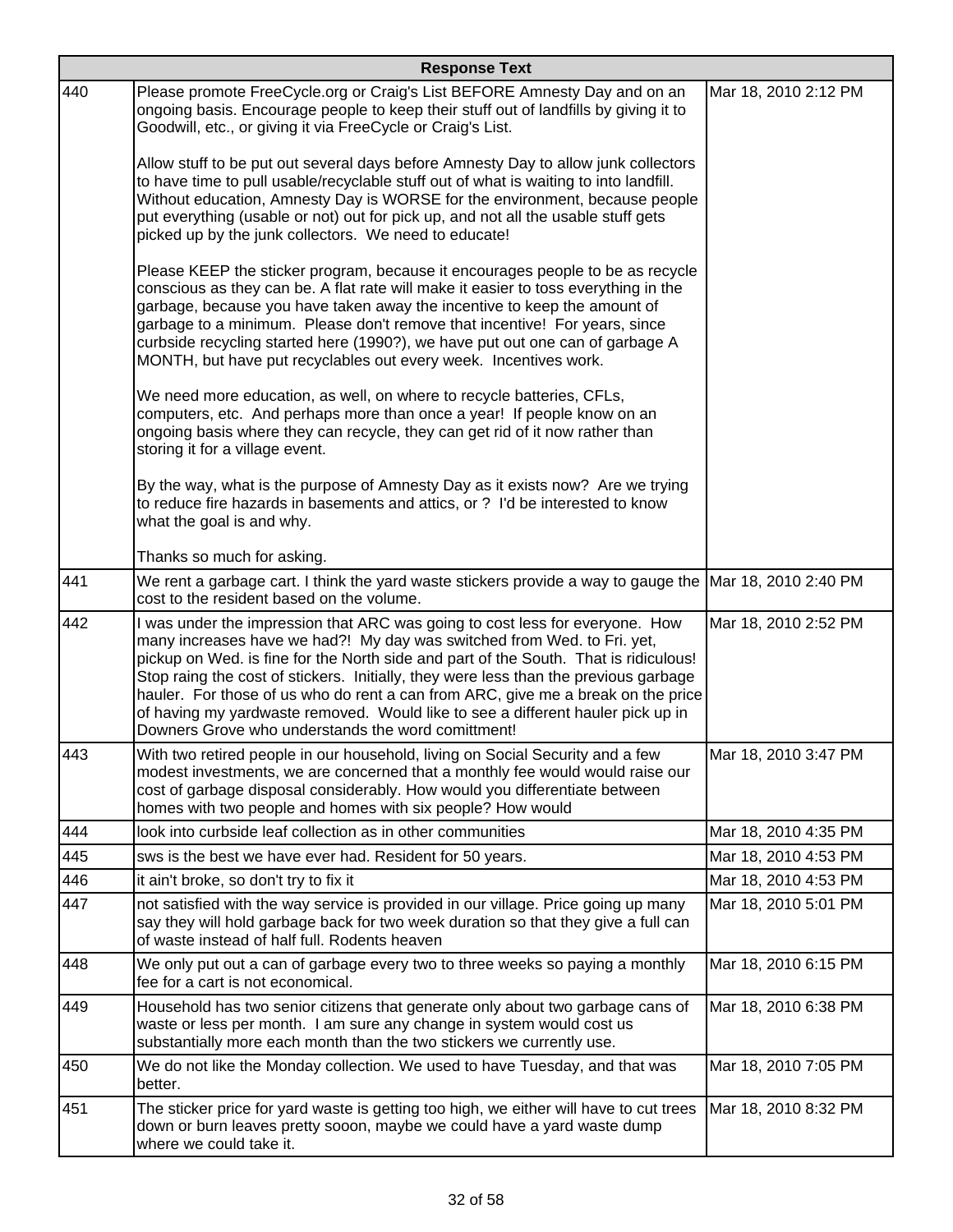|     | <b>Response Text</b>                                                                                                                                                                                                                                                                                                                                                                                                                                                                                                                                                 |                      |  |
|-----|----------------------------------------------------------------------------------------------------------------------------------------------------------------------------------------------------------------------------------------------------------------------------------------------------------------------------------------------------------------------------------------------------------------------------------------------------------------------------------------------------------------------------------------------------------------------|----------------------|--|
| 440 | Please promote FreeCycle.org or Craig's List BEFORE Amnesty Day and on an<br>ongoing basis. Encourage people to keep their stuff out of landfills by giving it to<br>Goodwill, etc., or giving it via FreeCycle or Craig's List.                                                                                                                                                                                                                                                                                                                                     | Mar 18, 2010 2:12 PM |  |
|     | Allow stuff to be put out several days before Amnesty Day to allow junk collectors<br>to have time to pull usable/recyclable stuff out of what is waiting to into landfill.<br>Without education, Amnesty Day is WORSE for the environment, because people<br>put everything (usable or not) out for pick up, and not all the usable stuff gets<br>picked up by the junk collectors. We need to educate!                                                                                                                                                             |                      |  |
|     | Please KEEP the sticker program, because it encourages people to be as recycle<br>conscious as they can be. A flat rate will make it easier to toss everything in the<br>garbage, because you have taken away the incentive to keep the amount of<br>garbage to a minimum. Please don't remove that incentive! For years, since<br>curbside recycling started here (1990?), we have put out one can of garbage A<br>MONTH, but have put recyclables out every week. Incentives work.                                                                                 |                      |  |
|     | We need more education, as well, on where to recycle batteries, CFLs,<br>computers, etc. And perhaps more than once a year! If people know on an<br>ongoing basis where they can recycle, they can get rid of it now rather than<br>storing it for a village event.                                                                                                                                                                                                                                                                                                  |                      |  |
|     | By the way, what is the purpose of Amnesty Day as it exists now? Are we trying<br>to reduce fire hazards in basements and attics, or ? I'd be interested to know<br>what the goal is and why.                                                                                                                                                                                                                                                                                                                                                                        |                      |  |
|     | Thanks so much for asking.                                                                                                                                                                                                                                                                                                                                                                                                                                                                                                                                           |                      |  |
| 441 | We rent a garbage cart. I think the yard waste stickers provide a way to gauge the Mar 18, 2010 2:40 PM<br>cost to the resident based on the volume.                                                                                                                                                                                                                                                                                                                                                                                                                 |                      |  |
| 442 | I was under the impression that ARC was going to cost less for everyone. How<br>many increases have we had?! My day was switched from Wed. to Fri. yet,<br>pickup on Wed. is fine for the North side and part of the South. That is ridiculous!<br>Stop raing the cost of stickers. Initially, they were less than the previous garbage<br>hauler. For those of us who do rent a can from ARC, give me a break on the price<br>of having my yardwaste removed. Would like to see a different hauler pick up in<br>Downers Grove who understands the word comittment! | Mar 18, 2010 2:52 PM |  |
| 443 | With two retired people in our household, living on Social Security and a few<br>modest investments, we are concerned that a monthly fee would would raise our<br>cost of garbage disposal considerably. How would you differentiate between<br>homes with two people and homes with six people? How would                                                                                                                                                                                                                                                           | Mar 18, 2010 3:47 PM |  |
| 444 | look into curbside leaf collection as in other communities                                                                                                                                                                                                                                                                                                                                                                                                                                                                                                           | Mar 18, 2010 4:35 PM |  |
| 445 | sws is the best we have ever had. Resident for 50 years.                                                                                                                                                                                                                                                                                                                                                                                                                                                                                                             | Mar 18, 2010 4:53 PM |  |
| 446 | it ain't broke, so don't try to fix it                                                                                                                                                                                                                                                                                                                                                                                                                                                                                                                               | Mar 18, 2010 4:53 PM |  |
| 447 | not satisfied with the way service is provided in our village. Price going up many<br>say they will hold garbage back for two week duration so that they give a full can<br>of waste instead of half full. Rodents heaven                                                                                                                                                                                                                                                                                                                                            | Mar 18, 2010 5:01 PM |  |
| 448 | We only put out a can of garbage every two to three weeks so paying a monthly<br>fee for a cart is not economical.                                                                                                                                                                                                                                                                                                                                                                                                                                                   | Mar 18, 2010 6:15 PM |  |
| 449 | Household has two senior citizens that generate only about two garbage cans of<br>waste or less per month. I am sure any change in system would cost us<br>substantially more each month than the two stickers we currently use.                                                                                                                                                                                                                                                                                                                                     | Mar 18, 2010 6:38 PM |  |
| 450 | We do not like the Monday collection. We used to have Tuesday, and that was<br>better.                                                                                                                                                                                                                                                                                                                                                                                                                                                                               | Mar 18, 2010 7:05 PM |  |
| 451 | The sticker price for yard waste is getting too high, we either will have to cut trees<br>down or burn leaves pretty sooon, maybe we could have a yard waste dump<br>where we could take it.                                                                                                                                                                                                                                                                                                                                                                         | Mar 18, 2010 8:32 PM |  |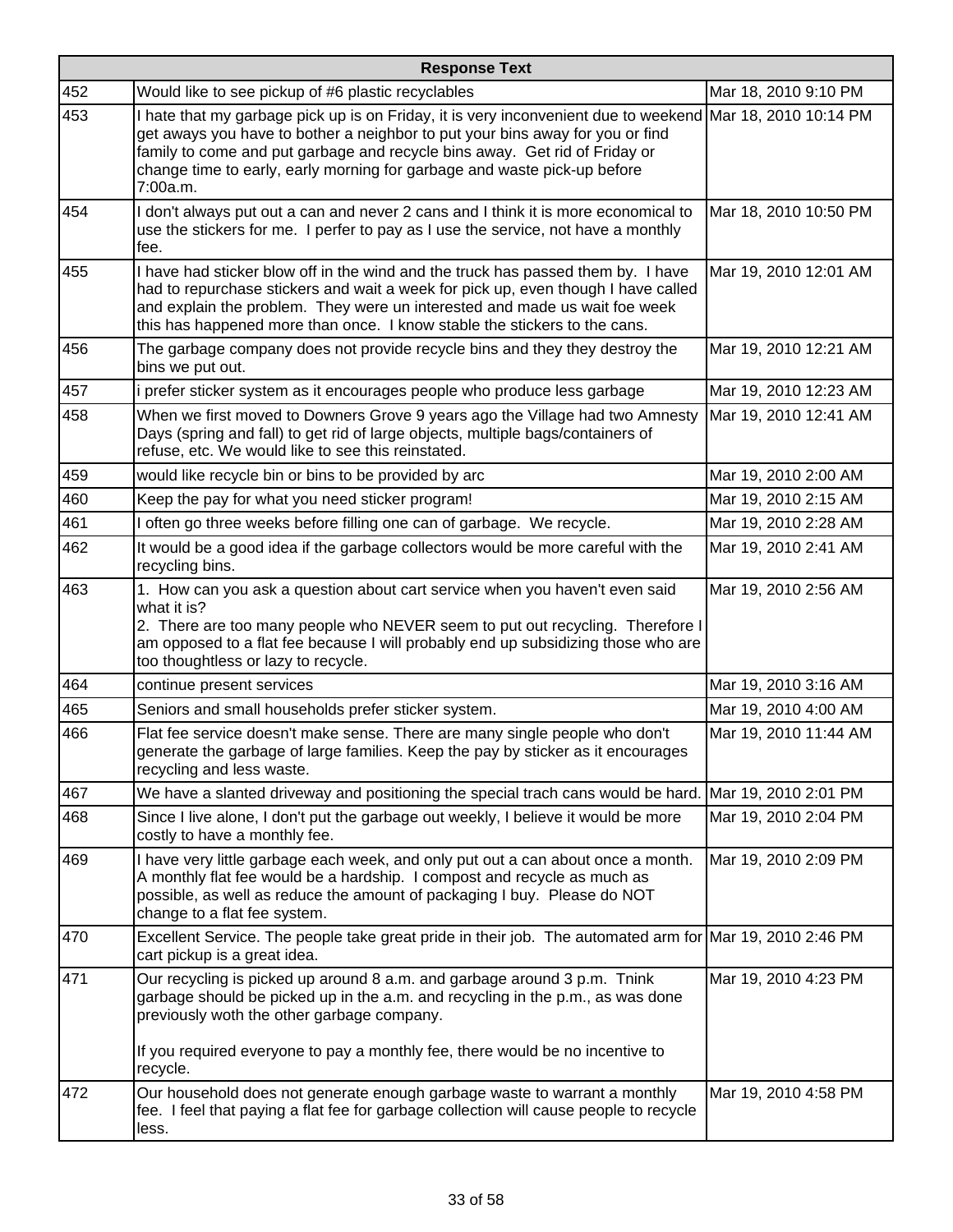|     | <b>Response Text</b>                                                                                                                                                                                                                                                                                                                                             |                       |  |
|-----|------------------------------------------------------------------------------------------------------------------------------------------------------------------------------------------------------------------------------------------------------------------------------------------------------------------------------------------------------------------|-----------------------|--|
| 452 | Would like to see pickup of #6 plastic recyclables                                                                                                                                                                                                                                                                                                               | Mar 18, 2010 9:10 PM  |  |
| 453 | I hate that my garbage pick up is on Friday, it is very inconvenient due to weekend Mar 18, 2010 10:14 PM<br>get aways you have to bother a neighbor to put your bins away for you or find<br>family to come and put garbage and recycle bins away. Get rid of Friday or<br>change time to early, early morning for garbage and waste pick-up before<br>7:00a.m. |                       |  |
| 454 | I don't always put out a can and never 2 cans and I think it is more economical to<br>use the stickers for me. I perfer to pay as I use the service, not have a monthly<br>fee.                                                                                                                                                                                  | Mar 18, 2010 10:50 PM |  |
| 455 | I have had sticker blow off in the wind and the truck has passed them by. I have<br>had to repurchase stickers and wait a week for pick up, even though I have called<br>and explain the problem. They were un interested and made us wait foe week<br>this has happened more than once. I know stable the stickers to the cans.                                 | Mar 19, 2010 12:01 AM |  |
| 456 | The garbage company does not provide recycle bins and they they destroy the<br>bins we put out.                                                                                                                                                                                                                                                                  | Mar 19, 2010 12:21 AM |  |
| 457 | i prefer sticker system as it encourages people who produce less garbage                                                                                                                                                                                                                                                                                         | Mar 19, 2010 12:23 AM |  |
| 458 | When we first moved to Downers Grove 9 years ago the Village had two Amnesty<br>Days (spring and fall) to get rid of large objects, multiple bags/containers of<br>refuse, etc. We would like to see this reinstated.                                                                                                                                            | Mar 19, 2010 12:41 AM |  |
| 459 | would like recycle bin or bins to be provided by arc                                                                                                                                                                                                                                                                                                             | Mar 19, 2010 2:00 AM  |  |
| 460 | Keep the pay for what you need sticker program!                                                                                                                                                                                                                                                                                                                  | Mar 19, 2010 2:15 AM  |  |
| 461 | I often go three weeks before filling one can of garbage. We recycle.                                                                                                                                                                                                                                                                                            | Mar 19, 2010 2:28 AM  |  |
| 462 | It would be a good idea if the garbage collectors would be more careful with the<br>recycling bins.                                                                                                                                                                                                                                                              | Mar 19, 2010 2:41 AM  |  |
| 463 | 1. How can you ask a question about cart service when you haven't even said<br>what it is?<br>2. There are too many people who NEVER seem to put out recycling. Therefore I<br>am opposed to a flat fee because I will probably end up subsidizing those who are<br>too thoughtless or lazy to recycle.                                                          | Mar 19, 2010 2:56 AM  |  |
| 464 | continue present services                                                                                                                                                                                                                                                                                                                                        | Mar 19, 2010 3:16 AM  |  |
| 465 | Seniors and small households prefer sticker system.                                                                                                                                                                                                                                                                                                              | Mar 19, 2010 4:00 AM  |  |
| 466 | Flat fee service doesn't make sense. There are many single people who don't<br>generate the garbage of large families. Keep the pay by sticker as it encourages<br>recycling and less waste.                                                                                                                                                                     | Mar 19, 2010 11:44 AM |  |
| 467 | We have a slanted driveway and positioning the special trach cans would be hard. Mar 19, 2010 2:01 PM                                                                                                                                                                                                                                                            |                       |  |
| 468 | Since I live alone, I don't put the garbage out weekly, I believe it would be more<br>costly to have a monthly fee.                                                                                                                                                                                                                                              | Mar 19, 2010 2:04 PM  |  |
| 469 | I have very little garbage each week, and only put out a can about once a month.<br>A monthly flat fee would be a hardship. I compost and recycle as much as<br>possible, as well as reduce the amount of packaging I buy. Please do NOT<br>change to a flat fee system.                                                                                         | Mar 19, 2010 2:09 PM  |  |
| 470 | Excellent Service. The people take great pride in their job. The automated arm for Mar 19, 2010 2:46 PM<br>cart pickup is a great idea.                                                                                                                                                                                                                          |                       |  |
| 471 | Our recycling is picked up around 8 a.m. and garbage around 3 p.m. Tnink<br>garbage should be picked up in the a.m. and recycling in the p.m., as was done<br>previously woth the other garbage company.<br>If you required everyone to pay a monthly fee, there would be no incentive to<br>recycle.                                                            | Mar 19, 2010 4:23 PM  |  |
| 472 | Our household does not generate enough garbage waste to warrant a monthly<br>fee. I feel that paying a flat fee for garbage collection will cause people to recycle<br>less.                                                                                                                                                                                     | Mar 19, 2010 4:58 PM  |  |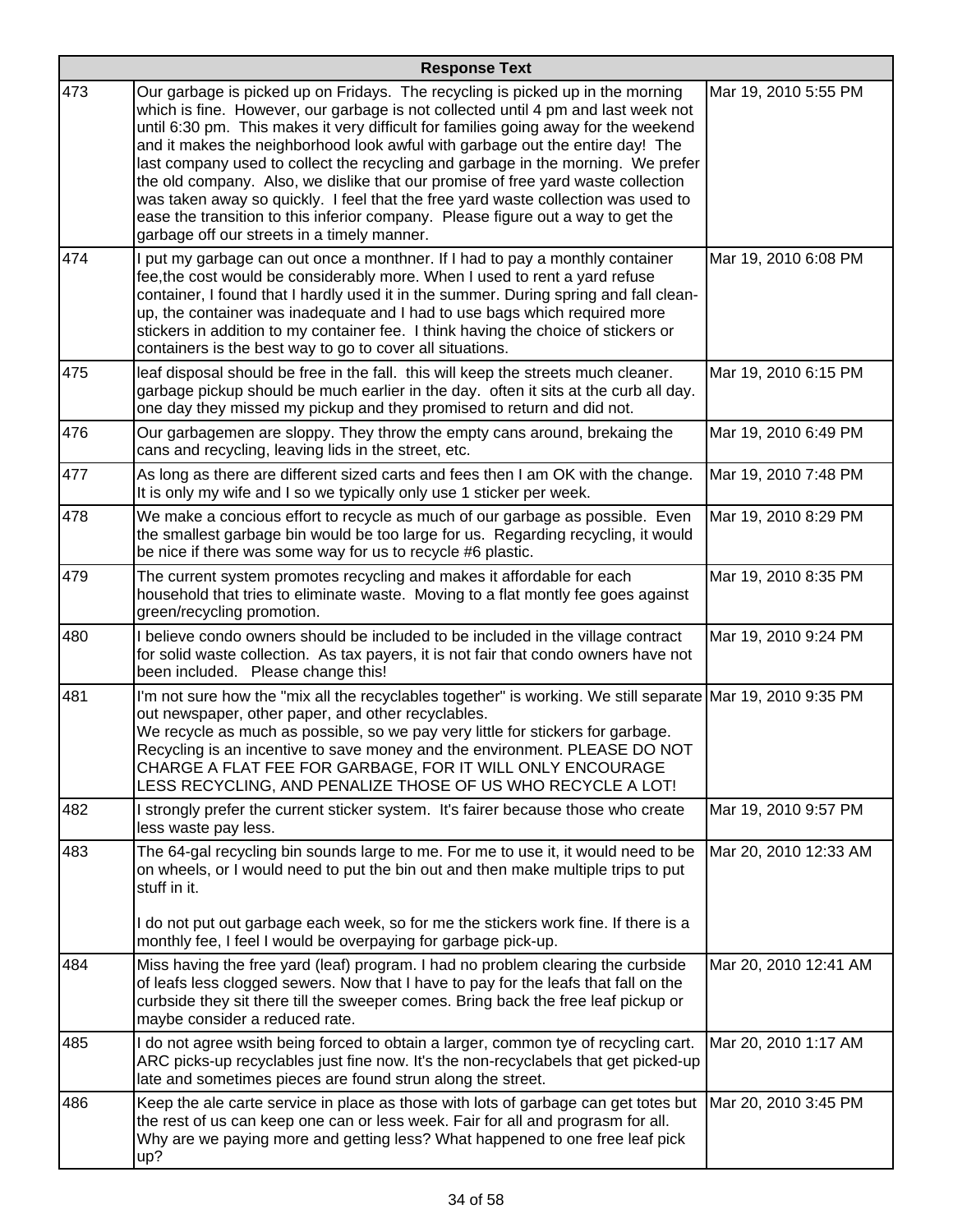|     | <b>Response Text</b>                                                                                                                                                                                                                                                                                                                                                                                                                                                                                                                                                                                                                                                                                                                        |                       |  |
|-----|---------------------------------------------------------------------------------------------------------------------------------------------------------------------------------------------------------------------------------------------------------------------------------------------------------------------------------------------------------------------------------------------------------------------------------------------------------------------------------------------------------------------------------------------------------------------------------------------------------------------------------------------------------------------------------------------------------------------------------------------|-----------------------|--|
| 473 | Our garbage is picked up on Fridays. The recycling is picked up in the morning<br>which is fine. However, our garbage is not collected until 4 pm and last week not<br>until 6:30 pm. This makes it very difficult for families going away for the weekend<br>and it makes the neighborhood look awful with garbage out the entire day! The<br>last company used to collect the recycling and garbage in the morning. We prefer<br>the old company. Also, we dislike that our promise of free yard waste collection<br>was taken away so quickly. I feel that the free yard waste collection was used to<br>ease the transition to this inferior company. Please figure out a way to get the<br>garbage off our streets in a timely manner. | Mar 19, 2010 5:55 PM  |  |
| 474 | I put my garbage can out once a monthner. If I had to pay a monthly container<br>fee, the cost would be considerably more. When I used to rent a yard refuse<br>container, I found that I hardly used it in the summer. During spring and fall clean-<br>up, the container was inadequate and I had to use bags which required more<br>stickers in addition to my container fee. I think having the choice of stickers or<br>containers is the best way to go to cover all situations.                                                                                                                                                                                                                                                      | Mar 19, 2010 6:08 PM  |  |
| 475 | leaf disposal should be free in the fall. this will keep the streets much cleaner.<br>garbage pickup should be much earlier in the day. often it sits at the curb all day.<br>one day they missed my pickup and they promised to return and did not.                                                                                                                                                                                                                                                                                                                                                                                                                                                                                        | Mar 19, 2010 6:15 PM  |  |
| 476 | Our garbagemen are sloppy. They throw the empty cans around, brekaing the<br>cans and recycling, leaving lids in the street, etc.                                                                                                                                                                                                                                                                                                                                                                                                                                                                                                                                                                                                           | Mar 19, 2010 6:49 PM  |  |
| 477 | As long as there are different sized carts and fees then I am OK with the change.<br>It is only my wife and I so we typically only use 1 sticker per week.                                                                                                                                                                                                                                                                                                                                                                                                                                                                                                                                                                                  | Mar 19, 2010 7:48 PM  |  |
| 478 | We make a concious effort to recycle as much of our garbage as possible. Even<br>the smallest garbage bin would be too large for us. Regarding recycling, it would<br>be nice if there was some way for us to recycle #6 plastic.                                                                                                                                                                                                                                                                                                                                                                                                                                                                                                           | Mar 19, 2010 8:29 PM  |  |
| 479 | The current system promotes recycling and makes it affordable for each<br>household that tries to eliminate waste. Moving to a flat montly fee goes against<br>green/recycling promotion.                                                                                                                                                                                                                                                                                                                                                                                                                                                                                                                                                   | Mar 19, 2010 8:35 PM  |  |
| 480 | I believe condo owners should be included to be included in the village contract<br>for solid waste collection. As tax payers, it is not fair that condo owners have not<br>been included. Please change this!                                                                                                                                                                                                                                                                                                                                                                                                                                                                                                                              | Mar 19, 2010 9:24 PM  |  |
| 481 | I'm not sure how the "mix all the recyclables together" is working. We still separate Mar 19, 2010 9:35 PM<br>out newspaper, other paper, and other recyclables.<br>We recycle as much as possible, so we pay very little for stickers for garbage.<br>Recycling is an incentive to save money and the environment. PLEASE DO NOT<br>CHARGE A FLAT FEE FOR GARBAGE, FOR IT WILL ONLY ENCOURAGE<br>LESS RECYCLING, AND PENALIZE THOSE OF US WHO RECYCLE A LOT!                                                                                                                                                                                                                                                                               |                       |  |
| 482 | I strongly prefer the current sticker system. It's fairer because those who create<br>less waste pay less.                                                                                                                                                                                                                                                                                                                                                                                                                                                                                                                                                                                                                                  | Mar 19, 2010 9:57 PM  |  |
| 483 | The 64-gal recycling bin sounds large to me. For me to use it, it would need to be<br>on wheels, or I would need to put the bin out and then make multiple trips to put<br>stuff in it.                                                                                                                                                                                                                                                                                                                                                                                                                                                                                                                                                     | Mar 20, 2010 12:33 AM |  |
|     | I do not put out garbage each week, so for me the stickers work fine. If there is a<br>monthly fee, I feel I would be overpaying for garbage pick-up.                                                                                                                                                                                                                                                                                                                                                                                                                                                                                                                                                                                       |                       |  |
| 484 | Miss having the free yard (leaf) program. I had no problem clearing the curbside<br>of leafs less clogged sewers. Now that I have to pay for the leafs that fall on the<br>curbside they sit there till the sweeper comes. Bring back the free leaf pickup or<br>maybe consider a reduced rate.                                                                                                                                                                                                                                                                                                                                                                                                                                             | Mar 20, 2010 12:41 AM |  |
| 485 | I do not agree wsith being forced to obtain a larger, common tye of recycling cart.<br>ARC picks-up recyclables just fine now. It's the non-recyclabels that get picked-up<br>late and sometimes pieces are found strun along the street.                                                                                                                                                                                                                                                                                                                                                                                                                                                                                                   | Mar 20, 2010 1:17 AM  |  |
| 486 | Keep the ale carte service in place as those with lots of garbage can get totes but<br>the rest of us can keep one can or less week. Fair for all and prograsm for all.<br>Why are we paying more and getting less? What happened to one free leaf pick<br>up?                                                                                                                                                                                                                                                                                                                                                                                                                                                                              | Mar 20, 2010 3:45 PM  |  |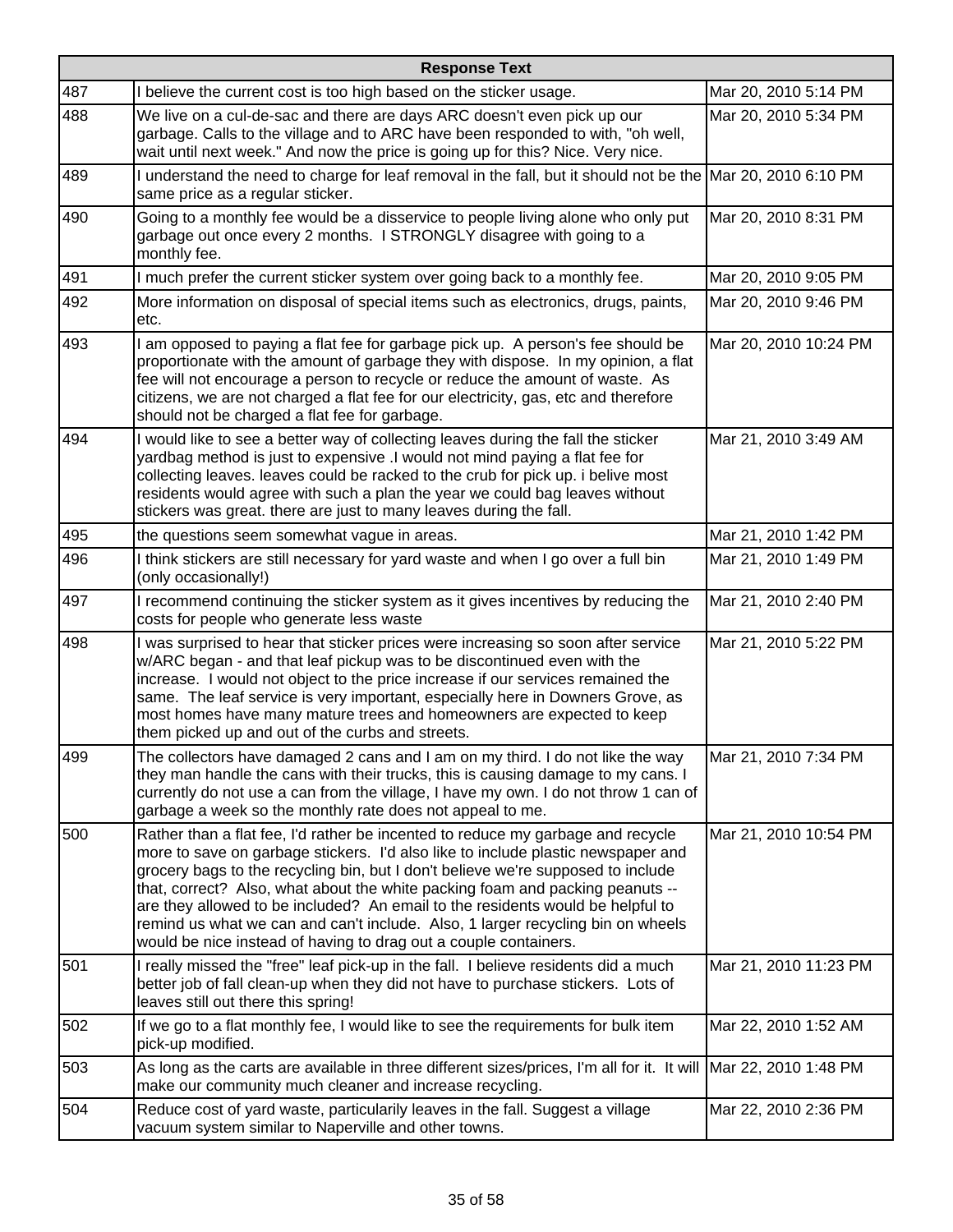|     | <b>Response Text</b>                                                                                                                                                                                                                                                                                                                                                                                                                                                                                                                                                              |                       |  |
|-----|-----------------------------------------------------------------------------------------------------------------------------------------------------------------------------------------------------------------------------------------------------------------------------------------------------------------------------------------------------------------------------------------------------------------------------------------------------------------------------------------------------------------------------------------------------------------------------------|-----------------------|--|
| 487 | I believe the current cost is too high based on the sticker usage.                                                                                                                                                                                                                                                                                                                                                                                                                                                                                                                | Mar 20, 2010 5:14 PM  |  |
| 488 | We live on a cul-de-sac and there are days ARC doesn't even pick up our<br>garbage. Calls to the village and to ARC have been responded to with, "oh well,<br>wait until next week." And now the price is going up for this? Nice. Very nice.                                                                                                                                                                                                                                                                                                                                     | Mar 20, 2010 5:34 PM  |  |
| 489 | I understand the need to charge for leaf removal in the fall, but it should not be the Mar 20, 2010 6:10 PM<br>same price as a regular sticker.                                                                                                                                                                                                                                                                                                                                                                                                                                   |                       |  |
| 490 | Going to a monthly fee would be a disservice to people living alone who only put<br>garbage out once every 2 months. I STRONGLY disagree with going to a<br>monthly fee.                                                                                                                                                                                                                                                                                                                                                                                                          | Mar 20, 2010 8:31 PM  |  |
| 491 | I much prefer the current sticker system over going back to a monthly fee.                                                                                                                                                                                                                                                                                                                                                                                                                                                                                                        | Mar 20, 2010 9:05 PM  |  |
| 492 | More information on disposal of special items such as electronics, drugs, paints,<br>etc.                                                                                                                                                                                                                                                                                                                                                                                                                                                                                         | Mar 20, 2010 9:46 PM  |  |
| 493 | I am opposed to paying a flat fee for garbage pick up. A person's fee should be<br>proportionate with the amount of garbage they with dispose. In my opinion, a flat<br>fee will not encourage a person to recycle or reduce the amount of waste. As<br>citizens, we are not charged a flat fee for our electricity, gas, etc and therefore<br>should not be charged a flat fee for garbage.                                                                                                                                                                                      | Mar 20, 2010 10:24 PM |  |
| 494 | I would like to see a better way of collecting leaves during the fall the sticker<br>yardbag method is just to expensive .I would not mind paying a flat fee for<br>collecting leaves. leaves could be racked to the crub for pick up. i belive most<br>residents would agree with such a plan the year we could bag leaves without<br>stickers was great. there are just to many leaves during the fall.                                                                                                                                                                         | Mar 21, 2010 3:49 AM  |  |
| 495 | the questions seem somewhat vague in areas.                                                                                                                                                                                                                                                                                                                                                                                                                                                                                                                                       | Mar 21, 2010 1:42 PM  |  |
| 496 | I think stickers are still necessary for yard waste and when I go over a full bin<br>(only occasionally!)                                                                                                                                                                                                                                                                                                                                                                                                                                                                         | Mar 21, 2010 1:49 PM  |  |
| 497 | I recommend continuing the sticker system as it gives incentives by reducing the<br>costs for people who generate less waste                                                                                                                                                                                                                                                                                                                                                                                                                                                      | Mar 21, 2010 2:40 PM  |  |
| 498 | I was surprised to hear that sticker prices were increasing so soon after service<br>w/ARC began - and that leaf pickup was to be discontinued even with the<br>increase. I would not object to the price increase if our services remained the<br>same. The leaf service is very important, especially here in Downers Grove, as<br>most homes have many mature trees and homeowners are expected to keep<br>them picked up and out of the curbs and streets.                                                                                                                    | Mar 21, 2010 5:22 PM  |  |
| 499 | The collectors have damaged 2 cans and I am on my third. I do not like the way<br>they man handle the cans with their trucks, this is causing damage to my cans. I<br>currently do not use a can from the village, I have my own. I do not throw 1 can of<br>garbage a week so the monthly rate does not appeal to me.                                                                                                                                                                                                                                                            | Mar 21, 2010 7:34 PM  |  |
| 500 | Rather than a flat fee, I'd rather be incented to reduce my garbage and recycle<br>more to save on garbage stickers. I'd also like to include plastic newspaper and<br>grocery bags to the recycling bin, but I don't believe we're supposed to include<br>that, correct? Also, what about the white packing foam and packing peanuts --<br>are they allowed to be included? An email to the residents would be helpful to<br>remind us what we can and can't include. Also, 1 larger recycling bin on wheels<br>would be nice instead of having to drag out a couple containers. | Mar 21, 2010 10:54 PM |  |
| 501 | I really missed the "free" leaf pick-up in the fall. I believe residents did a much<br>better job of fall clean-up when they did not have to purchase stickers. Lots of<br>leaves still out there this spring!                                                                                                                                                                                                                                                                                                                                                                    | Mar 21, 2010 11:23 PM |  |
| 502 | If we go to a flat monthly fee, I would like to see the requirements for bulk item<br>pick-up modified.                                                                                                                                                                                                                                                                                                                                                                                                                                                                           | Mar 22, 2010 1:52 AM  |  |
| 503 | As long as the carts are available in three different sizes/prices, I'm all for it. It will Mar 22, 2010 1:48 PM<br>make our community much cleaner and increase recycling.                                                                                                                                                                                                                                                                                                                                                                                                       |                       |  |
| 504 | Reduce cost of yard waste, particularily leaves in the fall. Suggest a village<br>vacuum system similar to Naperville and other towns.                                                                                                                                                                                                                                                                                                                                                                                                                                            | Mar 22, 2010 2:36 PM  |  |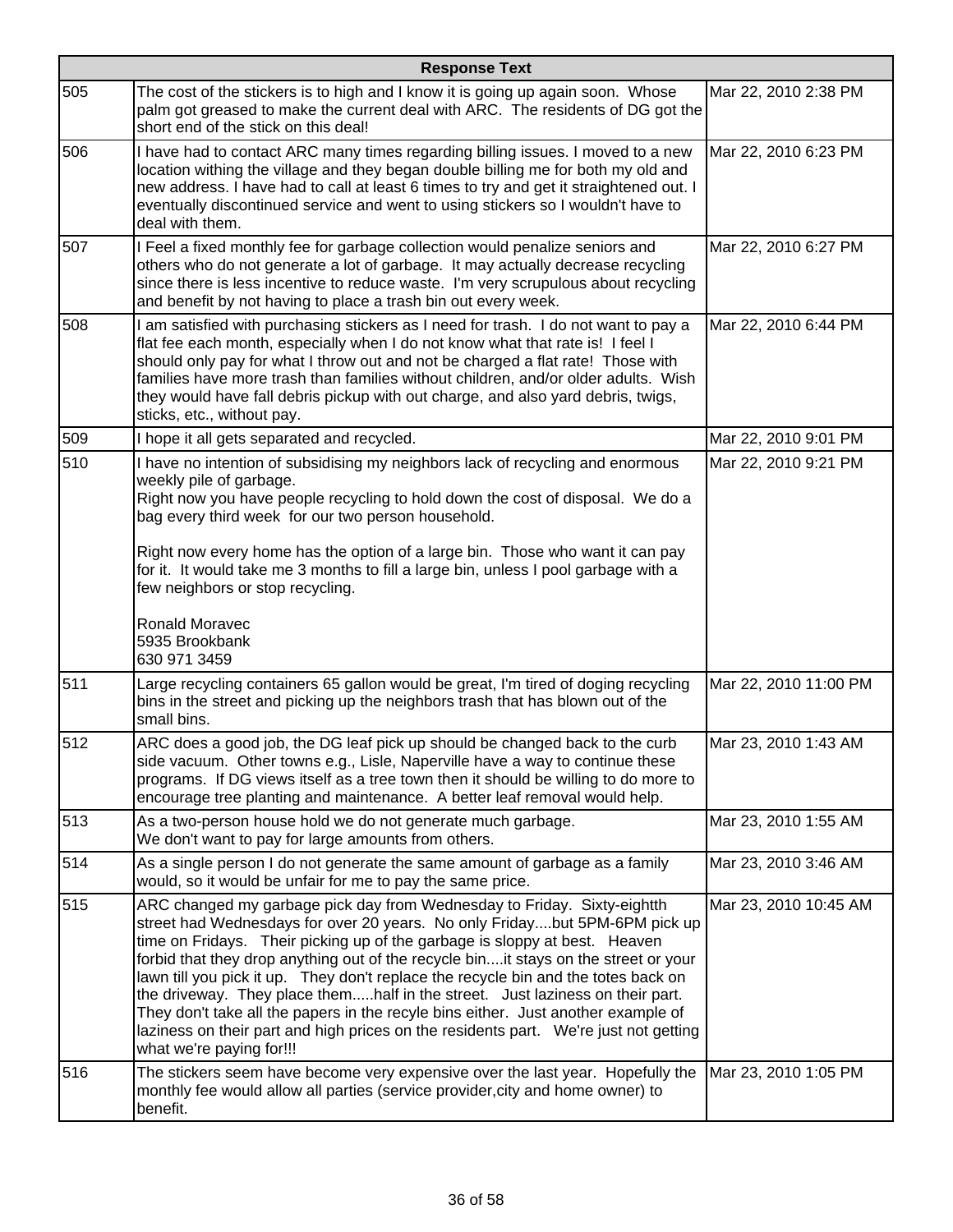|     | <b>Response Text</b>                                                                                                                                                                                                                                                                                                                                                                                                                                                                                                                                                                                                                                                                                       |                       |  |
|-----|------------------------------------------------------------------------------------------------------------------------------------------------------------------------------------------------------------------------------------------------------------------------------------------------------------------------------------------------------------------------------------------------------------------------------------------------------------------------------------------------------------------------------------------------------------------------------------------------------------------------------------------------------------------------------------------------------------|-----------------------|--|
| 505 | The cost of the stickers is to high and I know it is going up again soon. Whose<br>palm got greased to make the current deal with ARC. The residents of DG got the<br>short end of the stick on this deal!                                                                                                                                                                                                                                                                                                                                                                                                                                                                                                 | Mar 22, 2010 2:38 PM  |  |
| 506 | I have had to contact ARC many times regarding billing issues. I moved to a new<br>location withing the village and they began double billing me for both my old and<br>new address. I have had to call at least 6 times to try and get it straightened out. I<br>eventually discontinued service and went to using stickers so I wouldn't have to<br>deal with them.                                                                                                                                                                                                                                                                                                                                      | Mar 22, 2010 6:23 PM  |  |
| 507 | I Feel a fixed monthly fee for garbage collection would penalize seniors and<br>others who do not generate a lot of garbage. It may actually decrease recycling<br>since there is less incentive to reduce waste. I'm very scrupulous about recycling<br>and benefit by not having to place a trash bin out every week.                                                                                                                                                                                                                                                                                                                                                                                    | Mar 22, 2010 6:27 PM  |  |
| 508 | I am satisfied with purchasing stickers as I need for trash. I do not want to pay a<br>flat fee each month, especially when I do not know what that rate is! I feel I<br>should only pay for what I throw out and not be charged a flat rate! Those with<br>families have more trash than families without children, and/or older adults. Wish<br>they would have fall debris pickup with out charge, and also yard debris, twigs,<br>sticks, etc., without pay.                                                                                                                                                                                                                                           | Mar 22, 2010 6:44 PM  |  |
| 509 | I hope it all gets separated and recycled.                                                                                                                                                                                                                                                                                                                                                                                                                                                                                                                                                                                                                                                                 | Mar 22, 2010 9:01 PM  |  |
| 510 | I have no intention of subsidising my neighbors lack of recycling and enormous<br>weekly pile of garbage.<br>Right now you have people recycling to hold down the cost of disposal. We do a<br>bag every third week for our two person household.<br>Right now every home has the option of a large bin. Those who want it can pay<br>for it. It would take me 3 months to fill a large bin, unless I pool garbage with a<br>few neighbors or stop recycling.                                                                                                                                                                                                                                              | Mar 22, 2010 9:21 PM  |  |
|     | Ronald Moravec<br>5935 Brookbank<br>630 971 3459                                                                                                                                                                                                                                                                                                                                                                                                                                                                                                                                                                                                                                                           |                       |  |
| 511 | Large recycling containers 65 gallon would be great, I'm tired of doging recycling<br>bins in the street and picking up the neighbors trash that has blown out of the<br>small bins.                                                                                                                                                                                                                                                                                                                                                                                                                                                                                                                       | Mar 22, 2010 11:00 PM |  |
| 512 | ARC does a good job, the DG leaf pick up should be changed back to the curb<br>side vacuum. Other towns e.g., Lisle, Naperville have a way to continue these<br>programs. If DG views itself as a tree town then it should be willing to do more to<br>encourage tree planting and maintenance. A better leaf removal would help.                                                                                                                                                                                                                                                                                                                                                                          | Mar 23, 2010 1:43 AM  |  |
| 513 | As a two-person house hold we do not generate much garbage.<br>We don't want to pay for large amounts from others.                                                                                                                                                                                                                                                                                                                                                                                                                                                                                                                                                                                         | Mar 23, 2010 1:55 AM  |  |
| 514 | As a single person I do not generate the same amount of garbage as a family<br>would, so it would be unfair for me to pay the same price.                                                                                                                                                                                                                                                                                                                                                                                                                                                                                                                                                                  | Mar 23, 2010 3:46 AM  |  |
| 515 | ARC changed my garbage pick day from Wednesday to Friday. Sixty-eightth<br>street had Wednesdays for over 20 years. No only Fridaybut 5PM-6PM pick up<br>time on Fridays. Their picking up of the garbage is sloppy at best. Heaven<br>forbid that they drop anything out of the recycle binit stays on the street or your<br>lawn till you pick it up. They don't replace the recycle bin and the totes back on<br>the driveway. They place themhalf in the street. Just laziness on their part.<br>They don't take all the papers in the recyle bins either. Just another example of<br>laziness on their part and high prices on the residents part. We're just not getting<br>what we're paying for!!! | Mar 23, 2010 10:45 AM |  |
| 516 | The stickers seem have become very expensive over the last year. Hopefully the<br>monthly fee would allow all parties (service provider, city and home owner) to<br>benefit.                                                                                                                                                                                                                                                                                                                                                                                                                                                                                                                               | Mar 23, 2010 1:05 PM  |  |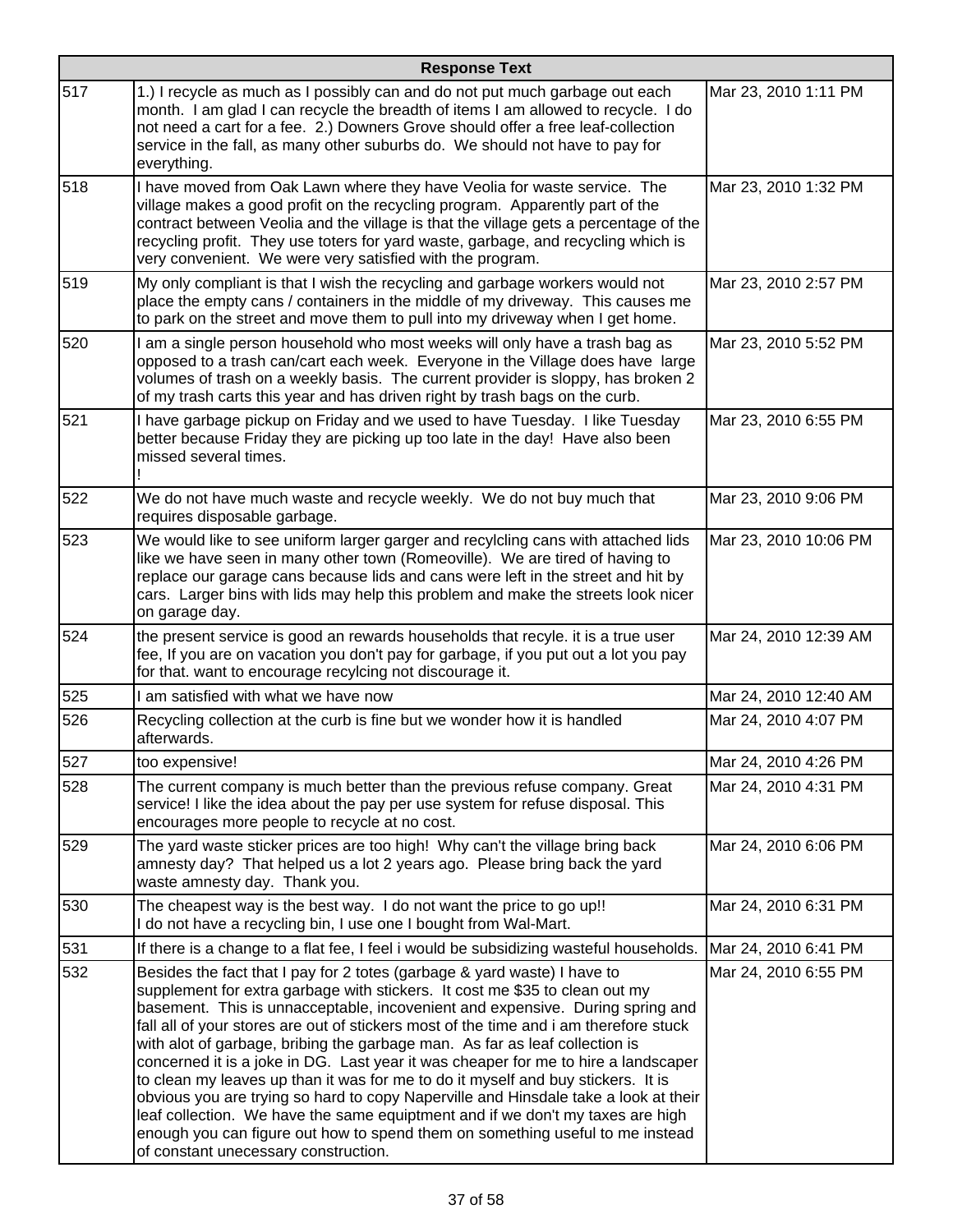|     | <b>Response Text</b>                                                                                                                                                                                                                                                                                                                                                                                                                                                                                                                                                                                                                                                                                                                                                                                                                                                                         |                       |  |
|-----|----------------------------------------------------------------------------------------------------------------------------------------------------------------------------------------------------------------------------------------------------------------------------------------------------------------------------------------------------------------------------------------------------------------------------------------------------------------------------------------------------------------------------------------------------------------------------------------------------------------------------------------------------------------------------------------------------------------------------------------------------------------------------------------------------------------------------------------------------------------------------------------------|-----------------------|--|
| 517 | 1.) I recycle as much as I possibly can and do not put much garbage out each<br>month. I am glad I can recycle the breadth of items I am allowed to recycle. I do<br>not need a cart for a fee. 2.) Downers Grove should offer a free leaf-collection<br>service in the fall, as many other suburbs do. We should not have to pay for<br>everything.                                                                                                                                                                                                                                                                                                                                                                                                                                                                                                                                         | Mar 23, 2010 1:11 PM  |  |
| 518 | I have moved from Oak Lawn where they have Veolia for waste service. The<br>village makes a good profit on the recycling program. Apparently part of the<br>contract between Veolia and the village is that the village gets a percentage of the<br>recycling profit. They use toters for yard waste, garbage, and recycling which is<br>very convenient. We were very satisfied with the program.                                                                                                                                                                                                                                                                                                                                                                                                                                                                                           | Mar 23, 2010 1:32 PM  |  |
| 519 | My only compliant is that I wish the recycling and garbage workers would not<br>place the empty cans / containers in the middle of my driveway. This causes me<br>to park on the street and move them to pull into my driveway when I get home.                                                                                                                                                                                                                                                                                                                                                                                                                                                                                                                                                                                                                                              | Mar 23, 2010 2:57 PM  |  |
| 520 | I am a single person household who most weeks will only have a trash bag as<br>opposed to a trash can/cart each week. Everyone in the Village does have large<br>volumes of trash on a weekly basis. The current provider is sloppy, has broken 2<br>of my trash carts this year and has driven right by trash bags on the curb.                                                                                                                                                                                                                                                                                                                                                                                                                                                                                                                                                             | Mar 23, 2010 5:52 PM  |  |
| 521 | I have garbage pickup on Friday and we used to have Tuesday. I like Tuesday<br>better because Friday they are picking up too late in the day! Have also been<br>missed several times.                                                                                                                                                                                                                                                                                                                                                                                                                                                                                                                                                                                                                                                                                                        | Mar 23, 2010 6:55 PM  |  |
| 522 | We do not have much waste and recycle weekly. We do not buy much that<br>requires disposable garbage.                                                                                                                                                                                                                                                                                                                                                                                                                                                                                                                                                                                                                                                                                                                                                                                        | Mar 23, 2010 9:06 PM  |  |
| 523 | We would like to see uniform larger garger and recylcling cans with attached lids<br>like we have seen in many other town (Romeoville). We are tired of having to<br>replace our garage cans because lids and cans were left in the street and hit by<br>cars. Larger bins with lids may help this problem and make the streets look nicer<br>on garage day.                                                                                                                                                                                                                                                                                                                                                                                                                                                                                                                                 | Mar 23, 2010 10:06 PM |  |
| 524 | the present service is good an rewards households that recyle. it is a true user<br>fee, If you are on vacation you don't pay for garbage, if you put out a lot you pay<br>for that. want to encourage recylcing not discourage it.                                                                                                                                                                                                                                                                                                                                                                                                                                                                                                                                                                                                                                                          | Mar 24, 2010 12:39 AM |  |
| 525 | I am satisfied with what we have now                                                                                                                                                                                                                                                                                                                                                                                                                                                                                                                                                                                                                                                                                                                                                                                                                                                         | Mar 24, 2010 12:40 AM |  |
| 526 | Recycling collection at the curb is fine but we wonder how it is handled<br>afterwards.                                                                                                                                                                                                                                                                                                                                                                                                                                                                                                                                                                                                                                                                                                                                                                                                      | Mar 24, 2010 4:07 PM  |  |
| 527 | too expensive!                                                                                                                                                                                                                                                                                                                                                                                                                                                                                                                                                                                                                                                                                                                                                                                                                                                                               | Mar 24, 2010 4:26 PM  |  |
| 528 | The current company is much better than the previous refuse company. Great<br>service! I like the idea about the pay per use system for refuse disposal. This<br>encourages more people to recycle at no cost.                                                                                                                                                                                                                                                                                                                                                                                                                                                                                                                                                                                                                                                                               | Mar 24, 2010 4:31 PM  |  |
| 529 | The yard waste sticker prices are too high! Why can't the village bring back<br>amnesty day? That helped us a lot 2 years ago. Please bring back the yard<br>waste amnesty day. Thank you.                                                                                                                                                                                                                                                                                                                                                                                                                                                                                                                                                                                                                                                                                                   | Mar 24, 2010 6:06 PM  |  |
| 530 | The cheapest way is the best way. I do not want the price to go up!!<br>I do not have a recycling bin, I use one I bought from Wal-Mart.                                                                                                                                                                                                                                                                                                                                                                                                                                                                                                                                                                                                                                                                                                                                                     | Mar 24, 2010 6:31 PM  |  |
| 531 | If there is a change to a flat fee, I feel i would be subsidizing wasteful households.                                                                                                                                                                                                                                                                                                                                                                                                                                                                                                                                                                                                                                                                                                                                                                                                       | Mar 24, 2010 6:41 PM  |  |
| 532 | Besides the fact that I pay for 2 totes (garbage & yard waste) I have to<br>supplement for extra garbage with stickers. It cost me \$35 to clean out my<br>basement. This is unnacceptable, incovenient and expensive. During spring and<br>fall all of your stores are out of stickers most of the time and i am therefore stuck<br>with alot of garbage, bribing the garbage man. As far as leaf collection is<br>concerned it is a joke in DG. Last year it was cheaper for me to hire a landscaper<br>to clean my leaves up than it was for me to do it myself and buy stickers. It is<br>obvious you are trying so hard to copy Naperville and Hinsdale take a look at their<br>leaf collection. We have the same equiptment and if we don't my taxes are high<br>enough you can figure out how to spend them on something useful to me instead<br>of constant unecessary construction. | Mar 24, 2010 6:55 PM  |  |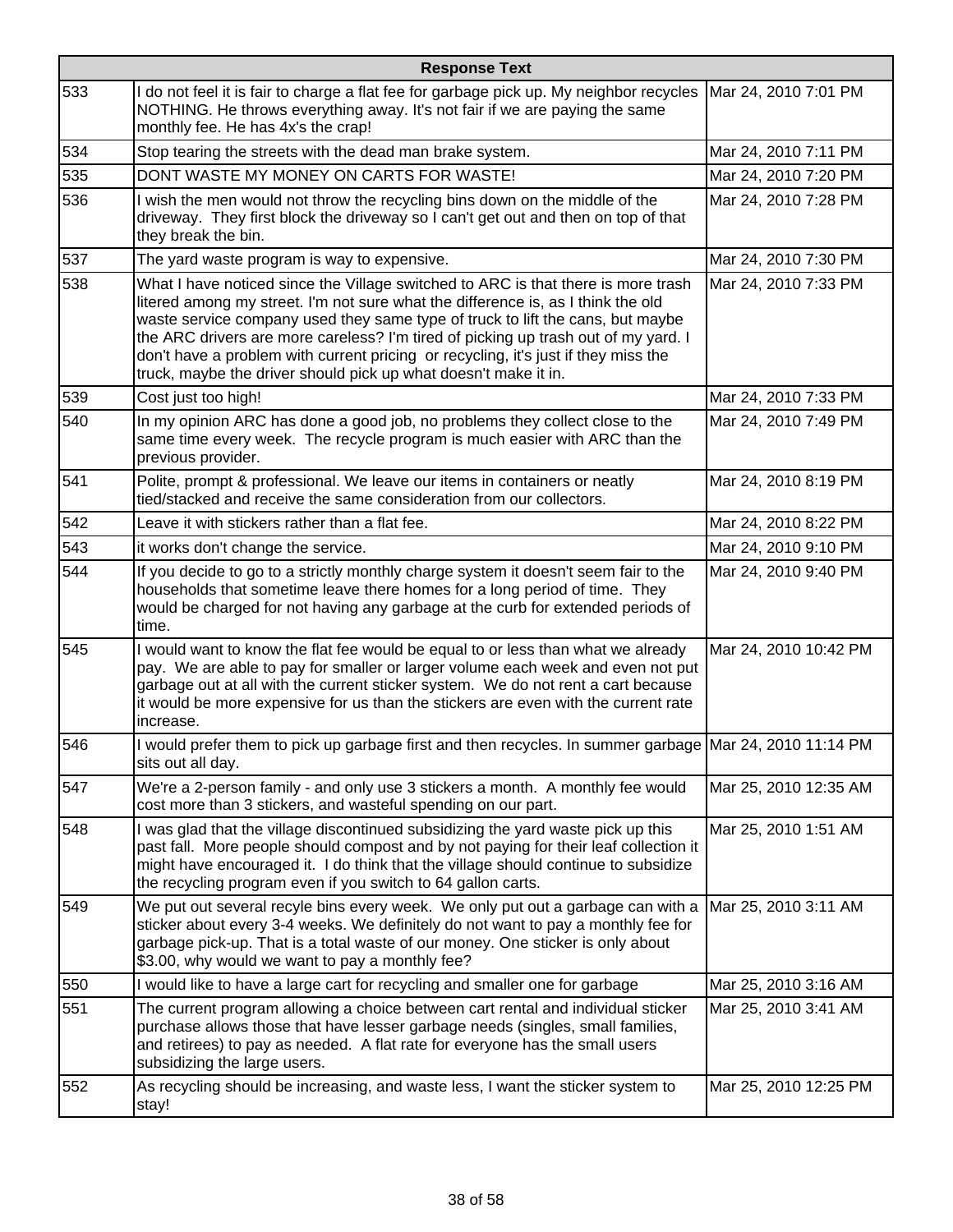|     | <b>Response Text</b>                                                                                                                                                                                                                                                                                                                                                                                                                                                                                   |                       |  |
|-----|--------------------------------------------------------------------------------------------------------------------------------------------------------------------------------------------------------------------------------------------------------------------------------------------------------------------------------------------------------------------------------------------------------------------------------------------------------------------------------------------------------|-----------------------|--|
| 533 | I do not feel it is fair to charge a flat fee for garbage pick up. My neighbor recycles<br>NOTHING. He throws everything away. It's not fair if we are paying the same<br>monthly fee. He has 4x's the crap!                                                                                                                                                                                                                                                                                           | Mar 24, 2010 7:01 PM  |  |
| 534 | Stop tearing the streets with the dead man brake system.                                                                                                                                                                                                                                                                                                                                                                                                                                               | Mar 24, 2010 7:11 PM  |  |
| 535 | DONT WASTE MY MONEY ON CARTS FOR WASTE!                                                                                                                                                                                                                                                                                                                                                                                                                                                                | Mar 24, 2010 7:20 PM  |  |
| 536 | I wish the men would not throw the recycling bins down on the middle of the<br>driveway. They first block the driveway so I can't get out and then on top of that<br>they break the bin.                                                                                                                                                                                                                                                                                                               | Mar 24, 2010 7:28 PM  |  |
| 537 | The yard waste program is way to expensive.                                                                                                                                                                                                                                                                                                                                                                                                                                                            | Mar 24, 2010 7:30 PM  |  |
| 538 | What I have noticed since the Village switched to ARC is that there is more trash<br>litered among my street. I'm not sure what the difference is, as I think the old<br>waste service company used they same type of truck to lift the cans, but maybe<br>the ARC drivers are more careless? I'm tired of picking up trash out of my yard. I<br>don't have a problem with current pricing or recycling, it's just if they miss the<br>truck, maybe the driver should pick up what doesn't make it in. | Mar 24, 2010 7:33 PM  |  |
| 539 | Cost just too high!                                                                                                                                                                                                                                                                                                                                                                                                                                                                                    | Mar 24, 2010 7:33 PM  |  |
| 540 | In my opinion ARC has done a good job, no problems they collect close to the<br>same time every week. The recycle program is much easier with ARC than the<br>previous provider.                                                                                                                                                                                                                                                                                                                       | Mar 24, 2010 7:49 PM  |  |
| 541 | Polite, prompt & professional. We leave our items in containers or neatly<br>tied/stacked and receive the same consideration from our collectors.                                                                                                                                                                                                                                                                                                                                                      | Mar 24, 2010 8:19 PM  |  |
| 542 | Leave it with stickers rather than a flat fee.                                                                                                                                                                                                                                                                                                                                                                                                                                                         | Mar 24, 2010 8:22 PM  |  |
| 543 | it works don't change the service.                                                                                                                                                                                                                                                                                                                                                                                                                                                                     | Mar 24, 2010 9:10 PM  |  |
| 544 | If you decide to go to a strictly monthly charge system it doesn't seem fair to the<br>households that sometime leave there homes for a long period of time. They<br>would be charged for not having any garbage at the curb for extended periods of<br>time.                                                                                                                                                                                                                                          | Mar 24, 2010 9:40 PM  |  |
| 545 | I would want to know the flat fee would be equal to or less than what we already<br>pay. We are able to pay for smaller or larger volume each week and even not put<br>garbage out at all with the current sticker system. We do not rent a cart because<br>it would be more expensive for us than the stickers are even with the current rate<br>increase.                                                                                                                                            | Mar 24, 2010 10:42 PM |  |
| 546 | I would prefer them to pick up garbage first and then recycles. In summer garbage Mar 24, 2010 11:14 PM<br>sits out all day.                                                                                                                                                                                                                                                                                                                                                                           |                       |  |
| 547 | We're a 2-person family - and only use 3 stickers a month. A monthly fee would<br>cost more than 3 stickers, and wasteful spending on our part.                                                                                                                                                                                                                                                                                                                                                        | Mar 25, 2010 12:35 AM |  |
| 548 | I was glad that the village discontinued subsidizing the yard waste pick up this<br>past fall. More people should compost and by not paying for their leaf collection it<br>might have encouraged it. I do think that the village should continue to subsidize<br>the recycling program even if you switch to 64 gallon carts.                                                                                                                                                                         | Mar 25, 2010 1:51 AM  |  |
| 549 | We put out several recyle bins every week. We only put out a garbage can with a<br>sticker about every 3-4 weeks. We definitely do not want to pay a monthly fee for<br>garbage pick-up. That is a total waste of our money. One sticker is only about<br>\$3.00, why would we want to pay a monthly fee?                                                                                                                                                                                              | Mar 25, 2010 3:11 AM  |  |
| 550 | I would like to have a large cart for recycling and smaller one for garbage                                                                                                                                                                                                                                                                                                                                                                                                                            | Mar 25, 2010 3:16 AM  |  |
| 551 | The current program allowing a choice between cart rental and individual sticker<br>purchase allows those that have lesser garbage needs (singles, small families,<br>and retirees) to pay as needed. A flat rate for everyone has the small users<br>subsidizing the large users.                                                                                                                                                                                                                     | Mar 25, 2010 3:41 AM  |  |
| 552 | As recycling should be increasing, and waste less, I want the sticker system to<br>stay!                                                                                                                                                                                                                                                                                                                                                                                                               | Mar 25, 2010 12:25 PM |  |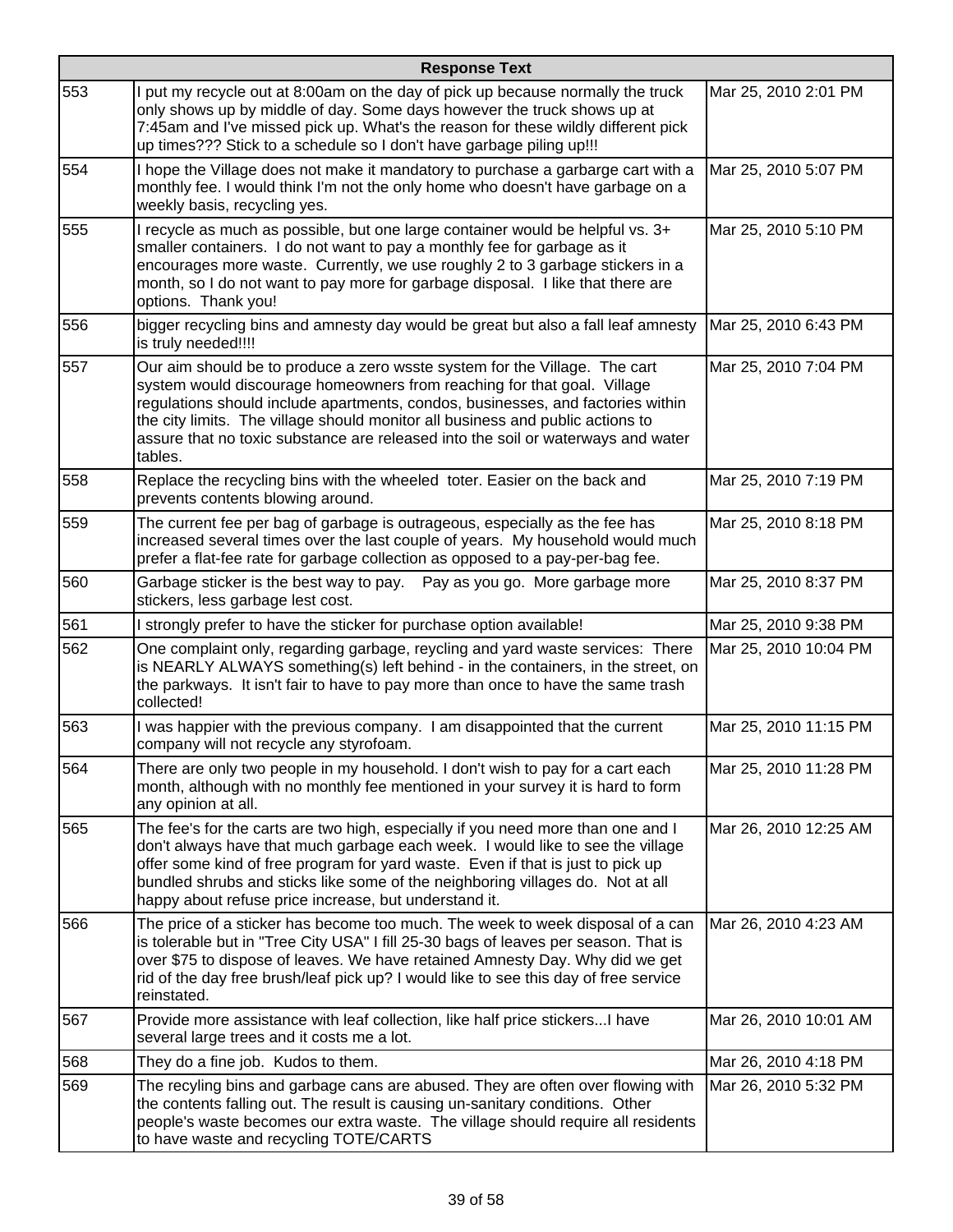|     | <b>Response Text</b>                                                                                                                                                                                                                                                                                                                                                                                                      |                       |  |
|-----|---------------------------------------------------------------------------------------------------------------------------------------------------------------------------------------------------------------------------------------------------------------------------------------------------------------------------------------------------------------------------------------------------------------------------|-----------------------|--|
| 553 | I put my recycle out at 8:00am on the day of pick up because normally the truck<br>only shows up by middle of day. Some days however the truck shows up at<br>7:45am and I've missed pick up. What's the reason for these wildly different pick<br>up times??? Stick to a schedule so I don't have garbage piling up!!!                                                                                                   | Mar 25, 2010 2:01 PM  |  |
| 554 | I hope the Village does not make it mandatory to purchase a garbarge cart with a<br>monthly fee. I would think I'm not the only home who doesn't have garbage on a<br>weekly basis, recycling yes.                                                                                                                                                                                                                        | Mar 25, 2010 5:07 PM  |  |
| 555 | I recycle as much as possible, but one large container would be helpful vs. 3+<br>smaller containers. I do not want to pay a monthly fee for garbage as it<br>encourages more waste. Currently, we use roughly 2 to 3 garbage stickers in a<br>month, so I do not want to pay more for garbage disposal. I like that there are<br>options. Thank you!                                                                     | Mar 25, 2010 5:10 PM  |  |
| 556 | bigger recycling bins and amnesty day would be great but also a fall leaf amnesty<br>is truly needed!!!!                                                                                                                                                                                                                                                                                                                  | Mar 25, 2010 6:43 PM  |  |
| 557 | Our aim should be to produce a zero wsste system for the Village. The cart<br>system would discourage homeowners from reaching for that goal. Village<br>regulations should include apartments, condos, businesses, and factories within<br>the city limits. The village should monitor all business and public actions to<br>assure that no toxic substance are released into the soil or waterways and water<br>tables. | Mar 25, 2010 7:04 PM  |  |
| 558 | Replace the recycling bins with the wheeled toter. Easier on the back and<br>prevents contents blowing around.                                                                                                                                                                                                                                                                                                            | Mar 25, 2010 7:19 PM  |  |
| 559 | The current fee per bag of garbage is outrageous, especially as the fee has<br>increased several times over the last couple of years. My household would much<br>prefer a flat-fee rate for garbage collection as opposed to a pay-per-bag fee.                                                                                                                                                                           | Mar 25, 2010 8:18 PM  |  |
| 560 | Garbage sticker is the best way to pay.  Pay as you go. More garbage more<br>stickers, less garbage lest cost.                                                                                                                                                                                                                                                                                                            | Mar 25, 2010 8:37 PM  |  |
| 561 | I strongly prefer to have the sticker for purchase option available!                                                                                                                                                                                                                                                                                                                                                      | Mar 25, 2010 9:38 PM  |  |
| 562 | One complaint only, regarding garbage, reycling and yard waste services: There<br>is NEARLY ALWAYS something(s) left behind - in the containers, in the street, on<br>the parkways. It isn't fair to have to pay more than once to have the same trash<br>collected!                                                                                                                                                      | Mar 25, 2010 10:04 PM |  |
| 563 | I was happier with the previous company. I am disappointed that the current<br>company will not recycle any styrofoam.                                                                                                                                                                                                                                                                                                    | Mar 25, 2010 11:15 PM |  |
| 564 | There are only two people in my household. I don't wish to pay for a cart each<br>month, although with no monthly fee mentioned in your survey it is hard to form<br>any opinion at all.                                                                                                                                                                                                                                  | Mar 25, 2010 11:28 PM |  |
| 565 | The fee's for the carts are two high, especially if you need more than one and I<br>don't always have that much garbage each week. I would like to see the village<br>offer some kind of free program for yard waste. Even if that is just to pick up<br>bundled shrubs and sticks like some of the neighboring villages do. Not at all<br>happy about refuse price increase, but understand it.                          | Mar 26, 2010 12:25 AM |  |
| 566 | The price of a sticker has become too much. The week to week disposal of a can<br>is tolerable but in "Tree City USA" I fill 25-30 bags of leaves per season. That is<br>over \$75 to dispose of leaves. We have retained Amnesty Day. Why did we get<br>rid of the day free brush/leaf pick up? I would like to see this day of free service<br>reinstated.                                                              | Mar 26, 2010 4:23 AM  |  |
| 567 | Provide more assistance with leaf collection, like half price stickers I have<br>several large trees and it costs me a lot.                                                                                                                                                                                                                                                                                               | Mar 26, 2010 10:01 AM |  |
| 568 | They do a fine job. Kudos to them.                                                                                                                                                                                                                                                                                                                                                                                        | Mar 26, 2010 4:18 PM  |  |
| 569 | The recyling bins and garbage cans are abused. They are often over flowing with<br>the contents falling out. The result is causing un-sanitary conditions. Other<br>people's waste becomes our extra waste. The village should require all residents<br>to have waste and recycling TOTE/CARTS                                                                                                                            | Mar 26, 2010 5:32 PM  |  |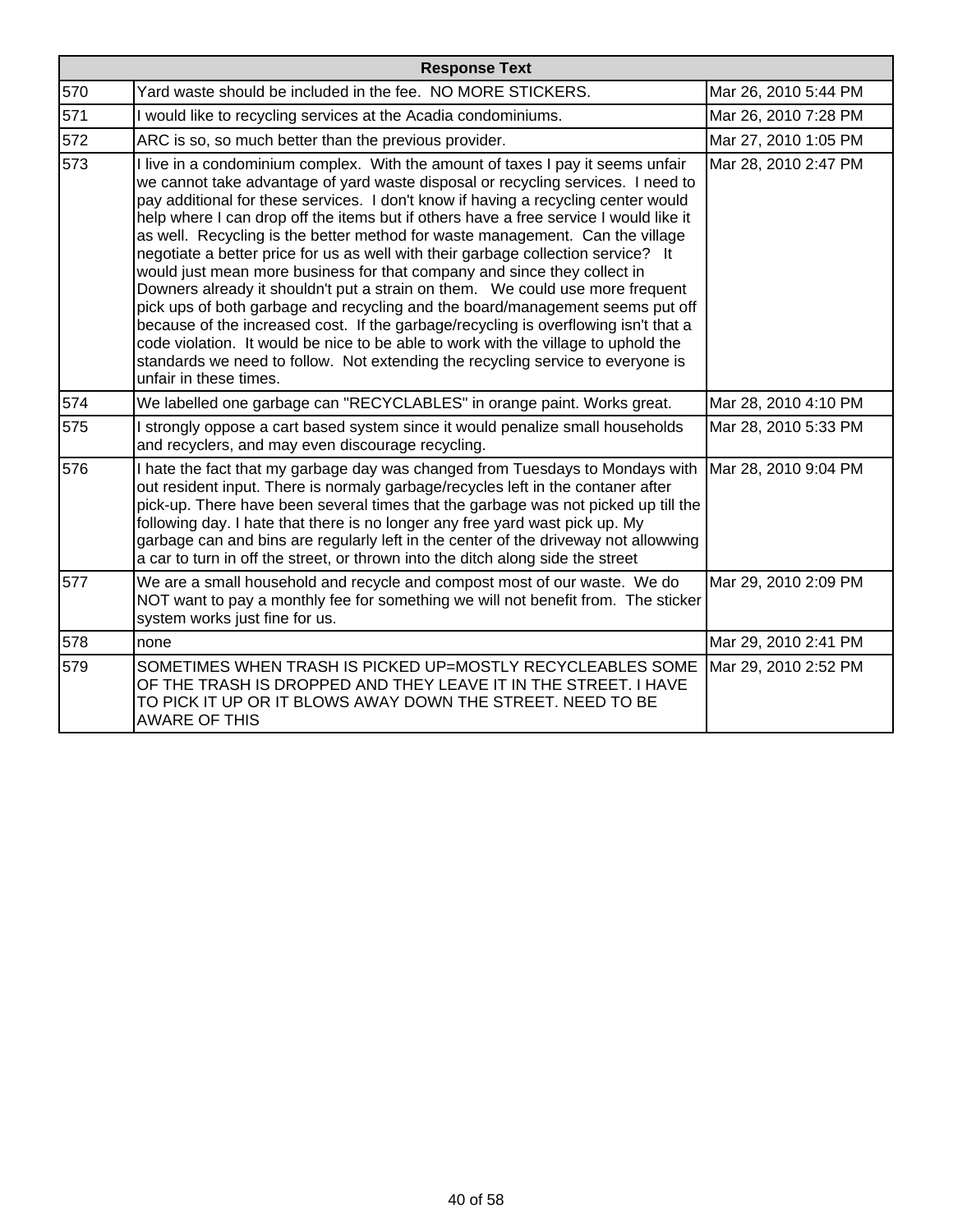| <b>Response Text</b> |                                                                                                                                                                                                                                                                                                                                                                                                                                                                                                                                                                                                                                                                                                                                                                                                                                                                                                                                                                                                                                                                  |                      |
|----------------------|------------------------------------------------------------------------------------------------------------------------------------------------------------------------------------------------------------------------------------------------------------------------------------------------------------------------------------------------------------------------------------------------------------------------------------------------------------------------------------------------------------------------------------------------------------------------------------------------------------------------------------------------------------------------------------------------------------------------------------------------------------------------------------------------------------------------------------------------------------------------------------------------------------------------------------------------------------------------------------------------------------------------------------------------------------------|----------------------|
| 570                  | Yard waste should be included in the fee. NO MORE STICKERS.                                                                                                                                                                                                                                                                                                                                                                                                                                                                                                                                                                                                                                                                                                                                                                                                                                                                                                                                                                                                      | Mar 26, 2010 5:44 PM |
| 571                  | I would like to recycling services at the Acadia condominiums.                                                                                                                                                                                                                                                                                                                                                                                                                                                                                                                                                                                                                                                                                                                                                                                                                                                                                                                                                                                                   | Mar 26, 2010 7:28 PM |
| 572                  | ARC is so, so much better than the previous provider.                                                                                                                                                                                                                                                                                                                                                                                                                                                                                                                                                                                                                                                                                                                                                                                                                                                                                                                                                                                                            | Mar 27, 2010 1:05 PM |
| 573                  | I live in a condominium complex. With the amount of taxes I pay it seems unfair<br>we cannot take advantage of yard waste disposal or recycling services. I need to<br>pay additional for these services. I don't know if having a recycling center would<br>help where I can drop off the items but if others have a free service I would like it<br>as well. Recycling is the better method for waste management. Can the village<br>negotiate a better price for us as well with their garbage collection service? It<br>would just mean more business for that company and since they collect in<br>Downers already it shouldn't put a strain on them. We could use more frequent<br>pick ups of both garbage and recycling and the board/management seems put off<br>because of the increased cost. If the garbage/recycling is overflowing isn't that a<br>code violation. It would be nice to be able to work with the village to uphold the<br>standards we need to follow. Not extending the recycling service to everyone is<br>unfair in these times. | Mar 28, 2010 2:47 PM |
| 574                  | We labelled one garbage can "RECYCLABLES" in orange paint. Works great.                                                                                                                                                                                                                                                                                                                                                                                                                                                                                                                                                                                                                                                                                                                                                                                                                                                                                                                                                                                          | Mar 28, 2010 4:10 PM |
| 575                  | I strongly oppose a cart based system since it would penalize small households<br>and recyclers, and may even discourage recycling.                                                                                                                                                                                                                                                                                                                                                                                                                                                                                                                                                                                                                                                                                                                                                                                                                                                                                                                              | Mar 28, 2010 5:33 PM |
| 576                  | I hate the fact that my garbage day was changed from Tuesdays to Mondays with<br>out resident input. There is normaly garbage/recycles left in the contaner after<br>pick-up. There have been several times that the garbage was not picked up till the<br>following day. I hate that there is no longer any free yard wast pick up. My<br>garbage can and bins are regularly left in the center of the driveway not allowwing<br>a car to turn in off the street, or thrown into the ditch along side the street                                                                                                                                                                                                                                                                                                                                                                                                                                                                                                                                                | Mar 28, 2010 9:04 PM |
| 577                  | We are a small household and recycle and compost most of our waste. We do<br>NOT want to pay a monthly fee for something we will not benefit from. The sticker<br>system works just fine for us.                                                                                                                                                                                                                                                                                                                                                                                                                                                                                                                                                                                                                                                                                                                                                                                                                                                                 | Mar 29, 2010 2:09 PM |
| 578                  | none                                                                                                                                                                                                                                                                                                                                                                                                                                                                                                                                                                                                                                                                                                                                                                                                                                                                                                                                                                                                                                                             | Mar 29, 2010 2:41 PM |
| 579                  | SOMETIMES WHEN TRASH IS PICKED UP=MOSTLY RECYCLEABLES SOME<br>OF THE TRASH IS DROPPED AND THEY LEAVE IT IN THE STREET. I HAVE<br>TO PICK IT UP OR IT BLOWS AWAY DOWN THE STREET. NEED TO BE<br><b>AWARE OF THIS</b>                                                                                                                                                                                                                                                                                                                                                                                                                                                                                                                                                                                                                                                                                                                                                                                                                                              | Mar 29, 2010 2:52 PM |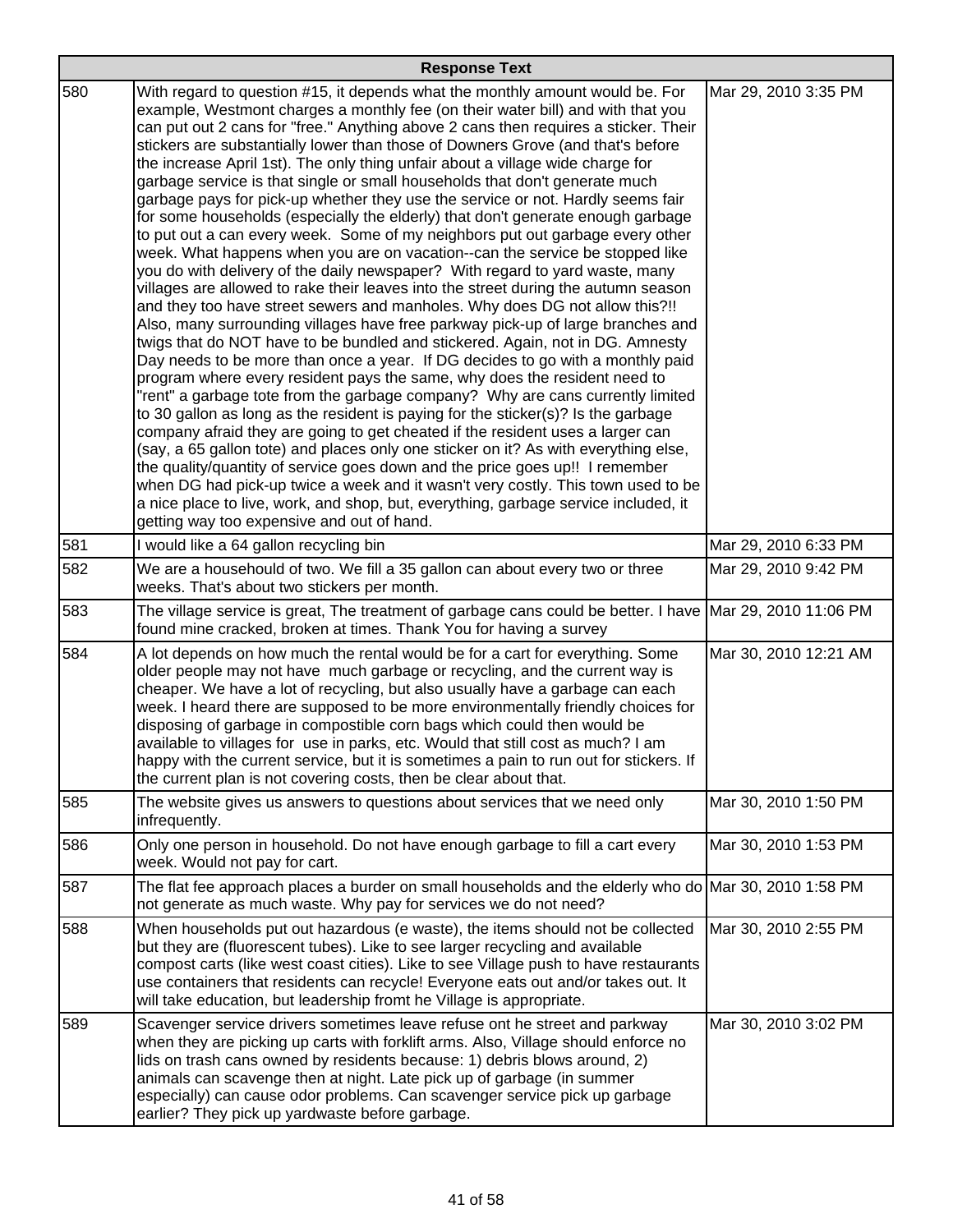|     | <b>Response Text</b>                                                                                                                                                                                                                                                                                                                                                                                                                                                                                                                                                                                                                                                                                                                                                                                                                                                                                                                                                                                                                                                                                                                                                                                                                                                                                                                                                                                                                                                                                                                                                                                                                                                                                                                                                                                                                                                                                                                                                                                                                                                                                |                       |  |
|-----|-----------------------------------------------------------------------------------------------------------------------------------------------------------------------------------------------------------------------------------------------------------------------------------------------------------------------------------------------------------------------------------------------------------------------------------------------------------------------------------------------------------------------------------------------------------------------------------------------------------------------------------------------------------------------------------------------------------------------------------------------------------------------------------------------------------------------------------------------------------------------------------------------------------------------------------------------------------------------------------------------------------------------------------------------------------------------------------------------------------------------------------------------------------------------------------------------------------------------------------------------------------------------------------------------------------------------------------------------------------------------------------------------------------------------------------------------------------------------------------------------------------------------------------------------------------------------------------------------------------------------------------------------------------------------------------------------------------------------------------------------------------------------------------------------------------------------------------------------------------------------------------------------------------------------------------------------------------------------------------------------------------------------------------------------------------------------------------------------------|-----------------------|--|
| 580 | With regard to question #15, it depends what the monthly amount would be. For<br>example, Westmont charges a monthly fee (on their water bill) and with that you<br>can put out 2 cans for "free." Anything above 2 cans then requires a sticker. Their<br>stickers are substantially lower than those of Downers Grove (and that's before<br>the increase April 1st). The only thing unfair about a village wide charge for<br>garbage service is that single or small households that don't generate much<br>garbage pays for pick-up whether they use the service or not. Hardly seems fair<br>for some households (especially the elderly) that don't generate enough garbage<br>to put out a can every week. Some of my neighbors put out garbage every other<br>week. What happens when you are on vacation--can the service be stopped like<br>you do with delivery of the daily newspaper? With regard to yard waste, many<br>villages are allowed to rake their leaves into the street during the autumn season<br>and they too have street sewers and manholes. Why does DG not allow this?!!<br>Also, many surrounding villages have free parkway pick-up of large branches and<br>twigs that do NOT have to be bundled and stickered. Again, not in DG. Amnesty<br>Day needs to be more than once a year. If DG decides to go with a monthly paid<br>program where every resident pays the same, why does the resident need to<br>"rent" a garbage tote from the garbage company? Why are cans currently limited<br>to 30 gallon as long as the resident is paying for the sticker(s)? Is the garbage<br>company afraid they are going to get cheated if the resident uses a larger can<br>(say, a 65 gallon tote) and places only one sticker on it? As with everything else,<br>the quality/quantity of service goes down and the price goes up!! I remember<br>when DG had pick-up twice a week and it wasn't very costly. This town used to be<br>a nice place to live, work, and shop, but, everything, garbage service included, it<br>getting way too expensive and out of hand. | Mar 29, 2010 3:35 PM  |  |
| 581 | I would like a 64 gallon recycling bin                                                                                                                                                                                                                                                                                                                                                                                                                                                                                                                                                                                                                                                                                                                                                                                                                                                                                                                                                                                                                                                                                                                                                                                                                                                                                                                                                                                                                                                                                                                                                                                                                                                                                                                                                                                                                                                                                                                                                                                                                                                              | Mar 29, 2010 6:33 PM  |  |
| 582 | We are a househould of two. We fill a 35 gallon can about every two or three<br>weeks. That's about two stickers per month.                                                                                                                                                                                                                                                                                                                                                                                                                                                                                                                                                                                                                                                                                                                                                                                                                                                                                                                                                                                                                                                                                                                                                                                                                                                                                                                                                                                                                                                                                                                                                                                                                                                                                                                                                                                                                                                                                                                                                                         | Mar 29, 2010 9:42 PM  |  |
| 583 | The village service is great, The treatment of garbage cans could be better. I have Mar 29, 2010 11:06 PM<br>found mine cracked, broken at times. Thank You for having a survey                                                                                                                                                                                                                                                                                                                                                                                                                                                                                                                                                                                                                                                                                                                                                                                                                                                                                                                                                                                                                                                                                                                                                                                                                                                                                                                                                                                                                                                                                                                                                                                                                                                                                                                                                                                                                                                                                                                     |                       |  |
| 584 | A lot depends on how much the rental would be for a cart for everything. Some<br>older people may not have much garbage or recycling, and the current way is<br>cheaper. We have a lot of recycling, but also usually have a garbage can each<br>week. I heard there are supposed to be more environmentally friendly choices for<br>disposing of garbage in compostible corn bags which could then would be<br>available to villages for use in parks, etc. Would that still cost as much? I am<br>happy with the current service, but it is sometimes a pain to run out for stickers. If<br>the current plan is not covering costs, then be clear about that.                                                                                                                                                                                                                                                                                                                                                                                                                                                                                                                                                                                                                                                                                                                                                                                                                                                                                                                                                                                                                                                                                                                                                                                                                                                                                                                                                                                                                                     | Mar 30, 2010 12:21 AM |  |
| 585 | The website gives us answers to questions about services that we need only<br>infrequently.                                                                                                                                                                                                                                                                                                                                                                                                                                                                                                                                                                                                                                                                                                                                                                                                                                                                                                                                                                                                                                                                                                                                                                                                                                                                                                                                                                                                                                                                                                                                                                                                                                                                                                                                                                                                                                                                                                                                                                                                         | Mar 30, 2010 1:50 PM  |  |
| 586 | Only one person in household. Do not have enough garbage to fill a cart every<br>week. Would not pay for cart.                                                                                                                                                                                                                                                                                                                                                                                                                                                                                                                                                                                                                                                                                                                                                                                                                                                                                                                                                                                                                                                                                                                                                                                                                                                                                                                                                                                                                                                                                                                                                                                                                                                                                                                                                                                                                                                                                                                                                                                      | Mar 30, 2010 1:53 PM  |  |
| 587 | The flat fee approach places a burder on small households and the elderly who do Mar 30, 2010 1:58 PM<br>not generate as much waste. Why pay for services we do not need?                                                                                                                                                                                                                                                                                                                                                                                                                                                                                                                                                                                                                                                                                                                                                                                                                                                                                                                                                                                                                                                                                                                                                                                                                                                                                                                                                                                                                                                                                                                                                                                                                                                                                                                                                                                                                                                                                                                           |                       |  |
| 588 | When households put out hazardous (e waste), the items should not be collected<br>but they are (fluorescent tubes). Like to see larger recycling and available<br>compost carts (like west coast cities). Like to see Village push to have restaurants<br>use containers that residents can recycle! Everyone eats out and/or takes out. It<br>will take education, but leadership fromt he Village is appropriate.                                                                                                                                                                                                                                                                                                                                                                                                                                                                                                                                                                                                                                                                                                                                                                                                                                                                                                                                                                                                                                                                                                                                                                                                                                                                                                                                                                                                                                                                                                                                                                                                                                                                                 | Mar 30, 2010 2:55 PM  |  |
| 589 | Scavenger service drivers sometimes leave refuse ont he street and parkway<br>when they are picking up carts with forklift arms. Also, Village should enforce no<br>lids on trash cans owned by residents because: 1) debris blows around, 2)<br>animals can scavenge then at night. Late pick up of garbage (in summer<br>especially) can cause odor problems. Can scavenger service pick up garbage<br>earlier? They pick up yardwaste before garbage.                                                                                                                                                                                                                                                                                                                                                                                                                                                                                                                                                                                                                                                                                                                                                                                                                                                                                                                                                                                                                                                                                                                                                                                                                                                                                                                                                                                                                                                                                                                                                                                                                                            | Mar 30, 2010 3:02 PM  |  |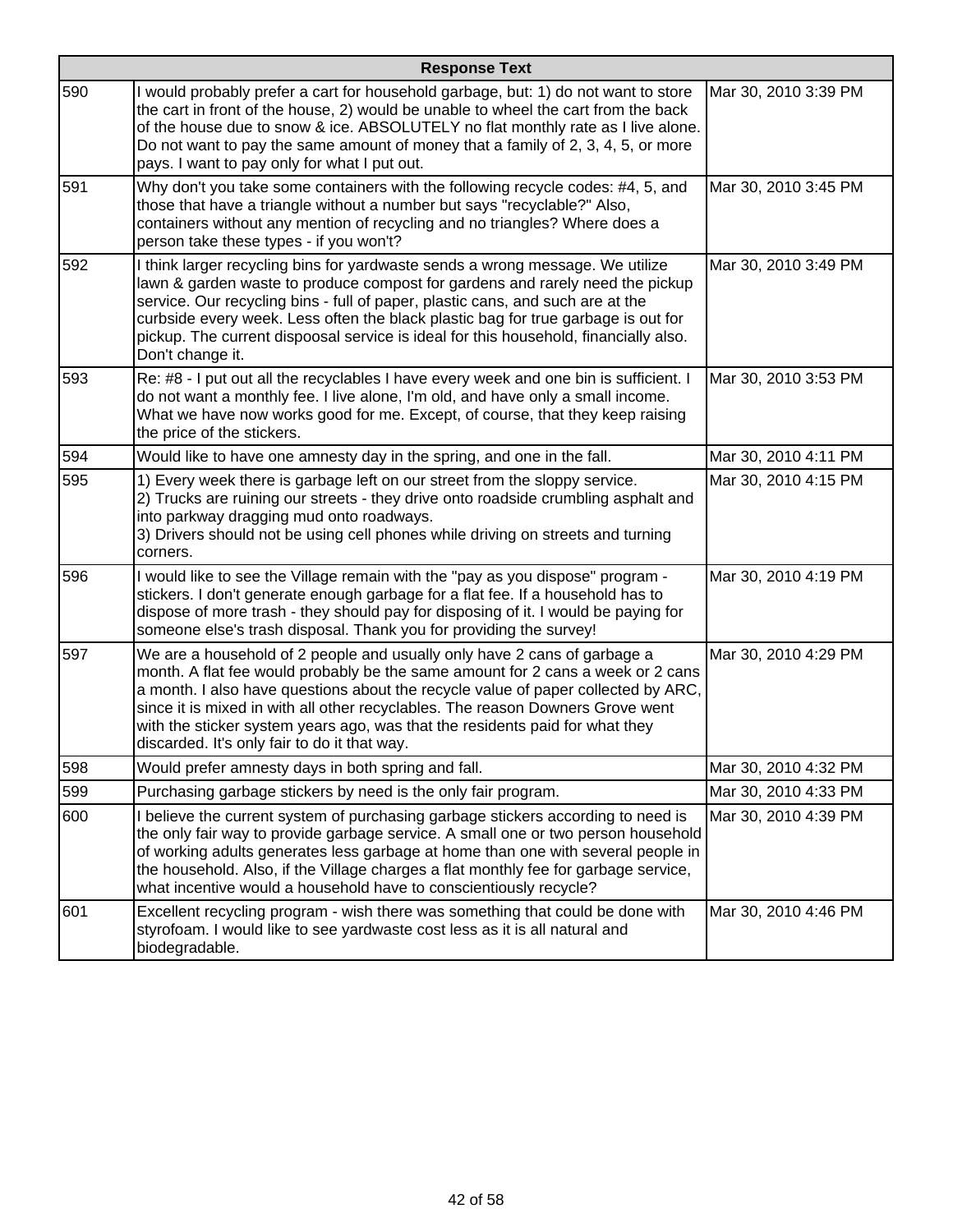|     | <b>Response Text</b>                                                                                                                                                                                                                                                                                                                                                                                                                                               |                      |  |
|-----|--------------------------------------------------------------------------------------------------------------------------------------------------------------------------------------------------------------------------------------------------------------------------------------------------------------------------------------------------------------------------------------------------------------------------------------------------------------------|----------------------|--|
| 590 | I would probably prefer a cart for household garbage, but: 1) do not want to store<br>the cart in front of the house, 2) would be unable to wheel the cart from the back<br>of the house due to snow & ice. ABSOLUTELY no flat monthly rate as I live alone.<br>Do not want to pay the same amount of money that a family of 2, 3, 4, 5, or more<br>pays. I want to pay only for what I put out.                                                                   | Mar 30, 2010 3:39 PM |  |
| 591 | Why don't you take some containers with the following recycle codes: #4, 5, and<br>those that have a triangle without a number but says "recyclable?" Also,<br>containers without any mention of recycling and no triangles? Where does a<br>person take these types - if you won't?                                                                                                                                                                               | Mar 30, 2010 3:45 PM |  |
| 592 | I think larger recycling bins for yardwaste sends a wrong message. We utilize<br>lawn & garden waste to produce compost for gardens and rarely need the pickup<br>service. Our recycling bins - full of paper, plastic cans, and such are at the<br>curbside every week. Less often the black plastic bag for true garbage is out for<br>pickup. The current dispoosal service is ideal for this household, financially also.<br>Don't change it.                  | Mar 30, 2010 3:49 PM |  |
| 593 | Re: #8 - I put out all the recyclables I have every week and one bin is sufficient. I<br>do not want a monthly fee. I live alone, I'm old, and have only a small income.<br>What we have now works good for me. Except, of course, that they keep raising<br>the price of the stickers.                                                                                                                                                                            | Mar 30, 2010 3:53 PM |  |
| 594 | Would like to have one amnesty day in the spring, and one in the fall.                                                                                                                                                                                                                                                                                                                                                                                             | Mar 30, 2010 4:11 PM |  |
| 595 | 1) Every week there is garbage left on our street from the sloppy service.<br>2) Trucks are ruining our streets - they drive onto roadside crumbling asphalt and<br>into parkway dragging mud onto roadways.<br>3) Drivers should not be using cell phones while driving on streets and turning<br>corners.                                                                                                                                                        | Mar 30, 2010 4:15 PM |  |
| 596 | I would like to see the Village remain with the "pay as you dispose" program -<br>stickers. I don't generate enough garbage for a flat fee. If a household has to<br>dispose of more trash - they should pay for disposing of it. I would be paying for<br>someone else's trash disposal. Thank you for providing the survey!                                                                                                                                      | Mar 30, 2010 4:19 PM |  |
| 597 | We are a household of 2 people and usually only have 2 cans of garbage a<br>month. A flat fee would probably be the same amount for 2 cans a week or 2 cans<br>a month. I also have questions about the recycle value of paper collected by ARC,<br>since it is mixed in with all other recyclables. The reason Downers Grove went<br>with the sticker system years ago, was that the residents paid for what they<br>discarded. It's only fair to do it that way. | Mar 30, 2010 4:29 PM |  |
| 598 | Would prefer amnesty days in both spring and fall.                                                                                                                                                                                                                                                                                                                                                                                                                 | Mar 30, 2010 4:32 PM |  |
| 599 | Purchasing garbage stickers by need is the only fair program.                                                                                                                                                                                                                                                                                                                                                                                                      | Mar 30, 2010 4:33 PM |  |
| 600 | I believe the current system of purchasing garbage stickers according to need is<br>the only fair way to provide garbage service. A small one or two person household<br>of working adults generates less garbage at home than one with several people in<br>the household. Also, if the Village charges a flat monthly fee for garbage service,<br>what incentive would a household have to conscientiously recycle?                                              | Mar 30, 2010 4:39 PM |  |
| 601 | Excellent recycling program - wish there was something that could be done with<br>styrofoam. I would like to see yardwaste cost less as it is all natural and<br>biodegradable.                                                                                                                                                                                                                                                                                    | Mar 30, 2010 4:46 PM |  |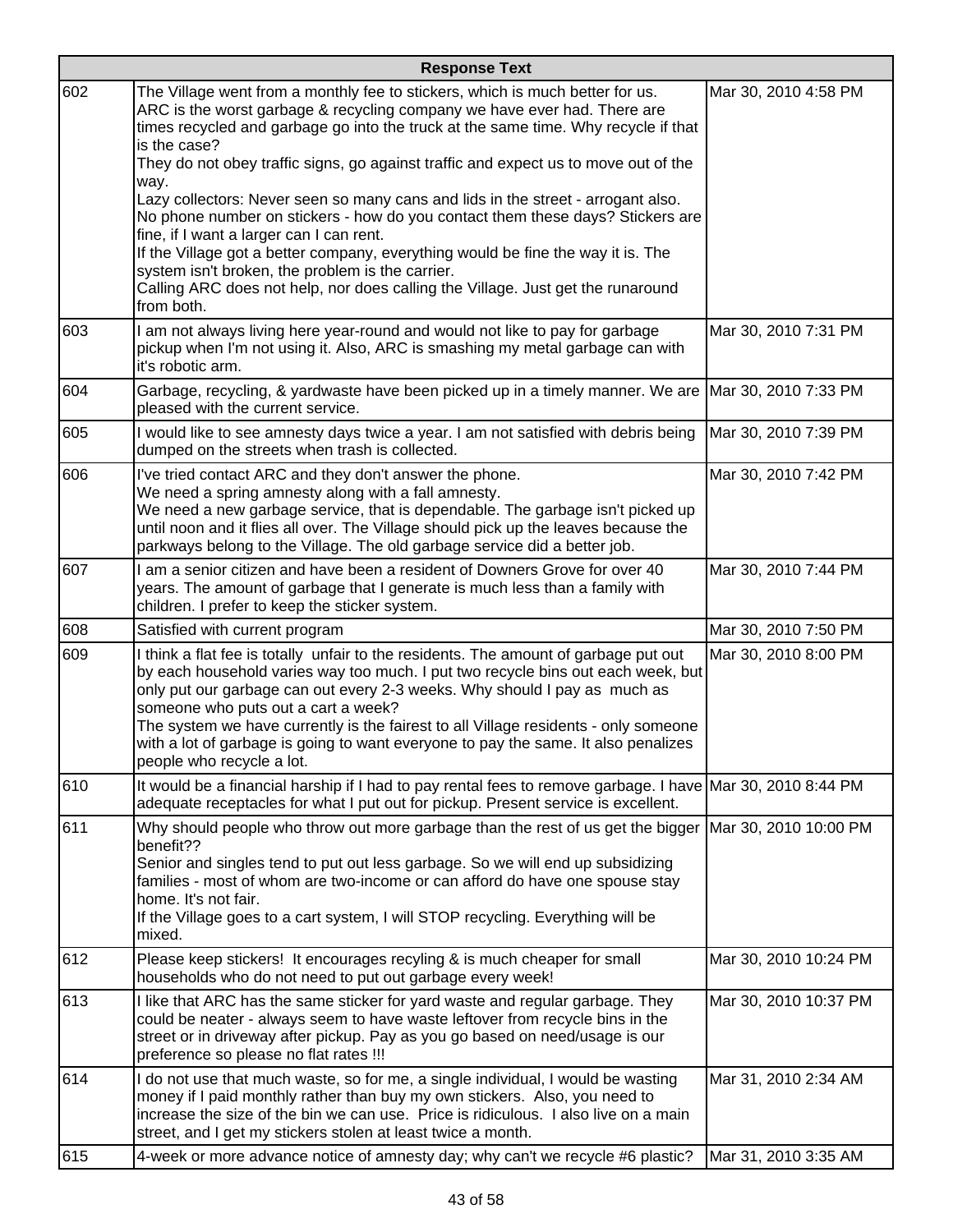|     | <b>Response Text</b>                                                                                                                                                                                                                                                                                                                                                                                                                                                                                                                                                                                                                                                                                                                                                                                                      |                       |  |
|-----|---------------------------------------------------------------------------------------------------------------------------------------------------------------------------------------------------------------------------------------------------------------------------------------------------------------------------------------------------------------------------------------------------------------------------------------------------------------------------------------------------------------------------------------------------------------------------------------------------------------------------------------------------------------------------------------------------------------------------------------------------------------------------------------------------------------------------|-----------------------|--|
| 602 | The Village went from a monthly fee to stickers, which is much better for us.<br>ARC is the worst garbage & recycling company we have ever had. There are<br>times recycled and garbage go into the truck at the same time. Why recycle if that<br>is the case?<br>They do not obey traffic signs, go against traffic and expect us to move out of the<br>way.<br>Lazy collectors: Never seen so many cans and lids in the street - arrogant also.<br>No phone number on stickers - how do you contact them these days? Stickers are<br>fine, if I want a larger can I can rent.<br>If the Village got a better company, everything would be fine the way it is. The<br>system isn't broken, the problem is the carrier.<br>Calling ARC does not help, nor does calling the Village. Just get the runaround<br>from both. | Mar 30, 2010 4:58 PM  |  |
| 603 | I am not always living here year-round and would not like to pay for garbage<br>pickup when I'm not using it. Also, ARC is smashing my metal garbage can with<br>it's robotic arm.                                                                                                                                                                                                                                                                                                                                                                                                                                                                                                                                                                                                                                        | Mar 30, 2010 7:31 PM  |  |
| 604 | Garbage, recycling, & yardwaste have been picked up in a timely manner. We are Mar 30, 2010 7:33 PM<br>pleased with the current service.                                                                                                                                                                                                                                                                                                                                                                                                                                                                                                                                                                                                                                                                                  |                       |  |
| 605 | I would like to see amnesty days twice a year. I am not satisfied with debris being<br>dumped on the streets when trash is collected.                                                                                                                                                                                                                                                                                                                                                                                                                                                                                                                                                                                                                                                                                     | Mar 30, 2010 7:39 PM  |  |
| 606 | I've tried contact ARC and they don't answer the phone.<br>We need a spring amnesty along with a fall amnesty.<br>We need a new garbage service, that is dependable. The garbage isn't picked up<br>until noon and it flies all over. The Village should pick up the leaves because the<br>parkways belong to the Village. The old garbage service did a better job.                                                                                                                                                                                                                                                                                                                                                                                                                                                      | Mar 30, 2010 7:42 PM  |  |
| 607 | I am a senior citizen and have been a resident of Downers Grove for over 40<br>years. The amount of garbage that I generate is much less than a family with<br>children. I prefer to keep the sticker system.                                                                                                                                                                                                                                                                                                                                                                                                                                                                                                                                                                                                             | Mar 30, 2010 7:44 PM  |  |
| 608 | Satisfied with current program                                                                                                                                                                                                                                                                                                                                                                                                                                                                                                                                                                                                                                                                                                                                                                                            | Mar 30, 2010 7:50 PM  |  |
| 609 | I think a flat fee is totally unfair to the residents. The amount of garbage put out<br>by each household varies way too much. I put two recycle bins out each week, but<br>only put our garbage can out every 2-3 weeks. Why should I pay as much as<br>someone who puts out a cart a week?<br>The system we have currently is the fairest to all Village residents - only someone<br>with a lot of garbage is going to want everyone to pay the same. It also penalizes<br>people who recycle a lot.                                                                                                                                                                                                                                                                                                                    | Mar 30, 2010 8:00 PM  |  |
| 610 | It would be a financial harship if I had to pay rental fees to remove garbage. I have Mar 30, 2010 8:44 PM<br>adequate receptacles for what I put out for pickup. Present service is excellent.                                                                                                                                                                                                                                                                                                                                                                                                                                                                                                                                                                                                                           |                       |  |
| 611 | Why should people who throw out more garbage than the rest of us get the bigger<br>benefit??<br>Senior and singles tend to put out less garbage. So we will end up subsidizing<br>families - most of whom are two-income or can afford do have one spouse stay<br>home. It's not fair.<br>If the Village goes to a cart system, I will STOP recycling. Everything will be<br>mixed.                                                                                                                                                                                                                                                                                                                                                                                                                                       | Mar 30, 2010 10:00 PM |  |
| 612 | Please keep stickers! It encourages recyling & is much cheaper for small<br>households who do not need to put out garbage every week!                                                                                                                                                                                                                                                                                                                                                                                                                                                                                                                                                                                                                                                                                     | Mar 30, 2010 10:24 PM |  |
| 613 | I like that ARC has the same sticker for yard waste and regular garbage. They<br>could be neater - always seem to have waste leftover from recycle bins in the<br>street or in driveway after pickup. Pay as you go based on need/usage is our<br>preference so please no flat rates !!!                                                                                                                                                                                                                                                                                                                                                                                                                                                                                                                                  | Mar 30, 2010 10:37 PM |  |
| 614 | I do not use that much waste, so for me, a single individual, I would be wasting<br>money if I paid monthly rather than buy my own stickers. Also, you need to<br>increase the size of the bin we can use. Price is ridiculous. I also live on a main<br>street, and I get my stickers stolen at least twice a month.                                                                                                                                                                                                                                                                                                                                                                                                                                                                                                     | Mar 31, 2010 2:34 AM  |  |
| 615 | 4-week or more advance notice of amnesty day; why can't we recycle #6 plastic?                                                                                                                                                                                                                                                                                                                                                                                                                                                                                                                                                                                                                                                                                                                                            | Mar 31, 2010 3:35 AM  |  |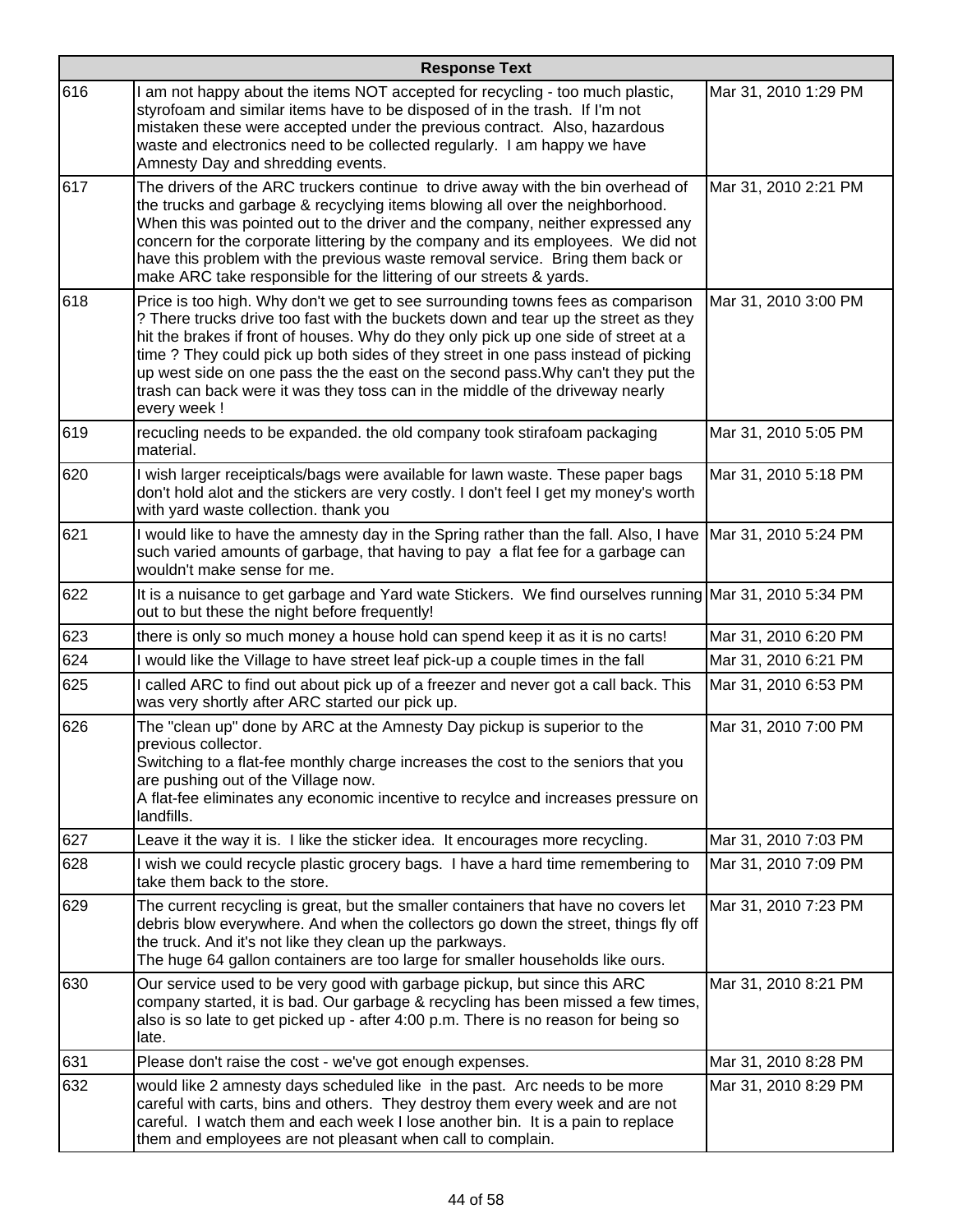|     | <b>Response Text</b>                                                                                                                                                                                                                                                                                                                                                                                                                                                                                                                   |                      |
|-----|----------------------------------------------------------------------------------------------------------------------------------------------------------------------------------------------------------------------------------------------------------------------------------------------------------------------------------------------------------------------------------------------------------------------------------------------------------------------------------------------------------------------------------------|----------------------|
| 616 | I am not happy about the items NOT accepted for recycling - too much plastic,<br>styrofoam and similar items have to be disposed of in the trash. If I'm not<br>mistaken these were accepted under the previous contract. Also, hazardous<br>waste and electronics need to be collected regularly. I am happy we have<br>Amnesty Day and shredding events.                                                                                                                                                                             | Mar 31, 2010 1:29 PM |
| 617 | The drivers of the ARC truckers continue to drive away with the bin overhead of<br>the trucks and garbage & recyclying items blowing all over the neighborhood.<br>When this was pointed out to the driver and the company, neither expressed any<br>concern for the corporate littering by the company and its employees. We did not<br>have this problem with the previous waste removal service. Bring them back or<br>make ARC take responsible for the littering of our streets & yards.                                          | Mar 31, 2010 2:21 PM |
| 618 | Price is too high. Why don't we get to see surrounding towns fees as comparison<br>? There trucks drive too fast with the buckets down and tear up the street as they<br>hit the brakes if front of houses. Why do they only pick up one side of street at a<br>time? They could pick up both sides of they street in one pass instead of picking<br>up west side on one pass the the east on the second pass. Why can't they put the<br>trash can back were it was they toss can in the middle of the driveway nearly<br>every week ! | Mar 31, 2010 3:00 PM |
| 619 | recucling needs to be expanded. the old company took stirafoam packaging<br>material.                                                                                                                                                                                                                                                                                                                                                                                                                                                  | Mar 31, 2010 5:05 PM |
| 620 | I wish larger receipticals/bags were available for lawn waste. These paper bags<br>don't hold alot and the stickers are very costly. I don't feel I get my money's worth<br>with yard waste collection. thank you                                                                                                                                                                                                                                                                                                                      | Mar 31, 2010 5:18 PM |
| 621 | I would like to have the amnesty day in the Spring rather than the fall. Also, I have<br>such varied amounts of garbage, that having to pay a flat fee for a garbage can<br>wouldn't make sense for me.                                                                                                                                                                                                                                                                                                                                | Mar 31, 2010 5:24 PM |
| 622 | It is a nuisance to get garbage and Yard wate Stickers. We find ourselves running Mar 31, 2010 5:34 PM<br>out to but these the night before frequently!                                                                                                                                                                                                                                                                                                                                                                                |                      |
| 623 | there is only so much money a house hold can spend keep it as it is no carts!                                                                                                                                                                                                                                                                                                                                                                                                                                                          | Mar 31, 2010 6:20 PM |
| 624 | I would like the Village to have street leaf pick-up a couple times in the fall                                                                                                                                                                                                                                                                                                                                                                                                                                                        | Mar 31, 2010 6:21 PM |
| 625 | I called ARC to find out about pick up of a freezer and never got a call back. This<br>was very shortly after ARC started our pick up.                                                                                                                                                                                                                                                                                                                                                                                                 | Mar 31, 2010 6:53 PM |
| 626 | The "clean up" done by ARC at the Amnesty Day pickup is superior to the<br>previous collector.<br>Switching to a flat-fee monthly charge increases the cost to the seniors that you<br>are pushing out of the Village now.<br>A flat-fee eliminates any economic incentive to recylce and increases pressure on<br>landfills.                                                                                                                                                                                                          | Mar 31, 2010 7:00 PM |
| 627 | Leave it the way it is. I like the sticker idea. It encourages more recycling.                                                                                                                                                                                                                                                                                                                                                                                                                                                         | Mar 31, 2010 7:03 PM |
| 628 | I wish we could recycle plastic grocery bags. I have a hard time remembering to<br>take them back to the store.                                                                                                                                                                                                                                                                                                                                                                                                                        | Mar 31, 2010 7:09 PM |
| 629 | The current recycling is great, but the smaller containers that have no covers let<br>debris blow everywhere. And when the collectors go down the street, things fly off<br>the truck. And it's not like they clean up the parkways.<br>The huge 64 gallon containers are too large for smaller households like ours.                                                                                                                                                                                                                  | Mar 31, 2010 7:23 PM |
| 630 | Our service used to be very good with garbage pickup, but since this ARC<br>company started, it is bad. Our garbage & recycling has been missed a few times,<br>also is so late to get picked up - after 4:00 p.m. There is no reason for being so<br>late.                                                                                                                                                                                                                                                                            | Mar 31, 2010 8:21 PM |
| 631 | Please don't raise the cost - we've got enough expenses.                                                                                                                                                                                                                                                                                                                                                                                                                                                                               | Mar 31, 2010 8:28 PM |
| 632 | would like 2 amnesty days scheduled like in the past. Arc needs to be more<br>careful with carts, bins and others. They destroy them every week and are not<br>careful. I watch them and each week I lose another bin. It is a pain to replace<br>them and employees are not pleasant when call to complain.                                                                                                                                                                                                                           | Mar 31, 2010 8:29 PM |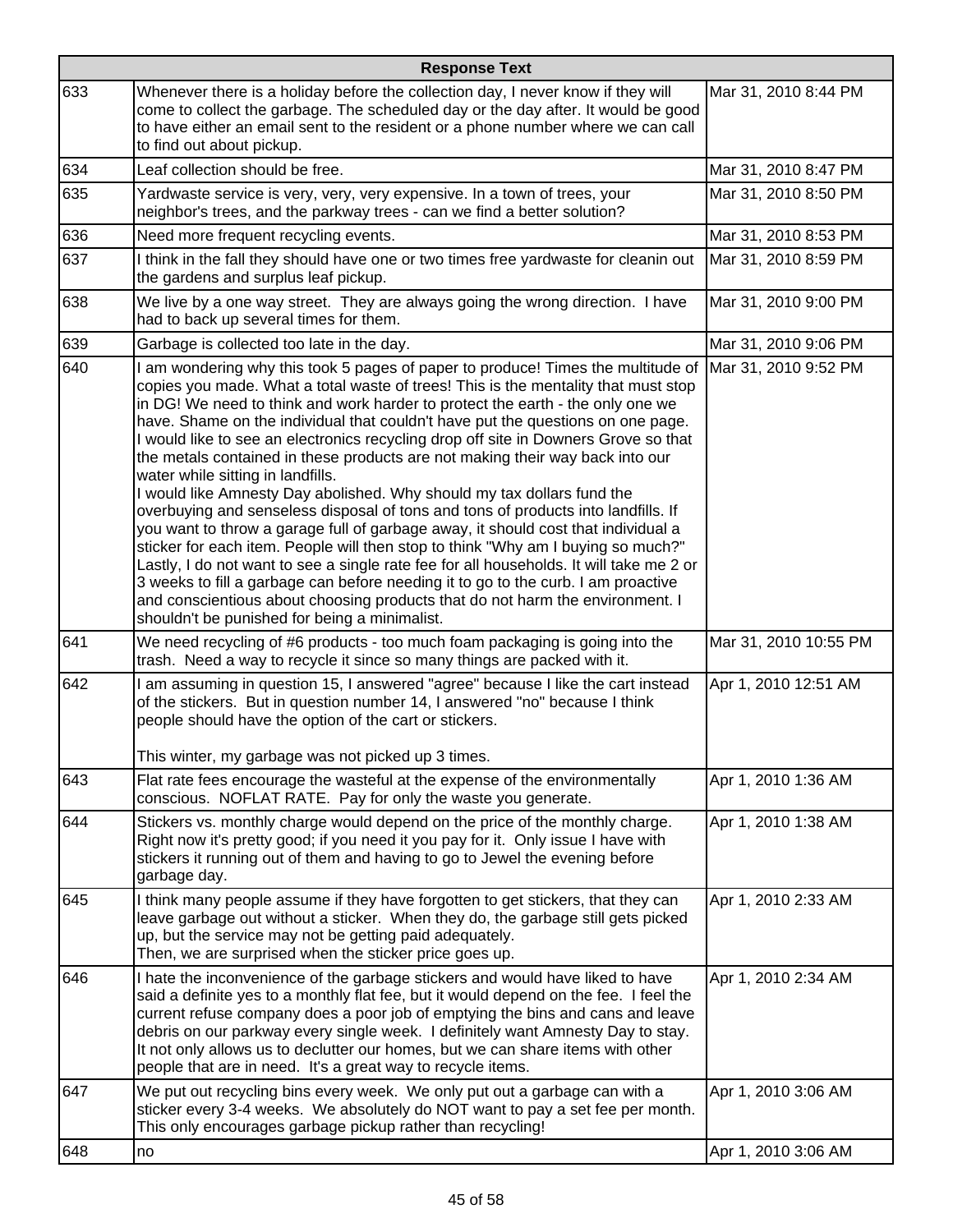|     | <b>Response Text</b>                                                                                                                                                                                                                                                                                                                                                                                                                                                                                                                                                                                                                                                                                                                                                                                                                                                                                                                                                                                                                                                                                                                                                                                               |                       |  |
|-----|--------------------------------------------------------------------------------------------------------------------------------------------------------------------------------------------------------------------------------------------------------------------------------------------------------------------------------------------------------------------------------------------------------------------------------------------------------------------------------------------------------------------------------------------------------------------------------------------------------------------------------------------------------------------------------------------------------------------------------------------------------------------------------------------------------------------------------------------------------------------------------------------------------------------------------------------------------------------------------------------------------------------------------------------------------------------------------------------------------------------------------------------------------------------------------------------------------------------|-----------------------|--|
| 633 | Whenever there is a holiday before the collection day, I never know if they will<br>come to collect the garbage. The scheduled day or the day after. It would be good<br>to have either an email sent to the resident or a phone number where we can call<br>to find out about pickup.                                                                                                                                                                                                                                                                                                                                                                                                                                                                                                                                                                                                                                                                                                                                                                                                                                                                                                                             | Mar 31, 2010 8:44 PM  |  |
| 634 | Leaf collection should be free.                                                                                                                                                                                                                                                                                                                                                                                                                                                                                                                                                                                                                                                                                                                                                                                                                                                                                                                                                                                                                                                                                                                                                                                    | Mar 31, 2010 8:47 PM  |  |
| 635 | Yardwaste service is very, very, very expensive. In a town of trees, your<br>neighbor's trees, and the parkway trees - can we find a better solution?                                                                                                                                                                                                                                                                                                                                                                                                                                                                                                                                                                                                                                                                                                                                                                                                                                                                                                                                                                                                                                                              | Mar 31, 2010 8:50 PM  |  |
| 636 | Need more frequent recycling events.                                                                                                                                                                                                                                                                                                                                                                                                                                                                                                                                                                                                                                                                                                                                                                                                                                                                                                                                                                                                                                                                                                                                                                               | Mar 31, 2010 8:53 PM  |  |
| 637 | I think in the fall they should have one or two times free yardwaste for cleanin out<br>the gardens and surplus leaf pickup.                                                                                                                                                                                                                                                                                                                                                                                                                                                                                                                                                                                                                                                                                                                                                                                                                                                                                                                                                                                                                                                                                       | Mar 31, 2010 8:59 PM  |  |
| 638 | We live by a one way street. They are always going the wrong direction. I have<br>had to back up several times for them.                                                                                                                                                                                                                                                                                                                                                                                                                                                                                                                                                                                                                                                                                                                                                                                                                                                                                                                                                                                                                                                                                           | Mar 31, 2010 9:00 PM  |  |
| 639 | Garbage is collected too late in the day.                                                                                                                                                                                                                                                                                                                                                                                                                                                                                                                                                                                                                                                                                                                                                                                                                                                                                                                                                                                                                                                                                                                                                                          | Mar 31, 2010 9:06 PM  |  |
| 640 | I am wondering why this took 5 pages of paper to produce! Times the multitude of<br>copies you made. What a total waste of trees! This is the mentality that must stop<br>in DG! We need to think and work harder to protect the earth - the only one we<br>have. Shame on the individual that couldn't have put the questions on one page.<br>I would like to see an electronics recycling drop off site in Downers Grove so that<br>the metals contained in these products are not making their way back into our<br>water while sitting in landfills.<br>I would like Amnesty Day abolished. Why should my tax dollars fund the<br>overbuying and senseless disposal of tons and tons of products into landfills. If<br>you want to throw a garage full of garbage away, it should cost that individual a<br>sticker for each item. People will then stop to think "Why am I buying so much?"<br>Lastly, I do not want to see a single rate fee for all households. It will take me 2 or<br>3 weeks to fill a garbage can before needing it to go to the curb. I am proactive<br>and conscientious about choosing products that do not harm the environment. I<br>shouldn't be punished for being a minimalist. | Mar 31, 2010 9:52 PM  |  |
| 641 | We need recycling of #6 products - too much foam packaging is going into the<br>trash. Need a way to recycle it since so many things are packed with it.                                                                                                                                                                                                                                                                                                                                                                                                                                                                                                                                                                                                                                                                                                                                                                                                                                                                                                                                                                                                                                                           | Mar 31, 2010 10:55 PM |  |
| 642 | I am assuming in question 15, I answered "agree" because I like the cart instead<br>of the stickers. But in question number 14, I answered "no" because I think<br>people should have the option of the cart or stickers.<br>This winter, my garbage was not picked up 3 times.                                                                                                                                                                                                                                                                                                                                                                                                                                                                                                                                                                                                                                                                                                                                                                                                                                                                                                                                    | Apr 1, 2010 12:51 AM  |  |
| 643 | Flat rate fees encourage the wasteful at the expense of the environmentally<br>conscious. NOFLAT RATE. Pay for only the waste you generate.                                                                                                                                                                                                                                                                                                                                                                                                                                                                                                                                                                                                                                                                                                                                                                                                                                                                                                                                                                                                                                                                        | Apr 1, 2010 1:36 AM   |  |
| 644 | Stickers vs. monthly charge would depend on the price of the monthly charge.<br>Right now it's pretty good; if you need it you pay for it. Only issue I have with<br>stickers it running out of them and having to go to Jewel the evening before<br>garbage day.                                                                                                                                                                                                                                                                                                                                                                                                                                                                                                                                                                                                                                                                                                                                                                                                                                                                                                                                                  | Apr 1, 2010 1:38 AM   |  |
| 645 | I think many people assume if they have forgotten to get stickers, that they can<br>leave garbage out without a sticker. When they do, the garbage still gets picked<br>up, but the service may not be getting paid adequately.<br>Then, we are surprised when the sticker price goes up.                                                                                                                                                                                                                                                                                                                                                                                                                                                                                                                                                                                                                                                                                                                                                                                                                                                                                                                          | Apr 1, 2010 2:33 AM   |  |
| 646 | I hate the inconvenience of the garbage stickers and would have liked to have<br>said a definite yes to a monthly flat fee, but it would depend on the fee. I feel the<br>current refuse company does a poor job of emptying the bins and cans and leave<br>debris on our parkway every single week. I definitely want Amnesty Day to stay.<br>It not only allows us to declutter our homes, but we can share items with other<br>people that are in need. It's a great way to recycle items.                                                                                                                                                                                                                                                                                                                                                                                                                                                                                                                                                                                                                                                                                                                      | Apr 1, 2010 2:34 AM   |  |
| 647 | We put out recycling bins every week. We only put out a garbage can with a<br>sticker every 3-4 weeks. We absolutely do NOT want to pay a set fee per month.<br>This only encourages garbage pickup rather than recycling!                                                                                                                                                                                                                                                                                                                                                                                                                                                                                                                                                                                                                                                                                                                                                                                                                                                                                                                                                                                         | Apr 1, 2010 3:06 AM   |  |
| 648 | no                                                                                                                                                                                                                                                                                                                                                                                                                                                                                                                                                                                                                                                                                                                                                                                                                                                                                                                                                                                                                                                                                                                                                                                                                 | Apr 1, 2010 3:06 AM   |  |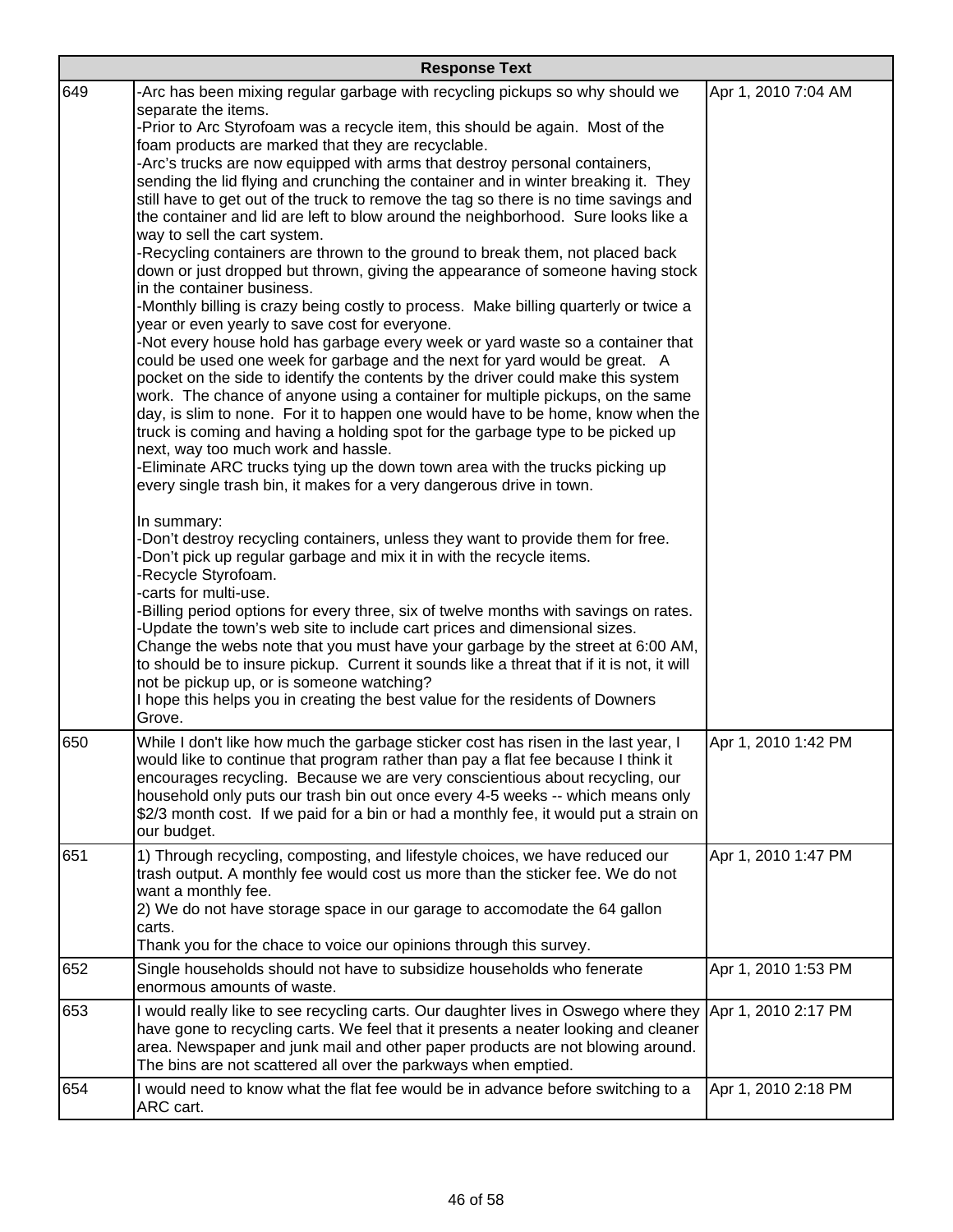| <b>Response Text</b> |                                                                                                                                                                                                                                                                                                                                                                                                                                                                                                                                                                                                                                                                                                                                                                                                                                                                                                                                                                                                                                                                                                                                                                                                                                                                                                                                                                                                                                                                                                                                                                                                                                                                                                                                                                                                                                                                                                                                                                                                                                                                                                                                                                                                                                                                                                                                                                                                        |                     |
|----------------------|--------------------------------------------------------------------------------------------------------------------------------------------------------------------------------------------------------------------------------------------------------------------------------------------------------------------------------------------------------------------------------------------------------------------------------------------------------------------------------------------------------------------------------------------------------------------------------------------------------------------------------------------------------------------------------------------------------------------------------------------------------------------------------------------------------------------------------------------------------------------------------------------------------------------------------------------------------------------------------------------------------------------------------------------------------------------------------------------------------------------------------------------------------------------------------------------------------------------------------------------------------------------------------------------------------------------------------------------------------------------------------------------------------------------------------------------------------------------------------------------------------------------------------------------------------------------------------------------------------------------------------------------------------------------------------------------------------------------------------------------------------------------------------------------------------------------------------------------------------------------------------------------------------------------------------------------------------------------------------------------------------------------------------------------------------------------------------------------------------------------------------------------------------------------------------------------------------------------------------------------------------------------------------------------------------------------------------------------------------------------------------------------------------|---------------------|
| 649                  | -Arc has been mixing regular garbage with recycling pickups so why should we<br>separate the items.<br>-Prior to Arc Styrofoam was a recycle item, this should be again. Most of the<br>foam products are marked that they are recyclable.<br>-Arc's trucks are now equipped with arms that destroy personal containers,<br>sending the lid flying and crunching the container and in winter breaking it. They<br>still have to get out of the truck to remove the tag so there is no time savings and<br>the container and lid are left to blow around the neighborhood. Sure looks like a<br>way to sell the cart system.<br>-Recycling containers are thrown to the ground to break them, not placed back<br>down or just dropped but thrown, giving the appearance of someone having stock<br>in the container business.<br>-Monthly billing is crazy being costly to process. Make billing quarterly or twice a<br>year or even yearly to save cost for everyone.<br>-Not every house hold has garbage every week or yard waste so a container that<br>could be used one week for garbage and the next for yard would be great. A<br>pocket on the side to identify the contents by the driver could make this system<br>work. The chance of anyone using a container for multiple pickups, on the same<br>day, is slim to none. For it to happen one would have to be home, know when the<br>truck is coming and having a holding spot for the garbage type to be picked up<br>next, way too much work and hassle.<br>-Eliminate ARC trucks tying up the down town area with the trucks picking up<br>every single trash bin, it makes for a very dangerous drive in town.<br>In summary:<br>-Don't destroy recycling containers, unless they want to provide them for free.<br>-Don't pick up regular garbage and mix it in with the recycle items.<br>-Recycle Styrofoam.<br>-carts for multi-use.<br>-Billing period options for every three, six of twelve months with savings on rates.<br>-Update the town's web site to include cart prices and dimensional sizes.<br>Change the webs note that you must have your garbage by the street at 6:00 AM,<br>to should be to insure pickup. Current it sounds like a threat that if it is not, it will<br>not be pickup up, or is someone watching?<br>I hope this helps you in creating the best value for the residents of Downers<br>Grove. | Apr 1, 2010 7:04 AM |
| 650                  | While I don't like how much the garbage sticker cost has risen in the last year, I<br>would like to continue that program rather than pay a flat fee because I think it<br>encourages recycling. Because we are very conscientious about recycling, our<br>household only puts our trash bin out once every 4-5 weeks -- which means only<br>\$2/3 month cost. If we paid for a bin or had a monthly fee, it would put a strain on<br>our budget.                                                                                                                                                                                                                                                                                                                                                                                                                                                                                                                                                                                                                                                                                                                                                                                                                                                                                                                                                                                                                                                                                                                                                                                                                                                                                                                                                                                                                                                                                                                                                                                                                                                                                                                                                                                                                                                                                                                                                      | Apr 1, 2010 1:42 PM |
| 651                  | 1) Through recycling, composting, and lifestyle choices, we have reduced our<br>trash output. A monthly fee would cost us more than the sticker fee. We do not<br>want a monthly fee.<br>2) We do not have storage space in our garage to accomodate the 64 gallon<br>carts.<br>Thank you for the chace to voice our opinions through this survey.                                                                                                                                                                                                                                                                                                                                                                                                                                                                                                                                                                                                                                                                                                                                                                                                                                                                                                                                                                                                                                                                                                                                                                                                                                                                                                                                                                                                                                                                                                                                                                                                                                                                                                                                                                                                                                                                                                                                                                                                                                                     | Apr 1, 2010 1:47 PM |
| 652                  | Single households should not have to subsidize households who fenerate<br>enormous amounts of waste.                                                                                                                                                                                                                                                                                                                                                                                                                                                                                                                                                                                                                                                                                                                                                                                                                                                                                                                                                                                                                                                                                                                                                                                                                                                                                                                                                                                                                                                                                                                                                                                                                                                                                                                                                                                                                                                                                                                                                                                                                                                                                                                                                                                                                                                                                                   | Apr 1, 2010 1:53 PM |
| 653                  | I would really like to see recycling carts. Our daughter lives in Oswego where they<br>have gone to recycling carts. We feel that it presents a neater looking and cleaner<br>area. Newspaper and junk mail and other paper products are not blowing around.<br>The bins are not scattered all over the parkways when emptied.                                                                                                                                                                                                                                                                                                                                                                                                                                                                                                                                                                                                                                                                                                                                                                                                                                                                                                                                                                                                                                                                                                                                                                                                                                                                                                                                                                                                                                                                                                                                                                                                                                                                                                                                                                                                                                                                                                                                                                                                                                                                         | Apr 1, 2010 2:17 PM |
| 654                  | I would need to know what the flat fee would be in advance before switching to a<br>ARC cart.                                                                                                                                                                                                                                                                                                                                                                                                                                                                                                                                                                                                                                                                                                                                                                                                                                                                                                                                                                                                                                                                                                                                                                                                                                                                                                                                                                                                                                                                                                                                                                                                                                                                                                                                                                                                                                                                                                                                                                                                                                                                                                                                                                                                                                                                                                          | Apr 1, 2010 2:18 PM |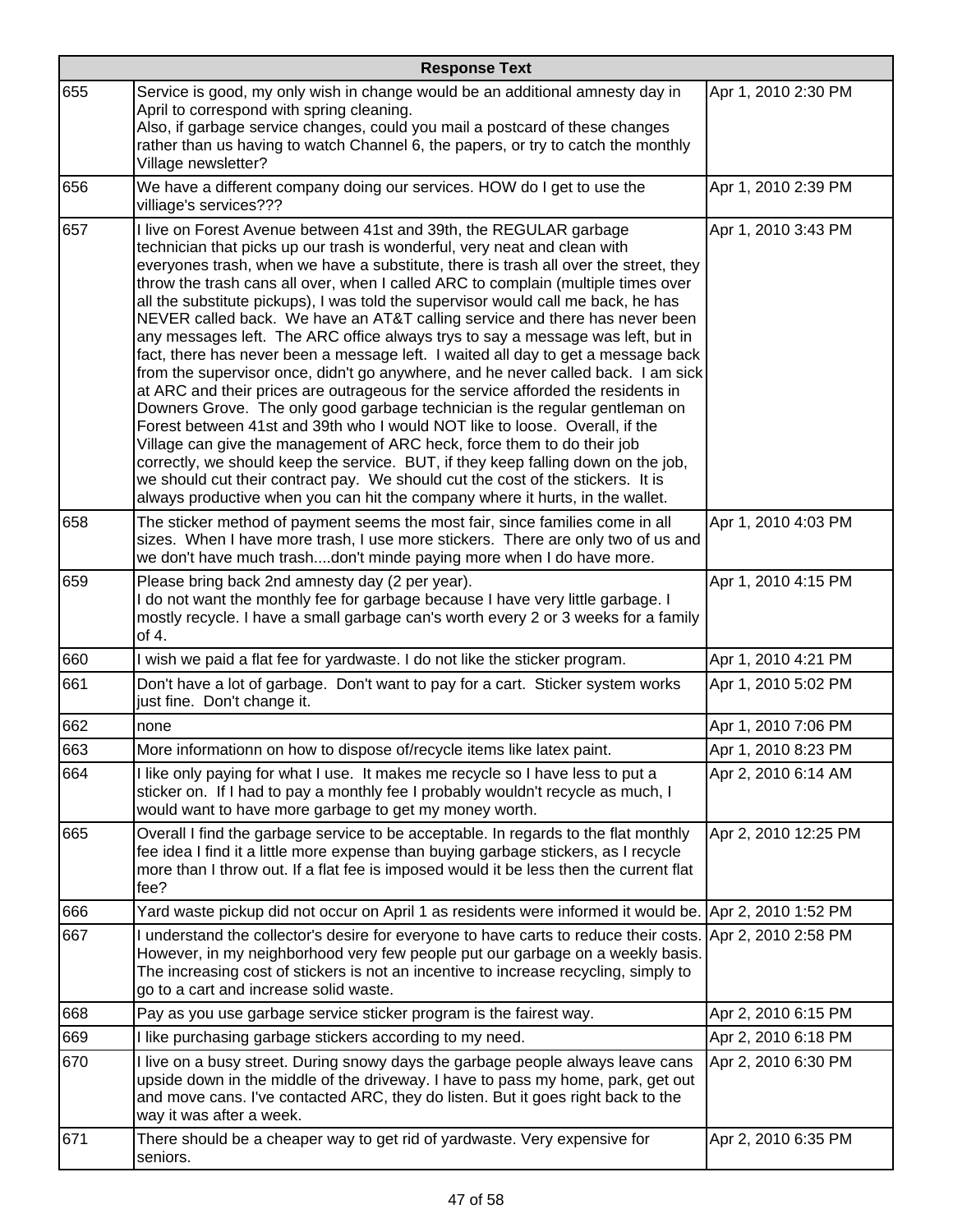|     | <b>Response Text</b>                                                                                                                                                                                                                                                                                                                                                                                                                                                                                                                                                                                                                                                                                                                                                                                                                                                                                                                                                                                                                                                                                                                                                                                                                                                                                                                                |                      |  |
|-----|-----------------------------------------------------------------------------------------------------------------------------------------------------------------------------------------------------------------------------------------------------------------------------------------------------------------------------------------------------------------------------------------------------------------------------------------------------------------------------------------------------------------------------------------------------------------------------------------------------------------------------------------------------------------------------------------------------------------------------------------------------------------------------------------------------------------------------------------------------------------------------------------------------------------------------------------------------------------------------------------------------------------------------------------------------------------------------------------------------------------------------------------------------------------------------------------------------------------------------------------------------------------------------------------------------------------------------------------------------|----------------------|--|
| 655 | Service is good, my only wish in change would be an additional amnesty day in<br>April to correspond with spring cleaning.<br>Also, if garbage service changes, could you mail a postcard of these changes<br>rather than us having to watch Channel 6, the papers, or try to catch the monthly<br>Village newsletter?                                                                                                                                                                                                                                                                                                                                                                                                                                                                                                                                                                                                                                                                                                                                                                                                                                                                                                                                                                                                                              | Apr 1, 2010 2:30 PM  |  |
| 656 | We have a different company doing our services. HOW do I get to use the<br>villiage's services???                                                                                                                                                                                                                                                                                                                                                                                                                                                                                                                                                                                                                                                                                                                                                                                                                                                                                                                                                                                                                                                                                                                                                                                                                                                   | Apr 1, 2010 2:39 PM  |  |
| 657 | I live on Forest Avenue between 41st and 39th, the REGULAR garbage<br>technician that picks up our trash is wonderful, very neat and clean with<br>everyones trash, when we have a substitute, there is trash all over the street, they<br>throw the trash cans all over, when I called ARC to complain (multiple times over<br>all the substitute pickups), I was told the supervisor would call me back, he has<br>NEVER called back. We have an AT&T calling service and there has never been<br>any messages left. The ARC office always trys to say a message was left, but in<br>fact, there has never been a message left. I waited all day to get a message back<br>from the supervisor once, didn't go anywhere, and he never called back. I am sick<br>at ARC and their prices are outrageous for the service afforded the residents in<br>Downers Grove. The only good garbage technician is the regular gentleman on<br>Forest between 41st and 39th who I would NOT like to loose. Overall, if the<br>Village can give the management of ARC heck, force them to do their job<br>correctly, we should keep the service. BUT, if they keep falling down on the job,<br>we should cut their contract pay. We should cut the cost of the stickers. It is<br>always productive when you can hit the company where it hurts, in the wallet. | Apr 1, 2010 3:43 PM  |  |
| 658 | The sticker method of payment seems the most fair, since families come in all<br>sizes. When I have more trash, I use more stickers. There are only two of us and<br>we don't have much trashdon't minde paying more when I do have more.                                                                                                                                                                                                                                                                                                                                                                                                                                                                                                                                                                                                                                                                                                                                                                                                                                                                                                                                                                                                                                                                                                           | Apr 1, 2010 4:03 PM  |  |
| 659 | Please bring back 2nd amnesty day (2 per year).<br>I do not want the monthly fee for garbage because I have very little garbage. I<br>mostly recycle. I have a small garbage can's worth every 2 or 3 weeks for a family<br>of 4.                                                                                                                                                                                                                                                                                                                                                                                                                                                                                                                                                                                                                                                                                                                                                                                                                                                                                                                                                                                                                                                                                                                   | Apr 1, 2010 4:15 PM  |  |
| 660 | I wish we paid a flat fee for yardwaste. I do not like the sticker program.                                                                                                                                                                                                                                                                                                                                                                                                                                                                                                                                                                                                                                                                                                                                                                                                                                                                                                                                                                                                                                                                                                                                                                                                                                                                         | Apr 1, 2010 4:21 PM  |  |
| 661 | Don't have a lot of garbage. Don't want to pay for a cart. Sticker system works<br>just fine. Don't change it.                                                                                                                                                                                                                                                                                                                                                                                                                                                                                                                                                                                                                                                                                                                                                                                                                                                                                                                                                                                                                                                                                                                                                                                                                                      | Apr 1, 2010 5:02 PM  |  |
| 662 | none                                                                                                                                                                                                                                                                                                                                                                                                                                                                                                                                                                                                                                                                                                                                                                                                                                                                                                                                                                                                                                                                                                                                                                                                                                                                                                                                                | Apr 1, 2010 7:06 PM  |  |
| 663 | More informationn on how to dispose of/recycle items like latex paint.                                                                                                                                                                                                                                                                                                                                                                                                                                                                                                                                                                                                                                                                                                                                                                                                                                                                                                                                                                                                                                                                                                                                                                                                                                                                              | Apr 1, 2010 8:23 PM  |  |
| 664 | I like only paying for what I use. It makes me recycle so I have less to put a<br>sticker on. If I had to pay a monthly fee I probably wouldn't recycle as much, I<br>would want to have more garbage to get my money worth.                                                                                                                                                                                                                                                                                                                                                                                                                                                                                                                                                                                                                                                                                                                                                                                                                                                                                                                                                                                                                                                                                                                        | Apr 2, 2010 6:14 AM  |  |
| 665 | Overall I find the garbage service to be acceptable. In regards to the flat monthly<br>fee idea I find it a little more expense than buying garbage stickers, as I recycle<br>more than I throw out. If a flat fee is imposed would it be less then the current flat<br>fee?                                                                                                                                                                                                                                                                                                                                                                                                                                                                                                                                                                                                                                                                                                                                                                                                                                                                                                                                                                                                                                                                        | Apr 2, 2010 12:25 PM |  |
| 666 | Yard waste pickup did not occur on April 1 as residents were informed it would be. Apr 2, 2010 1:52 PM                                                                                                                                                                                                                                                                                                                                                                                                                                                                                                                                                                                                                                                                                                                                                                                                                                                                                                                                                                                                                                                                                                                                                                                                                                              |                      |  |
| 667 | I understand the collector's desire for everyone to have carts to reduce their costs. Apr 2, 2010 2:58 PM<br>However, in my neighborhood very few people put our garbage on a weekly basis.<br>The increasing cost of stickers is not an incentive to increase recycling, simply to<br>go to a cart and increase solid waste.                                                                                                                                                                                                                                                                                                                                                                                                                                                                                                                                                                                                                                                                                                                                                                                                                                                                                                                                                                                                                       |                      |  |
| 668 | Pay as you use garbage service sticker program is the fairest way.                                                                                                                                                                                                                                                                                                                                                                                                                                                                                                                                                                                                                                                                                                                                                                                                                                                                                                                                                                                                                                                                                                                                                                                                                                                                                  | Apr 2, 2010 6:15 PM  |  |
| 669 | I like purchasing garbage stickers according to my need.                                                                                                                                                                                                                                                                                                                                                                                                                                                                                                                                                                                                                                                                                                                                                                                                                                                                                                                                                                                                                                                                                                                                                                                                                                                                                            | Apr 2, 2010 6:18 PM  |  |
| 670 | I live on a busy street. During snowy days the garbage people always leave cans<br>upside down in the middle of the driveway. I have to pass my home, park, get out<br>and move cans. I've contacted ARC, they do listen. But it goes right back to the<br>way it was after a week.                                                                                                                                                                                                                                                                                                                                                                                                                                                                                                                                                                                                                                                                                                                                                                                                                                                                                                                                                                                                                                                                 | Apr 2, 2010 6:30 PM  |  |
| 671 | There should be a cheaper way to get rid of yardwaste. Very expensive for<br>seniors.                                                                                                                                                                                                                                                                                                                                                                                                                                                                                                                                                                                                                                                                                                                                                                                                                                                                                                                                                                                                                                                                                                                                                                                                                                                               | Apr 2, 2010 6:35 PM  |  |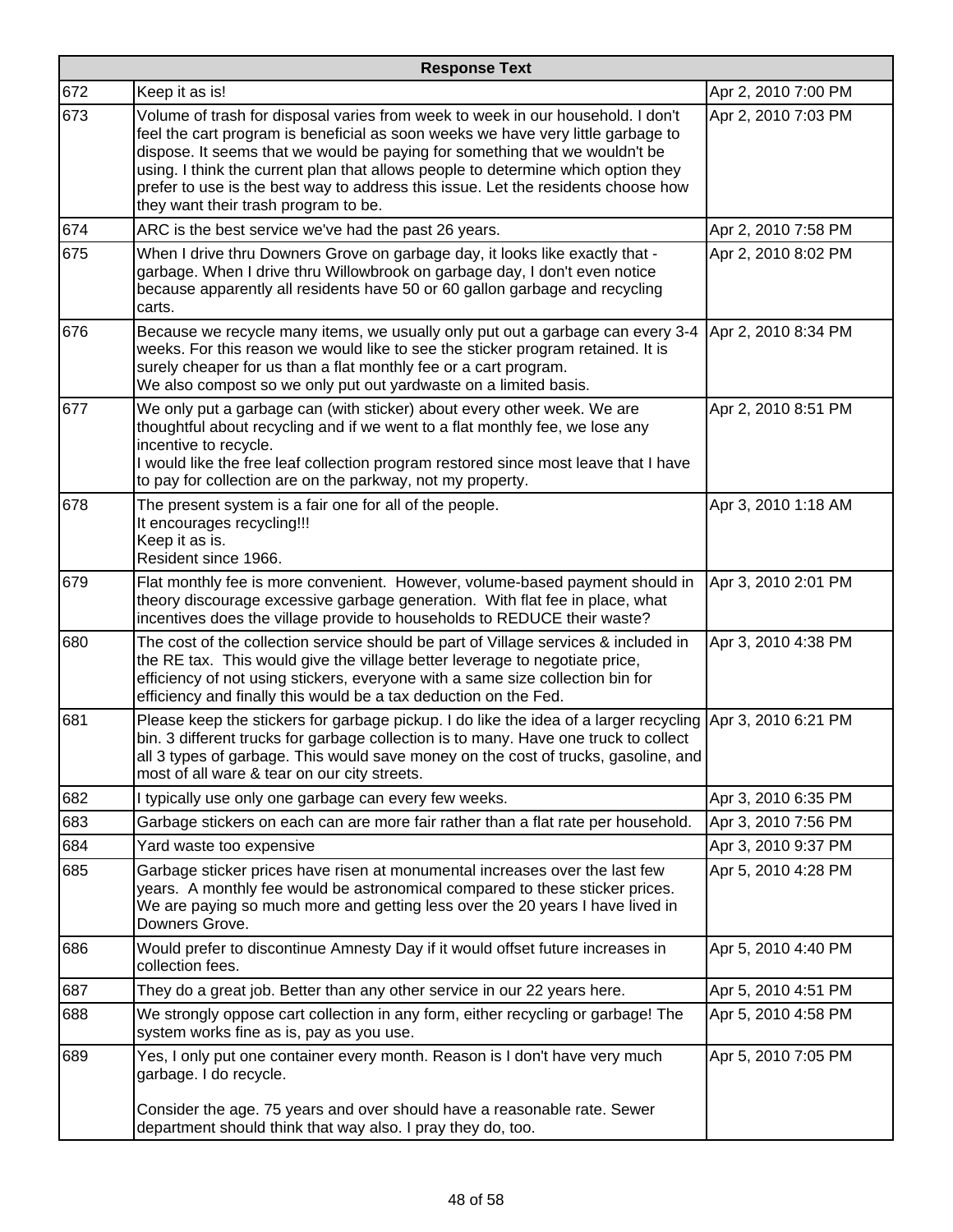| <b>Response Text</b> |                                                                                                                                                                                                                                                                                                                                                                                                                                                                      |                     |
|----------------------|----------------------------------------------------------------------------------------------------------------------------------------------------------------------------------------------------------------------------------------------------------------------------------------------------------------------------------------------------------------------------------------------------------------------------------------------------------------------|---------------------|
| 672                  | Keep it as is!                                                                                                                                                                                                                                                                                                                                                                                                                                                       | Apr 2, 2010 7:00 PM |
| 673                  | Volume of trash for disposal varies from week to week in our household. I don't<br>feel the cart program is beneficial as soon weeks we have very little garbage to<br>dispose. It seems that we would be paying for something that we wouldn't be<br>using. I think the current plan that allows people to determine which option they<br>prefer to use is the best way to address this issue. Let the residents choose how<br>they want their trash program to be. | Apr 2, 2010 7:03 PM |
| 674                  | ARC is the best service we've had the past 26 years.                                                                                                                                                                                                                                                                                                                                                                                                                 | Apr 2, 2010 7:58 PM |
| 675                  | When I drive thru Downers Grove on garbage day, it looks like exactly that -<br>garbage. When I drive thru Willowbrook on garbage day, I don't even notice<br>because apparently all residents have 50 or 60 gallon garbage and recycling<br>carts.                                                                                                                                                                                                                  | Apr 2, 2010 8:02 PM |
| 676                  | Because we recycle many items, we usually only put out a garbage can every 3-4<br>weeks. For this reason we would like to see the sticker program retained. It is<br>surely cheaper for us than a flat monthly fee or a cart program.<br>We also compost so we only put out yardwaste on a limited basis.                                                                                                                                                            | Apr 2, 2010 8:34 PM |
| 677                  | We only put a garbage can (with sticker) about every other week. We are<br>thoughtful about recycling and if we went to a flat monthly fee, we lose any<br>incentive to recycle.<br>I would like the free leaf collection program restored since most leave that I have<br>to pay for collection are on the parkway, not my property.                                                                                                                                | Apr 2, 2010 8:51 PM |
| 678                  | The present system is a fair one for all of the people.<br>It encourages recycling!!!<br>Keep it as is.<br>Resident since 1966.                                                                                                                                                                                                                                                                                                                                      | Apr 3, 2010 1:18 AM |
| 679                  | Flat monthly fee is more convenient. However, volume-based payment should in<br>theory discourage excessive garbage generation. With flat fee in place, what<br>incentives does the village provide to households to REDUCE their waste?                                                                                                                                                                                                                             | Apr 3, 2010 2:01 PM |
| 680                  | The cost of the collection service should be part of Village services & included in<br>the RE tax. This would give the village better leverage to negotiate price,<br>efficiency of not using stickers, everyone with a same size collection bin for<br>efficiency and finally this would be a tax deduction on the Fed.                                                                                                                                             | Apr 3, 2010 4:38 PM |
| 681                  | Please keep the stickers for garbage pickup. I do like the idea of a larger recycling Apr 3, 2010 6:21 PM<br>bin. 3 different trucks for garbage collection is to many. Have one truck to collect<br>all 3 types of garbage. This would save money on the cost of trucks, gasoline, and<br>most of all ware & tear on our city streets.                                                                                                                              |                     |
| 682                  | I typically use only one garbage can every few weeks.                                                                                                                                                                                                                                                                                                                                                                                                                | Apr 3, 2010 6:35 PM |
| 683                  | Garbage stickers on each can are more fair rather than a flat rate per household.                                                                                                                                                                                                                                                                                                                                                                                    | Apr 3, 2010 7:56 PM |
| 684                  | Yard waste too expensive                                                                                                                                                                                                                                                                                                                                                                                                                                             | Apr 3, 2010 9:37 PM |
| 685                  | Garbage sticker prices have risen at monumental increases over the last few<br>years. A monthly fee would be astronomical compared to these sticker prices.<br>We are paying so much more and getting less over the 20 years I have lived in<br>Downers Grove.                                                                                                                                                                                                       | Apr 5, 2010 4:28 PM |
| 686                  | Would prefer to discontinue Amnesty Day if it would offset future increases in<br>collection fees.                                                                                                                                                                                                                                                                                                                                                                   | Apr 5, 2010 4:40 PM |
| 687                  | They do a great job. Better than any other service in our 22 years here.                                                                                                                                                                                                                                                                                                                                                                                             | Apr 5, 2010 4:51 PM |
| 688                  | We strongly oppose cart collection in any form, either recycling or garbage! The<br>system works fine as is, pay as you use.                                                                                                                                                                                                                                                                                                                                         | Apr 5, 2010 4:58 PM |
| 689                  | Yes, I only put one container every month. Reason is I don't have very much<br>garbage. I do recycle.                                                                                                                                                                                                                                                                                                                                                                | Apr 5, 2010 7:05 PM |
|                      | Consider the age. 75 years and over should have a reasonable rate. Sewer<br>department should think that way also. I pray they do, too.                                                                                                                                                                                                                                                                                                                              |                     |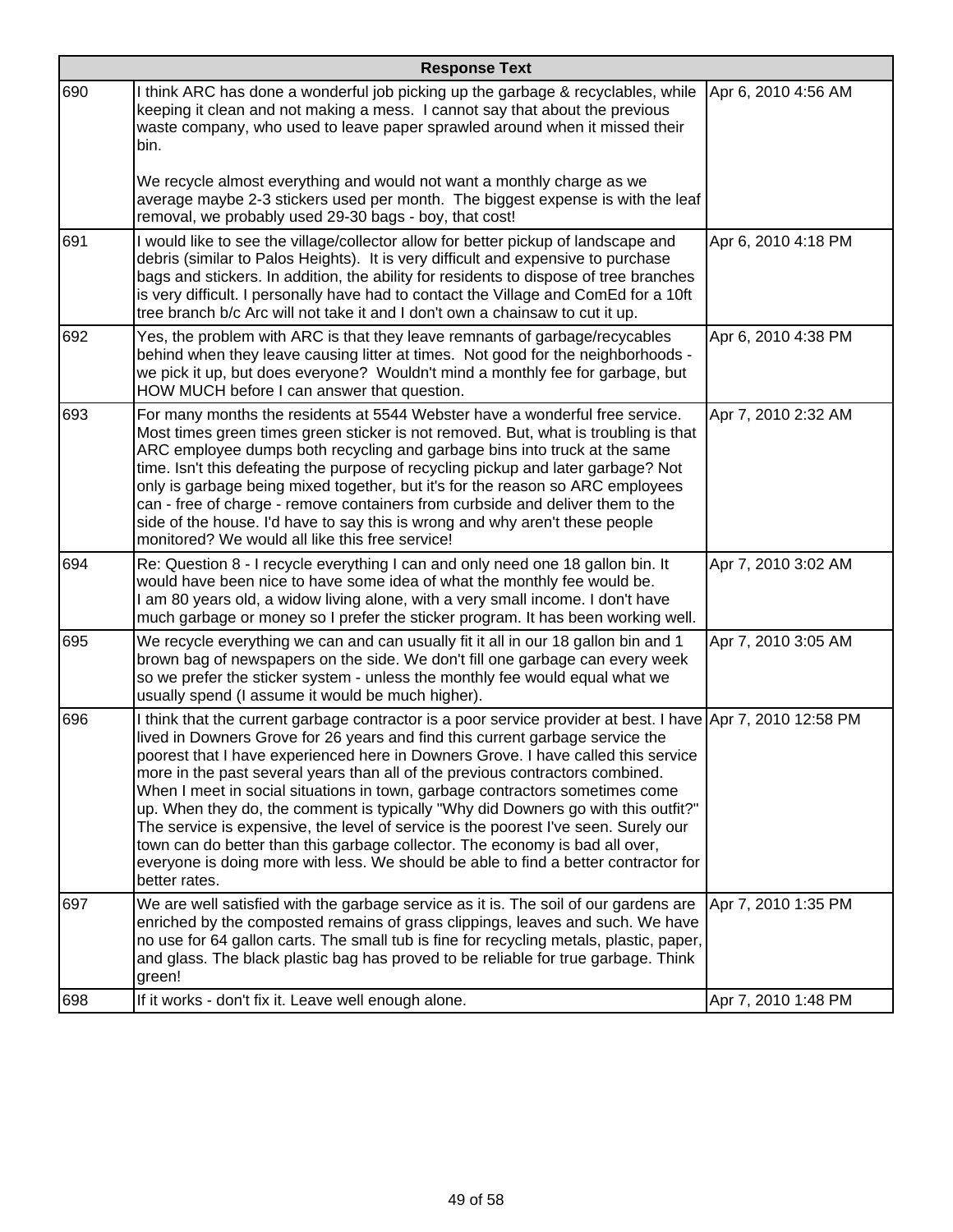|     | <b>Response Text</b>                                                                                                                                                                                                                                                                                                                                                                                                                                                                                                                                                                                                                                                                                                                                                                                                   |                     |  |
|-----|------------------------------------------------------------------------------------------------------------------------------------------------------------------------------------------------------------------------------------------------------------------------------------------------------------------------------------------------------------------------------------------------------------------------------------------------------------------------------------------------------------------------------------------------------------------------------------------------------------------------------------------------------------------------------------------------------------------------------------------------------------------------------------------------------------------------|---------------------|--|
| 690 | I think ARC has done a wonderful job picking up the garbage & recyclables, while<br>keeping it clean and not making a mess. I cannot say that about the previous<br>waste company, who used to leave paper sprawled around when it missed their<br>bin.<br>We recycle almost everything and would not want a monthly charge as we                                                                                                                                                                                                                                                                                                                                                                                                                                                                                      | Apr 6, 2010 4:56 AM |  |
|     | average maybe 2-3 stickers used per month. The biggest expense is with the leaf<br>removal, we probably used 29-30 bags - boy, that cost!                                                                                                                                                                                                                                                                                                                                                                                                                                                                                                                                                                                                                                                                              |                     |  |
| 691 | I would like to see the village/collector allow for better pickup of landscape and<br>debris (similar to Palos Heights). It is very difficult and expensive to purchase<br>bags and stickers. In addition, the ability for residents to dispose of tree branches<br>is very difficult. I personally have had to contact the Village and ComEd for a 10ft<br>tree branch b/c Arc will not take it and I don't own a chainsaw to cut it up.                                                                                                                                                                                                                                                                                                                                                                              | Apr 6, 2010 4:18 PM |  |
| 692 | Yes, the problem with ARC is that they leave remnants of garbage/recycables<br>behind when they leave causing litter at times. Not good for the neighborhoods -<br>we pick it up, but does everyone? Wouldn't mind a monthly fee for garbage, but<br>HOW MUCH before I can answer that question.                                                                                                                                                                                                                                                                                                                                                                                                                                                                                                                       | Apr 6, 2010 4:38 PM |  |
| 693 | For many months the residents at 5544 Webster have a wonderful free service.<br>Most times green times green sticker is not removed. But, what is troubling is that<br>ARC employee dumps both recycling and garbage bins into truck at the same<br>time. Isn't this defeating the purpose of recycling pickup and later garbage? Not<br>only is garbage being mixed together, but it's for the reason so ARC employees<br>can - free of charge - remove containers from curbside and deliver them to the<br>side of the house. I'd have to say this is wrong and why aren't these people<br>monitored? We would all like this free service!                                                                                                                                                                           | Apr 7, 2010 2:32 AM |  |
| 694 | Re: Question 8 - I recycle everything I can and only need one 18 gallon bin. It<br>would have been nice to have some idea of what the monthly fee would be.<br>I am 80 years old, a widow living alone, with a very small income. I don't have<br>much garbage or money so I prefer the sticker program. It has been working well.                                                                                                                                                                                                                                                                                                                                                                                                                                                                                     | Apr 7, 2010 3:02 AM |  |
| 695 | We recycle everything we can and can usually fit it all in our 18 gallon bin and 1<br>brown bag of newspapers on the side. We don't fill one garbage can every week<br>so we prefer the sticker system - unless the monthly fee would equal what we<br>usually spend (I assume it would be much higher).                                                                                                                                                                                                                                                                                                                                                                                                                                                                                                               | Apr 7, 2010 3:05 AM |  |
| 696 | I think that the current garbage contractor is a poor service provider at best. I have Apr 7, 2010 12:58 PM<br>lived in Downers Grove for 26 years and find this current garbage service the<br>poorest that I have experienced here in Downers Grove. I have called this service<br>more in the past several years than all of the previous contractors combined.<br>When I meet in social situations in town, garbage contractors sometimes come<br>up. When they do, the comment is typically "Why did Downers go with this outfit?"<br>The service is expensive, the level of service is the poorest I've seen. Surely our<br>town can do better than this garbage collector. The economy is bad all over,<br>everyone is doing more with less. We should be able to find a better contractor for<br>better rates. |                     |  |
| 697 | We are well satisfied with the garbage service as it is. The soil of our gardens are<br>enriched by the composted remains of grass clippings, leaves and such. We have<br>no use for 64 gallon carts. The small tub is fine for recycling metals, plastic, paper,<br>and glass. The black plastic bag has proved to be reliable for true garbage. Think<br>green!                                                                                                                                                                                                                                                                                                                                                                                                                                                      | Apr 7, 2010 1:35 PM |  |
| 698 | If it works - don't fix it. Leave well enough alone.                                                                                                                                                                                                                                                                                                                                                                                                                                                                                                                                                                                                                                                                                                                                                                   | Apr 7, 2010 1:48 PM |  |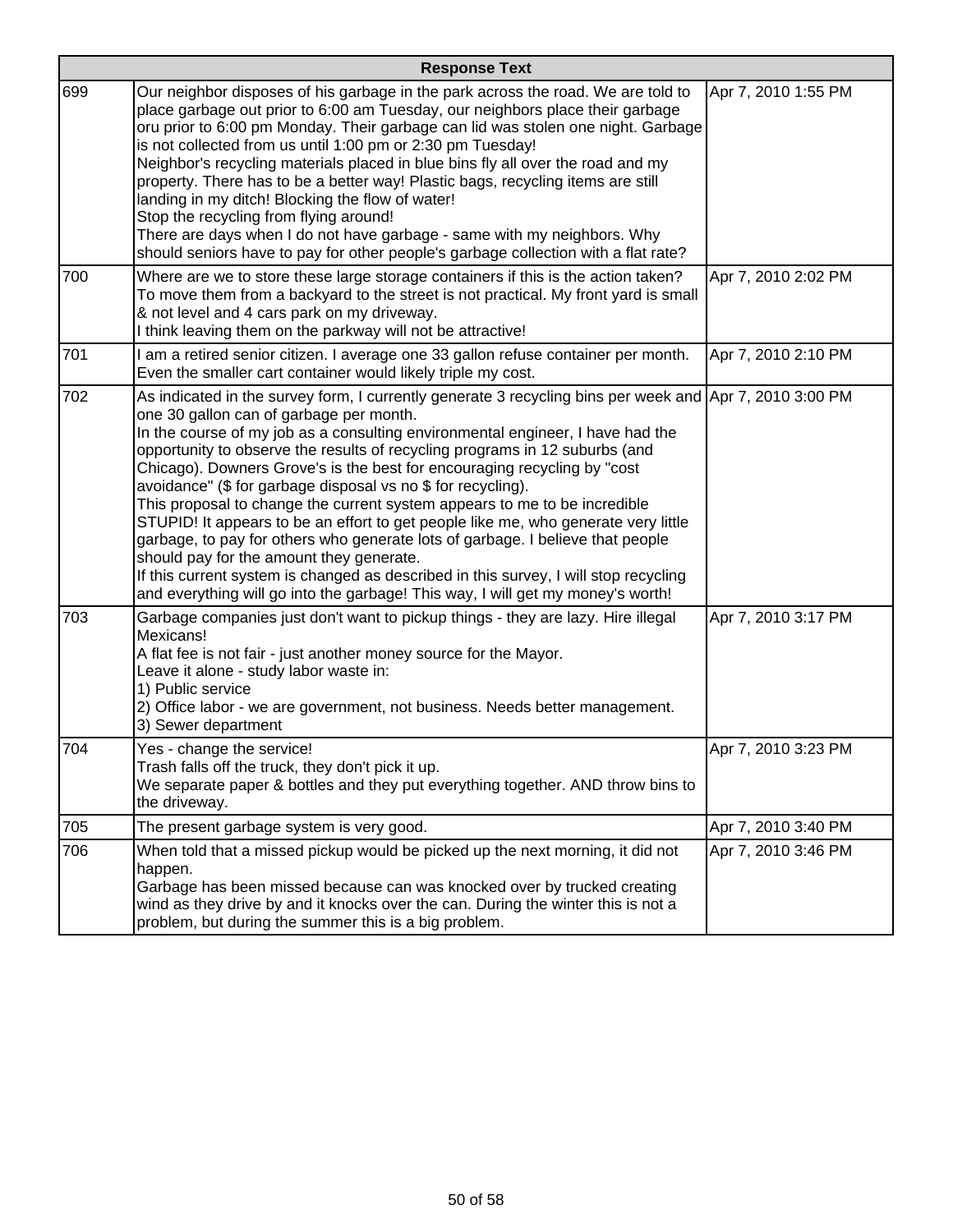| <b>Response Text</b> |                                                                                                                                                                                                                                                                                                                                                                                                                                                                                                                                                                                                                                                                                                                                                                                                                                                                                                                                             |                     |
|----------------------|---------------------------------------------------------------------------------------------------------------------------------------------------------------------------------------------------------------------------------------------------------------------------------------------------------------------------------------------------------------------------------------------------------------------------------------------------------------------------------------------------------------------------------------------------------------------------------------------------------------------------------------------------------------------------------------------------------------------------------------------------------------------------------------------------------------------------------------------------------------------------------------------------------------------------------------------|---------------------|
| 699                  | Our neighbor disposes of his garbage in the park across the road. We are told to<br>place garbage out prior to 6:00 am Tuesday, our neighbors place their garbage<br>oru prior to 6:00 pm Monday. Their garbage can lid was stolen one night. Garbage<br>is not collected from us until 1:00 pm or 2:30 pm Tuesday!<br>Neighbor's recycling materials placed in blue bins fly all over the road and my<br>property. There has to be a better way! Plastic bags, recycling items are still<br>landing in my ditch! Blocking the flow of water!<br>Stop the recycling from flying around!<br>There are days when I do not have garbage - same with my neighbors. Why<br>should seniors have to pay for other people's garbage collection with a flat rate?                                                                                                                                                                                    | Apr 7, 2010 1:55 PM |
| 700                  | Where are we to store these large storage containers if this is the action taken?<br>To move them from a backyard to the street is not practical. My front yard is small<br>& not level and 4 cars park on my driveway.<br>I think leaving them on the parkway will not be attractive!                                                                                                                                                                                                                                                                                                                                                                                                                                                                                                                                                                                                                                                      | Apr 7, 2010 2:02 PM |
| 701                  | I am a retired senior citizen. I average one 33 gallon refuse container per month.<br>Even the smaller cart container would likely triple my cost.                                                                                                                                                                                                                                                                                                                                                                                                                                                                                                                                                                                                                                                                                                                                                                                          | Apr 7, 2010 2:10 PM |
| 702                  | As indicated in the survey form, I currently generate 3 recycling bins per week and Apr 7, 2010 3:00 PM<br>one 30 gallon can of garbage per month.<br>In the course of my job as a consulting environmental engineer, I have had the<br>opportunity to observe the results of recycling programs in 12 suburbs (and<br>Chicago). Downers Grove's is the best for encouraging recycling by "cost<br>avoidance" (\$ for garbage disposal vs no \$ for recycling).<br>This proposal to change the current system appears to me to be incredible<br>STUPID! It appears to be an effort to get people like me, who generate very little<br>garbage, to pay for others who generate lots of garbage. I believe that people<br>should pay for the amount they generate.<br>If this current system is changed as described in this survey, I will stop recycling<br>and everything will go into the garbage! This way, I will get my money's worth! |                     |
| 703                  | Garbage companies just don't want to pickup things - they are lazy. Hire illegal<br>Mexicans!<br>A flat fee is not fair - just another money source for the Mayor.<br>Leave it alone - study labor waste in:<br>1) Public service<br>2) Office labor - we are government, not business. Needs better management.<br>3) Sewer department                                                                                                                                                                                                                                                                                                                                                                                                                                                                                                                                                                                                     | Apr 7, 2010 3:17 PM |
| 704                  | Yes - change the service!<br>Trash falls off the truck, they don't pick it up.<br>We separate paper & bottles and they put everything together. AND throw bins to<br>the driveway.                                                                                                                                                                                                                                                                                                                                                                                                                                                                                                                                                                                                                                                                                                                                                          | Apr 7, 2010 3:23 PM |
| 705                  | The present garbage system is very good.                                                                                                                                                                                                                                                                                                                                                                                                                                                                                                                                                                                                                                                                                                                                                                                                                                                                                                    | Apr 7, 2010 3:40 PM |
| 706                  | When told that a missed pickup would be picked up the next morning, it did not<br>happen.<br>Garbage has been missed because can was knocked over by trucked creating<br>wind as they drive by and it knocks over the can. During the winter this is not a<br>problem, but during the summer this is a big problem.                                                                                                                                                                                                                                                                                                                                                                                                                                                                                                                                                                                                                         | Apr 7, 2010 3:46 PM |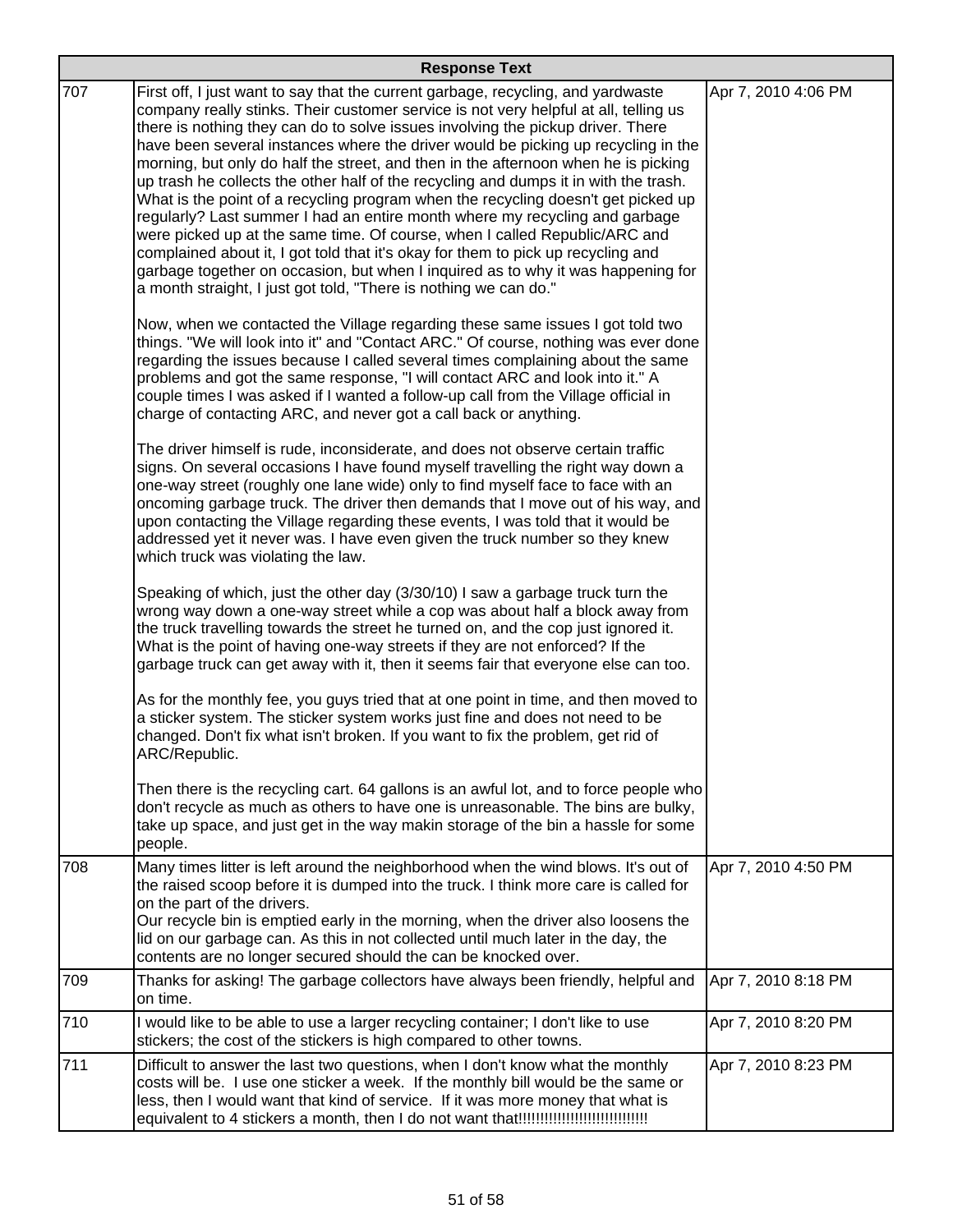|     | <b>Response Text</b>                                                                                                                                                                                                                                                                                                                                                                                                                                                                                                                                                                                                                                                                                                                                                                                                                                                                                                                                                                                                         |                     |  |
|-----|------------------------------------------------------------------------------------------------------------------------------------------------------------------------------------------------------------------------------------------------------------------------------------------------------------------------------------------------------------------------------------------------------------------------------------------------------------------------------------------------------------------------------------------------------------------------------------------------------------------------------------------------------------------------------------------------------------------------------------------------------------------------------------------------------------------------------------------------------------------------------------------------------------------------------------------------------------------------------------------------------------------------------|---------------------|--|
| 707 | First off, I just want to say that the current garbage, recycling, and yardwaste<br>company really stinks. Their customer service is not very helpful at all, telling us<br>there is nothing they can do to solve issues involving the pickup driver. There<br>have been several instances where the driver would be picking up recycling in the<br>morning, but only do half the street, and then in the afternoon when he is picking<br>up trash he collects the other half of the recycling and dumps it in with the trash.<br>What is the point of a recycling program when the recycling doesn't get picked up<br>regularly? Last summer I had an entire month where my recycling and garbage<br>were picked up at the same time. Of course, when I called Republic/ARC and<br>complained about it, I got told that it's okay for them to pick up recycling and<br>garbage together on occasion, but when I inquired as to why it was happening for<br>a month straight, I just got told, "There is nothing we can do." | Apr 7, 2010 4:06 PM |  |
|     | Now, when we contacted the Village regarding these same issues I got told two<br>things. "We will look into it" and "Contact ARC." Of course, nothing was ever done<br>regarding the issues because I called several times complaining about the same<br>problems and got the same response, "I will contact ARC and look into it." A<br>couple times I was asked if I wanted a follow-up call from the Village official in<br>charge of contacting ARC, and never got a call back or anything.                                                                                                                                                                                                                                                                                                                                                                                                                                                                                                                              |                     |  |
|     | The driver himself is rude, inconsiderate, and does not observe certain traffic<br>signs. On several occasions I have found myself travelling the right way down a<br>one-way street (roughly one lane wide) only to find myself face to face with an<br>oncoming garbage truck. The driver then demands that I move out of his way, and<br>upon contacting the Village regarding these events, I was told that it would be<br>addressed yet it never was. I have even given the truck number so they knew<br>which truck was violating the law.                                                                                                                                                                                                                                                                                                                                                                                                                                                                             |                     |  |
|     | Speaking of which, just the other day (3/30/10) I saw a garbage truck turn the<br>wrong way down a one-way street while a cop was about half a block away from<br>the truck travelling towards the street he turned on, and the cop just ignored it.<br>What is the point of having one-way streets if they are not enforced? If the<br>garbage truck can get away with it, then it seems fair that everyone else can too.                                                                                                                                                                                                                                                                                                                                                                                                                                                                                                                                                                                                   |                     |  |
|     | As for the monthly fee, you guys tried that at one point in time, and then moved to<br>a sticker system. The sticker system works just fine and does not need to be<br>changed. Don't fix what isn't broken. If you want to fix the problem, get rid of<br>ARC/Republic.                                                                                                                                                                                                                                                                                                                                                                                                                                                                                                                                                                                                                                                                                                                                                     |                     |  |
|     | Then there is the recycling cart. 64 gallons is an awful lot, and to force people who<br>don't recycle as much as others to have one is unreasonable. The bins are bulky,<br>take up space, and just get in the way makin storage of the bin a hassle for some<br>people.                                                                                                                                                                                                                                                                                                                                                                                                                                                                                                                                                                                                                                                                                                                                                    |                     |  |
| 708 | Many times litter is left around the neighborhood when the wind blows. It's out of<br>the raised scoop before it is dumped into the truck. I think more care is called for<br>on the part of the drivers.<br>Our recycle bin is emptied early in the morning, when the driver also loosens the<br>lid on our garbage can. As this in not collected until much later in the day, the<br>contents are no longer secured should the can be knocked over.                                                                                                                                                                                                                                                                                                                                                                                                                                                                                                                                                                        | Apr 7, 2010 4:50 PM |  |
| 709 | Thanks for asking! The garbage collectors have always been friendly, helpful and<br>on time.                                                                                                                                                                                                                                                                                                                                                                                                                                                                                                                                                                                                                                                                                                                                                                                                                                                                                                                                 | Apr 7, 2010 8:18 PM |  |
| 710 | I would like to be able to use a larger recycling container; I don't like to use<br>stickers; the cost of the stickers is high compared to other towns.                                                                                                                                                                                                                                                                                                                                                                                                                                                                                                                                                                                                                                                                                                                                                                                                                                                                      | Apr 7, 2010 8:20 PM |  |
| 711 | Difficult to answer the last two questions, when I don't know what the monthly<br>costs will be. I use one sticker a week. If the monthly bill would be the same or<br>less, then I would want that kind of service. If it was more money that what is                                                                                                                                                                                                                                                                                                                                                                                                                                                                                                                                                                                                                                                                                                                                                                       | Apr 7, 2010 8:23 PM |  |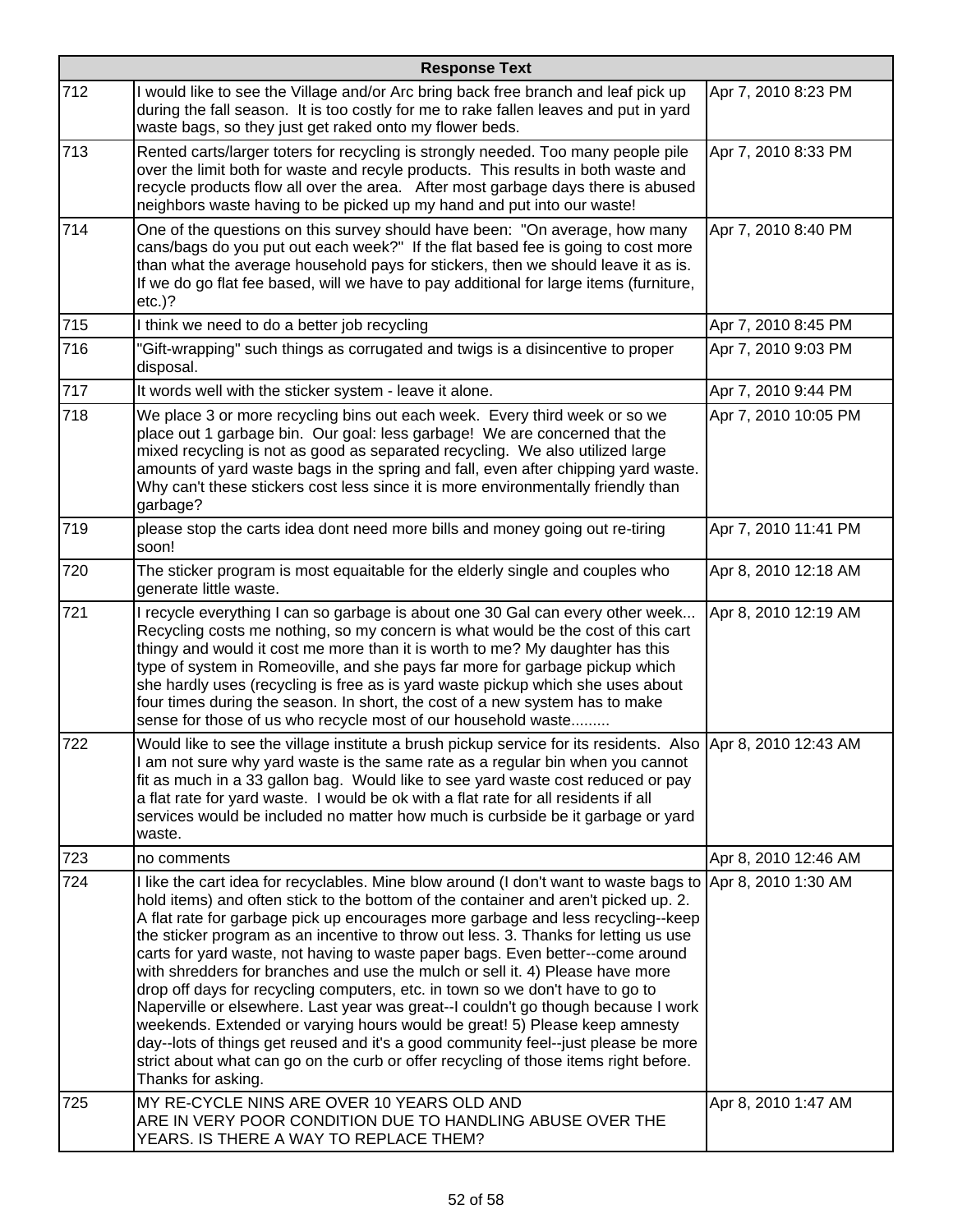|     | <b>Response Text</b>                                                                                                                                                                                                                                                                                                                                                                                                                                                                                                                                                                                                                                                                                                                                                                                                                                                                                                                                                                                   |                      |  |
|-----|--------------------------------------------------------------------------------------------------------------------------------------------------------------------------------------------------------------------------------------------------------------------------------------------------------------------------------------------------------------------------------------------------------------------------------------------------------------------------------------------------------------------------------------------------------------------------------------------------------------------------------------------------------------------------------------------------------------------------------------------------------------------------------------------------------------------------------------------------------------------------------------------------------------------------------------------------------------------------------------------------------|----------------------|--|
| 712 | I would like to see the Village and/or Arc bring back free branch and leaf pick up<br>during the fall season. It is too costly for me to rake fallen leaves and put in yard<br>waste bags, so they just get raked onto my flower beds.                                                                                                                                                                                                                                                                                                                                                                                                                                                                                                                                                                                                                                                                                                                                                                 | Apr 7, 2010 8:23 PM  |  |
| 713 | Rented carts/larger toters for recycling is strongly needed. Too many people pile<br>over the limit both for waste and recyle products. This results in both waste and<br>recycle products flow all over the area. After most garbage days there is abused<br>neighbors waste having to be picked up my hand and put into our waste!                                                                                                                                                                                                                                                                                                                                                                                                                                                                                                                                                                                                                                                                   | Apr 7, 2010 8:33 PM  |  |
| 714 | One of the questions on this survey should have been: "On average, how many<br>cans/bags do you put out each week?" If the flat based fee is going to cost more<br>than what the average household pays for stickers, then we should leave it as is.<br>If we do go flat fee based, will we have to pay additional for large items (furniture,<br>$etc.$ )?                                                                                                                                                                                                                                                                                                                                                                                                                                                                                                                                                                                                                                            | Apr 7, 2010 8:40 PM  |  |
| 715 | I think we need to do a better job recycling                                                                                                                                                                                                                                                                                                                                                                                                                                                                                                                                                                                                                                                                                                                                                                                                                                                                                                                                                           | Apr 7, 2010 8:45 PM  |  |
| 716 | "Gift-wrapping" such things as corrugated and twigs is a disincentive to proper<br>disposal.                                                                                                                                                                                                                                                                                                                                                                                                                                                                                                                                                                                                                                                                                                                                                                                                                                                                                                           | Apr 7, 2010 9:03 PM  |  |
| 717 | It words well with the sticker system - leave it alone.                                                                                                                                                                                                                                                                                                                                                                                                                                                                                                                                                                                                                                                                                                                                                                                                                                                                                                                                                | Apr 7, 2010 9:44 PM  |  |
| 718 | We place 3 or more recycling bins out each week. Every third week or so we<br>place out 1 garbage bin. Our goal: less garbage! We are concerned that the<br>mixed recycling is not as good as separated recycling. We also utilized large<br>amounts of yard waste bags in the spring and fall, even after chipping yard waste.<br>Why can't these stickers cost less since it is more environmentally friendly than<br>garbage?                                                                                                                                                                                                                                                                                                                                                                                                                                                                                                                                                                       | Apr 7, 2010 10:05 PM |  |
| 719 | please stop the carts idea dont need more bills and money going out re-tiring<br>soon!                                                                                                                                                                                                                                                                                                                                                                                                                                                                                                                                                                                                                                                                                                                                                                                                                                                                                                                 | Apr 7, 2010 11:41 PM |  |
| 720 | The sticker program is most equaitable for the elderly single and couples who<br>generate little waste.                                                                                                                                                                                                                                                                                                                                                                                                                                                                                                                                                                                                                                                                                                                                                                                                                                                                                                | Apr 8, 2010 12:18 AM |  |
| 721 | I recycle everything I can so garbage is about one 30 Gal can every other week<br>Recycling costs me nothing, so my concern is what would be the cost of this cart<br>thingy and would it cost me more than it is worth to me? My daughter has this<br>type of system in Romeoville, and she pays far more for garbage pickup which<br>she hardly uses (recycling is free as is yard waste pickup which she uses about<br>four times during the season. In short, the cost of a new system has to make<br>sense for those of us who recycle most of our household waste                                                                                                                                                                                                                                                                                                                                                                                                                                | Apr 8, 2010 12:19 AM |  |
| 722 | Would like to see the village institute a brush pickup service for its residents. Also Apr 8, 2010 12:43 AM<br>I am not sure why yard waste is the same rate as a regular bin when you cannot<br>fit as much in a 33 gallon bag. Would like to see yard waste cost reduced or pay<br>a flat rate for yard waste. I would be ok with a flat rate for all residents if all<br>services would be included no matter how much is curbside be it garbage or yard<br>waste.                                                                                                                                                                                                                                                                                                                                                                                                                                                                                                                                  |                      |  |
| 723 | no comments                                                                                                                                                                                                                                                                                                                                                                                                                                                                                                                                                                                                                                                                                                                                                                                                                                                                                                                                                                                            | Apr 8, 2010 12:46 AM |  |
| 724 | I like the cart idea for recyclables. Mine blow around (I don't want to waste bags to Apr 8, 2010 1:30 AM<br>hold items) and often stick to the bottom of the container and aren't picked up. 2.<br>A flat rate for garbage pick up encourages more garbage and less recycling--keep<br>the sticker program as an incentive to throw out less. 3. Thanks for letting us use<br>carts for yard waste, not having to waste paper bags. Even better--come around<br>with shredders for branches and use the mulch or sell it. 4) Please have more<br>drop off days for recycling computers, etc. in town so we don't have to go to<br>Naperville or elsewhere. Last year was great--I couldn't go though because I work<br>weekends. Extended or varying hours would be great! 5) Please keep amnesty<br>day--lots of things get reused and it's a good community feel--just please be more<br>strict about what can go on the curb or offer recycling of those items right before.<br>Thanks for asking. |                      |  |
| 725 | MY RE-CYCLE NINS ARE OVER 10 YEARS OLD AND<br>ARE IN VERY POOR CONDITION DUE TO HANDLING ABUSE OVER THE<br>YEARS. IS THERE A WAY TO REPLACE THEM?                                                                                                                                                                                                                                                                                                                                                                                                                                                                                                                                                                                                                                                                                                                                                                                                                                                      | Apr 8, 2010 1:47 AM  |  |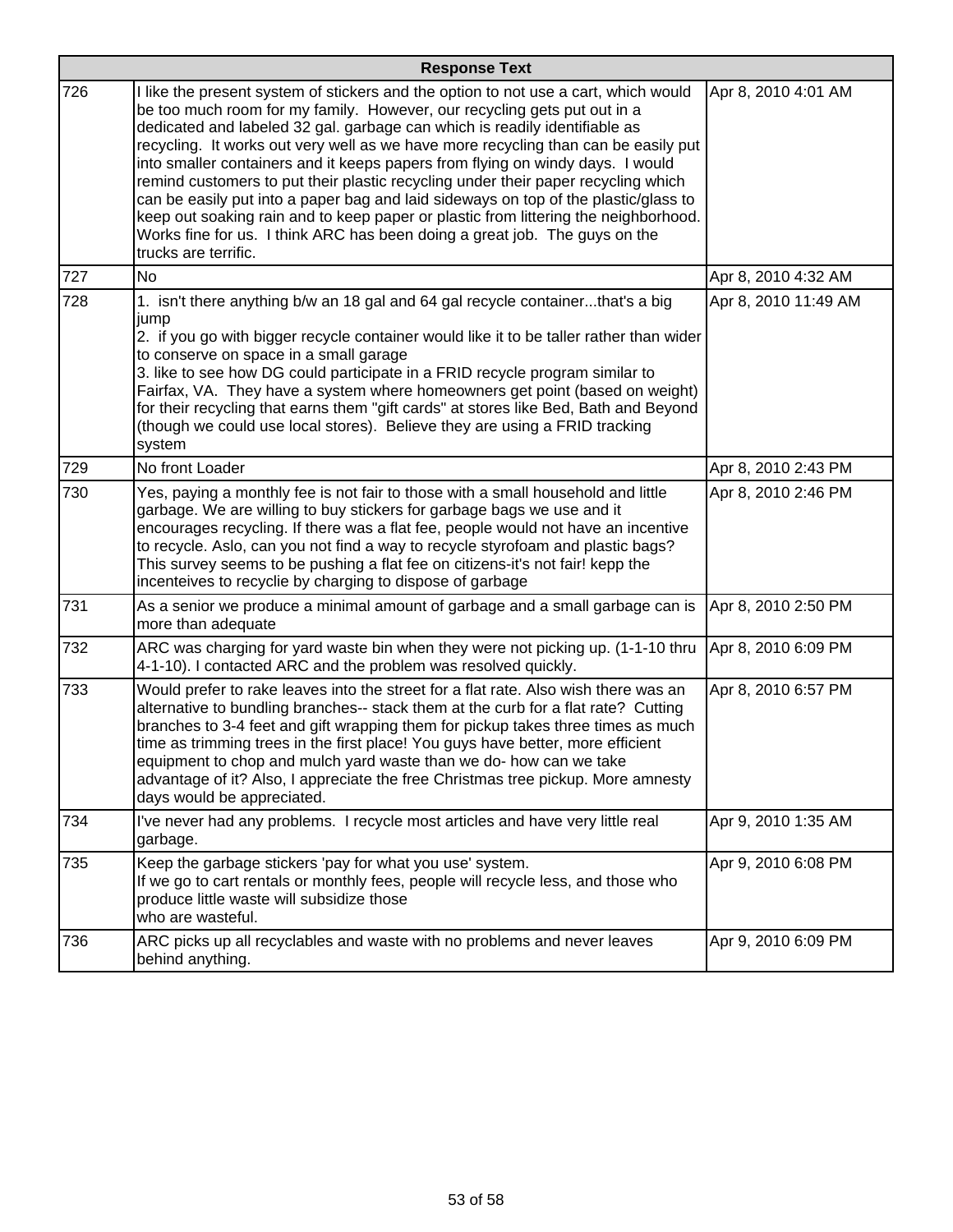|     | <b>Response Text</b>                                                                                                                                                                                                                                                                                                                                                                                                                                                                                                                                                                                                                                                                                                                                                                           |                      |  |
|-----|------------------------------------------------------------------------------------------------------------------------------------------------------------------------------------------------------------------------------------------------------------------------------------------------------------------------------------------------------------------------------------------------------------------------------------------------------------------------------------------------------------------------------------------------------------------------------------------------------------------------------------------------------------------------------------------------------------------------------------------------------------------------------------------------|----------------------|--|
| 726 | I like the present system of stickers and the option to not use a cart, which would<br>be too much room for my family. However, our recycling gets put out in a<br>dedicated and labeled 32 gal. garbage can which is readily identifiable as<br>recycling. It works out very well as we have more recycling than can be easily put<br>into smaller containers and it keeps papers from flying on windy days. I would<br>remind customers to put their plastic recycling under their paper recycling which<br>can be easily put into a paper bag and laid sideways on top of the plastic/glass to<br>keep out soaking rain and to keep paper or plastic from littering the neighborhood.<br>Works fine for us. I think ARC has been doing a great job. The guys on the<br>trucks are terrific. | Apr 8, 2010 4:01 AM  |  |
| 727 | <b>No</b>                                                                                                                                                                                                                                                                                                                                                                                                                                                                                                                                                                                                                                                                                                                                                                                      | Apr 8, 2010 4:32 AM  |  |
| 728 | 1. isn't there anything b/w an 18 gal and 64 gal recycle containerthat's a big<br>jump<br>2. if you go with bigger recycle container would like it to be taller rather than wider<br>to conserve on space in a small garage<br>3. like to see how DG could participate in a FRID recycle program similar to<br>Fairfax, VA. They have a system where homeowners get point (based on weight)<br>for their recycling that earns them "gift cards" at stores like Bed, Bath and Beyond<br>(though we could use local stores). Believe they are using a FRID tracking<br>system                                                                                                                                                                                                                    | Apr 8, 2010 11:49 AM |  |
| 729 | No front Loader                                                                                                                                                                                                                                                                                                                                                                                                                                                                                                                                                                                                                                                                                                                                                                                | Apr 8, 2010 2:43 PM  |  |
| 730 | Yes, paying a monthly fee is not fair to those with a small household and little<br>garbage. We are willing to buy stickers for garbage bags we use and it<br>encourages recycling. If there was a flat fee, people would not have an incentive<br>to recycle. Aslo, can you not find a way to recycle styrofoam and plastic bags?<br>This survey seems to be pushing a flat fee on citizens-it's not fair! kepp the<br>incenteives to recyclie by charging to dispose of garbage                                                                                                                                                                                                                                                                                                              | Apr 8, 2010 2:46 PM  |  |
| 731 | As a senior we produce a minimal amount of garbage and a small garbage can is<br>more than adequate                                                                                                                                                                                                                                                                                                                                                                                                                                                                                                                                                                                                                                                                                            | Apr 8, 2010 2:50 PM  |  |
| 732 | ARC was charging for yard waste bin when they were not picking up. (1-1-10 thru<br>4-1-10). I contacted ARC and the problem was resolved quickly.                                                                                                                                                                                                                                                                                                                                                                                                                                                                                                                                                                                                                                              | Apr 8, 2010 6:09 PM  |  |
| 733 | Would prefer to rake leaves into the street for a flat rate. Also wish there was an<br>alternative to bundling branches-- stack them at the curb for a flat rate? Cutting<br>branches to 3-4 feet and gift wrapping them for pickup takes three times as much<br>time as trimming trees in the first place! You guys have better, more efficient<br>equipment to chop and mulch yard waste than we do- how can we take<br>advantage of it? Also, I appreciate the free Christmas tree pickup. More amnesty<br>days would be appreciated.                                                                                                                                                                                                                                                       | Apr 8, 2010 6:57 PM  |  |
| 734 | I've never had any problems. I recycle most articles and have very little real<br>garbage.                                                                                                                                                                                                                                                                                                                                                                                                                                                                                                                                                                                                                                                                                                     | Apr 9, 2010 1:35 AM  |  |
| 735 | Keep the garbage stickers 'pay for what you use' system.<br>If we go to cart rentals or monthly fees, people will recycle less, and those who<br>produce little waste will subsidize those<br>who are wasteful.                                                                                                                                                                                                                                                                                                                                                                                                                                                                                                                                                                                | Apr 9, 2010 6:08 PM  |  |
| 736 | ARC picks up all recyclables and waste with no problems and never leaves<br>behind anything.                                                                                                                                                                                                                                                                                                                                                                                                                                                                                                                                                                                                                                                                                                   | Apr 9, 2010 6:09 PM  |  |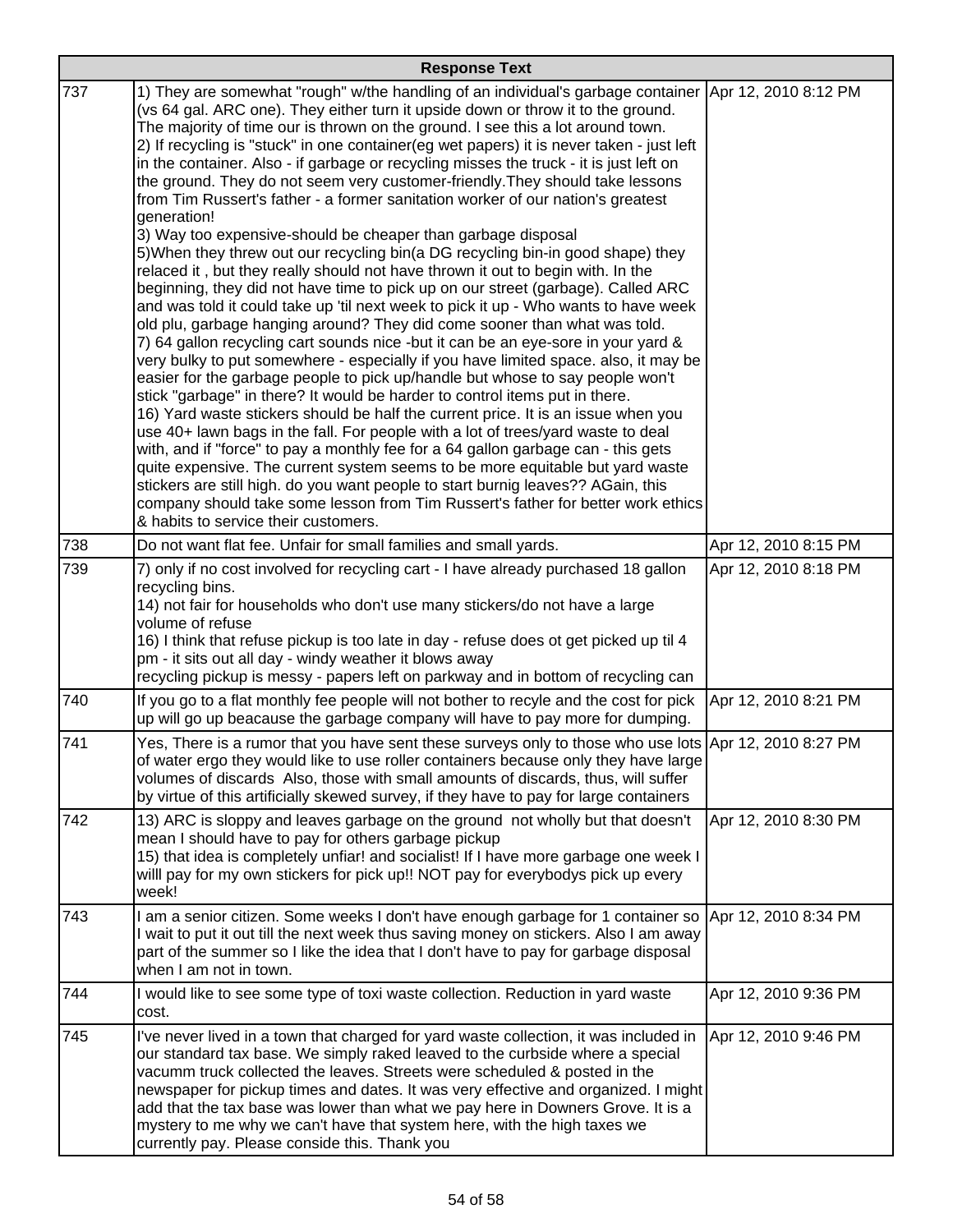| <b>Response Text</b> |                                                                                                                                                                                                                                                                                                                                                                                                                                                                                                                                                                                                                                                                                                                                                                                                                                                                                                                                                                                                                                                                                                                                                                                                                                                    |                      |
|----------------------|----------------------------------------------------------------------------------------------------------------------------------------------------------------------------------------------------------------------------------------------------------------------------------------------------------------------------------------------------------------------------------------------------------------------------------------------------------------------------------------------------------------------------------------------------------------------------------------------------------------------------------------------------------------------------------------------------------------------------------------------------------------------------------------------------------------------------------------------------------------------------------------------------------------------------------------------------------------------------------------------------------------------------------------------------------------------------------------------------------------------------------------------------------------------------------------------------------------------------------------------------|----------------------|
| 737                  | 1) They are somewhat "rough" w/the handling of an individual's garbage container<br>(vs 64 gal. ARC one). They either turn it upside down or throw it to the ground.<br>The majority of time our is thrown on the ground. I see this a lot around town.<br>2) If recycling is "stuck" in one container(eg wet papers) it is never taken - just left<br>in the container. Also - if garbage or recycling misses the truck - it is just left on<br>the ground. They do not seem very customer-friendly. They should take lessons<br>from Tim Russert's father - a former sanitation worker of our nation's greatest<br>generation!<br>3) Way too expensive-should be cheaper than garbage disposal<br>5) When they threw out our recycling bin(a DG recycling bin-in good shape) they                                                                                                                                                                                                                                                                                                                                                                                                                                                                | Apr 12, 2010 8:12 PM |
|                      | relaced it, but they really should not have thrown it out to begin with. In the<br>beginning, they did not have time to pick up on our street (garbage). Called ARC<br>and was told it could take up 'til next week to pick it up - Who wants to have week<br>old plu, garbage hanging around? They did come sooner than what was told.<br>7) 64 gallon recycling cart sounds nice -but it can be an eye-sore in your yard &<br>very bulky to put somewhere - especially if you have limited space. also, it may be<br>easier for the garbage people to pick up/handle but whose to say people won't<br>stick "garbage" in there? It would be harder to control items put in there.<br>16) Yard waste stickers should be half the current price. It is an issue when you<br>use 40+ lawn bags in the fall. For people with a lot of trees/yard waste to deal<br>with, and if "force" to pay a monthly fee for a 64 gallon garbage can - this gets<br>quite expensive. The current system seems to be more equitable but yard waste<br>stickers are still high. do you want people to start burnig leaves?? AGain, this<br>company should take some lesson from Tim Russert's father for better work ethics<br>& habits to service their customers. |                      |
| 738                  | Do not want flat fee. Unfair for small families and small yards.                                                                                                                                                                                                                                                                                                                                                                                                                                                                                                                                                                                                                                                                                                                                                                                                                                                                                                                                                                                                                                                                                                                                                                                   | Apr 12, 2010 8:15 PM |
| 739                  | 7) only if no cost involved for recycling cart - I have already purchased 18 gallon<br>recycling bins.<br>14) not fair for households who don't use many stickers/do not have a large<br>volume of refuse<br>16) I think that refuse pickup is too late in day - refuse does ot get picked up til 4<br>pm - it sits out all day - windy weather it blows away<br>recycling pickup is messy - papers left on parkway and in bottom of recycling can                                                                                                                                                                                                                                                                                                                                                                                                                                                                                                                                                                                                                                                                                                                                                                                                 | Apr 12, 2010 8:18 PM |
| 740                  | If you go to a flat monthly fee people will not bother to recyle and the cost for pick<br>up will go up beacause the garbage company will have to pay more for dumping.                                                                                                                                                                                                                                                                                                                                                                                                                                                                                                                                                                                                                                                                                                                                                                                                                                                                                                                                                                                                                                                                            | Apr 12, 2010 8:21 PM |
| 741                  | Yes, There is a rumor that you have sent these surveys only to those who use lots Apr 12, 2010 8:27 PM<br>of water ergo they would like to use roller containers because only they have large<br>volumes of discards Also, those with small amounts of discards, thus, will suffer<br>by virtue of this artificially skewed survey, if they have to pay for large containers                                                                                                                                                                                                                                                                                                                                                                                                                                                                                                                                                                                                                                                                                                                                                                                                                                                                       |                      |
| 742                  | 13) ARC is sloppy and leaves garbage on the ground not wholly but that doesn't<br>mean I should have to pay for others garbage pickup<br>15) that idea is completely unfiar! and socialist! If I have more garbage one week I<br>willl pay for my own stickers for pick up!! NOT pay for everybodys pick up every<br>week!                                                                                                                                                                                                                                                                                                                                                                                                                                                                                                                                                                                                                                                                                                                                                                                                                                                                                                                         | Apr 12, 2010 8:30 PM |
| 743                  | I am a senior citizen. Some weeks I don't have enough garbage for 1 container so<br>I wait to put it out till the next week thus saving money on stickers. Also I am away<br>part of the summer so I like the idea that I don't have to pay for garbage disposal<br>when I am not in town.                                                                                                                                                                                                                                                                                                                                                                                                                                                                                                                                                                                                                                                                                                                                                                                                                                                                                                                                                         | Apr 12, 2010 8:34 PM |
| 744                  | I would like to see some type of toxi waste collection. Reduction in yard waste<br>cost.                                                                                                                                                                                                                                                                                                                                                                                                                                                                                                                                                                                                                                                                                                                                                                                                                                                                                                                                                                                                                                                                                                                                                           | Apr 12, 2010 9:36 PM |
| 745                  | I've never lived in a town that charged for yard waste collection, it was included in<br>our standard tax base. We simply raked leaved to the curbside where a special<br>vacumm truck collected the leaves. Streets were scheduled & posted in the<br>newspaper for pickup times and dates. It was very effective and organized. I might<br>add that the tax base was lower than what we pay here in Downers Grove. It is a<br>mystery to me why we can't have that system here, with the high taxes we<br>currently pay. Please conside this. Thank you                                                                                                                                                                                                                                                                                                                                                                                                                                                                                                                                                                                                                                                                                          | Apr 12, 2010 9:46 PM |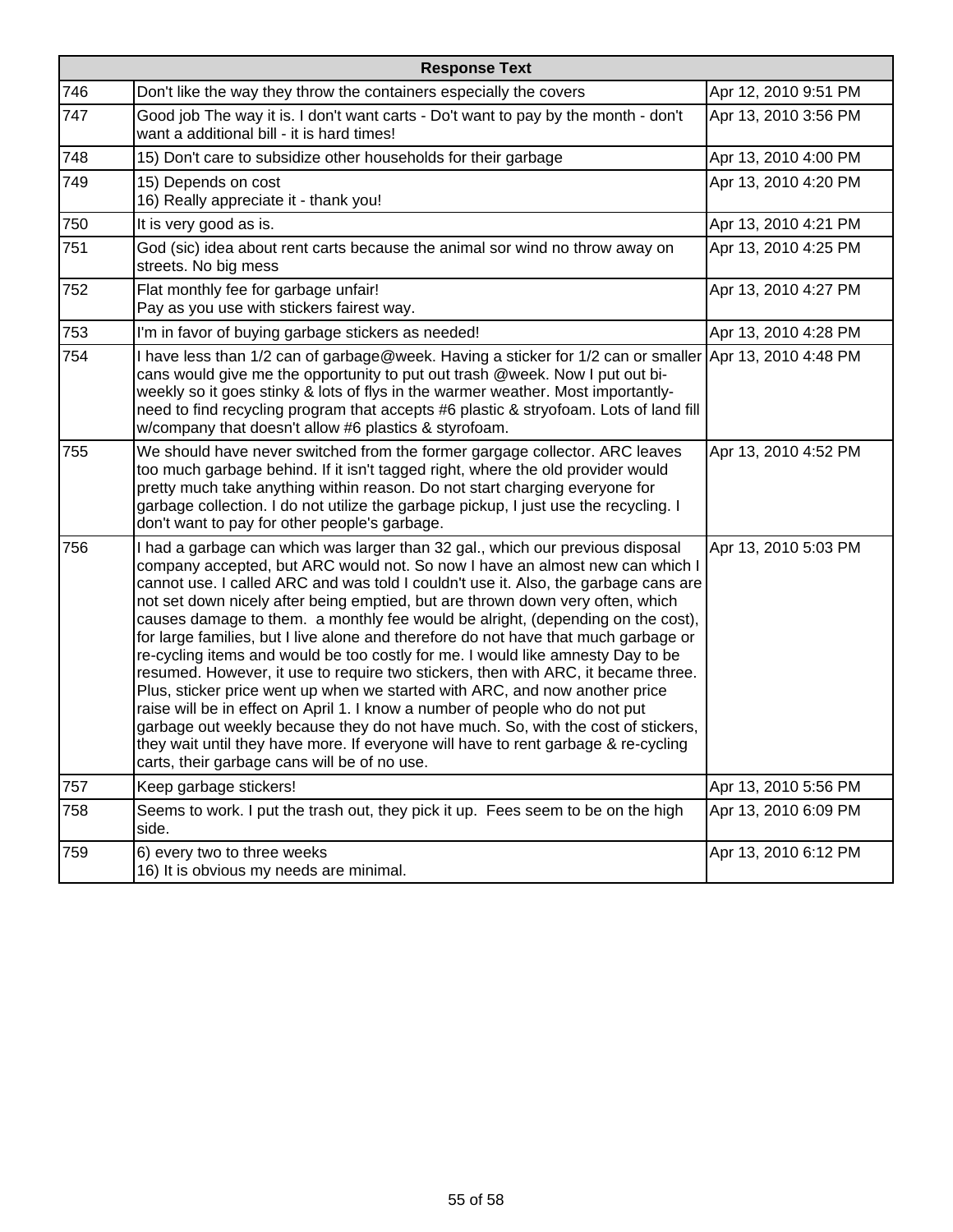| <b>Response Text</b> |                                                                                                                                                                                                                                                                                                                                                                                                                                                                                                                                                                                                                                                                                                                                                                                                                                                                                                                                                                                                                                                                                    |                      |
|----------------------|------------------------------------------------------------------------------------------------------------------------------------------------------------------------------------------------------------------------------------------------------------------------------------------------------------------------------------------------------------------------------------------------------------------------------------------------------------------------------------------------------------------------------------------------------------------------------------------------------------------------------------------------------------------------------------------------------------------------------------------------------------------------------------------------------------------------------------------------------------------------------------------------------------------------------------------------------------------------------------------------------------------------------------------------------------------------------------|----------------------|
| 746                  | Don't like the way they throw the containers especially the covers                                                                                                                                                                                                                                                                                                                                                                                                                                                                                                                                                                                                                                                                                                                                                                                                                                                                                                                                                                                                                 | Apr 12, 2010 9:51 PM |
| 747                  | Good job The way it is. I don't want carts - Do't want to pay by the month - don't<br>want a additional bill - it is hard times!                                                                                                                                                                                                                                                                                                                                                                                                                                                                                                                                                                                                                                                                                                                                                                                                                                                                                                                                                   | Apr 13, 2010 3:56 PM |
| 748                  | 15) Don't care to subsidize other households for their garbage                                                                                                                                                                                                                                                                                                                                                                                                                                                                                                                                                                                                                                                                                                                                                                                                                                                                                                                                                                                                                     | Apr 13, 2010 4:00 PM |
| 749                  | 15) Depends on cost<br>16) Really appreciate it - thank you!                                                                                                                                                                                                                                                                                                                                                                                                                                                                                                                                                                                                                                                                                                                                                                                                                                                                                                                                                                                                                       | Apr 13, 2010 4:20 PM |
| 750                  | It is very good as is.                                                                                                                                                                                                                                                                                                                                                                                                                                                                                                                                                                                                                                                                                                                                                                                                                                                                                                                                                                                                                                                             | Apr 13, 2010 4:21 PM |
| 751                  | God (sic) idea about rent carts because the animal sor wind no throw away on<br>streets. No big mess                                                                                                                                                                                                                                                                                                                                                                                                                                                                                                                                                                                                                                                                                                                                                                                                                                                                                                                                                                               | Apr 13, 2010 4:25 PM |
| 752                  | Flat monthly fee for garbage unfair!<br>Pay as you use with stickers fairest way.                                                                                                                                                                                                                                                                                                                                                                                                                                                                                                                                                                                                                                                                                                                                                                                                                                                                                                                                                                                                  | Apr 13, 2010 4:27 PM |
| 753                  | I'm in favor of buying garbage stickers as needed!                                                                                                                                                                                                                                                                                                                                                                                                                                                                                                                                                                                                                                                                                                                                                                                                                                                                                                                                                                                                                                 | Apr 13, 2010 4:28 PM |
| 754                  | I have less than 1/2 can of garbage@week. Having a sticker for 1/2 can or smaller Apr 13, 2010 4:48 PM<br>cans would give me the opportunity to put out trash @week. Now I put out bi-<br>weekly so it goes stinky & lots of flys in the warmer weather. Most importantly-<br>need to find recycling program that accepts #6 plastic & stryofoam. Lots of land fill<br>w/company that doesn't allow #6 plastics & styrofoam.                                                                                                                                                                                                                                                                                                                                                                                                                                                                                                                                                                                                                                                       |                      |
| 755                  | We should have never switched from the former gargage collector. ARC leaves<br>too much garbage behind. If it isn't tagged right, where the old provider would<br>pretty much take anything within reason. Do not start charging everyone for<br>garbage collection. I do not utilize the garbage pickup, I just use the recycling. I<br>don't want to pay for other people's garbage.                                                                                                                                                                                                                                                                                                                                                                                                                                                                                                                                                                                                                                                                                             | Apr 13, 2010 4:52 PM |
| 756                  | I had a garbage can which was larger than 32 gal., which our previous disposal<br>company accepted, but ARC would not. So now I have an almost new can which I<br>cannot use. I called ARC and was told I couldn't use it. Also, the garbage cans are<br>not set down nicely after being emptied, but are thrown down very often, which<br>causes damage to them. a monthly fee would be alright, (depending on the cost),<br>for large families, but I live alone and therefore do not have that much garbage or<br>re-cycling items and would be too costly for me. I would like amnesty Day to be<br>resumed. However, it use to require two stickers, then with ARC, it became three.<br>Plus, sticker price went up when we started with ARC, and now another price<br>raise will be in effect on April 1. I know a number of people who do not put<br>garbage out weekly because they do not have much. So, with the cost of stickers,<br>they wait until they have more. If everyone will have to rent garbage & re-cycling<br>carts, their garbage cans will be of no use. | Apr 13, 2010 5:03 PM |
| 757                  | Keep garbage stickers!                                                                                                                                                                                                                                                                                                                                                                                                                                                                                                                                                                                                                                                                                                                                                                                                                                                                                                                                                                                                                                                             | Apr 13, 2010 5:56 PM |
| 758                  | Seems to work. I put the trash out, they pick it up. Fees seem to be on the high<br>side.                                                                                                                                                                                                                                                                                                                                                                                                                                                                                                                                                                                                                                                                                                                                                                                                                                                                                                                                                                                          | Apr 13, 2010 6:09 PM |
| 759                  | 6) every two to three weeks<br>16) It is obvious my needs are minimal.                                                                                                                                                                                                                                                                                                                                                                                                                                                                                                                                                                                                                                                                                                                                                                                                                                                                                                                                                                                                             | Apr 13, 2010 6:12 PM |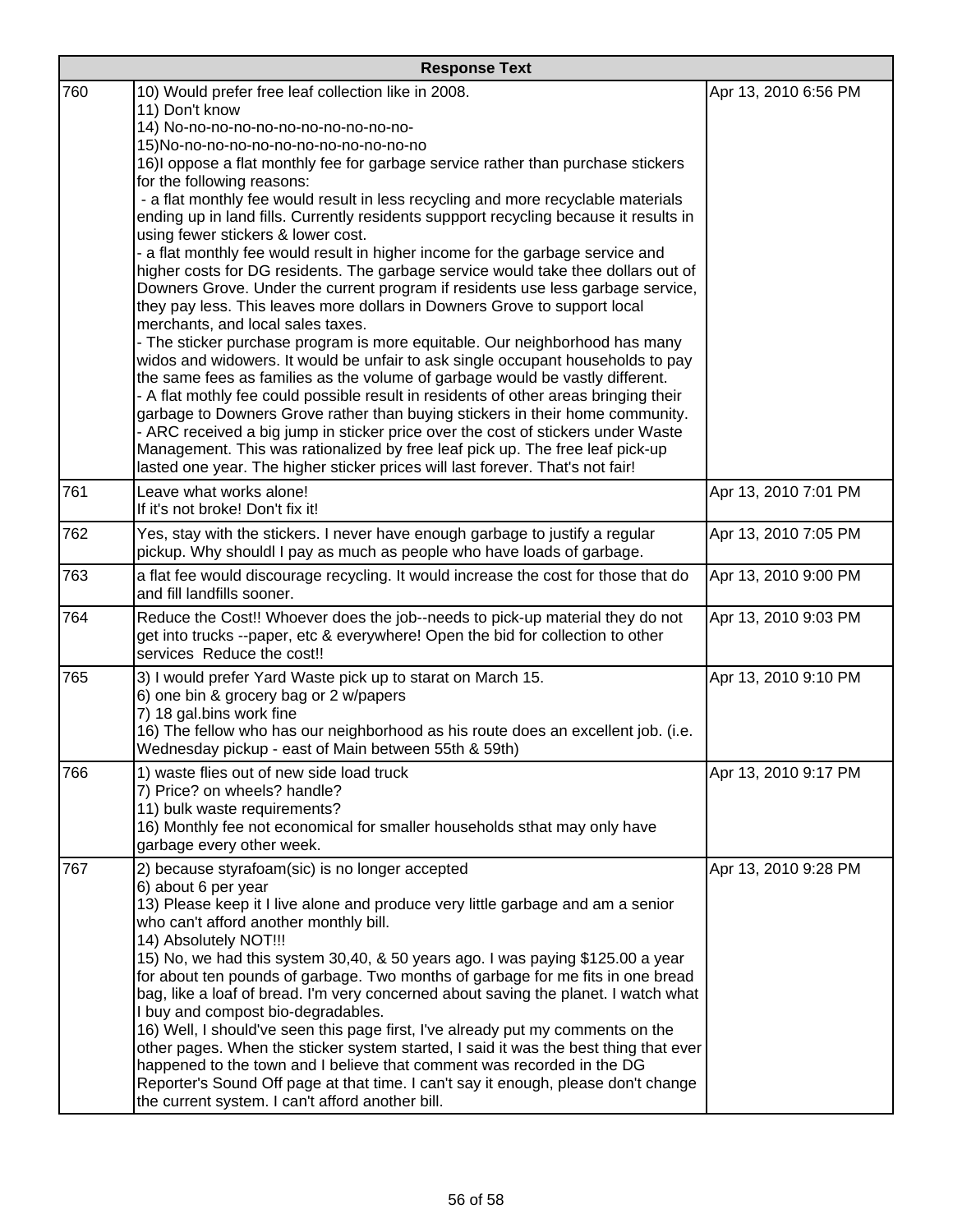| <b>Response Text</b> |                                                                                                                                                                                                                                                                                                                                                                                                                                                                                                                                                                                                                                                                                                                                                                                                                                                                                                                                                                                                                                               |                      |
|----------------------|-----------------------------------------------------------------------------------------------------------------------------------------------------------------------------------------------------------------------------------------------------------------------------------------------------------------------------------------------------------------------------------------------------------------------------------------------------------------------------------------------------------------------------------------------------------------------------------------------------------------------------------------------------------------------------------------------------------------------------------------------------------------------------------------------------------------------------------------------------------------------------------------------------------------------------------------------------------------------------------------------------------------------------------------------|----------------------|
| 760                  | 10) Would prefer free leaf collection like in 2008.<br>11) Don't know<br>14) No-no-no-no-no-no-no-no-no-no-no-<br>15) No-no-no-no-no-no-no-no-no-no-no-no<br>16) loppose a flat monthly fee for garbage service rather than purchase stickers<br>for the following reasons:<br>- a flat monthly fee would result in less recycling and more recyclable materials<br>ending up in land fills. Currently residents suppport recycling because it results in<br>using fewer stickers & lower cost.<br>- a flat monthly fee would result in higher income for the garbage service and<br>higher costs for DG residents. The garbage service would take thee dollars out of<br>Downers Grove. Under the current program if residents use less garbage service,<br>they pay less. This leaves more dollars in Downers Grove to support local<br>merchants, and local sales taxes.<br>- The sticker purchase program is more equitable. Our neighborhood has many<br>widos and widowers. It would be unfair to ask single occupant households to pay | Apr 13, 2010 6:56 PM |
|                      | the same fees as families as the volume of garbage would be vastly different.<br>- A flat mothly fee could possible result in residents of other areas bringing their<br>garbage to Downers Grove rather than buying stickers in their home community.<br>- ARC received a big jump in sticker price over the cost of stickers under Waste<br>Management. This was rationalized by free leaf pick up. The free leaf pick-up<br>lasted one year. The higher sticker prices will last forever. That's not fair!                                                                                                                                                                                                                                                                                                                                                                                                                                                                                                                                 |                      |
| 761                  | Leave what works alone!<br>If it's not broke! Don't fix it!                                                                                                                                                                                                                                                                                                                                                                                                                                                                                                                                                                                                                                                                                                                                                                                                                                                                                                                                                                                   | Apr 13, 2010 7:01 PM |
| 762                  | Yes, stay with the stickers. I never have enough garbage to justify a regular<br>pickup. Why shouldl I pay as much as people who have loads of garbage.                                                                                                                                                                                                                                                                                                                                                                                                                                                                                                                                                                                                                                                                                                                                                                                                                                                                                       | Apr 13, 2010 7:05 PM |
| 763                  | a flat fee would discourage recycling. It would increase the cost for those that do<br>and fill landfills sooner.                                                                                                                                                                                                                                                                                                                                                                                                                                                                                                                                                                                                                                                                                                                                                                                                                                                                                                                             | Apr 13, 2010 9:00 PM |
| 764                  | Reduce the Cost!! Whoever does the job--needs to pick-up material they do not<br>get into trucks --paper, etc & everywhere! Open the bid for collection to other<br>services Reduce the cost!!                                                                                                                                                                                                                                                                                                                                                                                                                                                                                                                                                                                                                                                                                                                                                                                                                                                | Apr 13, 2010 9:03 PM |
| 765                  | 3) I would prefer Yard Waste pick up to starat on March 15.<br>6) one bin & grocery bag or 2 w/papers<br>7) 18 gal.bins work fine<br>16) The fellow who has our neighborhood as his route does an excellent job. (i.e.<br>Wednesday pickup - east of Main between 55th & 59th)                                                                                                                                                                                                                                                                                                                                                                                                                                                                                                                                                                                                                                                                                                                                                                | Apr 13, 2010 9:10 PM |
| 766                  | 1) waste flies out of new side load truck<br>7) Price? on wheels? handle?<br>11) bulk waste requirements?<br>16) Monthly fee not economical for smaller households sthat may only have<br>garbage every other week.                                                                                                                                                                                                                                                                                                                                                                                                                                                                                                                                                                                                                                                                                                                                                                                                                           | Apr 13, 2010 9:17 PM |
| 767                  | 2) because styrafoam(sic) is no longer accepted<br>6) about 6 per year<br>13) Please keep it I live alone and produce very little garbage and am a senior<br>who can't afford another monthly bill.<br>14) Absolutely NOT !!!<br>15) No, we had this system 30,40, & 50 years ago. I was paying \$125.00 a year<br>for about ten pounds of garbage. Two months of garbage for me fits in one bread<br>bag, like a loaf of bread. I'm very concerned about saving the planet. I watch what<br>I buy and compost bio-degradables.<br>16) Well, I should've seen this page first, I've already put my comments on the<br>other pages. When the sticker system started, I said it was the best thing that ever<br>happened to the town and I believe that comment was recorded in the DG<br>Reporter's Sound Off page at that time. I can't say it enough, please don't change<br>the current system. I can't afford another bill.                                                                                                                | Apr 13, 2010 9:28 PM |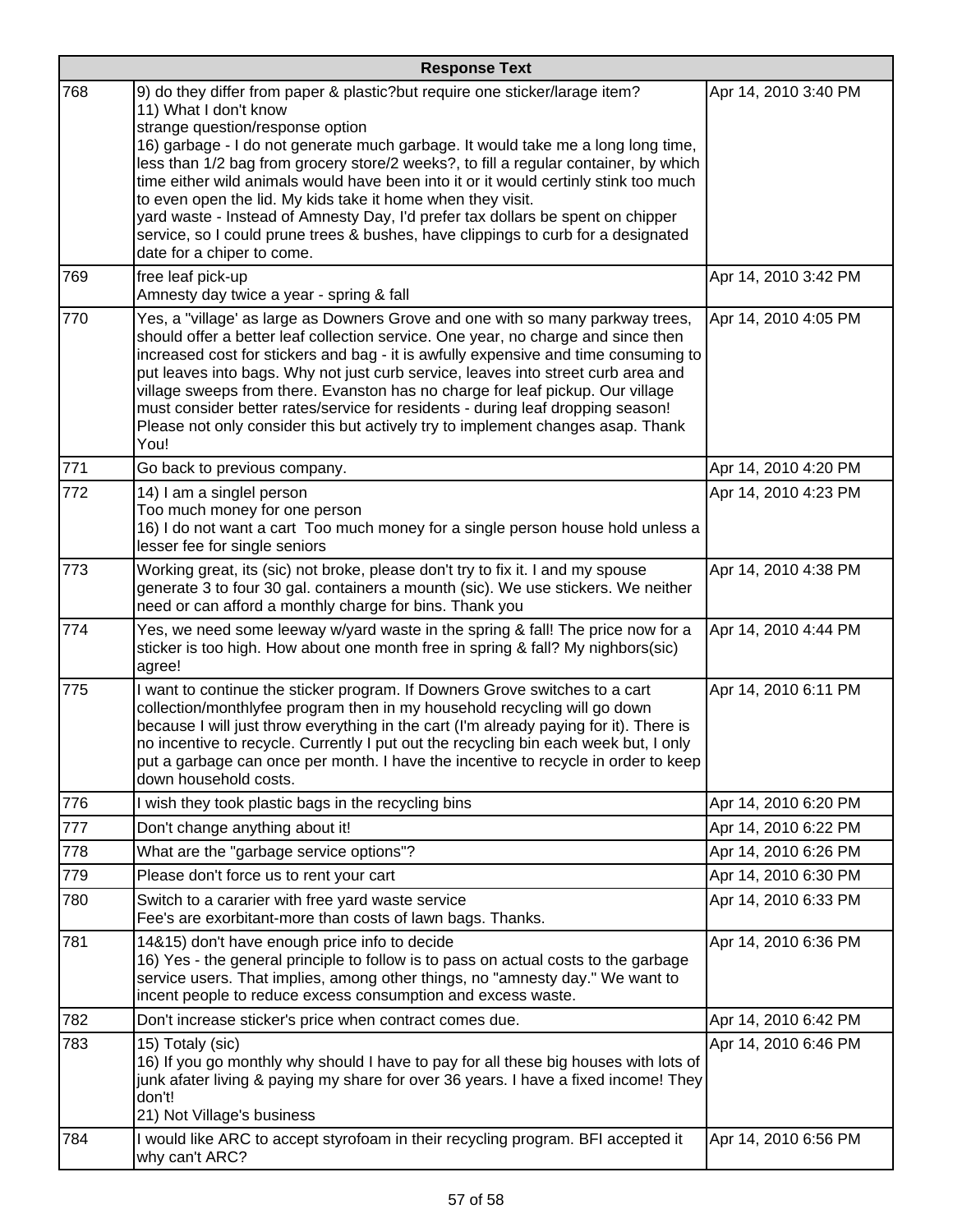|     | <b>Response Text</b>                                                                                                                                                                                                                                                                                                                                                                                                                                                                                                                                                                                                                                                              |                      |  |
|-----|-----------------------------------------------------------------------------------------------------------------------------------------------------------------------------------------------------------------------------------------------------------------------------------------------------------------------------------------------------------------------------------------------------------------------------------------------------------------------------------------------------------------------------------------------------------------------------------------------------------------------------------------------------------------------------------|----------------------|--|
| 768 | 9) do they differ from paper & plastic?but require one sticker/larage item?<br>11) What I don't know<br>strange question/response option<br>16) garbage - I do not generate much garbage. It would take me a long long time,<br>less than 1/2 bag from grocery store/2 weeks?, to fill a regular container, by which<br>time either wild animals would have been into it or it would certinly stink too much<br>to even open the lid. My kids take it home when they visit.<br>yard waste - Instead of Amnesty Day, I'd prefer tax dollars be spent on chipper<br>service, so I could prune trees & bushes, have clippings to curb for a designated<br>date for a chiper to come. | Apr 14, 2010 3:40 PM |  |
| 769 | free leaf pick-up<br>Amnesty day twice a year - spring & fall                                                                                                                                                                                                                                                                                                                                                                                                                                                                                                                                                                                                                     | Apr 14, 2010 3:42 PM |  |
| 770 | Yes, a "village' as large as Downers Grove and one with so many parkway trees,<br>should offer a better leaf collection service. One year, no charge and since then<br>increased cost for stickers and bag - it is awfully expensive and time consuming to<br>put leaves into bags. Why not just curb service, leaves into street curb area and<br>village sweeps from there. Evanston has no charge for leaf pickup. Our village<br>must consider better rates/service for residents - during leaf dropping season!<br>Please not only consider this but actively try to implement changes asap. Thank<br>You!                                                                   | Apr 14, 2010 4:05 PM |  |
| 771 | Go back to previous company.                                                                                                                                                                                                                                                                                                                                                                                                                                                                                                                                                                                                                                                      | Apr 14, 2010 4:20 PM |  |
| 772 | 14) I am a singlel person<br>Too much money for one person<br>16) I do not want a cart Too much money for a single person house hold unless a<br>lesser fee for single seniors                                                                                                                                                                                                                                                                                                                                                                                                                                                                                                    | Apr 14, 2010 4:23 PM |  |
| 773 | Working great, its (sic) not broke, please don't try to fix it. I and my spouse<br>generate 3 to four 30 gal. containers a mounth (sic). We use stickers. We neither<br>need or can afford a monthly charge for bins. Thank you                                                                                                                                                                                                                                                                                                                                                                                                                                                   | Apr 14, 2010 4:38 PM |  |
| 774 | Yes, we need some leeway w/yard waste in the spring & fall! The price now for a<br>sticker is too high. How about one month free in spring & fall? My nighbors(sic)<br>agree!                                                                                                                                                                                                                                                                                                                                                                                                                                                                                                     | Apr 14, 2010 4:44 PM |  |
| 775 | I want to continue the sticker program. If Downers Grove switches to a cart<br>collection/monthlyfee program then in my household recycling will go down<br>because I will just throw everything in the cart (I'm already paying for it). There is<br>no incentive to recycle. Currently I put out the recycling bin each week but, I only<br>put a garbage can once per month. I have the incentive to recycle in order to keep<br>down household costs.                                                                                                                                                                                                                         | Apr 14, 2010 6:11 PM |  |
| 776 | I wish they took plastic bags in the recycling bins                                                                                                                                                                                                                                                                                                                                                                                                                                                                                                                                                                                                                               | Apr 14, 2010 6:20 PM |  |
| 777 | Don't change anything about it!                                                                                                                                                                                                                                                                                                                                                                                                                                                                                                                                                                                                                                                   | Apr 14, 2010 6:22 PM |  |
| 778 | What are the "garbage service options"?                                                                                                                                                                                                                                                                                                                                                                                                                                                                                                                                                                                                                                           | Apr 14, 2010 6:26 PM |  |
| 779 | Please don't force us to rent your cart                                                                                                                                                                                                                                                                                                                                                                                                                                                                                                                                                                                                                                           | Apr 14, 2010 6:30 PM |  |
| 780 | Switch to a cararier with free yard waste service<br>Fee's are exorbitant-more than costs of lawn bags. Thanks.                                                                                                                                                                                                                                                                                                                                                                                                                                                                                                                                                                   | Apr 14, 2010 6:33 PM |  |
| 781 | 14&15) don't have enough price info to decide<br>16) Yes - the general principle to follow is to pass on actual costs to the garbage<br>service users. That implies, among other things, no "amnesty day." We want to<br>incent people to reduce excess consumption and excess waste.                                                                                                                                                                                                                                                                                                                                                                                             | Apr 14, 2010 6:36 PM |  |
| 782 | Don't increase sticker's price when contract comes due.                                                                                                                                                                                                                                                                                                                                                                                                                                                                                                                                                                                                                           | Apr 14, 2010 6:42 PM |  |
| 783 | 15) Totaly (sic)<br>16) If you go monthly why should I have to pay for all these big houses with lots of<br>junk afater living & paying my share for over 36 years. I have a fixed income! They<br>don't!<br>21) Not Village's business                                                                                                                                                                                                                                                                                                                                                                                                                                           | Apr 14, 2010 6:46 PM |  |
| 784 | I would like ARC to accept styrofoam in their recycling program. BFI accepted it<br>why can't ARC?                                                                                                                                                                                                                                                                                                                                                                                                                                                                                                                                                                                | Apr 14, 2010 6:56 PM |  |